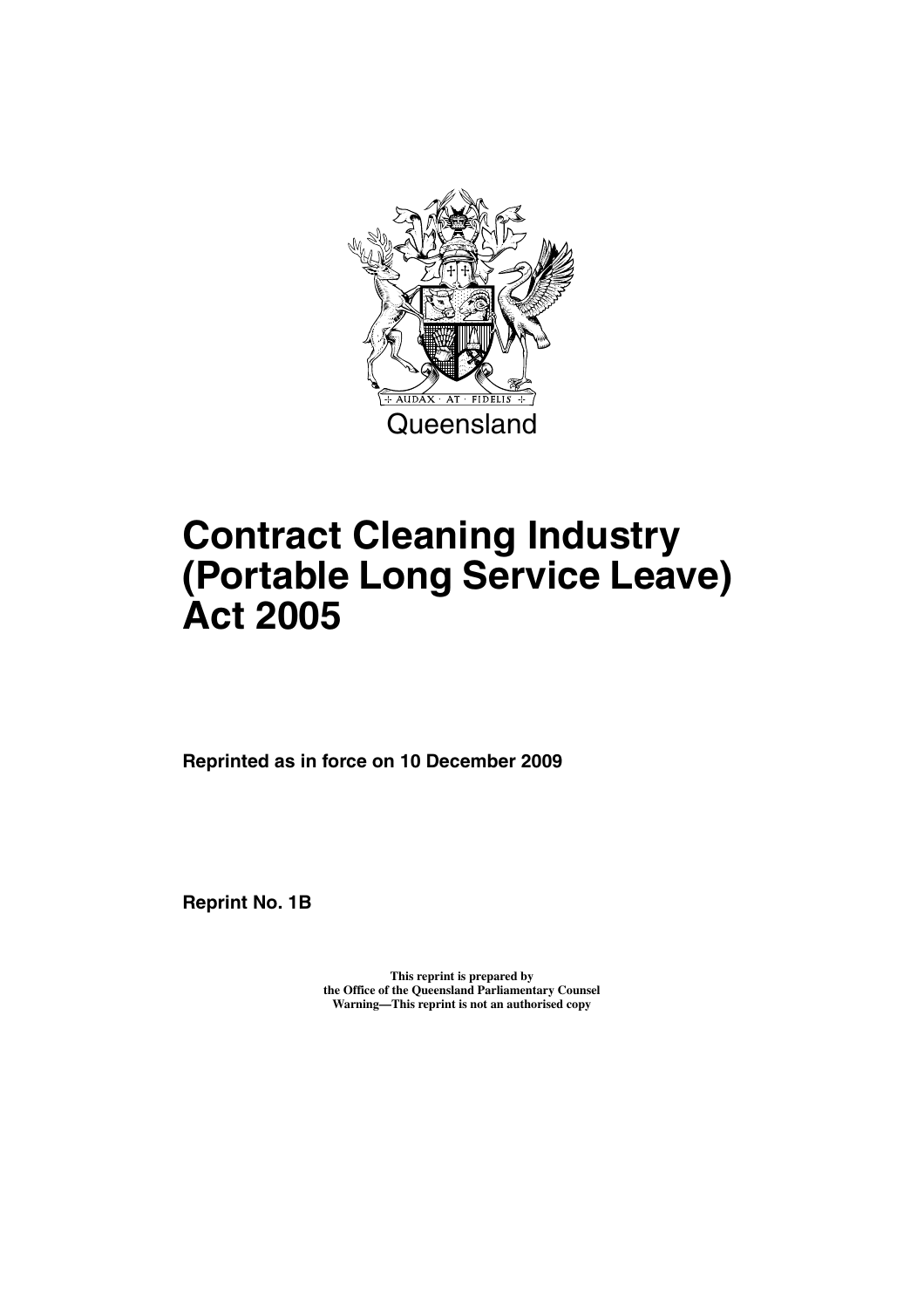

# **Contract Cleaning Industry (Portable Long Service Leave) Act 2005**

**Reprinted as in force on 10 December 2009**

**Reprint No. 1B** 

**This reprint is prepared by the Office of the Queensland Parliamentary Counsel Warning—This reprint is not an authorised copy**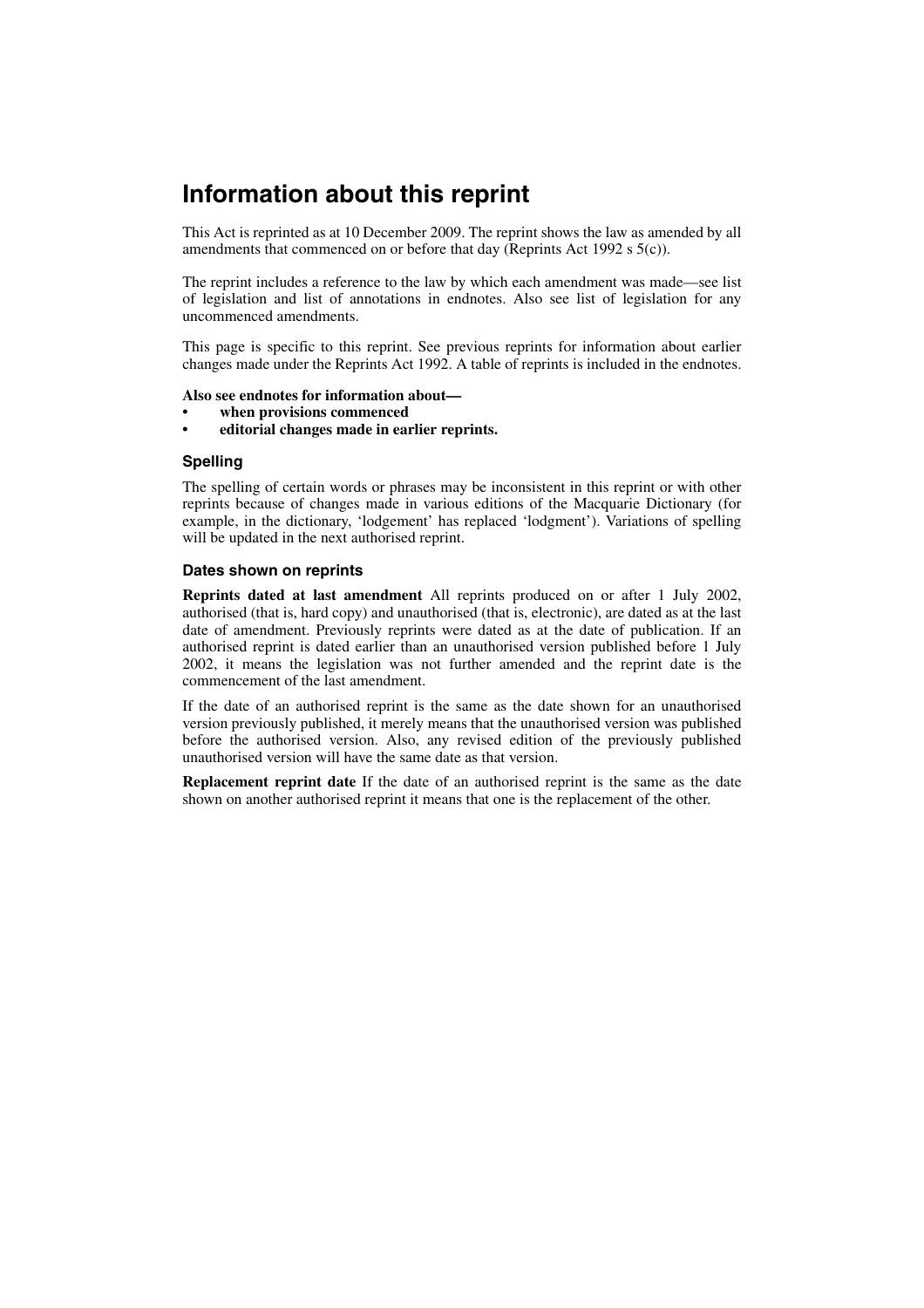# **Information about this reprint**

This Act is reprinted as at 10 December 2009. The reprint shows the law as amended by all amendments that commenced on or before that day (Reprints Act 1992 s 5(c)).

The reprint includes a reference to the law by which each amendment was made—see list of legislation and list of annotations in endnotes. Also see list of legislation for any uncommenced amendments.

This page is specific to this reprint. See previous reprints for information about earlier changes made under the Reprints Act 1992. A table of reprints is included in the endnotes.

#### **Also see endnotes for information about—**

- **when provisions commenced**
- **editorial changes made in earlier reprints.**

#### **Spelling**

The spelling of certain words or phrases may be inconsistent in this reprint or with other reprints because of changes made in various editions of the Macquarie Dictionary (for example, in the dictionary, 'lodgement' has replaced 'lodgment'). Variations of spelling will be updated in the next authorised reprint.

#### **Dates shown on reprints**

**Reprints dated at last amendment** All reprints produced on or after 1 July 2002, authorised (that is, hard copy) and unauthorised (that is, electronic), are dated as at the last date of amendment. Previously reprints were dated as at the date of publication. If an authorised reprint is dated earlier than an unauthorised version published before 1 July 2002, it means the legislation was not further amended and the reprint date is the commencement of the last amendment.

If the date of an authorised reprint is the same as the date shown for an unauthorised version previously published, it merely means that the unauthorised version was published before the authorised version. Also, any revised edition of the previously published unauthorised version will have the same date as that version.

**Replacement reprint date** If the date of an authorised reprint is the same as the date shown on another authorised reprint it means that one is the replacement of the other.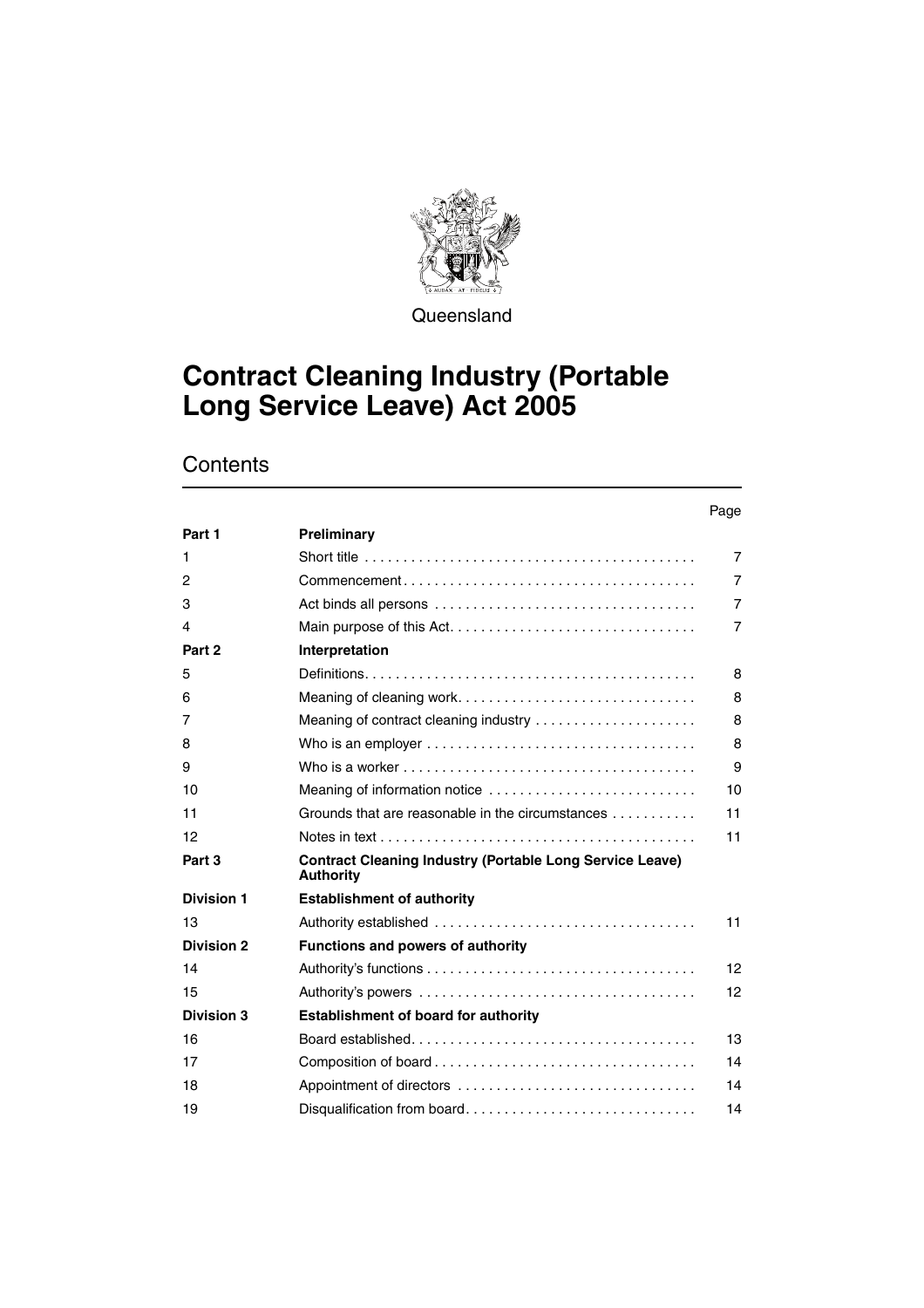

**Queensland** 

# **Contract Cleaning Industry (Portable Long Service Leave) Act 2005**

# **Contents**

#### Page

| Part 1            | Preliminary                                                                                              |                 |
|-------------------|----------------------------------------------------------------------------------------------------------|-----------------|
| 1                 | Short title $\ldots \ldots \ldots \ldots \ldots \ldots \ldots \ldots \ldots \ldots \ldots \ldots \ldots$ | $\overline{7}$  |
| 2                 | $Commonement \ldots \ldots \ldots \ldots \ldots \ldots \ldots \ldots \ldots \ldots \ldots$               | $\overline{7}$  |
| 3                 |                                                                                                          | $\overline{7}$  |
| 4                 |                                                                                                          | $\overline{7}$  |
| Part 2            | Interpretation                                                                                           |                 |
| 5                 |                                                                                                          | 8               |
| 6                 |                                                                                                          | 8               |
| 7                 | Meaning of contract cleaning industry                                                                    | 8               |
| 8                 | Who is an employer $\ldots \ldots \ldots \ldots \ldots \ldots \ldots \ldots \ldots \ldots$               | 8               |
| 9                 | Who is a worker $\dots\dots\dots\dots\dots\dots\dots\dots\dots\dots\dots\dots\dots\dots\dots$            | 9               |
| 10                | Meaning of information notice                                                                            | 10              |
| 11                | Grounds that are reasonable in the circumstances                                                         | 11              |
| 12                |                                                                                                          | 11              |
| Part 3            | <b>Contract Cleaning Industry (Portable Long Service Leave)</b><br><b>Authority</b>                      |                 |
| <b>Division 1</b> | <b>Establishment of authority</b>                                                                        |                 |
| 13                |                                                                                                          | 11              |
| <b>Division 2</b> | <b>Functions and powers of authority</b>                                                                 |                 |
| 14                |                                                                                                          | 12 <sup>2</sup> |
| 15                |                                                                                                          | 12              |
| <b>Division 3</b> | <b>Establishment of board for authority</b>                                                              |                 |
| 16                |                                                                                                          | 13              |
| 17                |                                                                                                          | 14              |
| 18                |                                                                                                          | 14              |
| 19                | Disqualification from board                                                                              | 14              |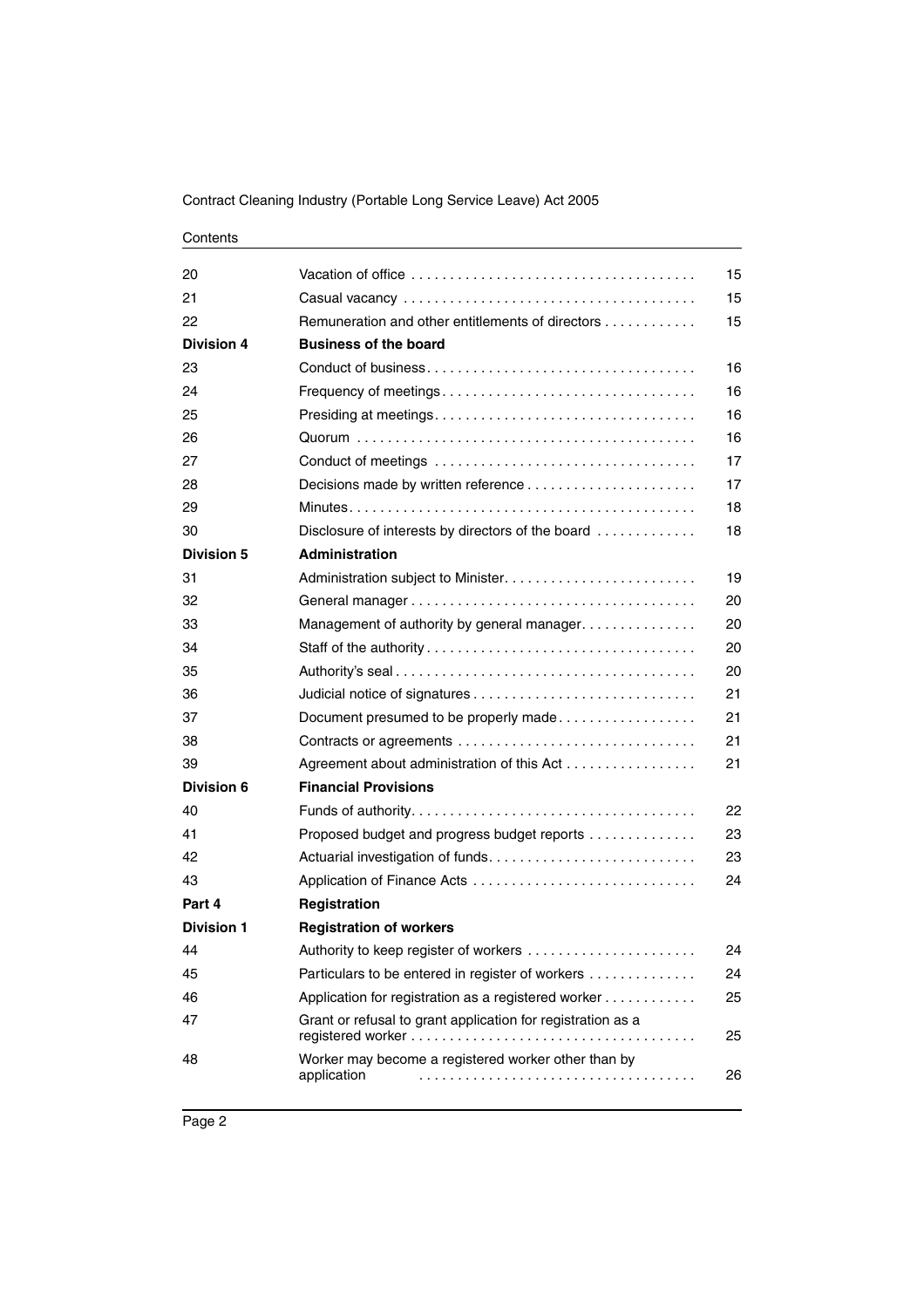#### Contents

| 20                |                                                                    | 15 |
|-------------------|--------------------------------------------------------------------|----|
| 21                |                                                                    | 15 |
| 22                | Remuneration and other entitlements of directors                   | 15 |
| Division 4        | <b>Business of the board</b>                                       |    |
| 23                |                                                                    | 16 |
| 24                |                                                                    | 16 |
| 25                |                                                                    | 16 |
| 26                |                                                                    | 16 |
| 27                |                                                                    | 17 |
| 28                |                                                                    | 17 |
| 29                |                                                                    | 18 |
| 30                | Disclosure of interests by directors of the board                  | 18 |
| <b>Division 5</b> | <b>Administration</b>                                              |    |
| 31                |                                                                    | 19 |
| 32                |                                                                    | 20 |
| 33                | Management of authority by general manager.                        | 20 |
| 34                |                                                                    | 20 |
| 35                |                                                                    | 20 |
| 36                |                                                                    | 21 |
| 37                | Document presumed to be properly made                              | 21 |
| 38                | Contracts or agreements                                            | 21 |
| 39                | Agreement about administration of this Act                         | 21 |
| Division 6        | <b>Financial Provisions</b>                                        |    |
| 40                |                                                                    | 22 |
| 41                | Proposed budget and progress budget reports                        | 23 |
| 42                |                                                                    | 23 |
| 43                |                                                                    | 24 |
| Part 4            | Registration                                                       |    |
| <b>Division 1</b> | <b>Registration of workers</b>                                     |    |
| 44                | Authority to keep register of workers                              | 24 |
| 45                | Particulars to be entered in register of workers                   | 24 |
| 46                | Application for registration as a registered worker                | 25 |
| 47                | Grant or refusal to grant application for registration as a        | 25 |
| 48                | Worker may become a registered worker other than by<br>application | 26 |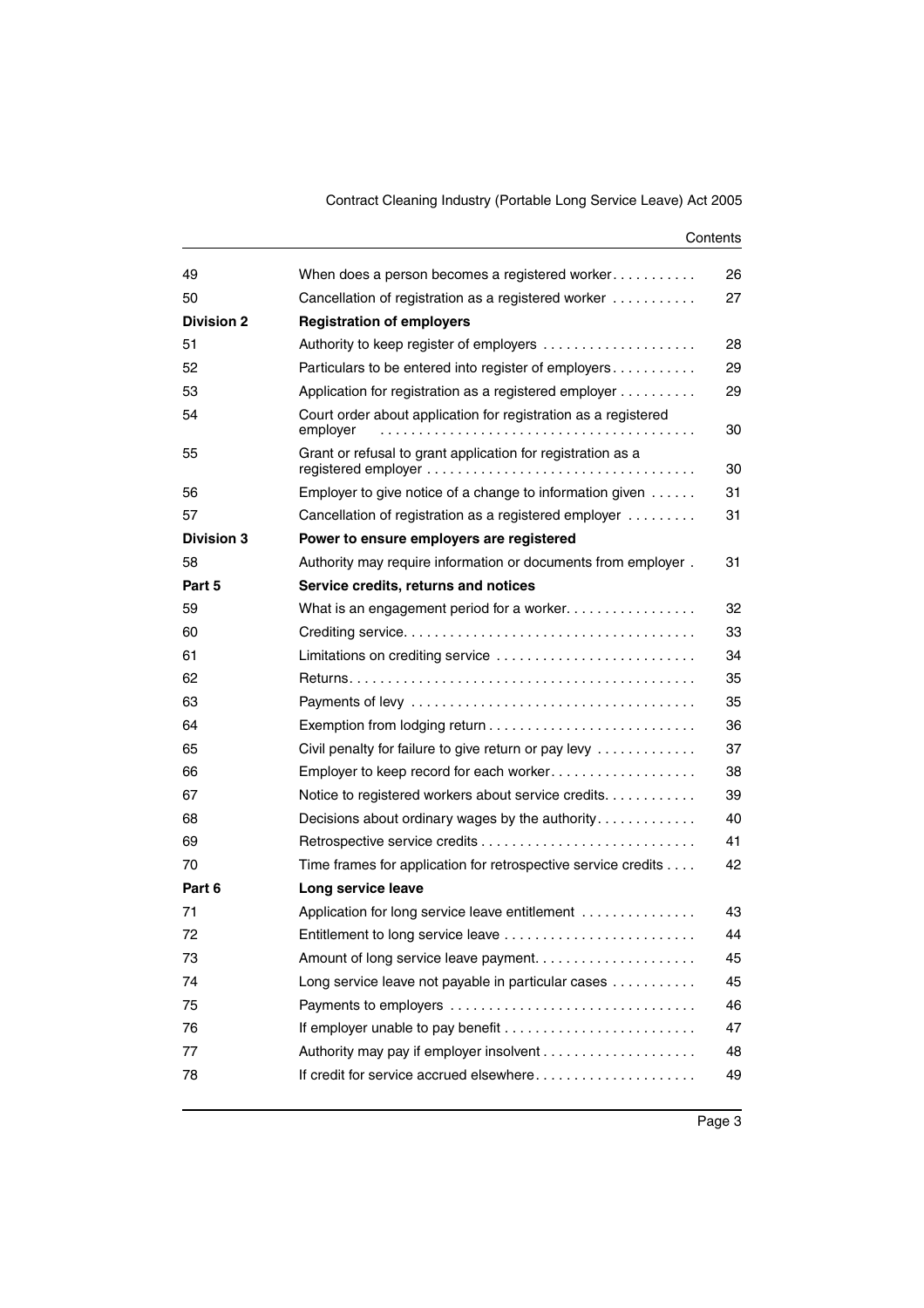#### **Contents**

| 49                | When does a person becomes a registered worker                             | 26 |
|-------------------|----------------------------------------------------------------------------|----|
| 50                | Cancellation of registration as a registered worker                        | 27 |
| <b>Division 2</b> | <b>Registration of employers</b>                                           |    |
| 51                | Authority to keep register of employers                                    | 28 |
| 52                | Particulars to be entered into register of employers                       | 29 |
| 53                | Application for registration as a registered employer                      | 29 |
| 54                | Court order about application for registration as a registered<br>employer | 30 |
| 55                | Grant or refusal to grant application for registration as a                | 30 |
| 56                | Employer to give notice of a change to information given                   | 31 |
| 57                | Cancellation of registration as a registered employer                      | 31 |
| <b>Division 3</b> | Power to ensure employers are registered                                   |    |
| 58                | Authority may require information or documents from employer.              | 31 |
| Part 5            | Service credits, returns and notices                                       |    |
| 59                | What is an engagement period for a worker                                  | 32 |
| 60                |                                                                            | 33 |
| 61                | Limitations on crediting service                                           | 34 |
| 62                |                                                                            | 35 |
| 63                |                                                                            | 35 |
| 64                |                                                                            | 36 |
| 65                | Civil penalty for failure to give return or pay levy                       | 37 |
| 66                | Employer to keep record for each worker                                    | 38 |
| 67                | Notice to registered workers about service credits                         | 39 |
| 68                | Decisions about ordinary wages by the authority                            | 40 |
| 69                |                                                                            | 41 |
| 70                | Time frames for application for retrospective service credits              | 42 |
| Part 6            | Long service leave                                                         |    |
| 71                | Application for long service leave entitlement                             | 43 |
| 72                | Entitlement to long service leave                                          | 44 |
| 73                |                                                                            | 45 |
| 74                | Long service leave not payable in particular cases                         | 45 |
| 75                | Payments to employers                                                      | 46 |
| 76                |                                                                            | 47 |
| 77                |                                                                            | 48 |
| 78                | If credit for service accrued elsewhere                                    | 49 |
|                   |                                                                            |    |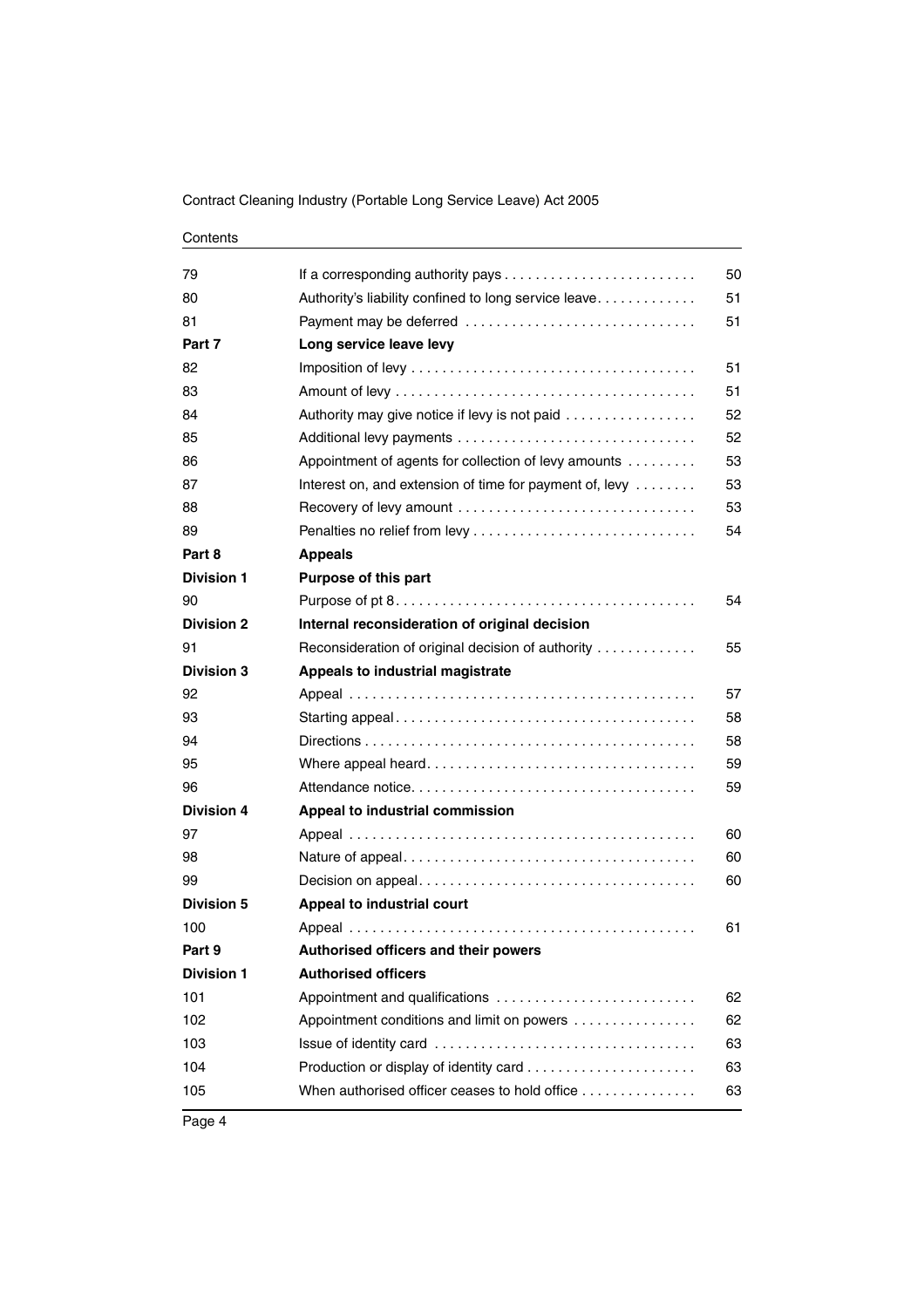| Contents |  |
|----------|--|
|----------|--|

| 79                |                                                         | 50 |
|-------------------|---------------------------------------------------------|----|
| 80                | Authority's liability confined to long service leave    | 51 |
| 81                | Payment may be deferred                                 | 51 |
| Part 7            | Long service leave levy                                 |    |
| 82                |                                                         | 51 |
| 83                |                                                         | 51 |
| 84                | Authority may give notice if levy is not paid           | 52 |
| 85                |                                                         | 52 |
| 86                | Appointment of agents for collection of levy amounts    | 53 |
| 87                | Interest on, and extension of time for payment of, levy | 53 |
| 88                | Recovery of levy amount                                 | 53 |
| 89                |                                                         | 54 |
| Part 8            | <b>Appeals</b>                                          |    |
| <b>Division 1</b> | Purpose of this part                                    |    |
| 90                |                                                         | 54 |
| <b>Division 2</b> | Internal reconsideration of original decision           |    |
| 91                | Reconsideration of original decision of authority       | 55 |
| <b>Division 3</b> | Appeals to industrial magistrate                        |    |
| 92                |                                                         | 57 |
| 93                |                                                         | 58 |
| 94                |                                                         | 58 |
| 95                |                                                         | 59 |
| 96                |                                                         | 59 |
| <b>Division 4</b> | Appeal to industrial commission                         |    |
| 97                |                                                         | 60 |
| 98                |                                                         | 60 |
| 99                |                                                         | 60 |
| <b>Division 5</b> | Appeal to industrial court                              |    |
| 100               |                                                         | 61 |
| Part 9            | Authorised officers and their powers                    |    |
| <b>Division 1</b> | <b>Authorised officers</b>                              |    |
| 101               | Appointment and qualifications                          | 62 |
| 102               | Appointment conditions and limit on powers              | 62 |
| 103               |                                                         | 63 |
| 104               |                                                         | 63 |
| 105               | When authorised officer ceases to hold office           | 63 |
|                   |                                                         |    |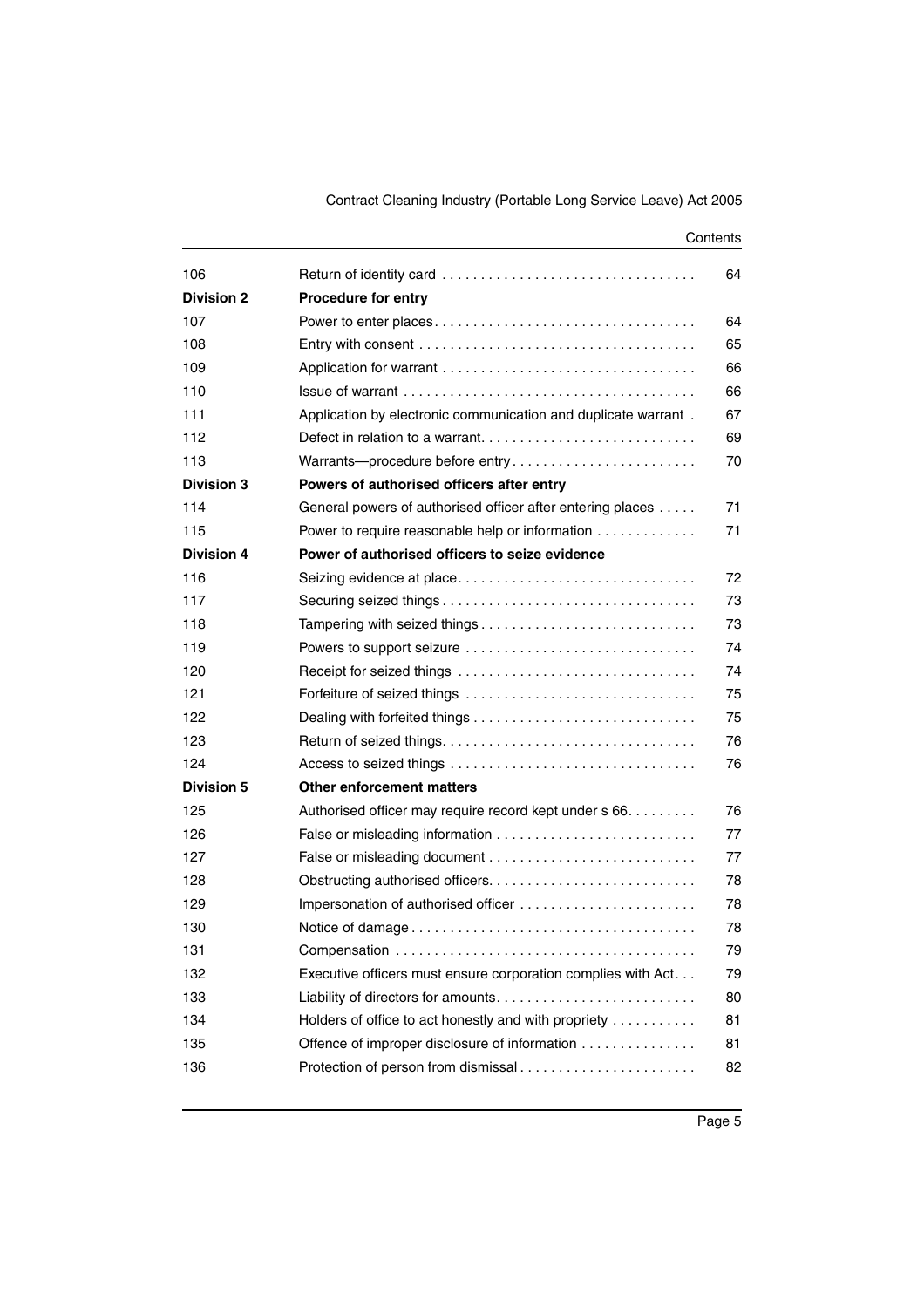| 106               |                                                                | 64 |
|-------------------|----------------------------------------------------------------|----|
| <b>Division 2</b> | <b>Procedure for entry</b>                                     |    |
| 107               |                                                                | 64 |
| 108               |                                                                | 65 |
| 109               |                                                                | 66 |
| 110               |                                                                | 66 |
| 111               | Application by electronic communication and duplicate warrant. | 67 |
| 112               |                                                                | 69 |
| 113               | Warrants---procedure before entry                              | 70 |
| <b>Division 3</b> | Powers of authorised officers after entry                      |    |
| 114               | General powers of authorised officer after entering places     | 71 |
| 115               | Power to require reasonable help or information                | 71 |
| <b>Division 4</b> | Power of authorised officers to seize evidence                 |    |
| 116               |                                                                | 72 |
| 117               |                                                                | 73 |
| 118               | Tampering with seized things                                   | 73 |
| 119               |                                                                | 74 |
| 120               | Powers to support seizure                                      | 74 |
| 121               | Receipt for seized things                                      |    |
|                   |                                                                | 75 |
| 122               |                                                                | 75 |
| 123               |                                                                | 76 |
| 124               |                                                                | 76 |
| <b>Division 5</b> | <b>Other enforcement matters</b>                               |    |
| 125               | Authorised officer may require record kept under s 66.         | 76 |
| 126               |                                                                | 77 |
| 127               |                                                                | 77 |
| 128               |                                                                | 78 |
| 129               | Impersonation of authorised officer                            | 78 |
| 130               |                                                                | 78 |
| 131               |                                                                | 79 |
| 132               | Executive officers must ensure corporation complies with Act   | 79 |
| 133               |                                                                | 80 |
| 134               | Holders of office to act honestly and with propriety           | 81 |
| 135               | Offence of improper disclosure of information                  | 81 |
| 136               | Protection of person from dismissal                            | 82 |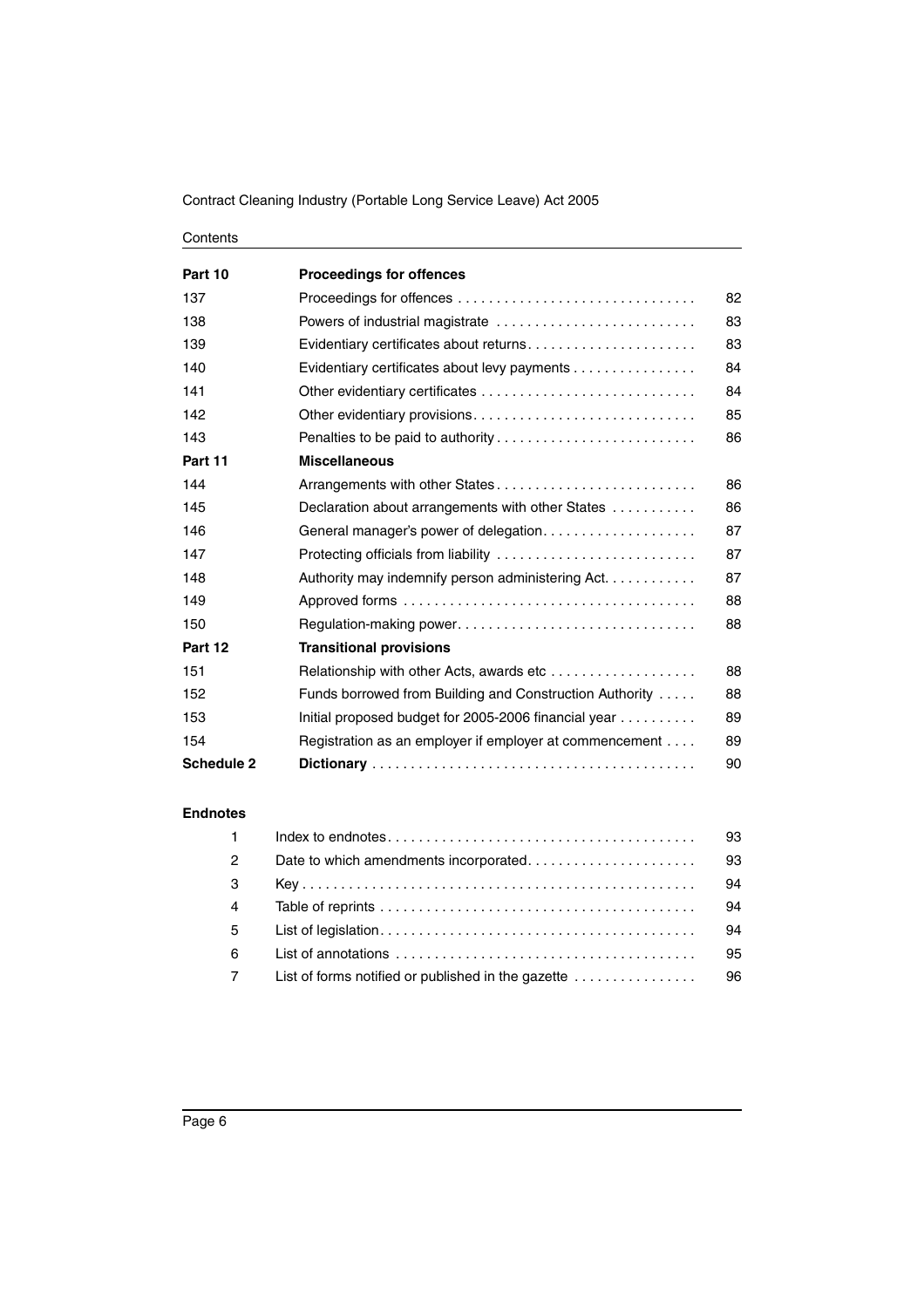#### Contents

| Part 10           | <b>Proceedings for offences</b>                         |    |
|-------------------|---------------------------------------------------------|----|
| 137               |                                                         | 82 |
| 138               | Powers of industrial magistrate                         | 83 |
| 139               | Evidentiary certificates about returns                  | 83 |
| 140               | Evidentiary certificates about levy payments            | 84 |
| 141               |                                                         | 84 |
| 142               |                                                         | 85 |
| 143               |                                                         | 86 |
| Part 11           | <b>Miscellaneous</b>                                    |    |
| 144               |                                                         | 86 |
| 145               | Declaration about arrangements with other States        | 86 |
| 146               | General manager's power of delegation                   | 87 |
| 147               | Protecting officials from liability                     | 87 |
| 148               | Authority may indemnify person administering Act.       | 87 |
| 149               |                                                         | 88 |
| 150               |                                                         | 88 |
| Part 12           | <b>Transitional provisions</b>                          |    |
| 151               | Relationship with other Acts, awards etc                | 88 |
| 152               | Funds borrowed from Building and Construction Authority | 88 |
| 153               | Initial proposed budget for 2005-2006 financial year    | 89 |
| 154               | Registration as an employer if employer at commencement | 89 |
| <b>Schedule 2</b> |                                                         | 90 |

#### **[Endnotes](#page-94-0)**

| $\mathbf{1}$   |                                                             | 93 |
|----------------|-------------------------------------------------------------|----|
| $\overline{2}$ |                                                             | 93 |
| 3              |                                                             | 94 |
| $\overline{4}$ |                                                             | 94 |
| $5^{\circ}$    |                                                             | 94 |
| 6              |                                                             | 95 |
| $\overline{7}$ | List of forms notified or published in the gazette $\ldots$ | 96 |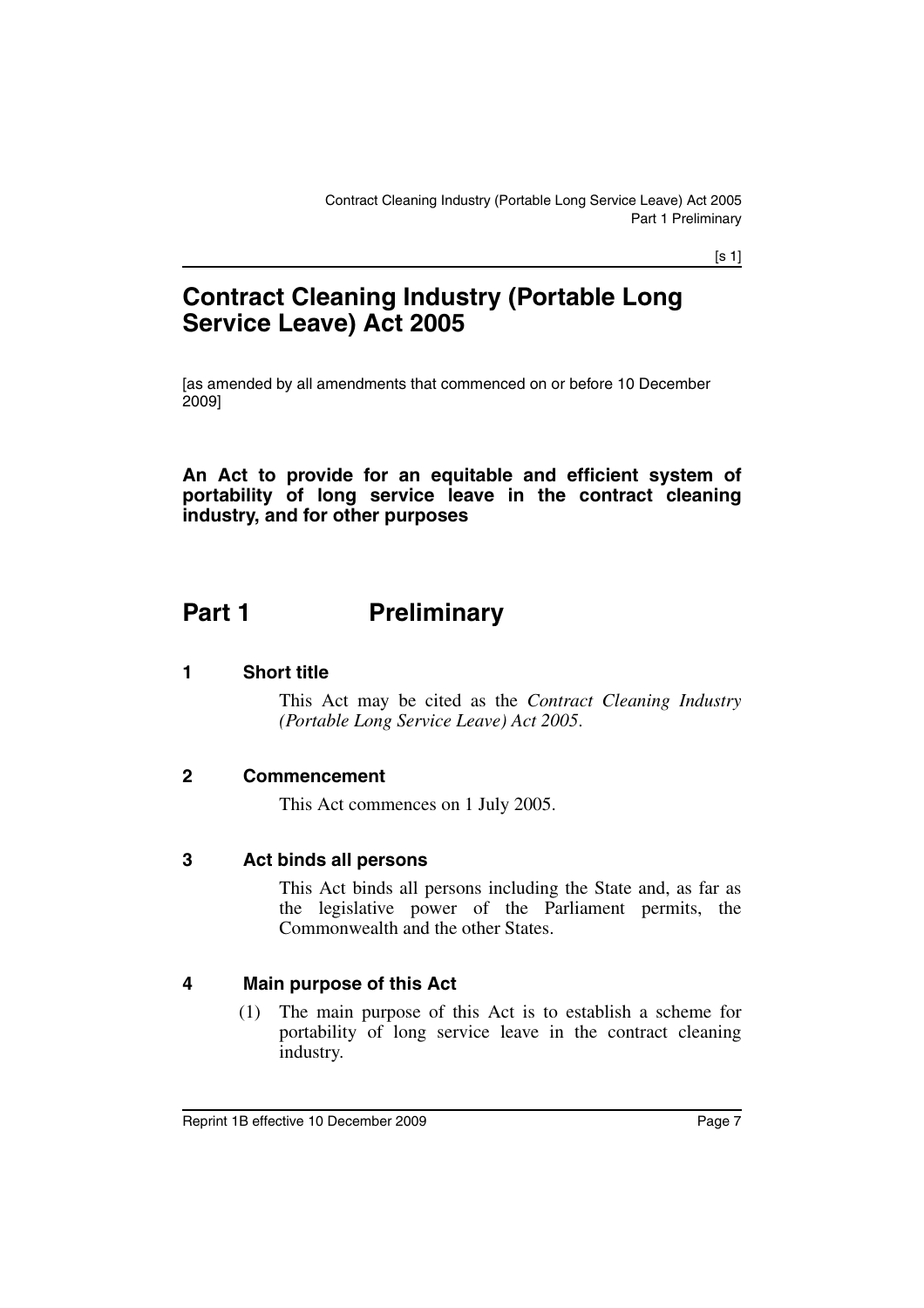[s 1]

# **Contract Cleaning Industry (Portable Long Service Leave) Act 2005**

[as amended by all amendments that commenced on or before 10 December 2009]

**An Act to provide for an equitable and efficient system of portability of long service leave in the contract cleaning industry, and for other purposes**

# <span id="page-8-0"></span>**Part 1** Preliminary

# <span id="page-8-1"></span>**1 Short title**

This Act may be cited as the *Contract Cleaning Industry (Portable Long Service Leave) Act 2005*.

# <span id="page-8-2"></span>**2 Commencement**

This Act commences on 1 July 2005.

#### <span id="page-8-3"></span>**3 Act binds all persons**

This Act binds all persons including the State and, as far as the legislative power of the Parliament permits, the Commonwealth and the other States.

# <span id="page-8-4"></span>**4 Main purpose of this Act**

(1) The main purpose of this Act is to establish a scheme for portability of long service leave in the contract cleaning industry.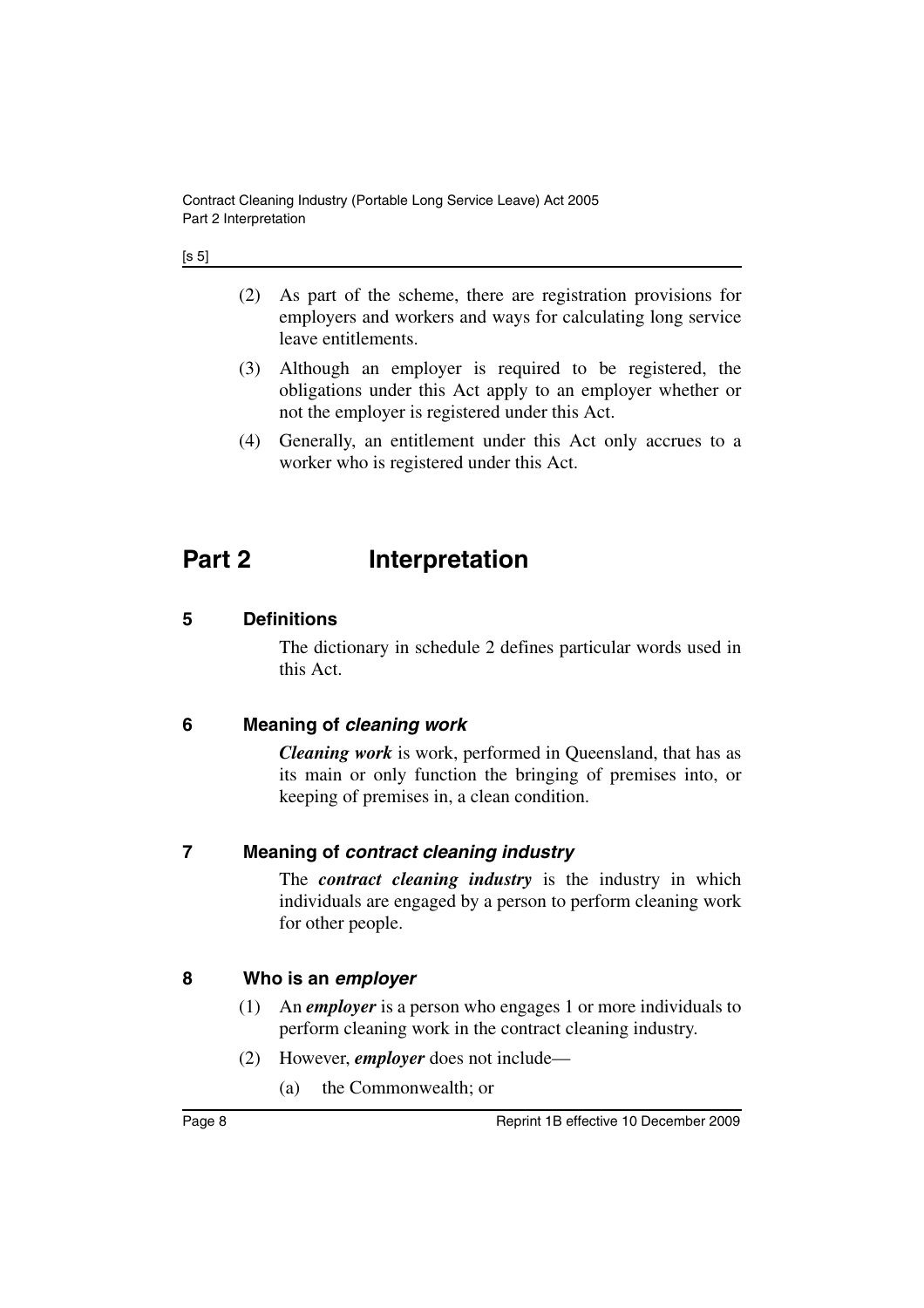| ۰.<br>×<br>۰.<br>× |
|--------------------|
|--------------------|

- (2) As part of the scheme, there are registration provisions for employers and workers and ways for calculating long service leave entitlements.
- (3) Although an employer is required to be registered, the obligations under this Act apply to an employer whether or not the employer is registered under this Act.
- (4) Generally, an entitlement under this Act only accrues to a worker who is registered under this Act.

# <span id="page-9-0"></span>**Part 2 Interpretation**

# <span id="page-9-1"></span>**5 Definitions**

The dictionary in schedule 2 defines particular words used in this Act.

# <span id="page-9-2"></span>**6 Meaning of** *cleaning work*

*Cleaning work* is work, performed in Queensland, that has as its main or only function the bringing of premises into, or keeping of premises in, a clean condition.

# <span id="page-9-3"></span>**7 Meaning of** *contract cleaning industry*

The *contract cleaning industry* is the industry in which individuals are engaged by a person to perform cleaning work for other people.

# <span id="page-9-4"></span>**8 Who is an** *employer*

- (1) An *employer* is a person who engages 1 or more individuals to perform cleaning work in the contract cleaning industry.
- (2) However, *employer* does not include—
	- (a) the Commonwealth; or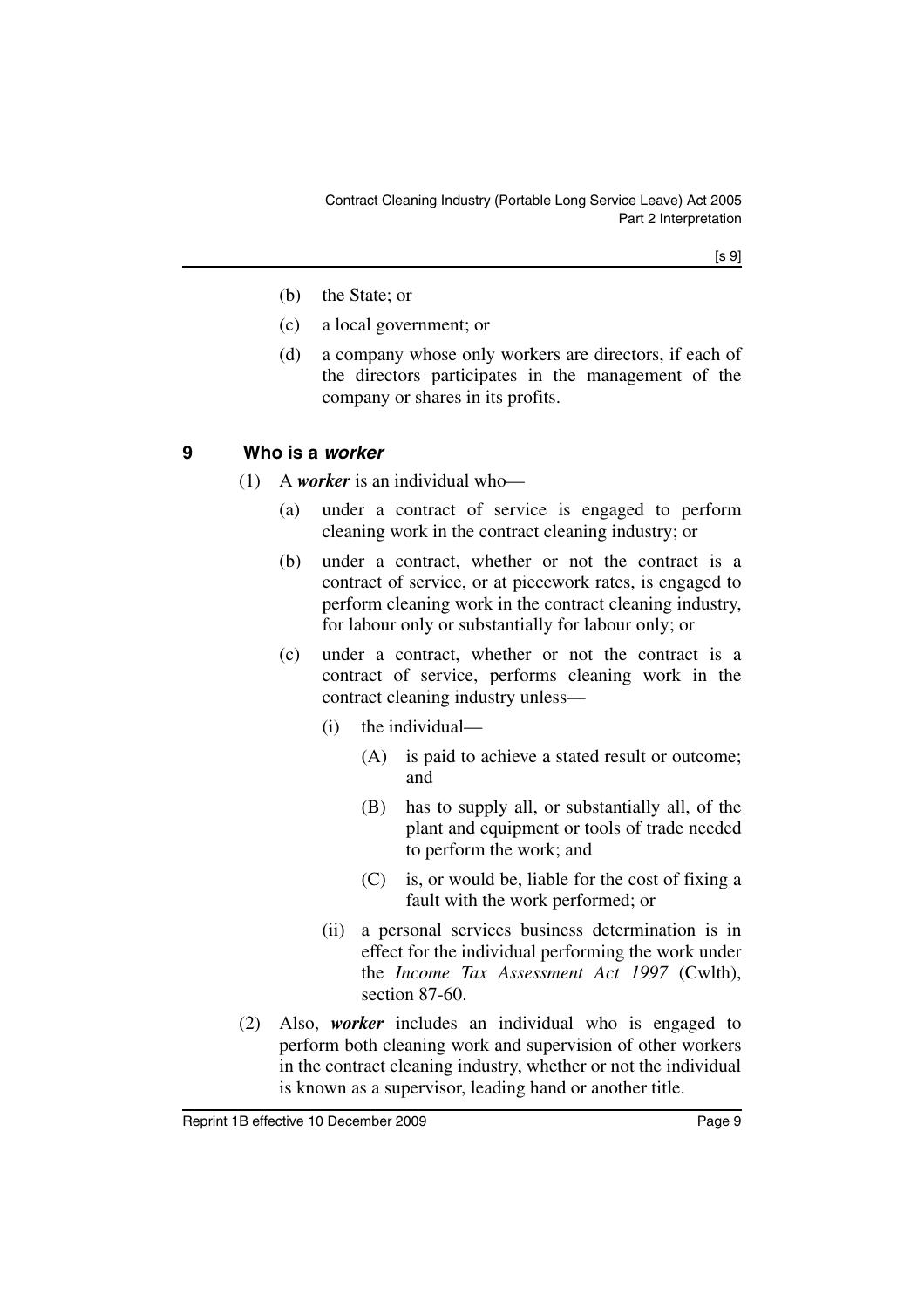[s 9]

- (b) the State; or
- (c) a local government; or
- (d) a company whose only workers are directors, if each of the directors participates in the management of the company or shares in its profits.

# <span id="page-10-0"></span>**9 Who is a** *worker*

- (1) A *worker* is an individual who—
	- (a) under a contract of service is engaged to perform cleaning work in the contract cleaning industry; or
	- (b) under a contract, whether or not the contract is a contract of service, or at piecework rates, is engaged to perform cleaning work in the contract cleaning industry, for labour only or substantially for labour only; or
	- (c) under a contract, whether or not the contract is a contract of service, performs cleaning work in the contract cleaning industry unless—
		- (i) the individual—
			- (A) is paid to achieve a stated result or outcome; and
			- (B) has to supply all, or substantially all, of the plant and equipment or tools of trade needed to perform the work; and
			- (C) is, or would be, liable for the cost of fixing a fault with the work performed; or
		- (ii) a personal services business determination is in effect for the individual performing the work under the *Income Tax Assessment Act 1997* (Cwlth), section 87-60.
- (2) Also, *worker* includes an individual who is engaged to perform both cleaning work and supervision of other workers in the contract cleaning industry, whether or not the individual is known as a supervisor, leading hand or another title.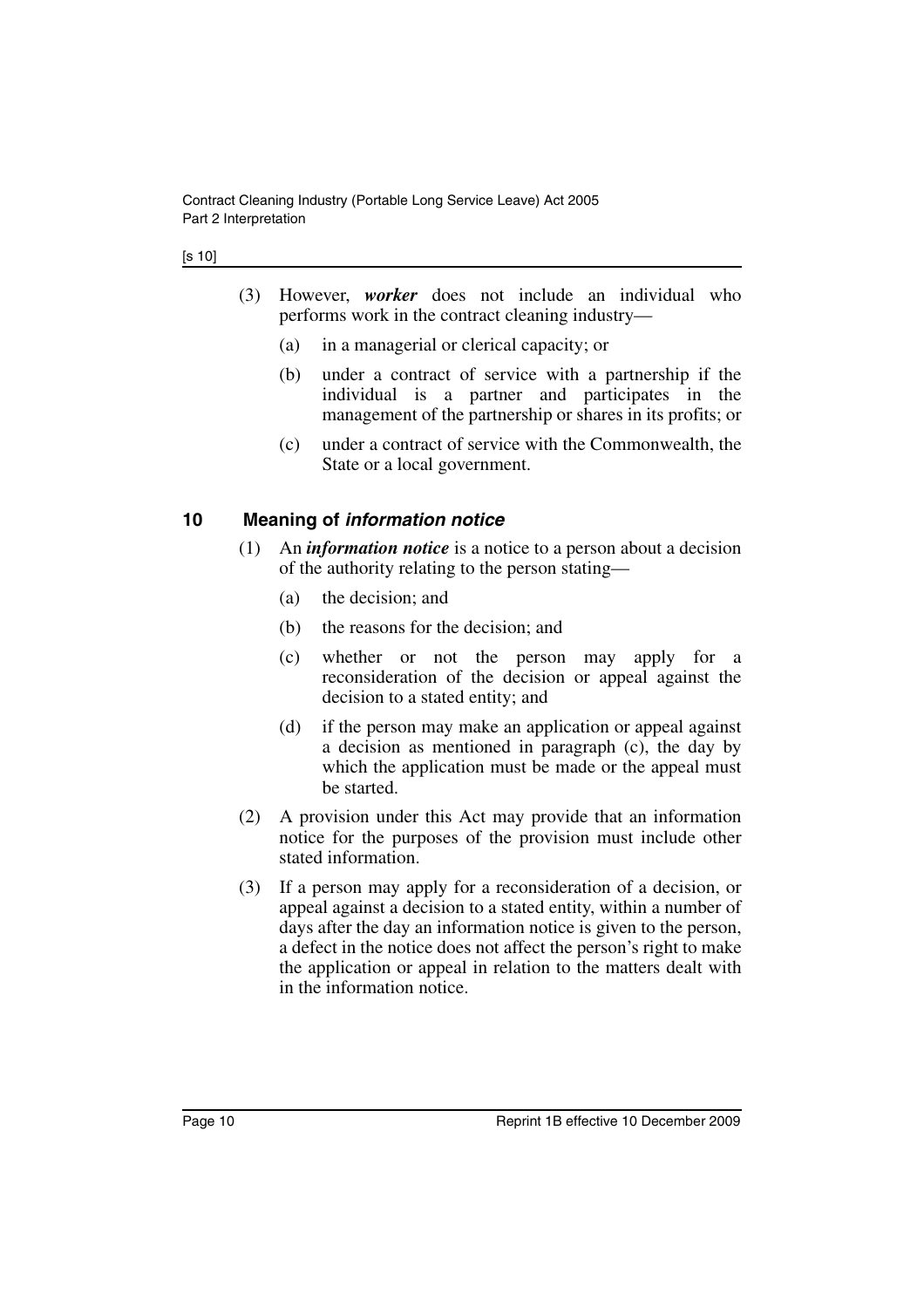- (3) However, *worker* does not include an individual who performs work in the contract cleaning industry—
	- (a) in a managerial or clerical capacity; or
	- (b) under a contract of service with a partnership if the individual is a partner and participates in the management of the partnership or shares in its profits; or
	- (c) under a contract of service with the Commonwealth, the State or a local government.

# <span id="page-11-0"></span>**10 Meaning of** *information notice*

- (1) An *information notice* is a notice to a person about a decision of the authority relating to the person stating—
	- (a) the decision; and
	- (b) the reasons for the decision; and
	- (c) whether or not the person may apply for a reconsideration of the decision or appeal against the decision to a stated entity; and
	- (d) if the person may make an application or appeal against a decision as mentioned in paragraph (c), the day by which the application must be made or the appeal must be started.
- (2) A provision under this Act may provide that an information notice for the purposes of the provision must include other stated information.
- (3) If a person may apply for a reconsideration of a decision, or appeal against a decision to a stated entity, within a number of days after the day an information notice is given to the person, a defect in the notice does not affect the person's right to make the application or appeal in relation to the matters dealt with in the information notice.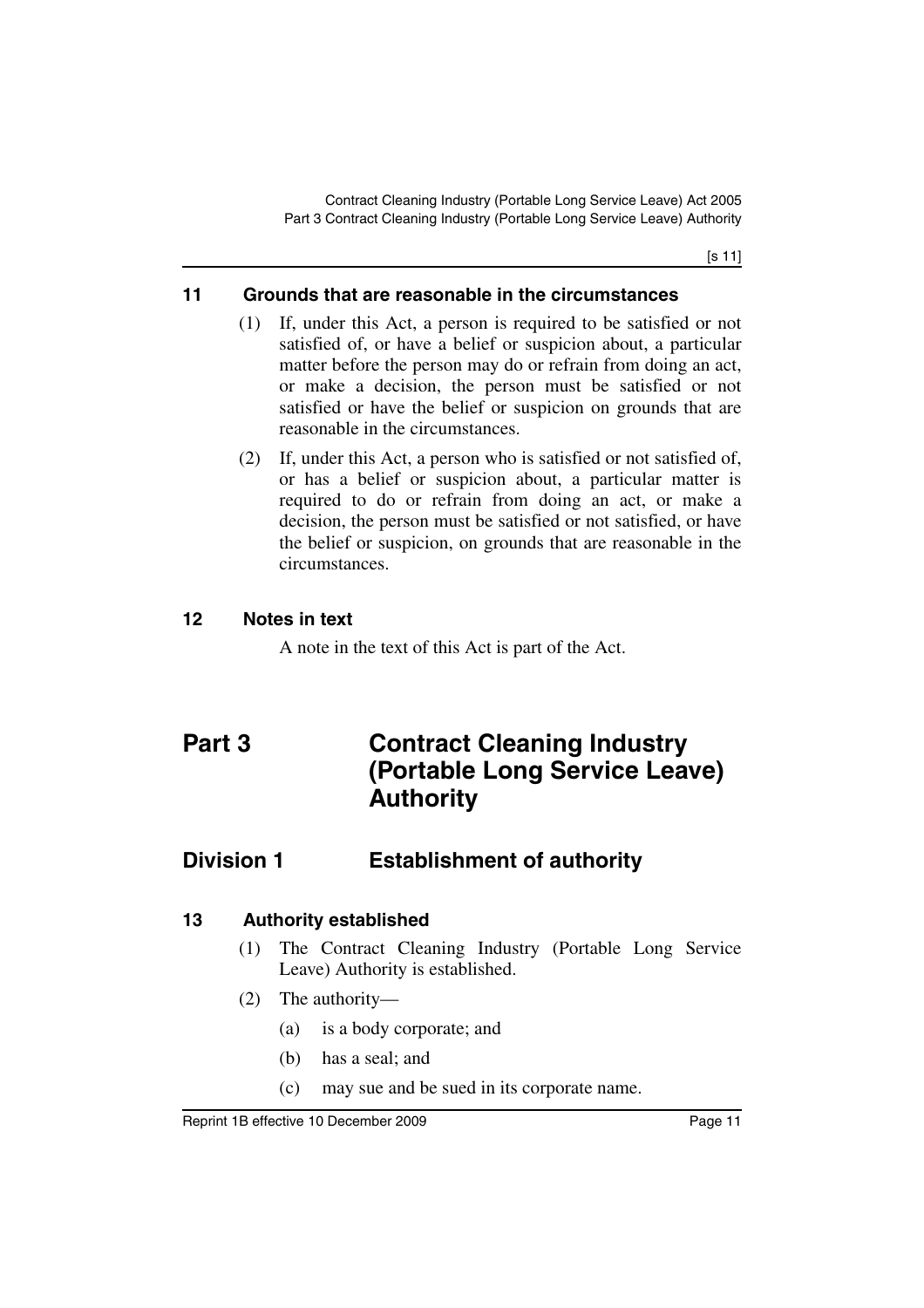[s 11]

# <span id="page-12-0"></span>**11 Grounds that are reasonable in the circumstances**

- (1) If, under this Act, a person is required to be satisfied or not satisfied of, or have a belief or suspicion about, a particular matter before the person may do or refrain from doing an act, or make a decision, the person must be satisfied or not satisfied or have the belief or suspicion on grounds that are reasonable in the circumstances.
- (2) If, under this Act, a person who is satisfied or not satisfied of, or has a belief or suspicion about, a particular matter is required to do or refrain from doing an act, or make a decision, the person must be satisfied or not satisfied, or have the belief or suspicion, on grounds that are reasonable in the circumstances.

# <span id="page-12-1"></span>**12 Notes in text**

A note in the text of this Act is part of the Act.

# <span id="page-12-2"></span>**Part 3 Contract Cleaning Industry (Portable Long Service Leave) Authority**

# <span id="page-12-3"></span>**Division 1 Establishment of authority**

# <span id="page-12-4"></span>**13 Authority established**

- (1) The Contract Cleaning Industry (Portable Long Service Leave) Authority is established.
- (2) The authority—
	- (a) is a body corporate; and
	- (b) has a seal; and
	- (c) may sue and be sued in its corporate name.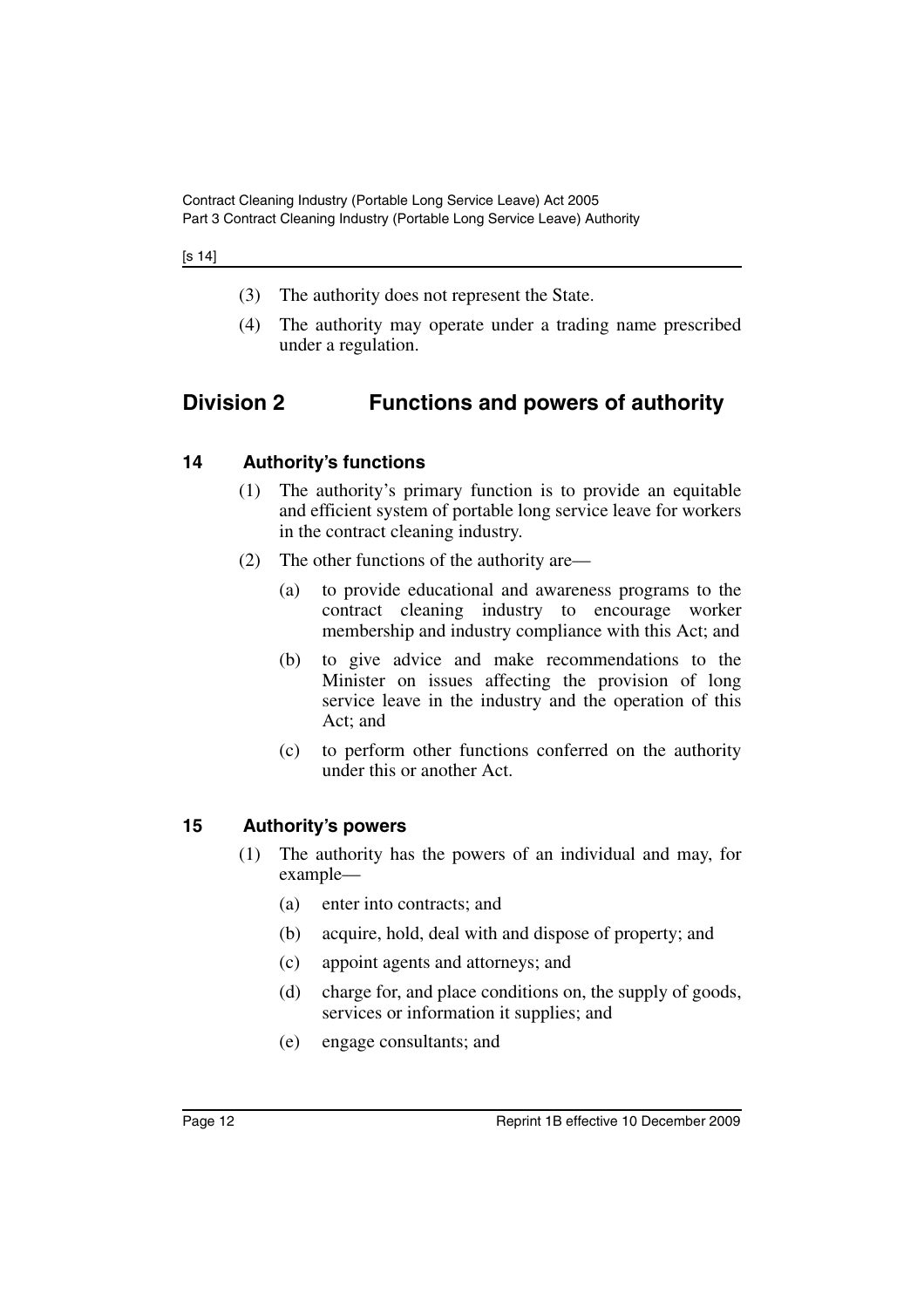#### [s 14]

- (3) The authority does not represent the State.
- (4) The authority may operate under a trading name prescribed under a regulation.

# <span id="page-13-0"></span>**Division 2 Functions and powers of authority**

# <span id="page-13-1"></span>**14 Authority's functions**

- (1) The authority's primary function is to provide an equitable and efficient system of portable long service leave for workers in the contract cleaning industry.
- (2) The other functions of the authority are—
	- (a) to provide educational and awareness programs to the contract cleaning industry to encourage worker membership and industry compliance with this Act; and
	- (b) to give advice and make recommendations to the Minister on issues affecting the provision of long service leave in the industry and the operation of this Act; and
	- (c) to perform other functions conferred on the authority under this or another Act.

# <span id="page-13-2"></span>**15 Authority's powers**

- (1) The authority has the powers of an individual and may, for example—
	- (a) enter into contracts; and
	- (b) acquire, hold, deal with and dispose of property; and
	- (c) appoint agents and attorneys; and
	- (d) charge for, and place conditions on, the supply of goods, services or information it supplies; and
	- (e) engage consultants; and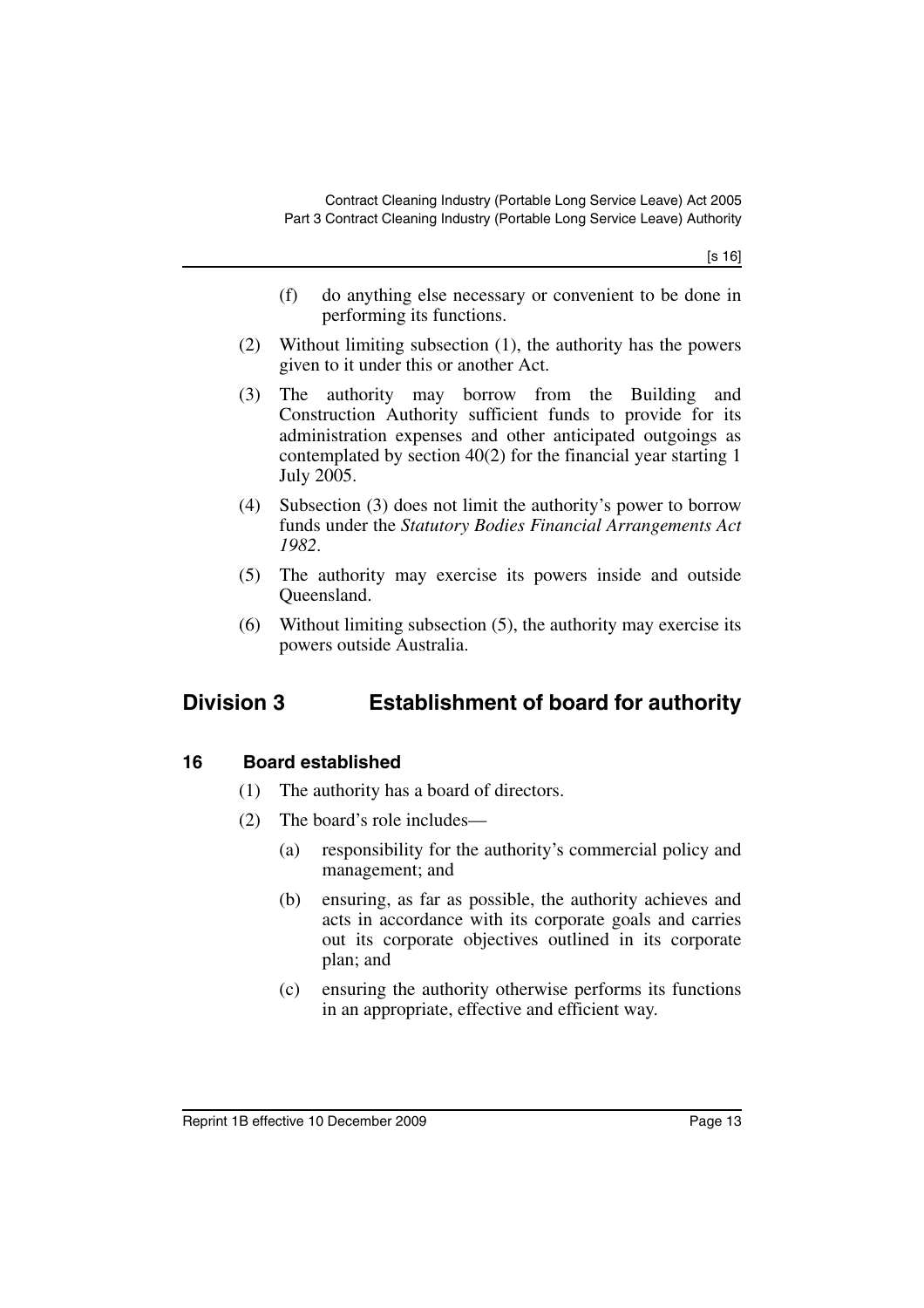[s 16]

- (f) do anything else necessary or convenient to be done in performing its functions.
- (2) Without limiting subsection (1), the authority has the powers given to it under this or another Act.
- (3) The authority may borrow from the Building and Construction Authority sufficient funds to provide for its administration expenses and other anticipated outgoings as contemplated by section 40(2) for the financial year starting 1 July 2005.
- (4) Subsection (3) does not limit the authority's power to borrow funds under the *Statutory Bodies Financial Arrangements Act 1982*.
- (5) The authority may exercise its powers inside and outside Queensland.
- (6) Without limiting subsection (5), the authority may exercise its powers outside Australia.

# <span id="page-14-0"></span>**Division 3 Establishment of board for authority**

# <span id="page-14-1"></span>**16 Board established**

- (1) The authority has a board of directors.
- (2) The board's role includes—
	- (a) responsibility for the authority's commercial policy and management; and
	- (b) ensuring, as far as possible, the authority achieves and acts in accordance with its corporate goals and carries out its corporate objectives outlined in its corporate plan; and
	- (c) ensuring the authority otherwise performs its functions in an appropriate, effective and efficient way.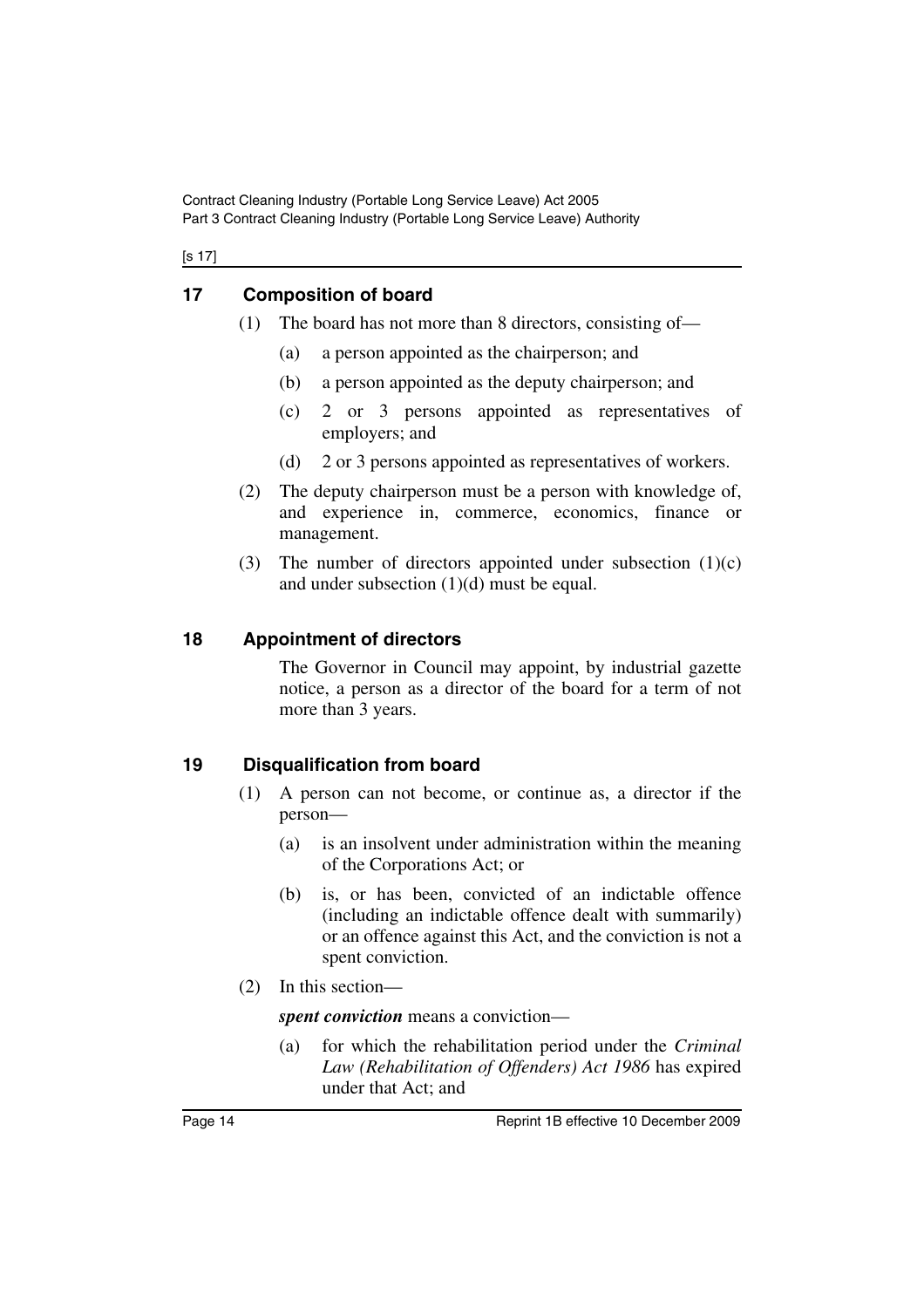Contract Cleaning Industry (Portable Long Service Leave) Act 2005 Part 3 Contract Cleaning Industry (Portable Long Service Leave) Authority

[s 17]

# <span id="page-15-0"></span>**17 Composition of board**

- (1) The board has not more than 8 directors, consisting of—
	- (a) a person appointed as the chairperson; and
	- (b) a person appointed as the deputy chairperson; and
	- (c) 2 or 3 persons appointed as representatives of employers; and
	- (d) 2 or 3 persons appointed as representatives of workers.
- (2) The deputy chairperson must be a person with knowledge of, and experience in, commerce, economics, finance or management.
- (3) The number of directors appointed under subsection  $(1)(c)$ and under subsection  $(1)(d)$  must be equal.

# <span id="page-15-1"></span>**18 Appointment of directors**

The Governor in Council may appoint, by industrial gazette notice, a person as a director of the board for a term of not more than 3 years.

# <span id="page-15-2"></span>**19 Disqualification from board**

- (1) A person can not become, or continue as, a director if the person—
	- (a) is an insolvent under administration within the meaning of the Corporations Act; or
	- (b) is, or has been, convicted of an indictable offence (including an indictable offence dealt with summarily) or an offence against this Act, and the conviction is not a spent conviction.
- (2) In this section—

*spent conviction* means a conviction—

(a) for which the rehabilitation period under the *Criminal Law (Rehabilitation of Offenders) Act 1986* has expired under that Act; and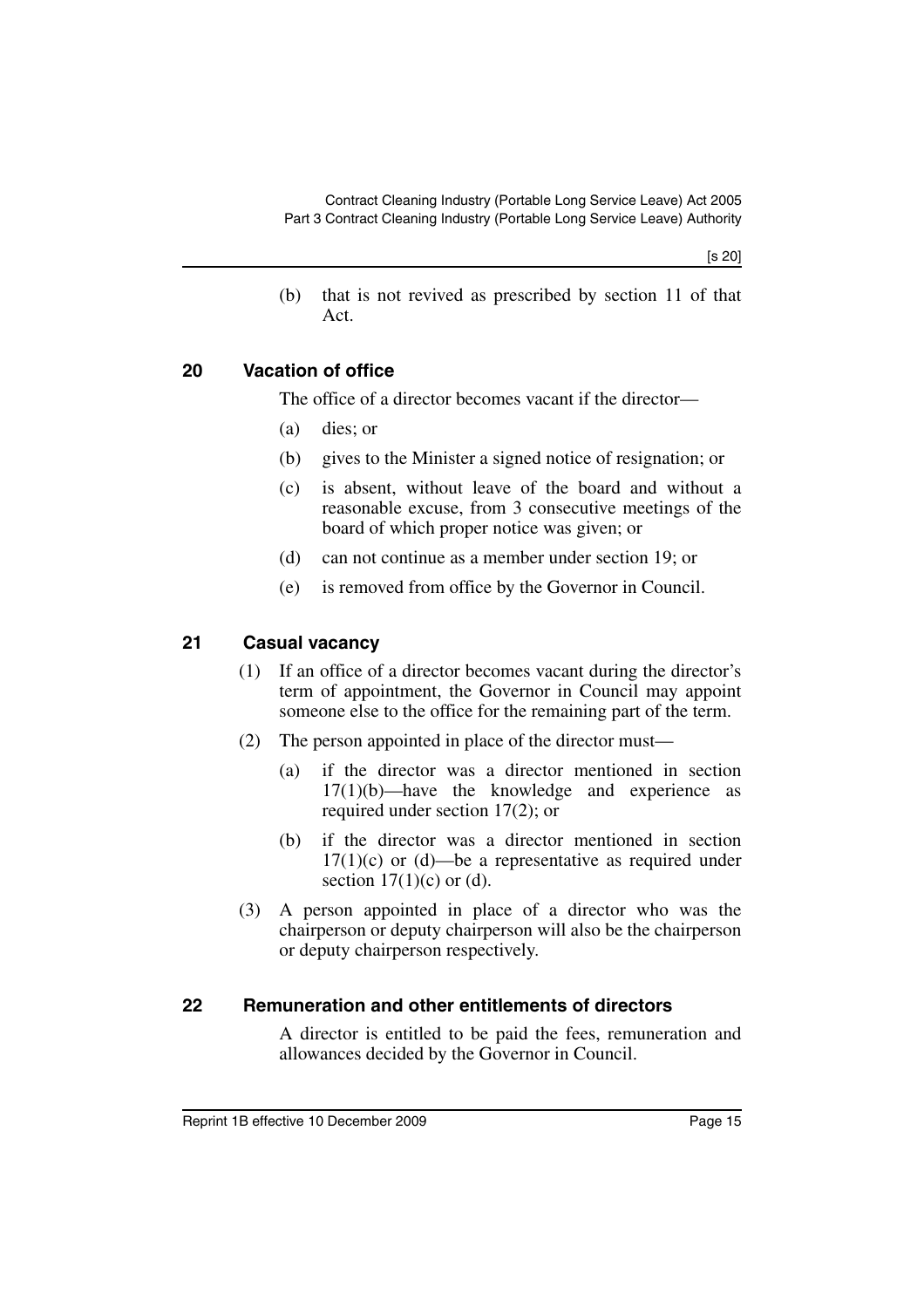[s 20]

(b) that is not revived as prescribed by section 11 of that Act.

# <span id="page-16-0"></span>**20 Vacation of office**

The office of a director becomes vacant if the director—

- (a) dies; or
- (b) gives to the Minister a signed notice of resignation; or
- (c) is absent, without leave of the board and without a reasonable excuse, from 3 consecutive meetings of the board of which proper notice was given; or
- (d) can not continue as a member under section 19; or
- (e) is removed from office by the Governor in Council.

# <span id="page-16-1"></span>**21 Casual vacancy**

- (1) If an office of a director becomes vacant during the director's term of appointment, the Governor in Council may appoint someone else to the office for the remaining part of the term.
- (2) The person appointed in place of the director must—
	- (a) if the director was a director mentioned in section  $17(1)(b)$ —have the knowledge and experience as required under section 17(2); or
	- (b) if the director was a director mentioned in section  $17(1)(c)$  or (d)—be a representative as required under section  $17(1)(c)$  or (d).
- (3) A person appointed in place of a director who was the chairperson or deputy chairperson will also be the chairperson or deputy chairperson respectively.

# <span id="page-16-2"></span>**22 Remuneration and other entitlements of directors**

A director is entitled to be paid the fees, remuneration and allowances decided by the Governor in Council.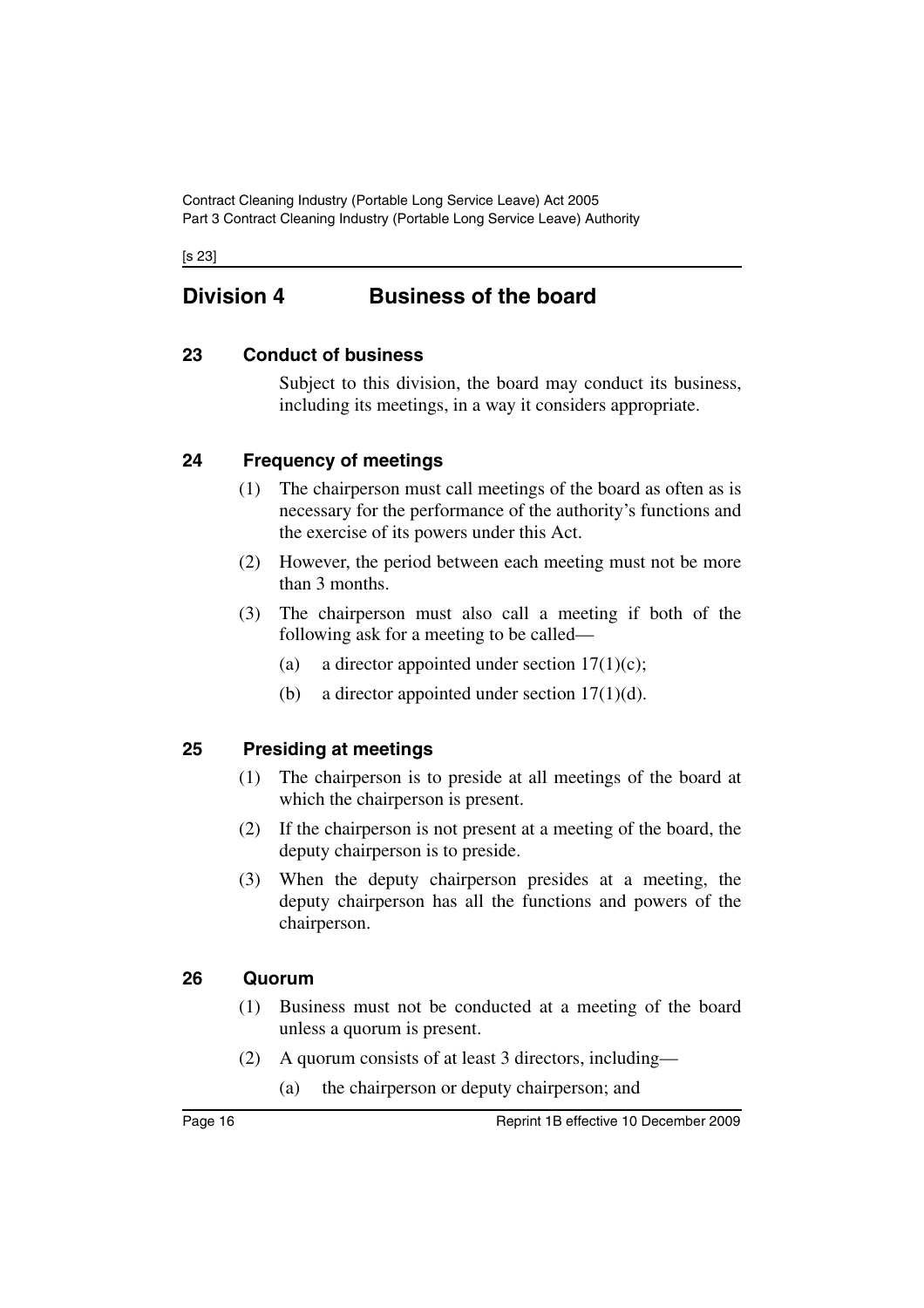Contract Cleaning Industry (Portable Long Service Leave) Act 2005 Part 3 Contract Cleaning Industry (Portable Long Service Leave) Authority

[s 23]

# <span id="page-17-0"></span>**Division 4 Business of the board**

# <span id="page-17-1"></span>**23 Conduct of business**

Subject to this division, the board may conduct its business, including its meetings, in a way it considers appropriate.

# <span id="page-17-2"></span>**24 Frequency of meetings**

- (1) The chairperson must call meetings of the board as often as is necessary for the performance of the authority's functions and the exercise of its powers under this Act.
- (2) However, the period between each meeting must not be more than 3 months.
- (3) The chairperson must also call a meeting if both of the following ask for a meeting to be called—
	- (a) a director appointed under section  $17(1)(c)$ ;
	- (b) a director appointed under section  $17(1)(d)$ .

# <span id="page-17-3"></span>**25 Presiding at meetings**

- (1) The chairperson is to preside at all meetings of the board at which the chairperson is present.
- (2) If the chairperson is not present at a meeting of the board, the deputy chairperson is to preside.
- (3) When the deputy chairperson presides at a meeting, the deputy chairperson has all the functions and powers of the chairperson.

# <span id="page-17-4"></span>**26 Quorum**

- (1) Business must not be conducted at a meeting of the board unless a quorum is present.
- (2) A quorum consists of at least 3 directors, including—
	- (a) the chairperson or deputy chairperson; and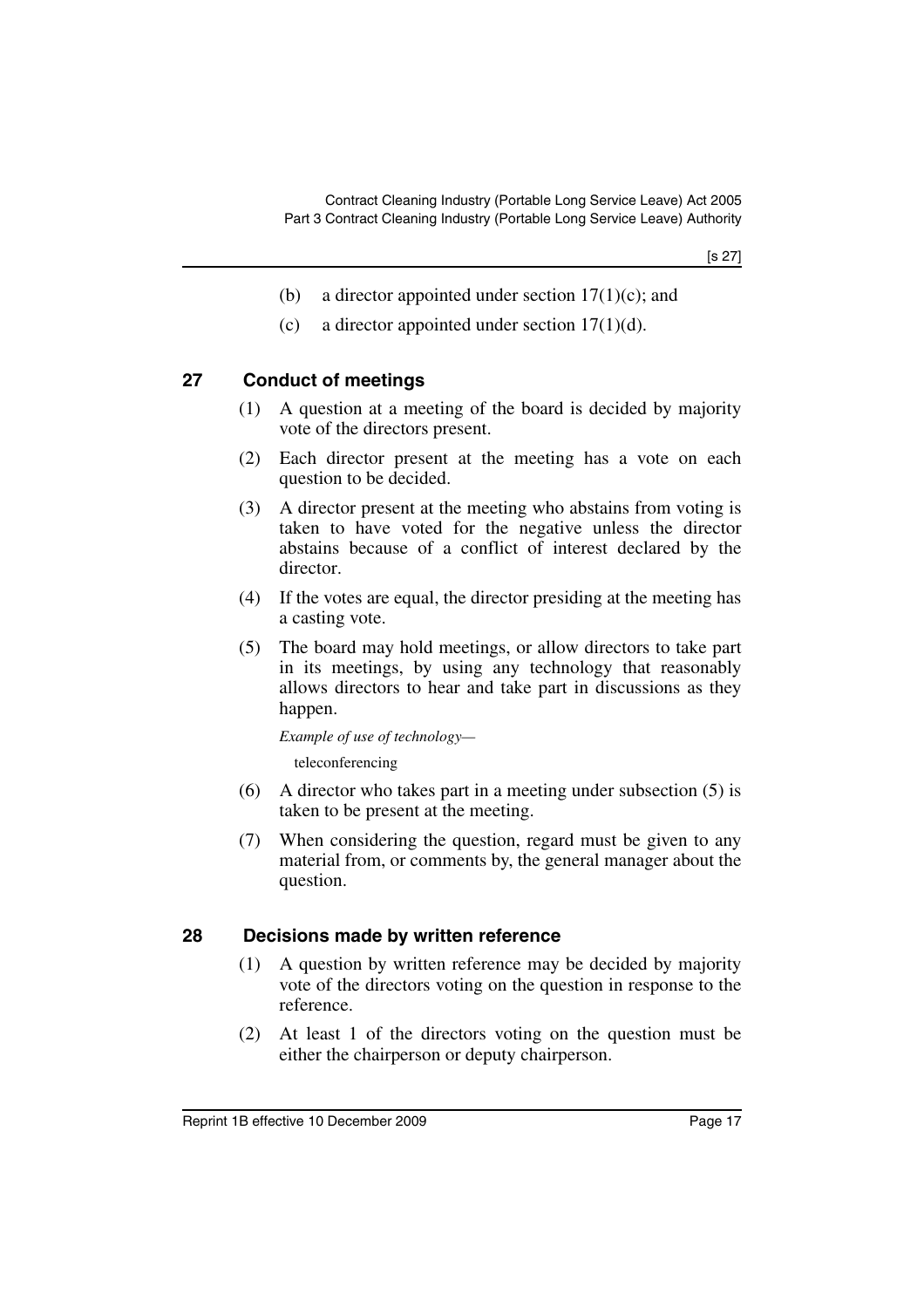[s 27]

- (b) a director appointed under section  $17(1)(c)$ ; and
- (c) a director appointed under section  $17(1)(d)$ .

### <span id="page-18-0"></span>**27 Conduct of meetings**

- (1) A question at a meeting of the board is decided by majority vote of the directors present.
- (2) Each director present at the meeting has a vote on each question to be decided.
- (3) A director present at the meeting who abstains from voting is taken to have voted for the negative unless the director abstains because of a conflict of interest declared by the director.
- (4) If the votes are equal, the director presiding at the meeting has a casting vote.
- (5) The board may hold meetings, or allow directors to take part in its meetings, by using any technology that reasonably allows directors to hear and take part in discussions as they happen.

*Example of use of technology—*

teleconferencing

- (6) A director who takes part in a meeting under subsection (5) is taken to be present at the meeting.
- (7) When considering the question, regard must be given to any material from, or comments by, the general manager about the question.

#### <span id="page-18-1"></span>**28 Decisions made by written reference**

- (1) A question by written reference may be decided by majority vote of the directors voting on the question in response to the reference.
- (2) At least 1 of the directors voting on the question must be either the chairperson or deputy chairperson.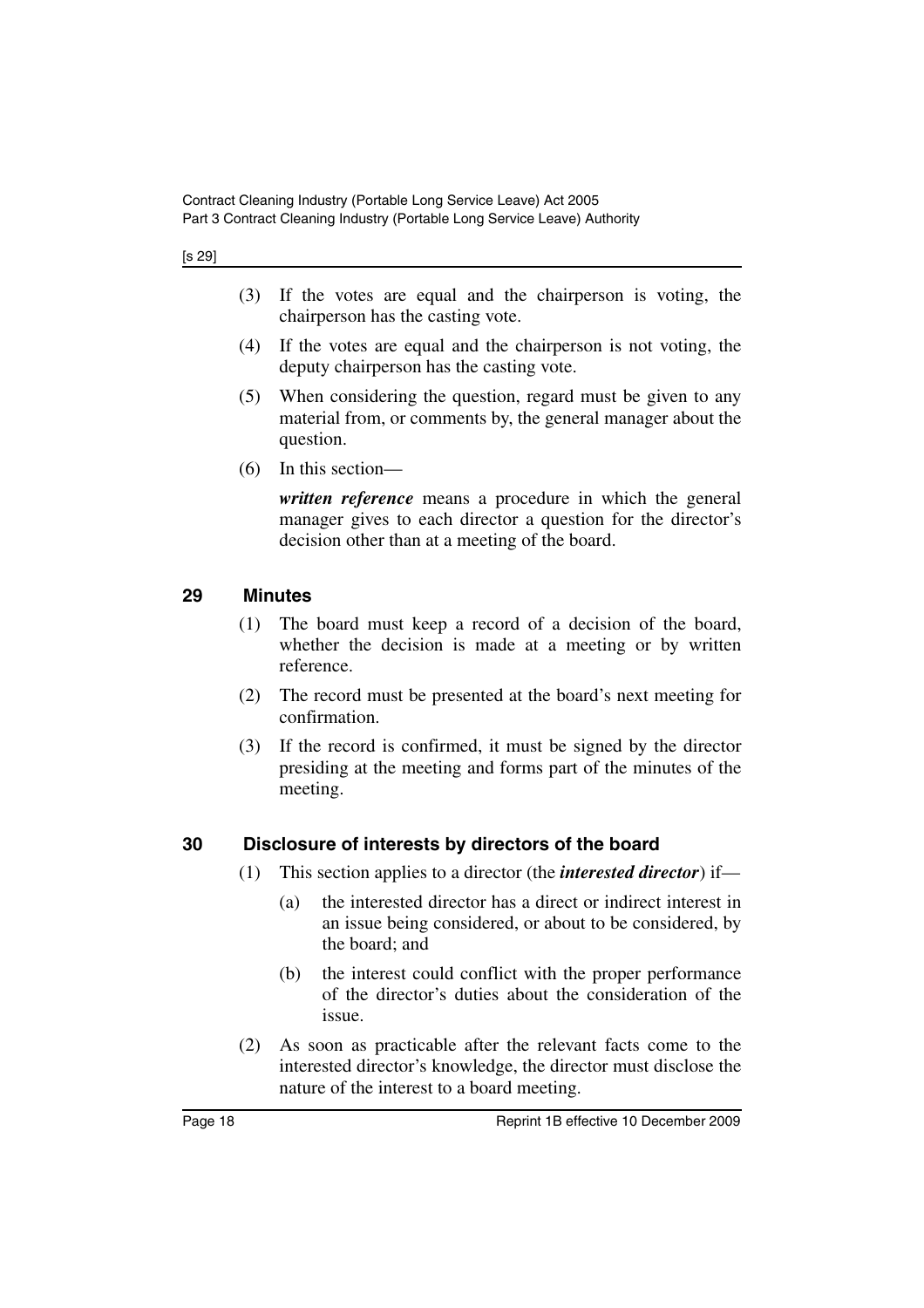[s 29]

- (3) If the votes are equal and the chairperson is voting, the chairperson has the casting vote.
- (4) If the votes are equal and the chairperson is not voting, the deputy chairperson has the casting vote.
- (5) When considering the question, regard must be given to any material from, or comments by, the general manager about the question.
- (6) In this section—

*written reference* means a procedure in which the general manager gives to each director a question for the director's decision other than at a meeting of the board.

#### <span id="page-19-0"></span>**29 Minutes**

- (1) The board must keep a record of a decision of the board, whether the decision is made at a meeting or by written reference.
- (2) The record must be presented at the board's next meeting for confirmation.
- (3) If the record is confirmed, it must be signed by the director presiding at the meeting and forms part of the minutes of the meeting.

#### <span id="page-19-1"></span>**30 Disclosure of interests by directors of the board**

- (1) This section applies to a director (the *interested director*) if—
	- (a) the interested director has a direct or indirect interest in an issue being considered, or about to be considered, by the board; and
	- (b) the interest could conflict with the proper performance of the director's duties about the consideration of the issue.
- (2) As soon as practicable after the relevant facts come to the interested director's knowledge, the director must disclose the nature of the interest to a board meeting.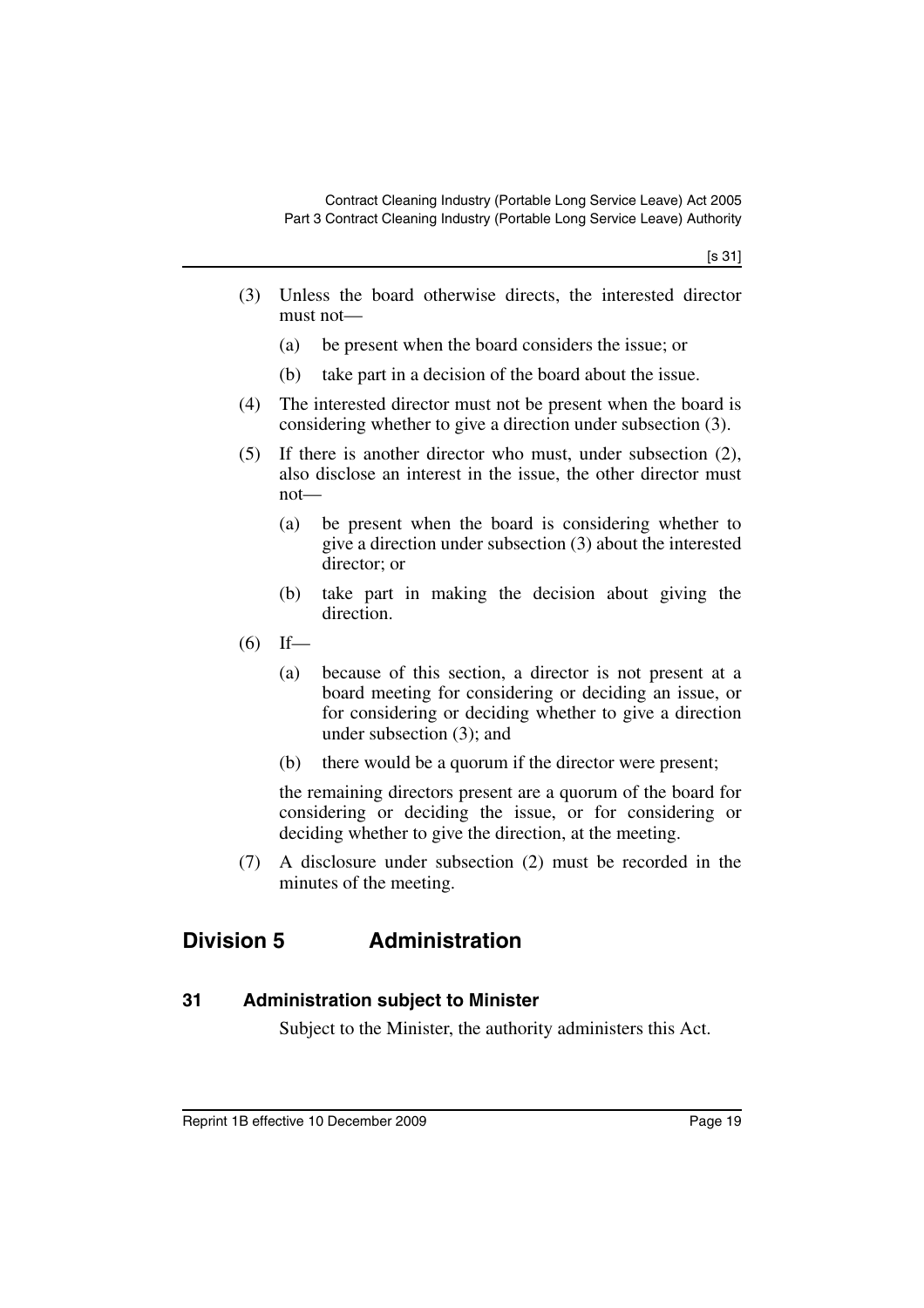- (3) Unless the board otherwise directs, the interested director must not—
	- (a) be present when the board considers the issue; or
	- (b) take part in a decision of the board about the issue.
- (4) The interested director must not be present when the board is considering whether to give a direction under subsection (3).
- (5) If there is another director who must, under subsection (2), also disclose an interest in the issue, the other director must not—
	- (a) be present when the board is considering whether to give a direction under subsection (3) about the interested director; or
	- (b) take part in making the decision about giving the direction.
- $(6)$  If—
	- (a) because of this section, a director is not present at a board meeting for considering or deciding an issue, or for considering or deciding whether to give a direction under subsection (3); and
	- (b) there would be a quorum if the director were present;

the remaining directors present are a quorum of the board for considering or deciding the issue, or for considering or deciding whether to give the direction, at the meeting.

(7) A disclosure under subsection (2) must be recorded in the minutes of the meeting.

# <span id="page-20-0"></span>**Division 5 Administration**

#### <span id="page-20-1"></span>**31 Administration subject to Minister**

Subject to the Minister, the authority administers this Act.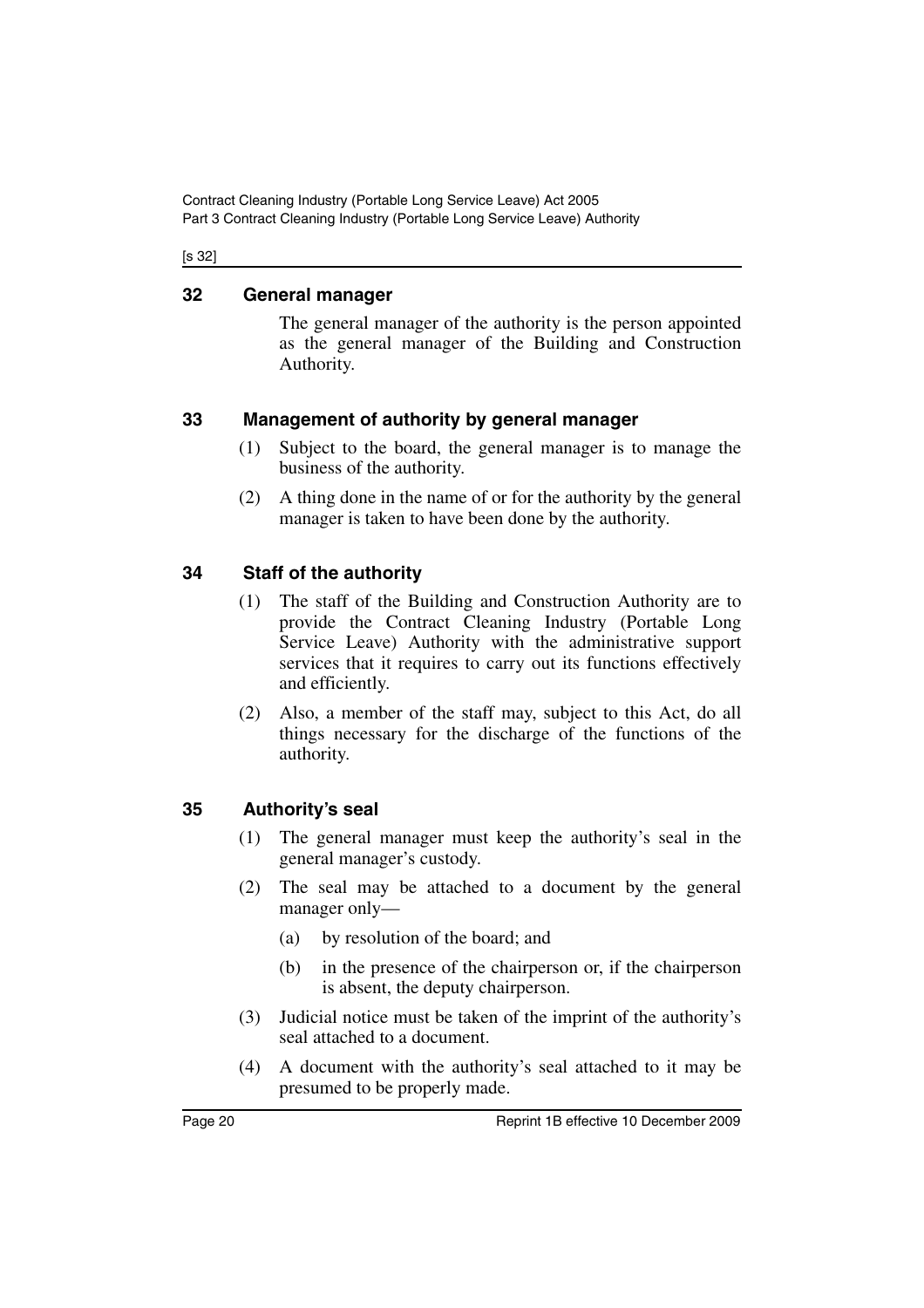Contract Cleaning Industry (Portable Long Service Leave) Act 2005 Part 3 Contract Cleaning Industry (Portable Long Service Leave) Authority

#### [s 32]

# <span id="page-21-0"></span>**32 General manager**

The general manager of the authority is the person appointed as the general manager of the Building and Construction Authority.

### <span id="page-21-1"></span>**33 Management of authority by general manager**

- (1) Subject to the board, the general manager is to manage the business of the authority.
- (2) A thing done in the name of or for the authority by the general manager is taken to have been done by the authority.

# <span id="page-21-2"></span>**34 Staff of the authority**

- (1) The staff of the Building and Construction Authority are to provide the Contract Cleaning Industry (Portable Long Service Leave) Authority with the administrative support services that it requires to carry out its functions effectively and efficiently.
- (2) Also, a member of the staff may, subject to this Act, do all things necessary for the discharge of the functions of the authority.

# <span id="page-21-3"></span>**35 Authority's seal**

- (1) The general manager must keep the authority's seal in the general manager's custody.
- (2) The seal may be attached to a document by the general manager only—
	- (a) by resolution of the board; and
	- (b) in the presence of the chairperson or, if the chairperson is absent, the deputy chairperson.
- (3) Judicial notice must be taken of the imprint of the authority's seal attached to a document.
- (4) A document with the authority's seal attached to it may be presumed to be properly made.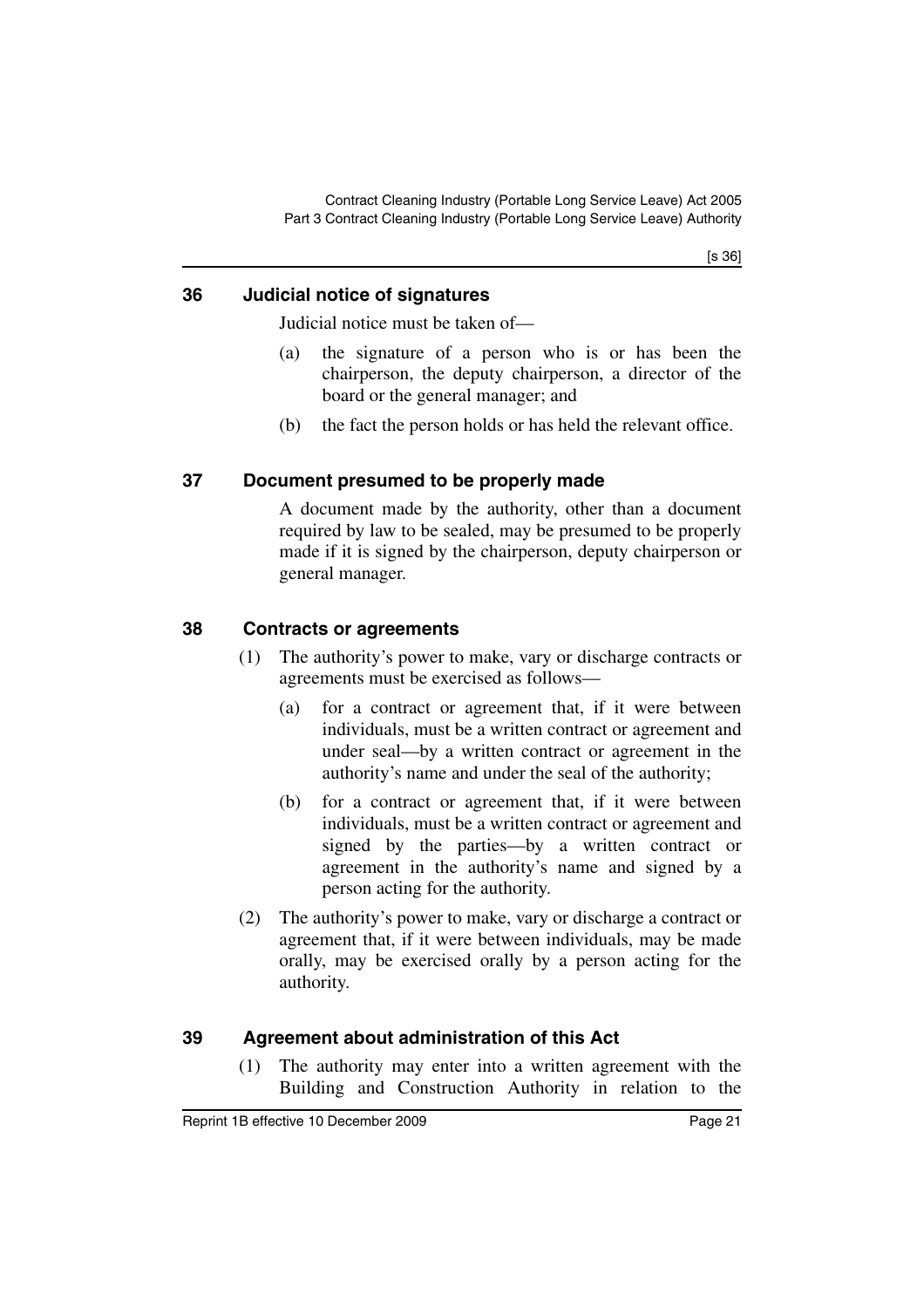[s 36]

# <span id="page-22-0"></span>**36 Judicial notice of signatures**

Judicial notice must be taken of—

- (a) the signature of a person who is or has been the chairperson, the deputy chairperson, a director of the board or the general manager; and
- (b) the fact the person holds or has held the relevant office.

# <span id="page-22-1"></span>**37 Document presumed to be properly made**

A document made by the authority, other than a document required by law to be sealed, may be presumed to be properly made if it is signed by the chairperson, deputy chairperson or general manager.

# <span id="page-22-2"></span>**38 Contracts or agreements**

- (1) The authority's power to make, vary or discharge contracts or agreements must be exercised as follows—
	- (a) for a contract or agreement that, if it were between individuals, must be a written contract or agreement and under seal—by a written contract or agreement in the authority's name and under the seal of the authority;
	- (b) for a contract or agreement that, if it were between individuals, must be a written contract or agreement and signed by the parties—by a written contract or agreement in the authority's name and signed by a person acting for the authority.
- (2) The authority's power to make, vary or discharge a contract or agreement that, if it were between individuals, may be made orally, may be exercised orally by a person acting for the authority.

# <span id="page-22-3"></span>**39 Agreement about administration of this Act**

(1) The authority may enter into a written agreement with the Building and Construction Authority in relation to the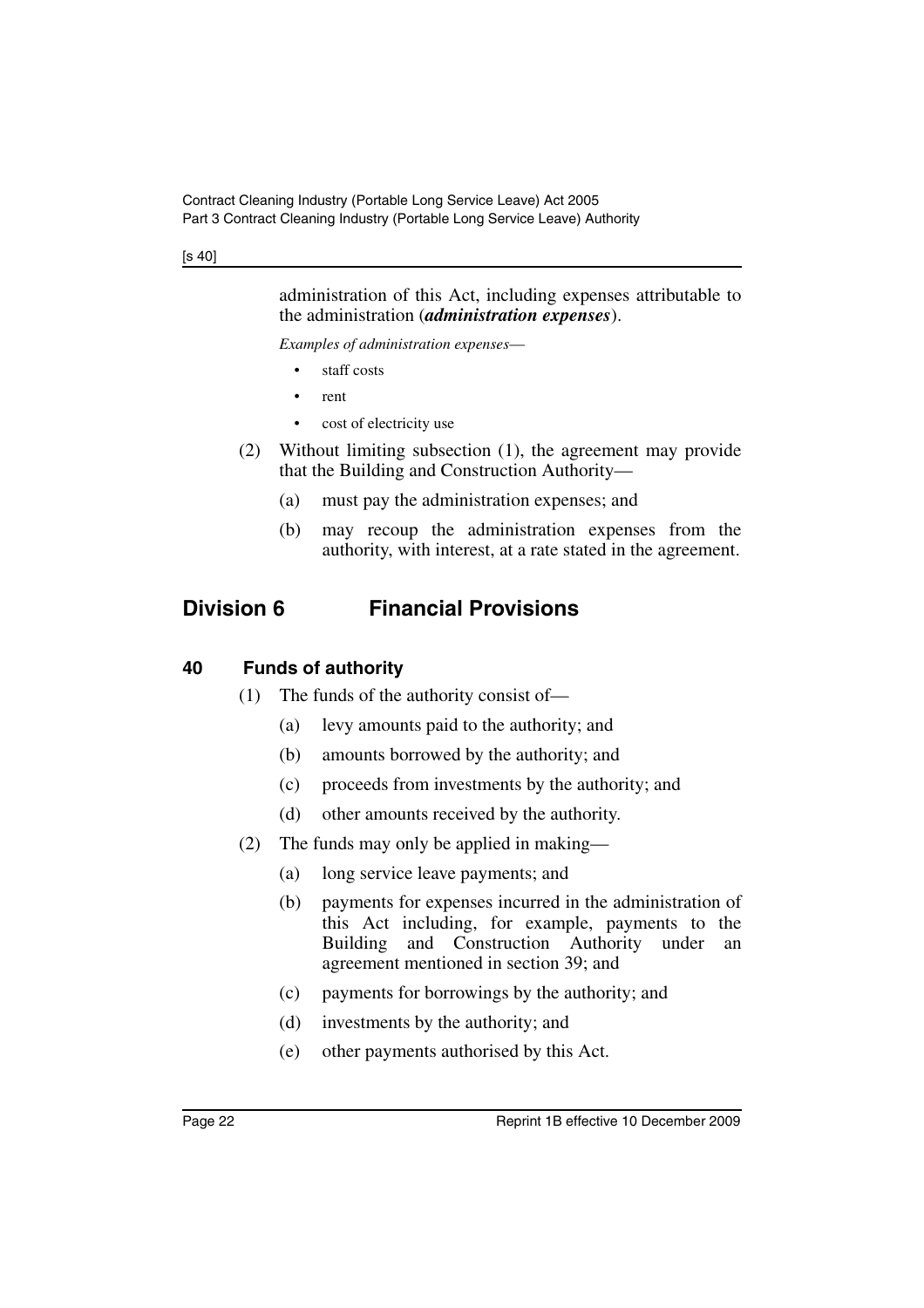#### [s 40]

administration of this Act, including expenses attributable to the administration (*administration expenses*).

*Examples of administration expenses*—

- staff costs
- rent
- cost of electricity use
- (2) Without limiting subsection (1), the agreement may provide that the Building and Construction Authority—
	- (a) must pay the administration expenses; and
	- (b) may recoup the administration expenses from the authority, with interest, at a rate stated in the agreement.

# <span id="page-23-0"></span>**Division 6 Financial Provisions**

# <span id="page-23-1"></span>**40 Funds of authority**

- (1) The funds of the authority consist of—
	- (a) levy amounts paid to the authority; and
	- (b) amounts borrowed by the authority; and
	- (c) proceeds from investments by the authority; and
	- (d) other amounts received by the authority.
- (2) The funds may only be applied in making—
	- (a) long service leave payments; and
	- (b) payments for expenses incurred in the administration of this Act including, for example, payments to the Building and Construction Authority under an agreement mentioned in section 39; and
	- (c) payments for borrowings by the authority; and
	- (d) investments by the authority; and
	- (e) other payments authorised by this Act.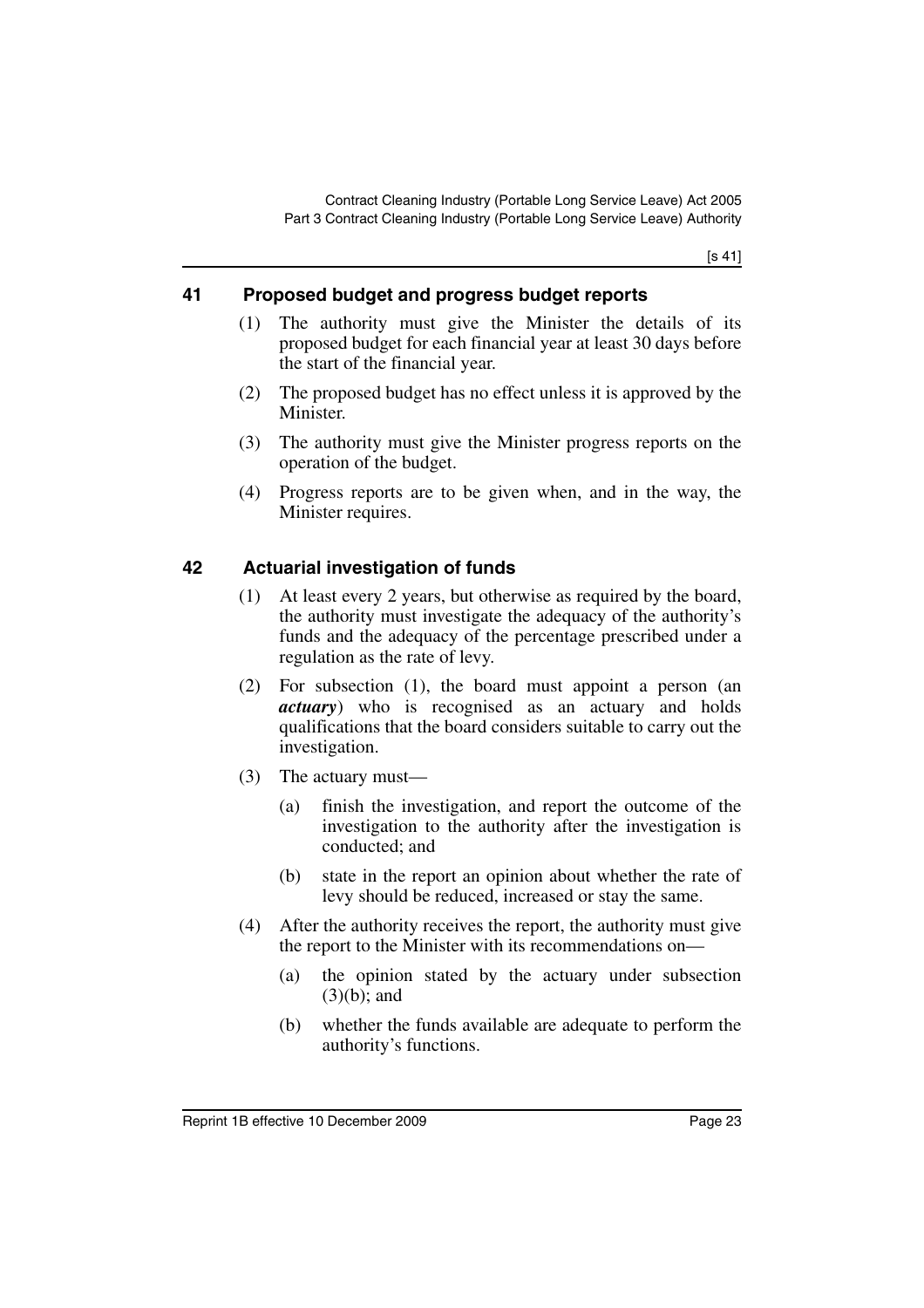[s 41]

# <span id="page-24-0"></span>**41 Proposed budget and progress budget reports**

- (1) The authority must give the Minister the details of its proposed budget for each financial year at least 30 days before the start of the financial year.
- (2) The proposed budget has no effect unless it is approved by the Minister.
- (3) The authority must give the Minister progress reports on the operation of the budget.
- (4) Progress reports are to be given when, and in the way, the Minister requires.

# <span id="page-24-1"></span>**42 Actuarial investigation of funds**

- (1) At least every 2 years, but otherwise as required by the board, the authority must investigate the adequacy of the authority's funds and the adequacy of the percentage prescribed under a regulation as the rate of levy.
- (2) For subsection (1), the board must appoint a person (an *actuary*) who is recognised as an actuary and holds qualifications that the board considers suitable to carry out the investigation.
- (3) The actuary must—
	- (a) finish the investigation, and report the outcome of the investigation to the authority after the investigation is conducted; and
	- (b) state in the report an opinion about whether the rate of levy should be reduced, increased or stay the same.
- (4) After the authority receives the report, the authority must give the report to the Minister with its recommendations on—
	- (a) the opinion stated by the actuary under subsection (3)(b); and
	- (b) whether the funds available are adequate to perform the authority's functions.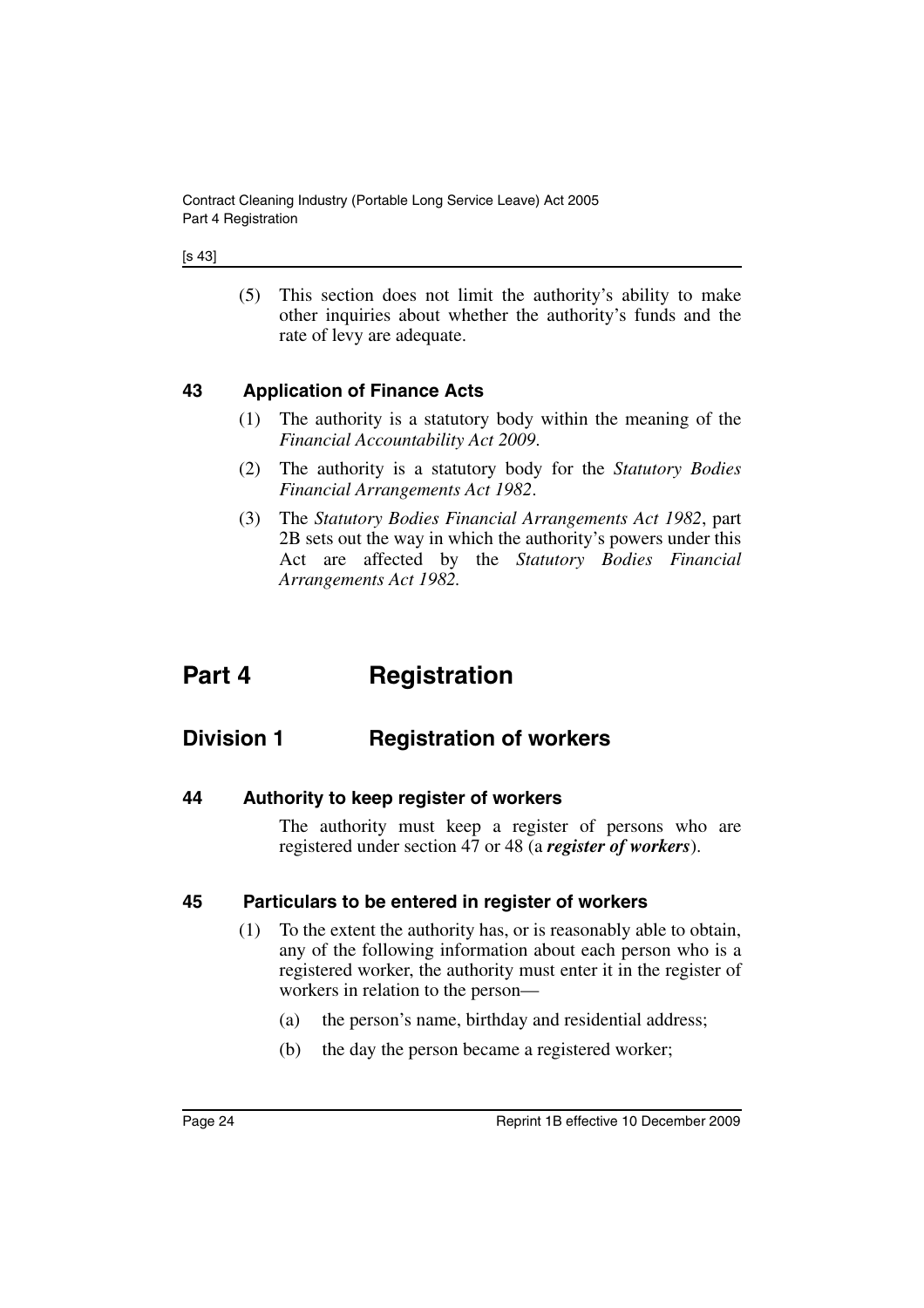(5) This section does not limit the authority's ability to make other inquiries about whether the authority's funds and the rate of levy are adequate.

# <span id="page-25-0"></span>**43 Application of Finance Acts**

- (1) The authority is a statutory body within the meaning of the *Financial Accountability Act 2009*.
- (2) The authority is a statutory body for the *Statutory Bodies Financial Arrangements Act 1982*.
- (3) The *Statutory Bodies Financial Arrangements Act 1982*, part 2B sets out the way in which the authority's powers under this Act are affected by the *Statutory Bodies Financial Arrangements Act 1982.*

# <span id="page-25-1"></span>**Part 4 Registration**

# <span id="page-25-2"></span>**Division 1 Registration of workers**

<span id="page-25-3"></span>**44 Authority to keep register of workers**

The authority must keep a register of persons who are registered under section 47 or 48 (a *register of workers*).

# <span id="page-25-4"></span>**45 Particulars to be entered in register of workers**

- (1) To the extent the authority has, or is reasonably able to obtain, any of the following information about each person who is a registered worker, the authority must enter it in the register of workers in relation to the person—
	- (a) the person's name, birthday and residential address;
	- (b) the day the person became a registered worker;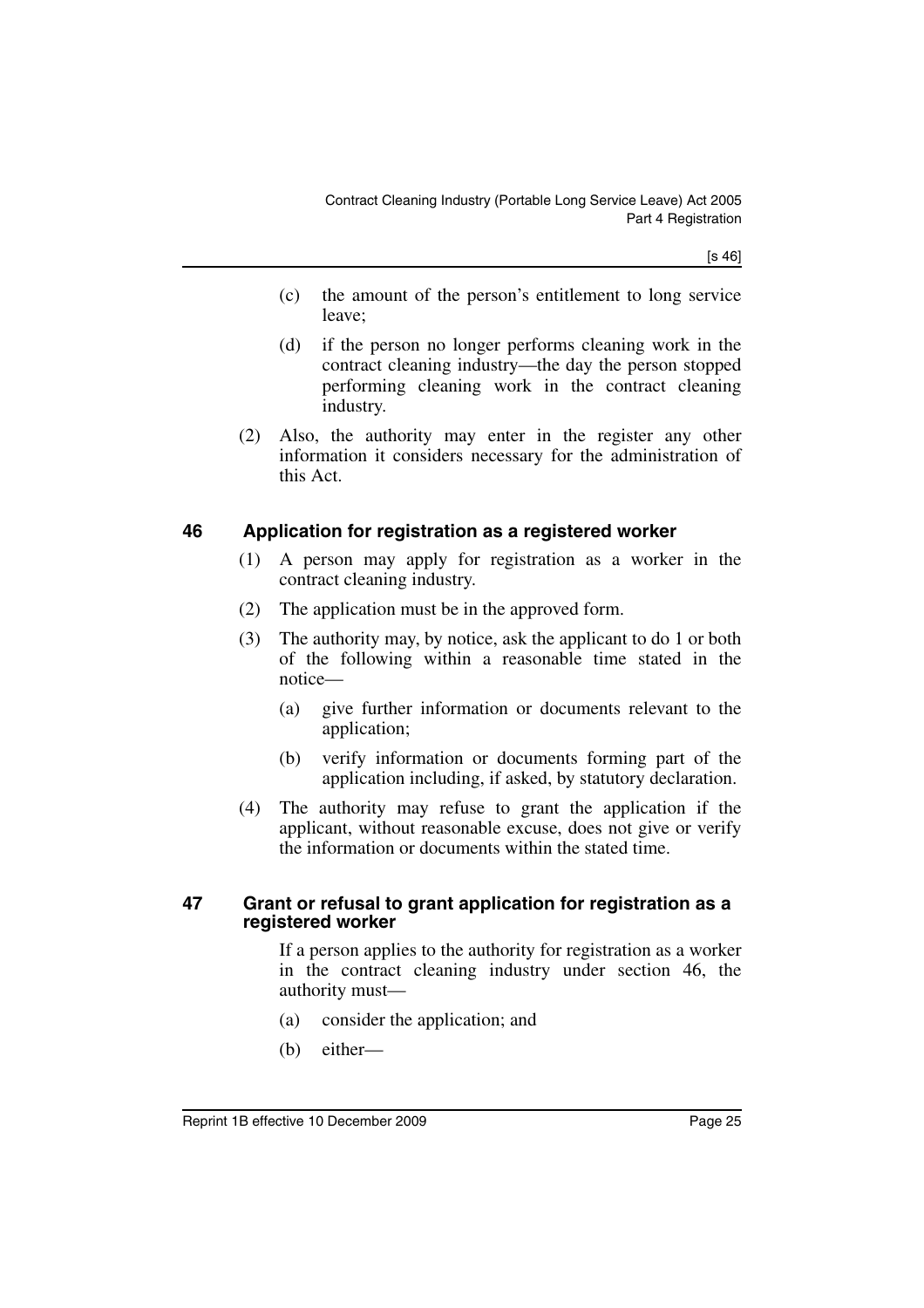[s 46]

- (c) the amount of the person's entitlement to long service leave;
- (d) if the person no longer performs cleaning work in the contract cleaning industry—the day the person stopped performing cleaning work in the contract cleaning industry.
- (2) Also, the authority may enter in the register any other information it considers necessary for the administration of this Act.

# <span id="page-26-0"></span>**46 Application for registration as a registered worker**

- (1) A person may apply for registration as a worker in the contract cleaning industry.
- (2) The application must be in the approved form.
- (3) The authority may, by notice, ask the applicant to do 1 or both of the following within a reasonable time stated in the notice—
	- (a) give further information or documents relevant to the application;
	- (b) verify information or documents forming part of the application including, if asked, by statutory declaration.
- (4) The authority may refuse to grant the application if the applicant, without reasonable excuse, does not give or verify the information or documents within the stated time.

#### <span id="page-26-1"></span>**47 Grant or refusal to grant application for registration as a registered worker**

If a person applies to the authority for registration as a worker in the contract cleaning industry under section 46, the authority must—

- (a) consider the application; and
- (b) either—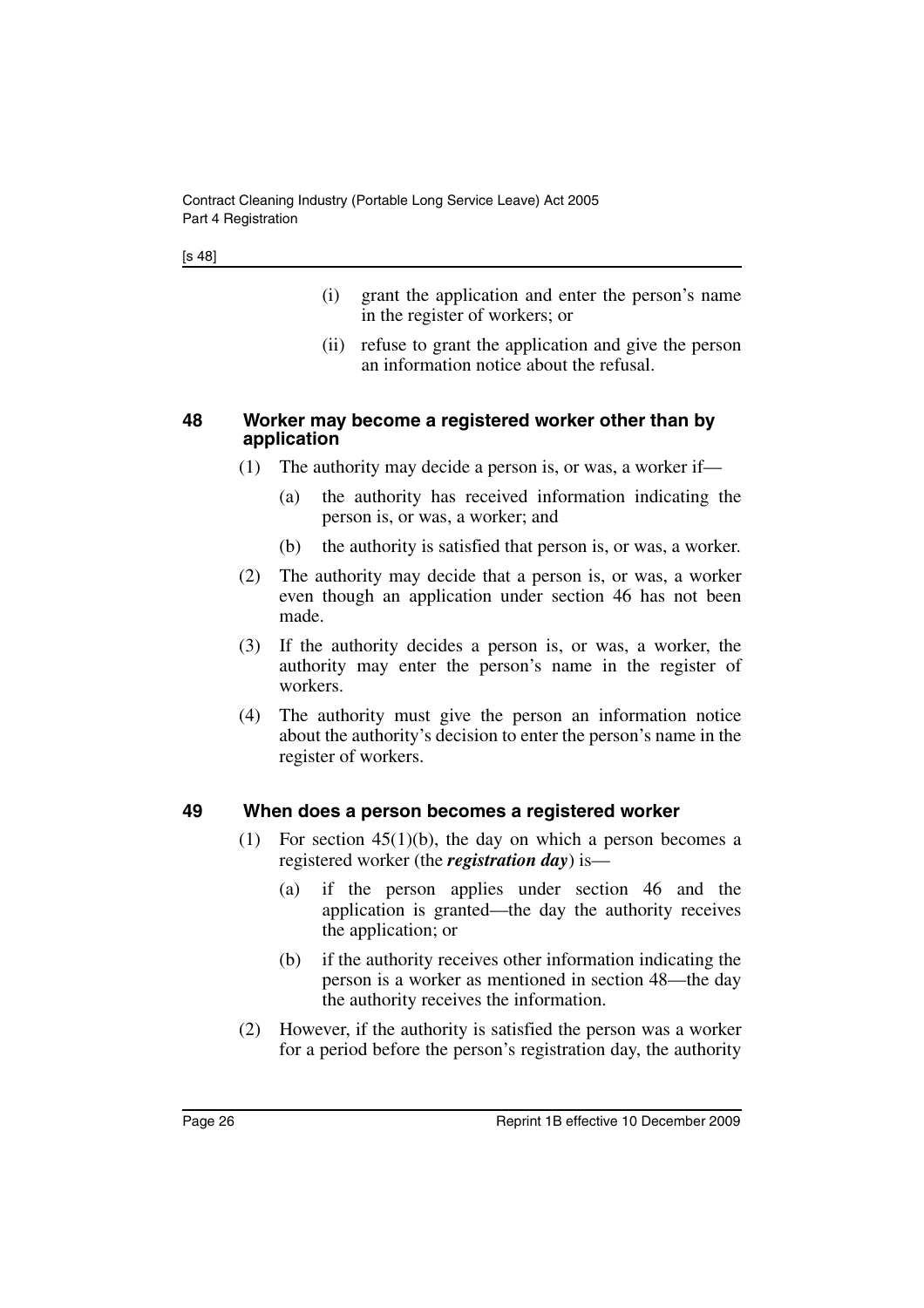- (i) grant the application and enter the person's name in the register of workers; or
- (ii) refuse to grant the application and give the person an information notice about the refusal.

#### <span id="page-27-0"></span>**48 Worker may become a registered worker other than by application**

- (1) The authority may decide a person is, or was, a worker if—
	- (a) the authority has received information indicating the person is, or was, a worker; and
	- (b) the authority is satisfied that person is, or was, a worker.
- (2) The authority may decide that a person is, or was, a worker even though an application under section 46 has not been made.
- (3) If the authority decides a person is, or was, a worker, the authority may enter the person's name in the register of workers.
- (4) The authority must give the person an information notice about the authority's decision to enter the person's name in the register of workers.

#### <span id="page-27-1"></span>**49 When does a person becomes a registered worker**

- (1) For section  $45(1)(b)$ , the day on which a person becomes a registered worker (the *registration day*) is—
	- (a) if the person applies under section 46 and the application is granted—the day the authority receives the application; or
	- (b) if the authority receives other information indicating the person is a worker as mentioned in section 48—the day the authority receives the information.
- (2) However, if the authority is satisfied the person was a worker for a period before the person's registration day, the authority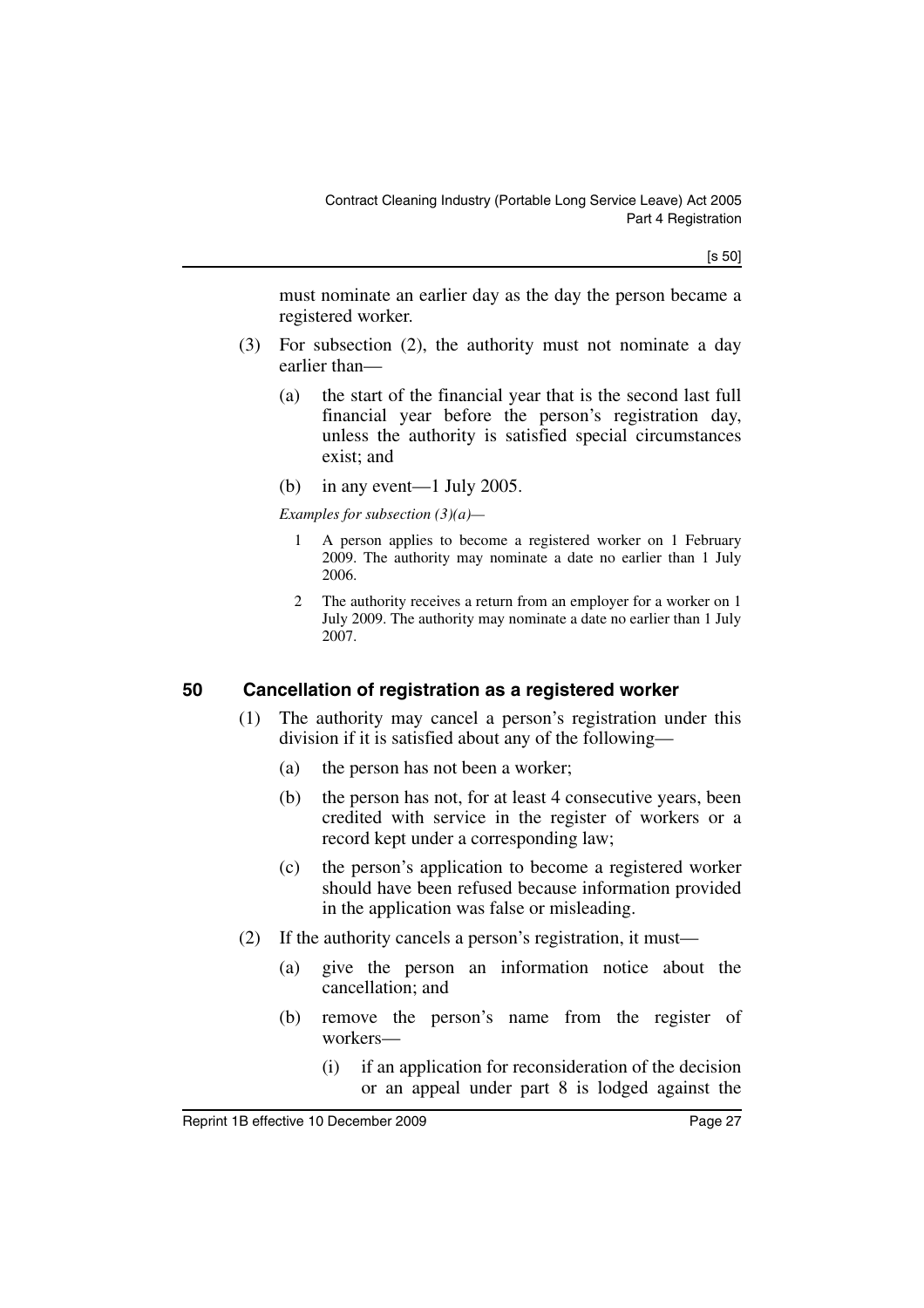[s 50]

must nominate an earlier day as the day the person became a registered worker.

- (3) For subsection (2), the authority must not nominate a day earlier than—
	- (a) the start of the financial year that is the second last full financial year before the person's registration day, unless the authority is satisfied special circumstances exist; and
	- (b) in any event—1 July 2005.

*Examples for subsection (3)(a)—*

- 1 A person applies to become a registered worker on 1 February 2009. The authority may nominate a date no earlier than 1 July 2006.
- 2 The authority receives a return from an employer for a worker on 1 July 2009. The authority may nominate a date no earlier than 1 July 2007.

# <span id="page-28-0"></span>**50 Cancellation of registration as a registered worker**

- (1) The authority may cancel a person's registration under this division if it is satisfied about any of the following—
	- (a) the person has not been a worker;
	- (b) the person has not, for at least 4 consecutive years, been credited with service in the register of workers or a record kept under a corresponding law;
	- (c) the person's application to become a registered worker should have been refused because information provided in the application was false or misleading.
- (2) If the authority cancels a person's registration, it must—
	- (a) give the person an information notice about the cancellation; and
	- (b) remove the person's name from the register of workers—
		- (i) if an application for reconsideration of the decision or an appeal under part 8 is lodged against the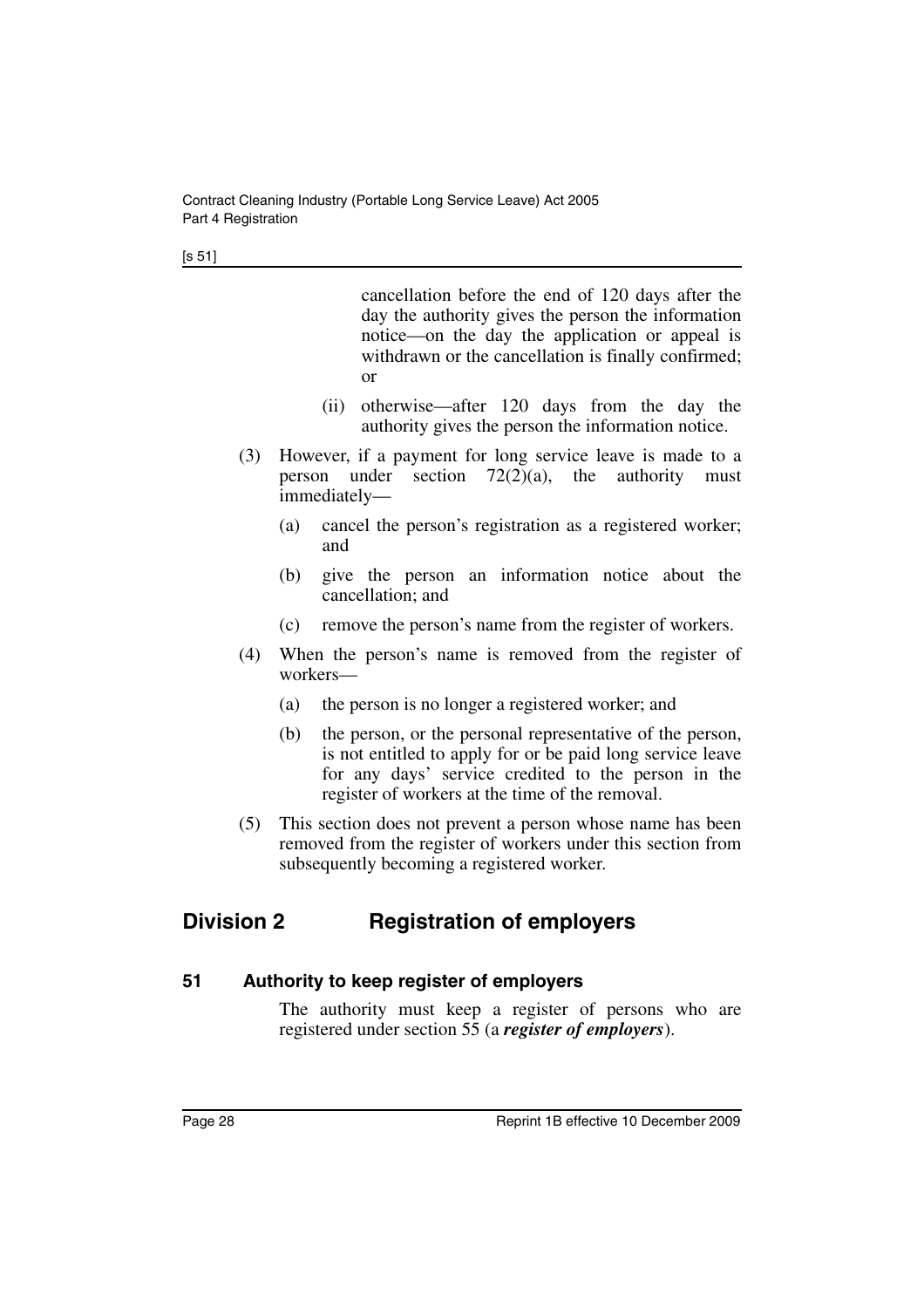cancellation before the end of 120 days after the day the authority gives the person the information notice—on the day the application or appeal is withdrawn or the cancellation is finally confirmed; or

- (ii) otherwise—after 120 days from the day the authority gives the person the information notice.
- (3) However, if a payment for long service leave is made to a person under section  $72(2)(a)$ , the authority must immediately—
	- (a) cancel the person's registration as a registered worker; and
	- (b) give the person an information notice about the cancellation; and
	- (c) remove the person's name from the register of workers.
- (4) When the person's name is removed from the register of workers—
	- (a) the person is no longer a registered worker; and
	- (b) the person, or the personal representative of the person, is not entitled to apply for or be paid long service leave for any days' service credited to the person in the register of workers at the time of the removal.
- (5) This section does not prevent a person whose name has been removed from the register of workers under this section from subsequently becoming a registered worker.

# <span id="page-29-0"></span>**Division 2 Registration of employers**

# <span id="page-29-1"></span>**51 Authority to keep register of employers**

The authority must keep a register of persons who are registered under section 55 (a *register of employers*).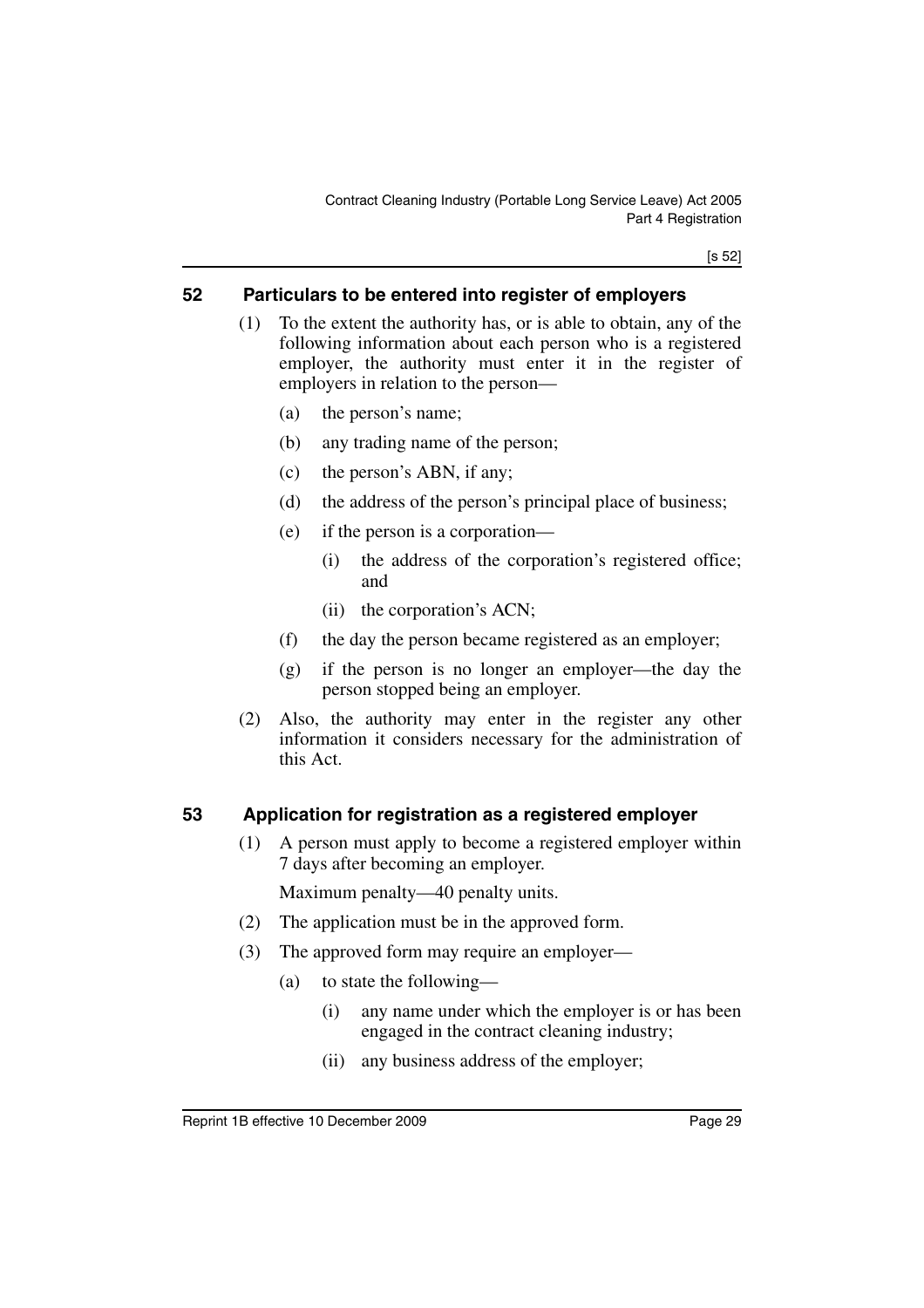[s 52]

# <span id="page-30-0"></span>**52 Particulars to be entered into register of employers**

- (1) To the extent the authority has, or is able to obtain, any of the following information about each person who is a registered employer, the authority must enter it in the register of employers in relation to the person—
	- (a) the person's name;
	- (b) any trading name of the person;
	- (c) the person's ABN, if any;
	- (d) the address of the person's principal place of business;
	- (e) if the person is a corporation—
		- (i) the address of the corporation's registered office; and
		- (ii) the corporation's ACN;
	- (f) the day the person became registered as an employer;
	- (g) if the person is no longer an employer—the day the person stopped being an employer.
- (2) Also, the authority may enter in the register any other information it considers necessary for the administration of this Act.

# <span id="page-30-1"></span>**53 Application for registration as a registered employer**

(1) A person must apply to become a registered employer within 7 days after becoming an employer.

Maximum penalty—40 penalty units.

- (2) The application must be in the approved form.
- (3) The approved form may require an employer—
	- (a) to state the following—
		- (i) any name under which the employer is or has been engaged in the contract cleaning industry;
		- (ii) any business address of the employer;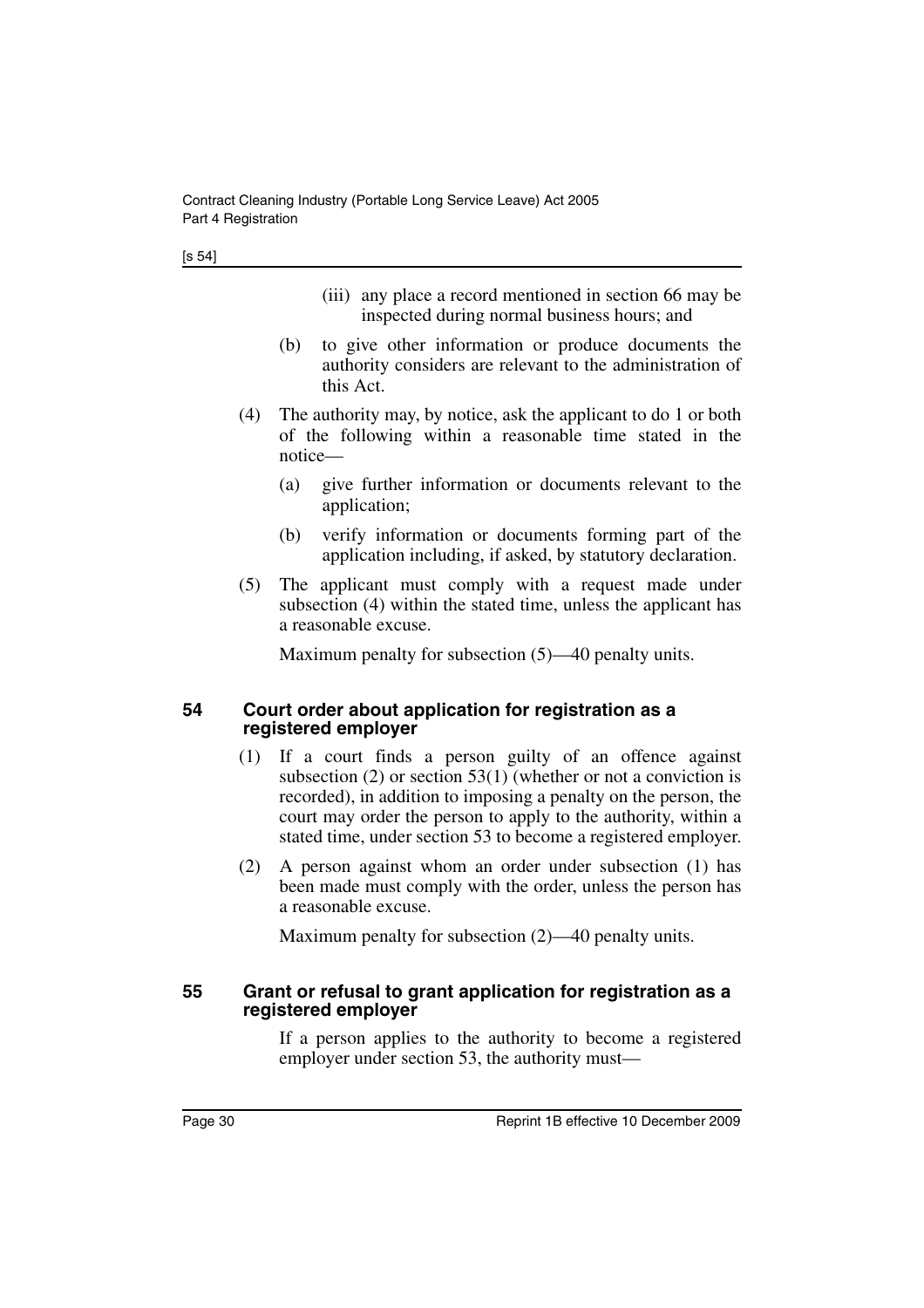- (iii) any place a record mentioned in section 66 may be inspected during normal business hours; and
- (b) to give other information or produce documents the authority considers are relevant to the administration of this Act.
- (4) The authority may, by notice, ask the applicant to do 1 or both of the following within a reasonable time stated in the notice—
	- (a) give further information or documents relevant to the application;
	- (b) verify information or documents forming part of the application including, if asked, by statutory declaration.
- (5) The applicant must comply with a request made under subsection (4) within the stated time, unless the applicant has a reasonable excuse.

Maximum penalty for subsection (5)—40 penalty units.

#### <span id="page-31-0"></span>**54 Court order about application for registration as a registered employer**

- (1) If a court finds a person guilty of an offence against subsection (2) or section 53(1) (whether or not a conviction is recorded), in addition to imposing a penalty on the person, the court may order the person to apply to the authority, within a stated time, under section 53 to become a registered employer.
- (2) A person against whom an order under subsection (1) has been made must comply with the order, unless the person has a reasonable excuse.

Maximum penalty for subsection (2)—40 penalty units.

#### <span id="page-31-1"></span>**55 Grant or refusal to grant application for registration as a registered employer**

If a person applies to the authority to become a registered employer under section 53, the authority must—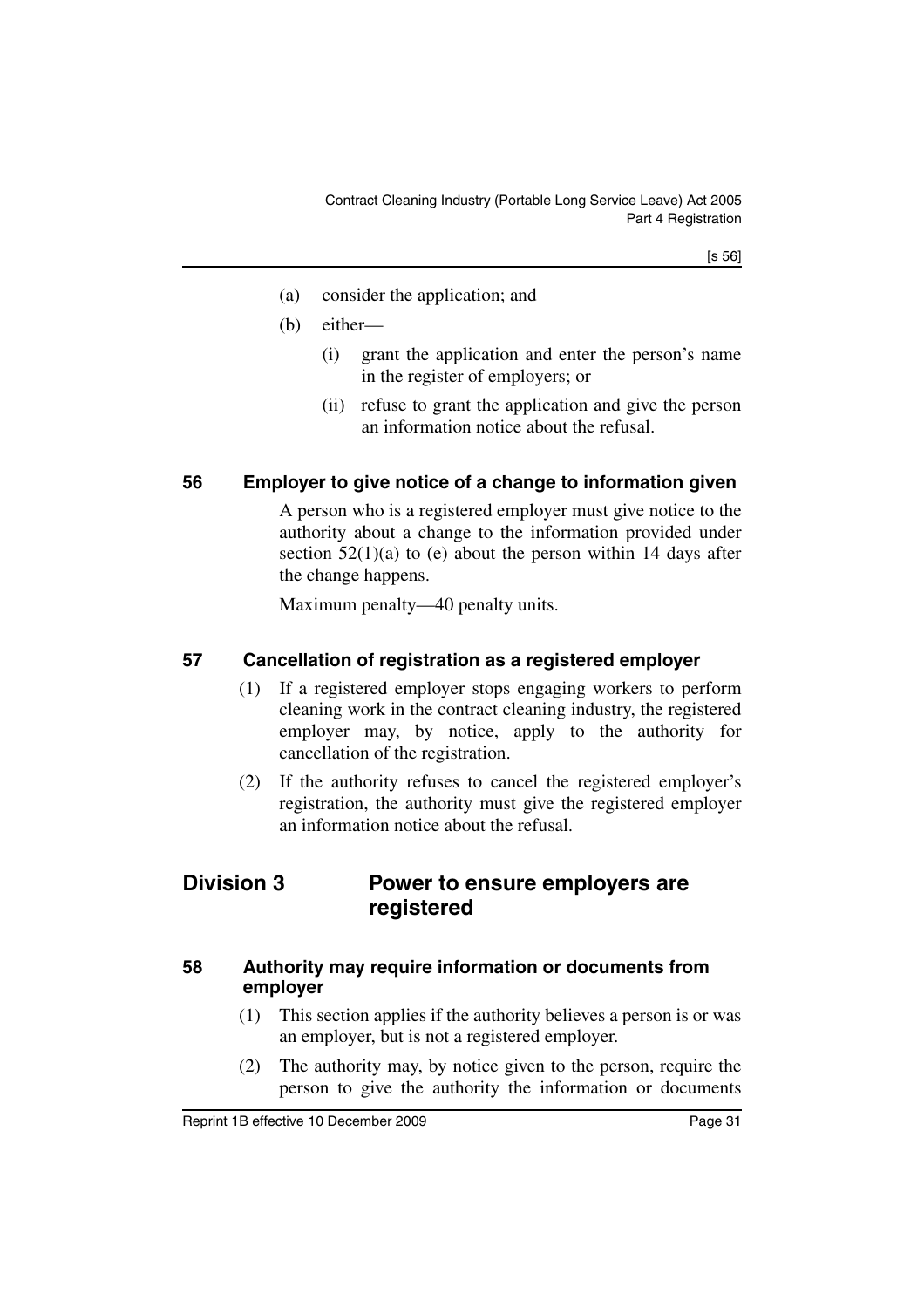[s 56]

- (a) consider the application; and
- (b) either—
	- (i) grant the application and enter the person's name in the register of employers; or
	- (ii) refuse to grant the application and give the person an information notice about the refusal.

# <span id="page-32-0"></span>**56 Employer to give notice of a change to information given**

A person who is a registered employer must give notice to the authority about a change to the information provided under section  $52(1)(a)$  to (e) about the person within 14 days after the change happens.

Maximum penalty—40 penalty units.

# <span id="page-32-1"></span>**57 Cancellation of registration as a registered employer**

- (1) If a registered employer stops engaging workers to perform cleaning work in the contract cleaning industry, the registered employer may, by notice, apply to the authority for cancellation of the registration.
- (2) If the authority refuses to cancel the registered employer's registration, the authority must give the registered employer an information notice about the refusal.

# <span id="page-32-2"></span>**Division 3 Power to ensure employers are registered**

#### <span id="page-32-3"></span>**58 Authority may require information or documents from employer**

- (1) This section applies if the authority believes a person is or was an employer, but is not a registered employer.
- (2) The authority may, by notice given to the person, require the person to give the authority the information or documents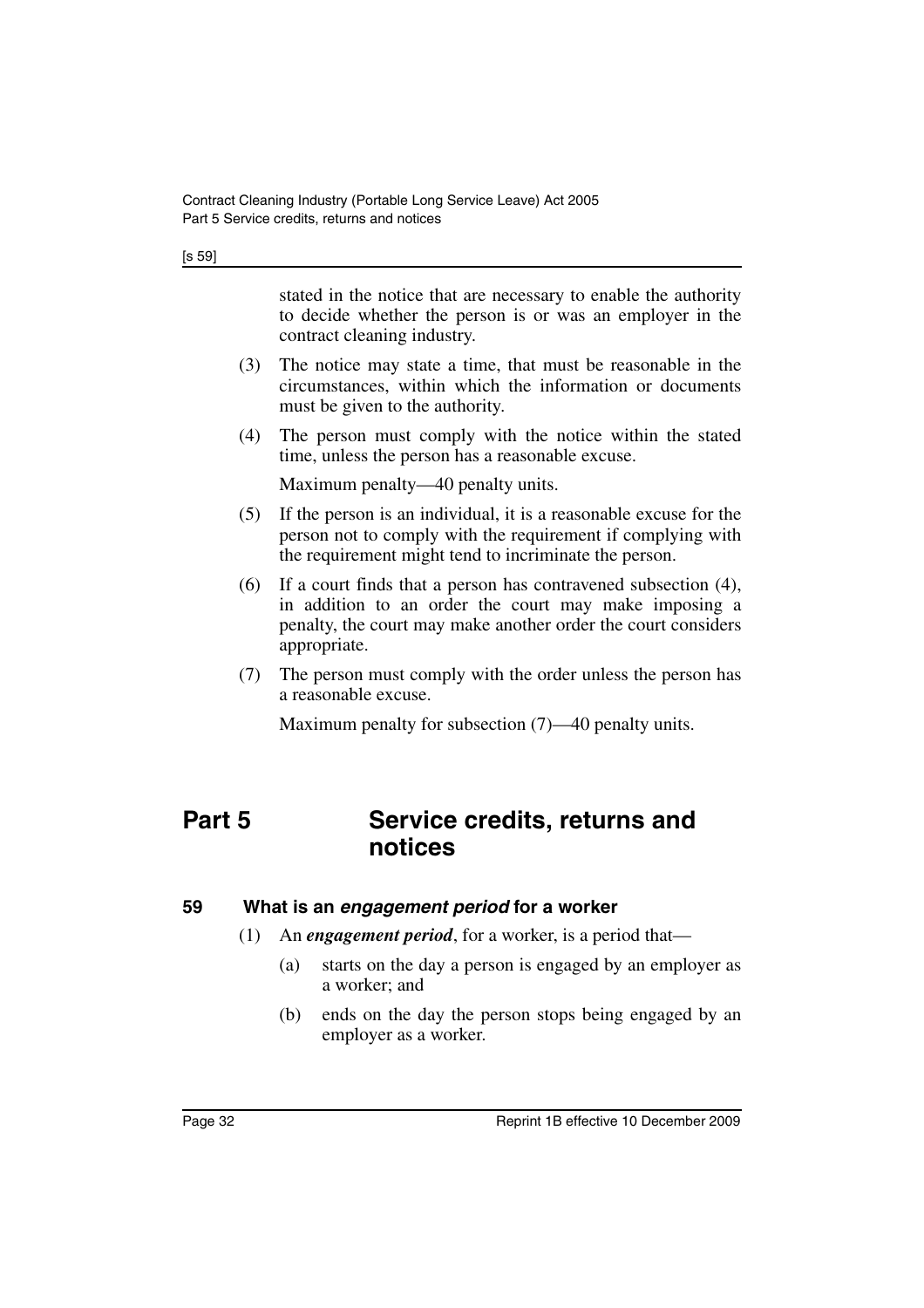[s 59]

stated in the notice that are necessary to enable the authority to decide whether the person is or was an employer in the contract cleaning industry.

- (3) The notice may state a time, that must be reasonable in the circumstances, within which the information or documents must be given to the authority.
- (4) The person must comply with the notice within the stated time, unless the person has a reasonable excuse.

Maximum penalty—40 penalty units.

- (5) If the person is an individual, it is a reasonable excuse for the person not to comply with the requirement if complying with the requirement might tend to incriminate the person.
- (6) If a court finds that a person has contravened subsection (4), in addition to an order the court may make imposing a penalty, the court may make another order the court considers appropriate.
- (7) The person must comply with the order unless the person has a reasonable excuse.

Maximum penalty for subsection (7)—40 penalty units.

# <span id="page-33-0"></span>**Part 5 Service credits, returns and notices**

#### <span id="page-33-1"></span>**59 What is an** *engagement period* **for a worker**

- (1) An *engagement period*, for a worker, is a period that—
	- (a) starts on the day a person is engaged by an employer as a worker; and
	- (b) ends on the day the person stops being engaged by an employer as a worker.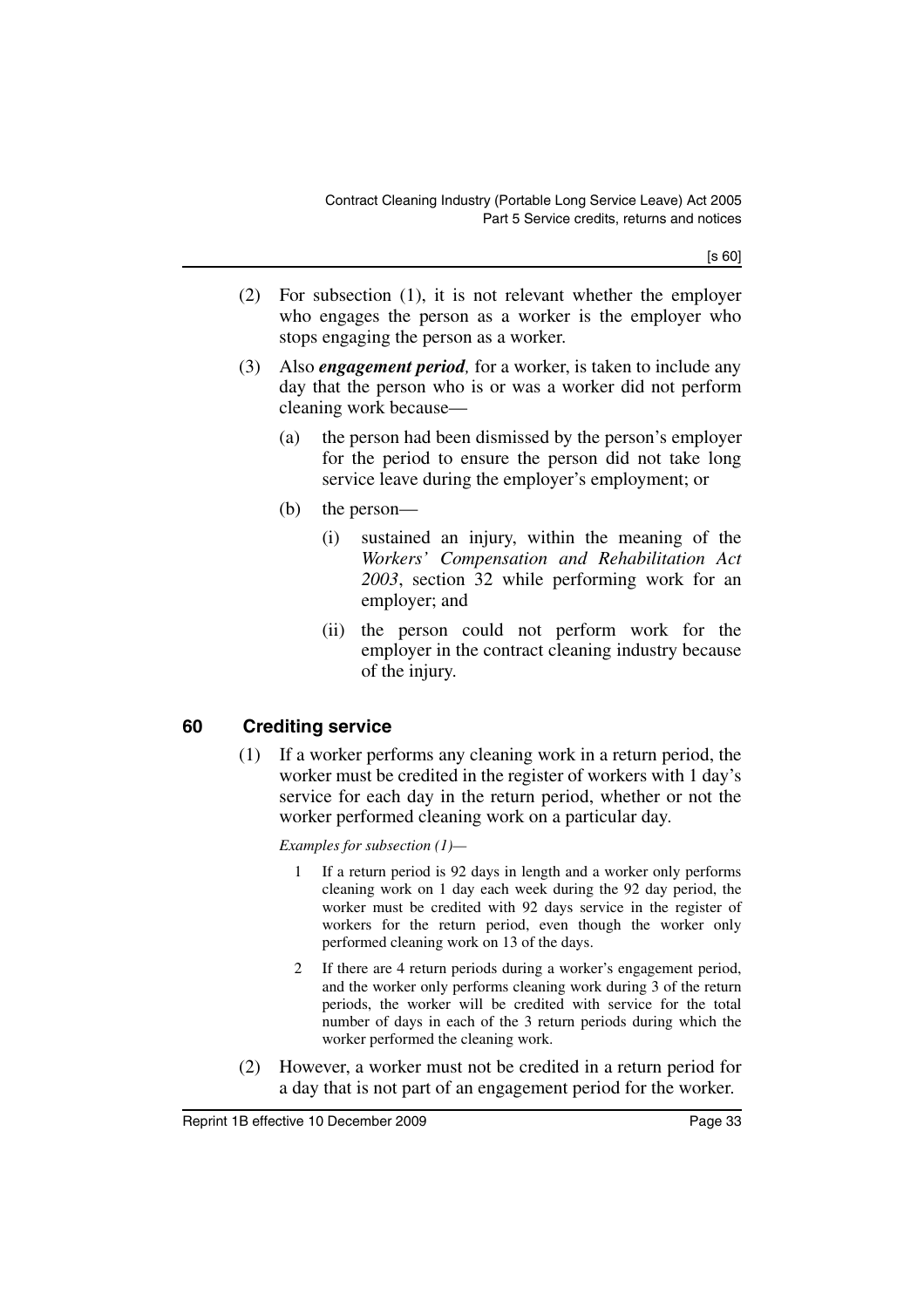[s 60]

- (2) For subsection (1), it is not relevant whether the employer who engages the person as a worker is the employer who stops engaging the person as a worker.
- (3) Also *engagement period,* for a worker, is taken to include any day that the person who is or was a worker did not perform cleaning work because—
	- (a) the person had been dismissed by the person's employer for the period to ensure the person did not take long service leave during the employer's employment; or
	- (b) the person—
		- (i) sustained an injury, within the meaning of the *Workers' Compensation and Rehabilitation Act 2003*, section 32 while performing work for an employer; and
		- (ii) the person could not perform work for the employer in the contract cleaning industry because of the injury.

# <span id="page-34-0"></span>**60 Crediting service**

(1) If a worker performs any cleaning work in a return period, the worker must be credited in the register of workers with 1 day's service for each day in the return period, whether or not the worker performed cleaning work on a particular day.

*Examples for subsection (1)—*

- 1 If a return period is 92 days in length and a worker only performs cleaning work on 1 day each week during the 92 day period, the worker must be credited with 92 days service in the register of workers for the return period, even though the worker only performed cleaning work on 13 of the days.
- 2 If there are 4 return periods during a worker's engagement period, and the worker only performs cleaning work during 3 of the return periods, the worker will be credited with service for the total number of days in each of the 3 return periods during which the worker performed the cleaning work.
- (2) However, a worker must not be credited in a return period for a day that is not part of an engagement period for the worker.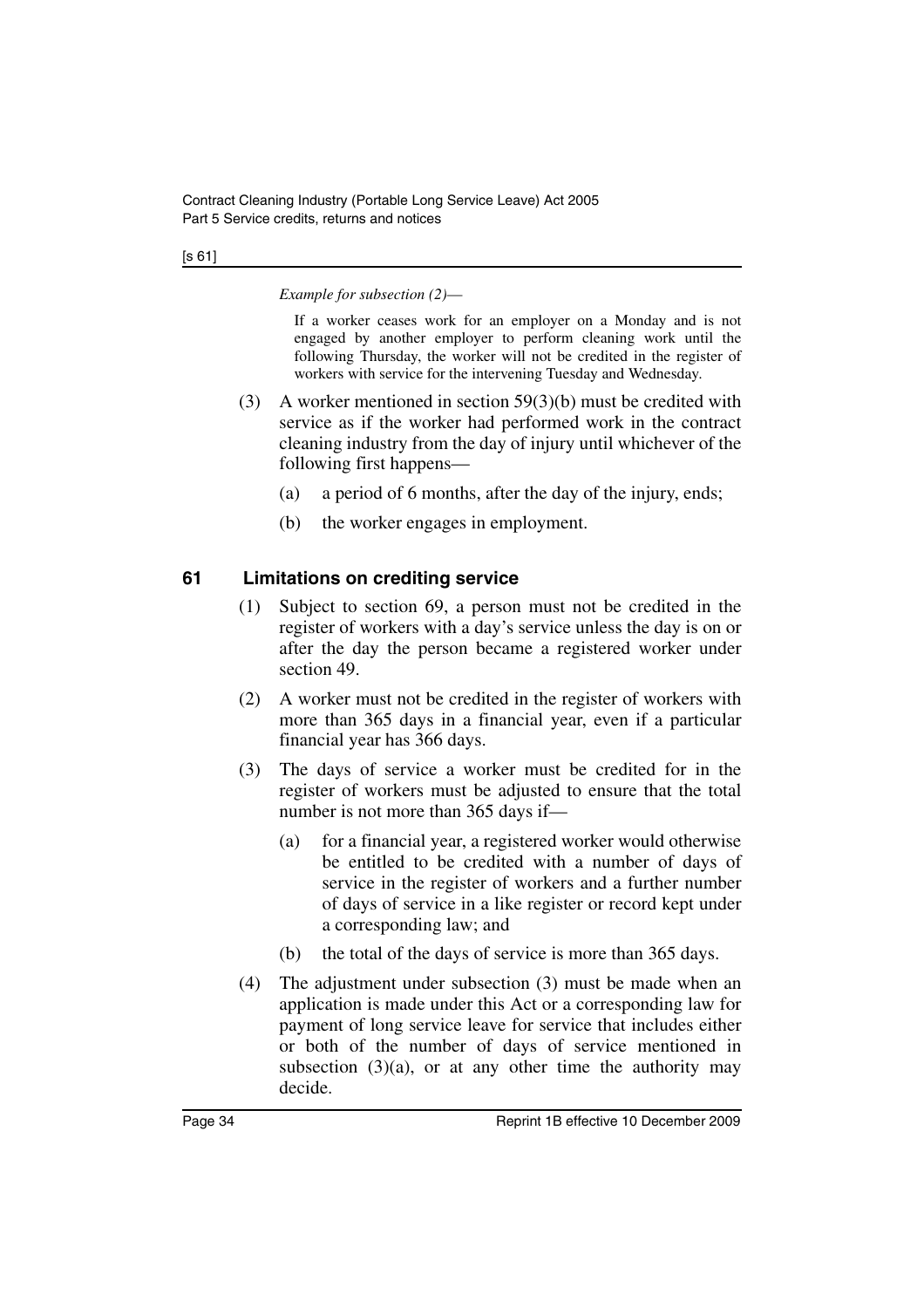#### [s 61]

*Example for subsection (2)*—

If a worker ceases work for an employer on a Monday and is not engaged by another employer to perform cleaning work until the following Thursday, the worker will not be credited in the register of workers with service for the intervening Tuesday and Wednesday.

- (3) A worker mentioned in section 59(3)(b) must be credited with service as if the worker had performed work in the contract cleaning industry from the day of injury until whichever of the following first happens—
	- (a) a period of 6 months, after the day of the injury, ends;
	- (b) the worker engages in employment.

# <span id="page-35-0"></span>**61 Limitations on crediting service**

- (1) Subject to section 69, a person must not be credited in the register of workers with a day's service unless the day is on or after the day the person became a registered worker under section 49.
- (2) A worker must not be credited in the register of workers with more than 365 days in a financial year, even if a particular financial year has 366 days.
- (3) The days of service a worker must be credited for in the register of workers must be adjusted to ensure that the total number is not more than 365 days if—
	- (a) for a financial year, a registered worker would otherwise be entitled to be credited with a number of days of service in the register of workers and a further number of days of service in a like register or record kept under a corresponding law; and
	- (b) the total of the days of service is more than 365 days.
- (4) The adjustment under subsection (3) must be made when an application is made under this Act or a corresponding law for payment of long service leave for service that includes either or both of the number of days of service mentioned in subsection  $(3)(a)$ , or at any other time the authority may decide.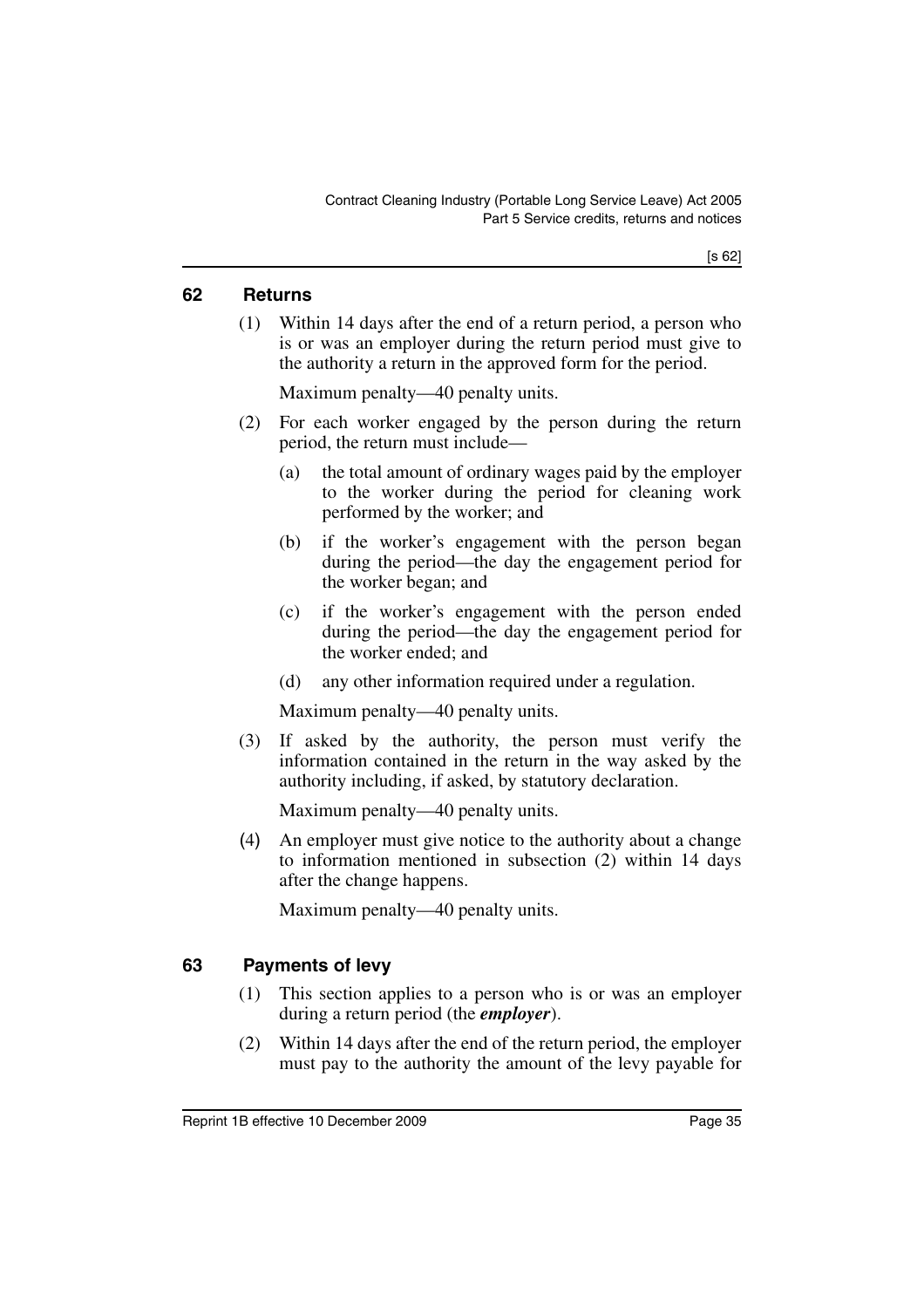#### **62 Returns**

(1) Within 14 days after the end of a return period, a person who is or was an employer during the return period must give to the authority a return in the approved form for the period.

Maximum penalty—40 penalty units.

- (2) For each worker engaged by the person during the return period, the return must include—
	- (a) the total amount of ordinary wages paid by the employer to the worker during the period for cleaning work performed by the worker; and
	- (b) if the worker's engagement with the person began during the period—the day the engagement period for the worker began; and
	- (c) if the worker's engagement with the person ended during the period—the day the engagement period for the worker ended; and
	- (d) any other information required under a regulation.

Maximum penalty—40 penalty units.

(3) If asked by the authority, the person must verify the information contained in the return in the way asked by the authority including, if asked, by statutory declaration.

Maximum penalty—40 penalty units.

(4) An employer must give notice to the authority about a change to information mentioned in subsection (2) within 14 days after the change happens.

Maximum penalty—40 penalty units.

## **63 Payments of levy**

- (1) This section applies to a person who is or was an employer during a return period (the *employer*).
- (2) Within 14 days after the end of the return period, the employer must pay to the authority the amount of the levy payable for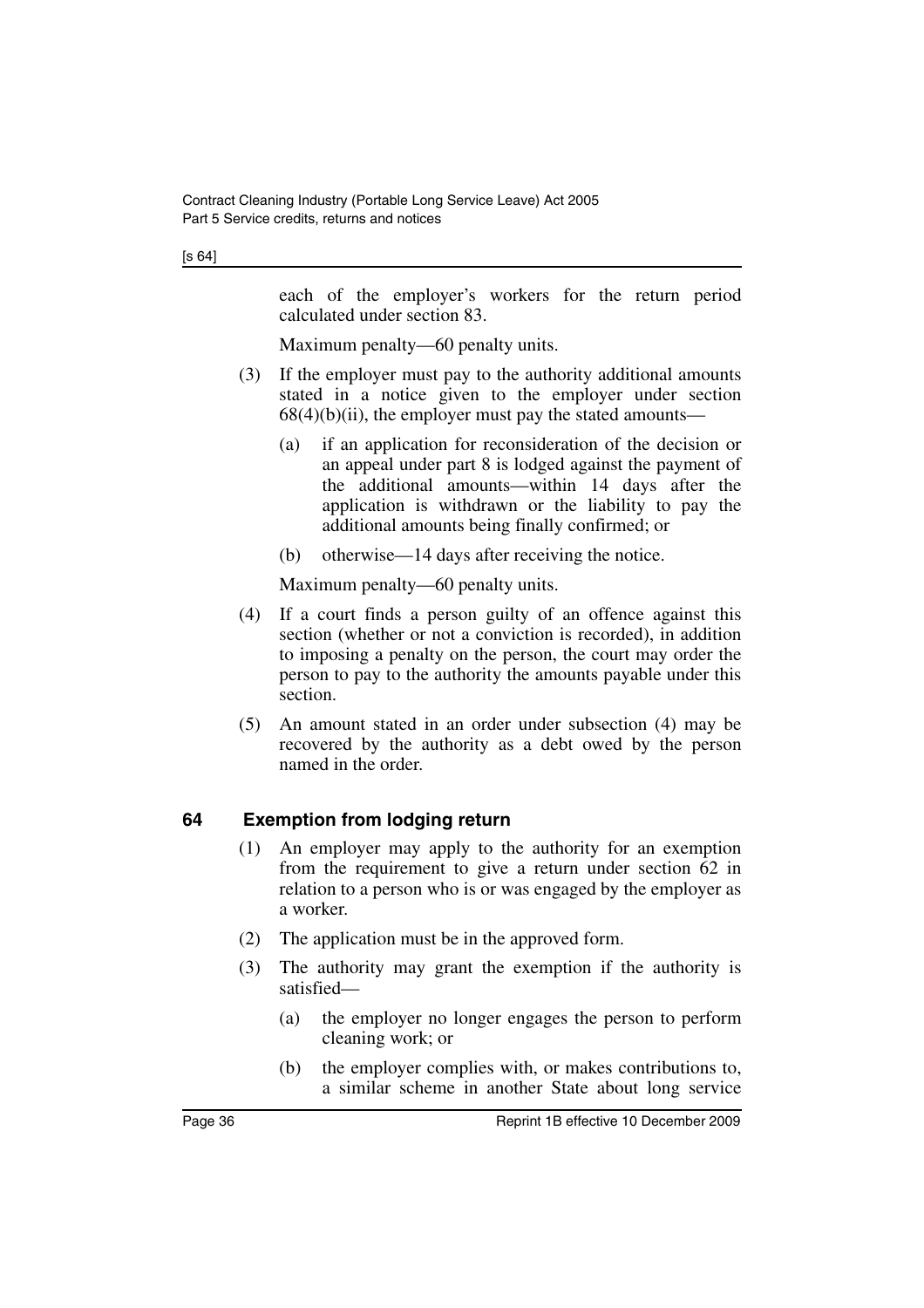each of the employer's workers for the return period calculated under section 83.

Maximum penalty—60 penalty units.

- (3) If the employer must pay to the authority additional amounts stated in a notice given to the employer under section  $68(4)(b)(ii)$ , the employer must pay the stated amounts—
	- (a) if an application for reconsideration of the decision or an appeal under part 8 is lodged against the payment of the additional amounts—within 14 days after the application is withdrawn or the liability to pay the additional amounts being finally confirmed; or
	- (b) otherwise—14 days after receiving the notice.

Maximum penalty—60 penalty units.

- (4) If a court finds a person guilty of an offence against this section (whether or not a conviction is recorded), in addition to imposing a penalty on the person, the court may order the person to pay to the authority the amounts payable under this section.
- (5) An amount stated in an order under subsection (4) may be recovered by the authority as a debt owed by the person named in the order.

## **64 Exemption from lodging return**

- (1) An employer may apply to the authority for an exemption from the requirement to give a return under section 62 in relation to a person who is or was engaged by the employer as a worker.
- (2) The application must be in the approved form.
- (3) The authority may grant the exemption if the authority is satisfied—
	- (a) the employer no longer engages the person to perform cleaning work; or
	- (b) the employer complies with, or makes contributions to, a similar scheme in another State about long service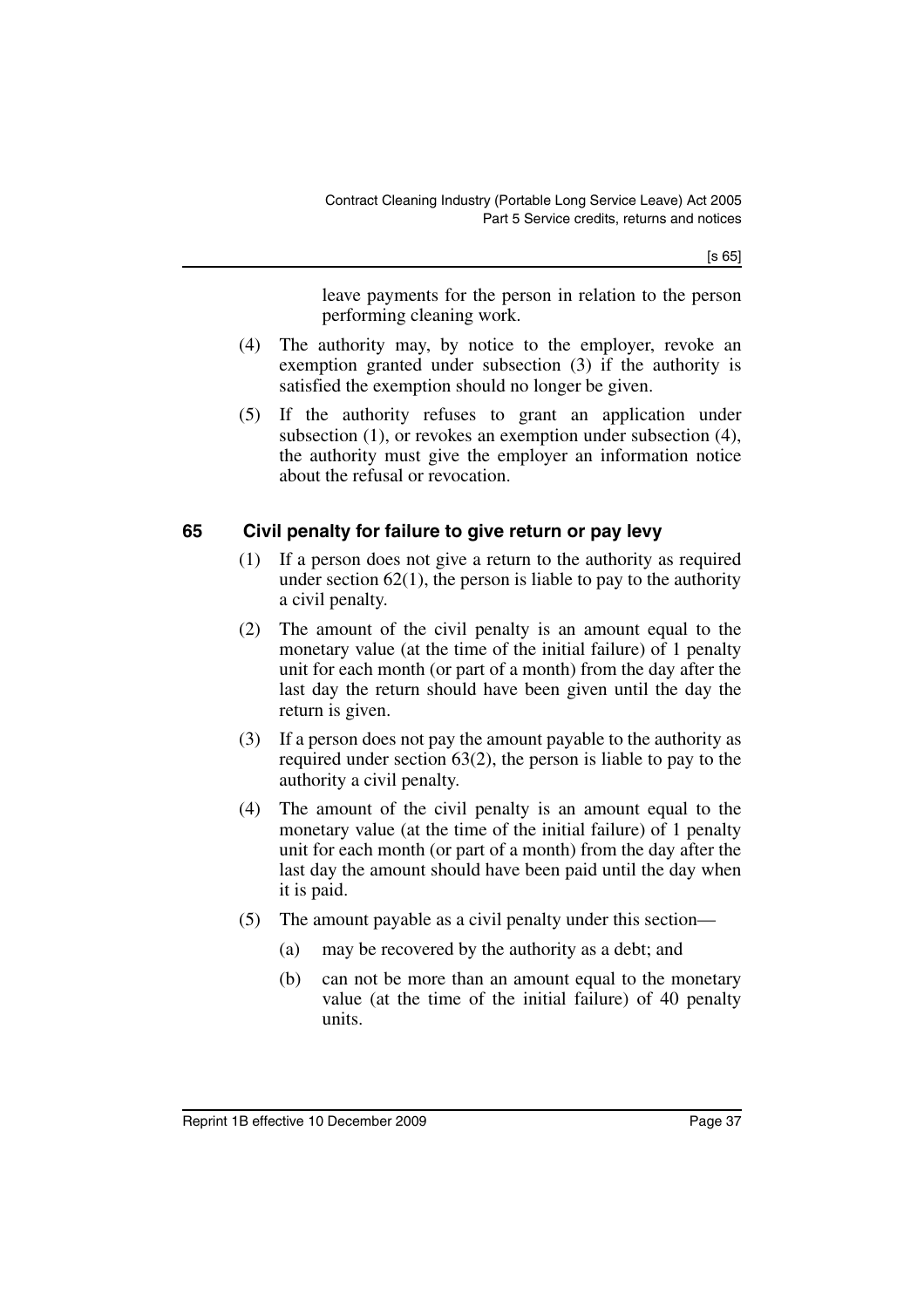[s 65]

leave payments for the person in relation to the person performing cleaning work.

- (4) The authority may, by notice to the employer, revoke an exemption granted under subsection (3) if the authority is satisfied the exemption should no longer be given.
- (5) If the authority refuses to grant an application under subsection (1), or revokes an exemption under subsection (4), the authority must give the employer an information notice about the refusal or revocation.

## **65 Civil penalty for failure to give return or pay levy**

- (1) If a person does not give a return to the authority as required under section  $62(1)$ , the person is liable to pay to the authority a civil penalty.
- (2) The amount of the civil penalty is an amount equal to the monetary value (at the time of the initial failure) of 1 penalty unit for each month (or part of a month) from the day after the last day the return should have been given until the day the return is given.
- (3) If a person does not pay the amount payable to the authority as required under section 63(2), the person is liable to pay to the authority a civil penalty.
- (4) The amount of the civil penalty is an amount equal to the monetary value (at the time of the initial failure) of 1 penalty unit for each month (or part of a month) from the day after the last day the amount should have been paid until the day when it is paid.
- (5) The amount payable as a civil penalty under this section—
	- (a) may be recovered by the authority as a debt; and
	- (b) can not be more than an amount equal to the monetary value (at the time of the initial failure) of 40 penalty units.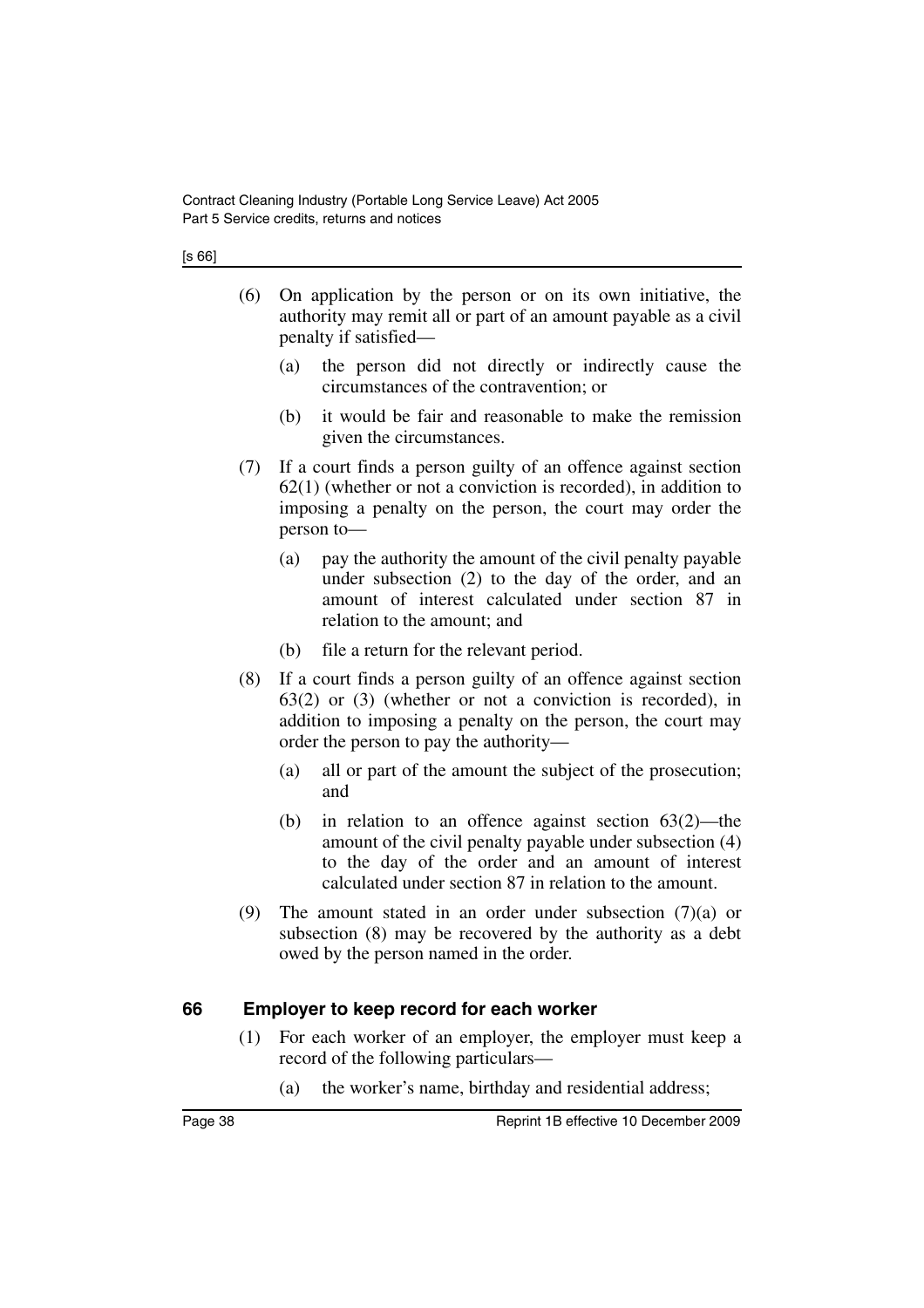[s 66]

- (6) On application by the person or on its own initiative, the authority may remit all or part of an amount payable as a civil penalty if satisfied—
	- (a) the person did not directly or indirectly cause the circumstances of the contravention; or
	- (b) it would be fair and reasonable to make the remission given the circumstances.
- (7) If a court finds a person guilty of an offence against section 62(1) (whether or not a conviction is recorded), in addition to imposing a penalty on the person, the court may order the person to—
	- (a) pay the authority the amount of the civil penalty payable under subsection (2) to the day of the order, and an amount of interest calculated under section 87 in relation to the amount; and
	- (b) file a return for the relevant period.
- (8) If a court finds a person guilty of an offence against section 63(2) or (3) (whether or not a conviction is recorded), in addition to imposing a penalty on the person, the court may order the person to pay the authority—
	- (a) all or part of the amount the subject of the prosecution; and
	- (b) in relation to an offence against section 63(2)—the amount of the civil penalty payable under subsection (4) to the day of the order and an amount of interest calculated under section 87 in relation to the amount.
- (9) The amount stated in an order under subsection (7)(a) or subsection (8) may be recovered by the authority as a debt owed by the person named in the order.

## **66 Employer to keep record for each worker**

- (1) For each worker of an employer, the employer must keep a record of the following particulars—
	- (a) the worker's name, birthday and residential address;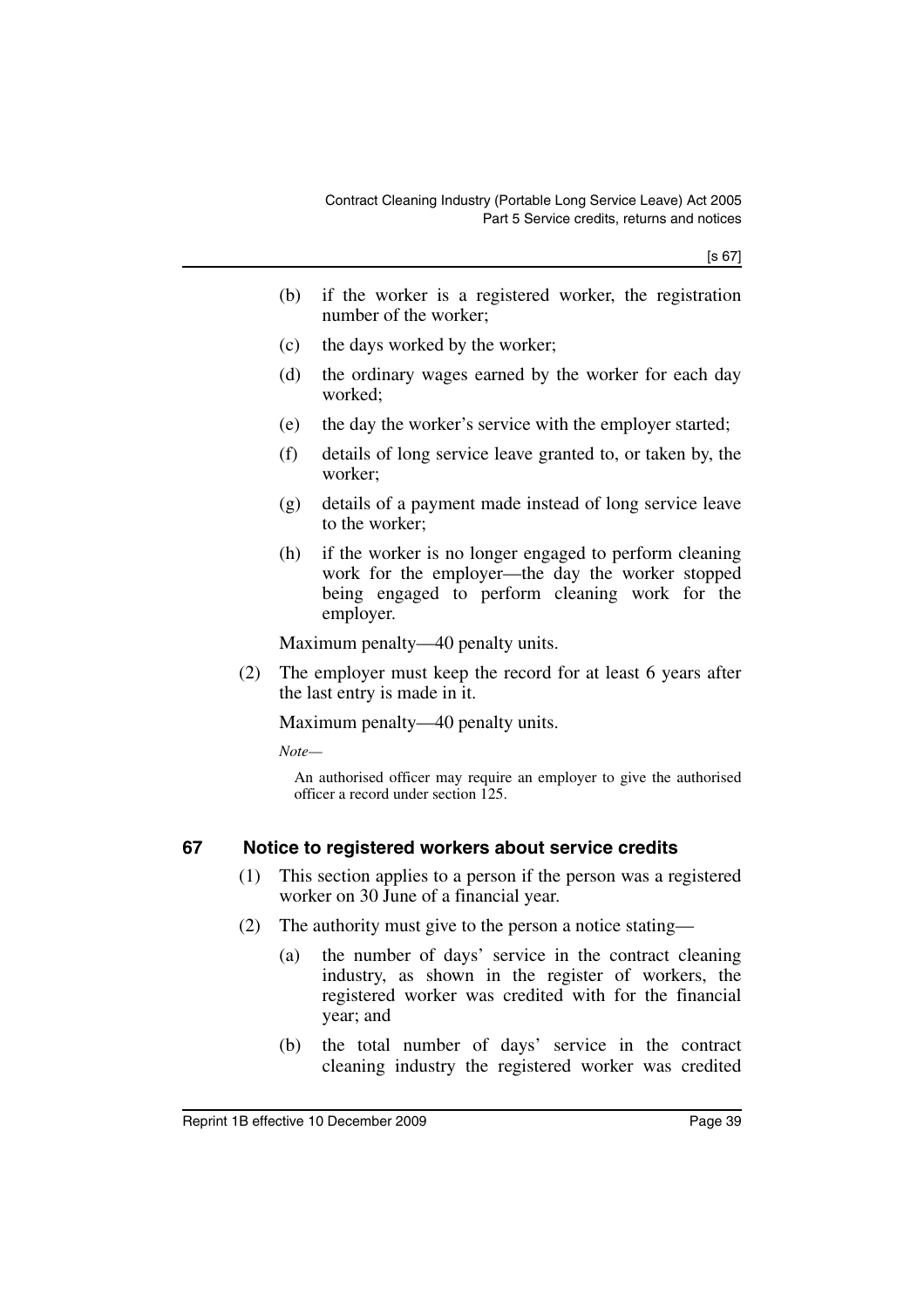- (b) if the worker is a registered worker, the registration number of the worker;
- (c) the days worked by the worker;
- (d) the ordinary wages earned by the worker for each day worked;
- (e) the day the worker's service with the employer started;
- (f) details of long service leave granted to, or taken by, the worker;
- (g) details of a payment made instead of long service leave to the worker;
- (h) if the worker is no longer engaged to perform cleaning work for the employer—the day the worker stopped being engaged to perform cleaning work for the employer.

Maximum penalty—40 penalty units.

(2) The employer must keep the record for at least 6 years after the last entry is made in it.

Maximum penalty—40 penalty units.

*Note—*

An authorised officer may require an employer to give the authorised officer a record under section 125.

## **67 Notice to registered workers about service credits**

- (1) This section applies to a person if the person was a registered worker on 30 June of a financial year.
- (2) The authority must give to the person a notice stating—
	- (a) the number of days' service in the contract cleaning industry, as shown in the register of workers, the registered worker was credited with for the financial year; and
	- (b) the total number of days' service in the contract cleaning industry the registered worker was credited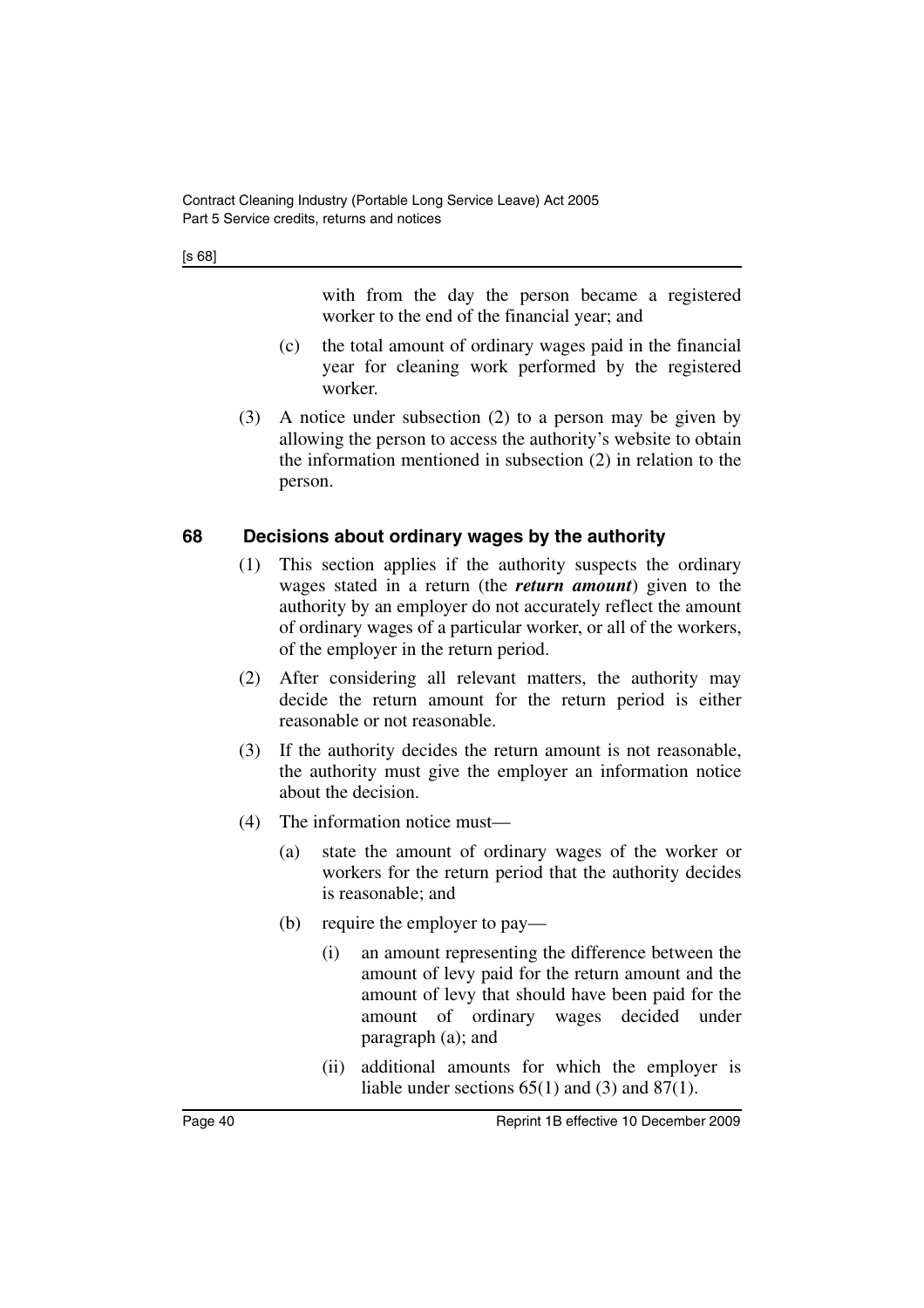[s 68]

with from the day the person became a registered worker to the end of the financial year; and

- (c) the total amount of ordinary wages paid in the financial year for cleaning work performed by the registered worker.
- (3) A notice under subsection (2) to a person may be given by allowing the person to access the authority's website to obtain the information mentioned in subsection (2) in relation to the person.

### **68 Decisions about ordinary wages by the authority**

- (1) This section applies if the authority suspects the ordinary wages stated in a return (the *return amount*) given to the authority by an employer do not accurately reflect the amount of ordinary wages of a particular worker, or all of the workers, of the employer in the return period.
- (2) After considering all relevant matters, the authority may decide the return amount for the return period is either reasonable or not reasonable.
- (3) If the authority decides the return amount is not reasonable, the authority must give the employer an information notice about the decision.
- (4) The information notice must—
	- (a) state the amount of ordinary wages of the worker or workers for the return period that the authority decides is reasonable; and
	- (b) require the employer to pay—
		- (i) an amount representing the difference between the amount of levy paid for the return amount and the amount of levy that should have been paid for the amount of ordinary wages decided under paragraph (a); and
		- (ii) additional amounts for which the employer is liable under sections 65(1) and (3) and 87(1).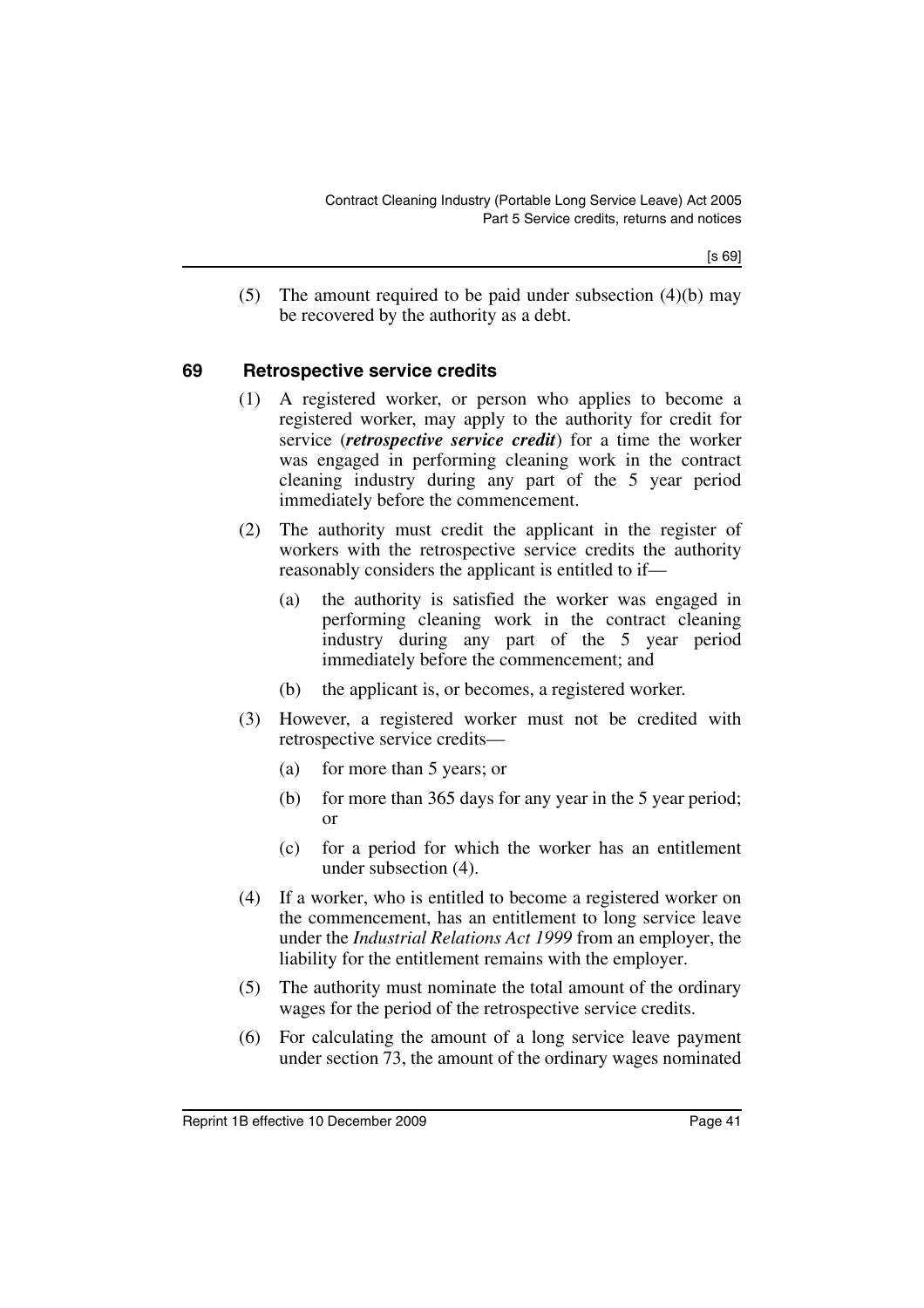(5) The amount required to be paid under subsection (4)(b) may be recovered by the authority as a debt.

#### **69 Retrospective service credits**

- (1) A registered worker, or person who applies to become a registered worker, may apply to the authority for credit for service (*retrospective service credit*) for a time the worker was engaged in performing cleaning work in the contract cleaning industry during any part of the 5 year period immediately before the commencement.
- (2) The authority must credit the applicant in the register of workers with the retrospective service credits the authority reasonably considers the applicant is entitled to if—
	- (a) the authority is satisfied the worker was engaged in performing cleaning work in the contract cleaning industry during any part of the 5 year period immediately before the commencement; and
	- (b) the applicant is, or becomes, a registered worker.
- (3) However, a registered worker must not be credited with retrospective service credits—
	- (a) for more than 5 years; or
	- (b) for more than 365 days for any year in the 5 year period; or
	- (c) for a period for which the worker has an entitlement under subsection (4).
- (4) If a worker, who is entitled to become a registered worker on the commencement, has an entitlement to long service leave under the *Industrial Relations Act 1999* from an employer, the liability for the entitlement remains with the employer.
- (5) The authority must nominate the total amount of the ordinary wages for the period of the retrospective service credits.
- (6) For calculating the amount of a long service leave payment under section 73, the amount of the ordinary wages nominated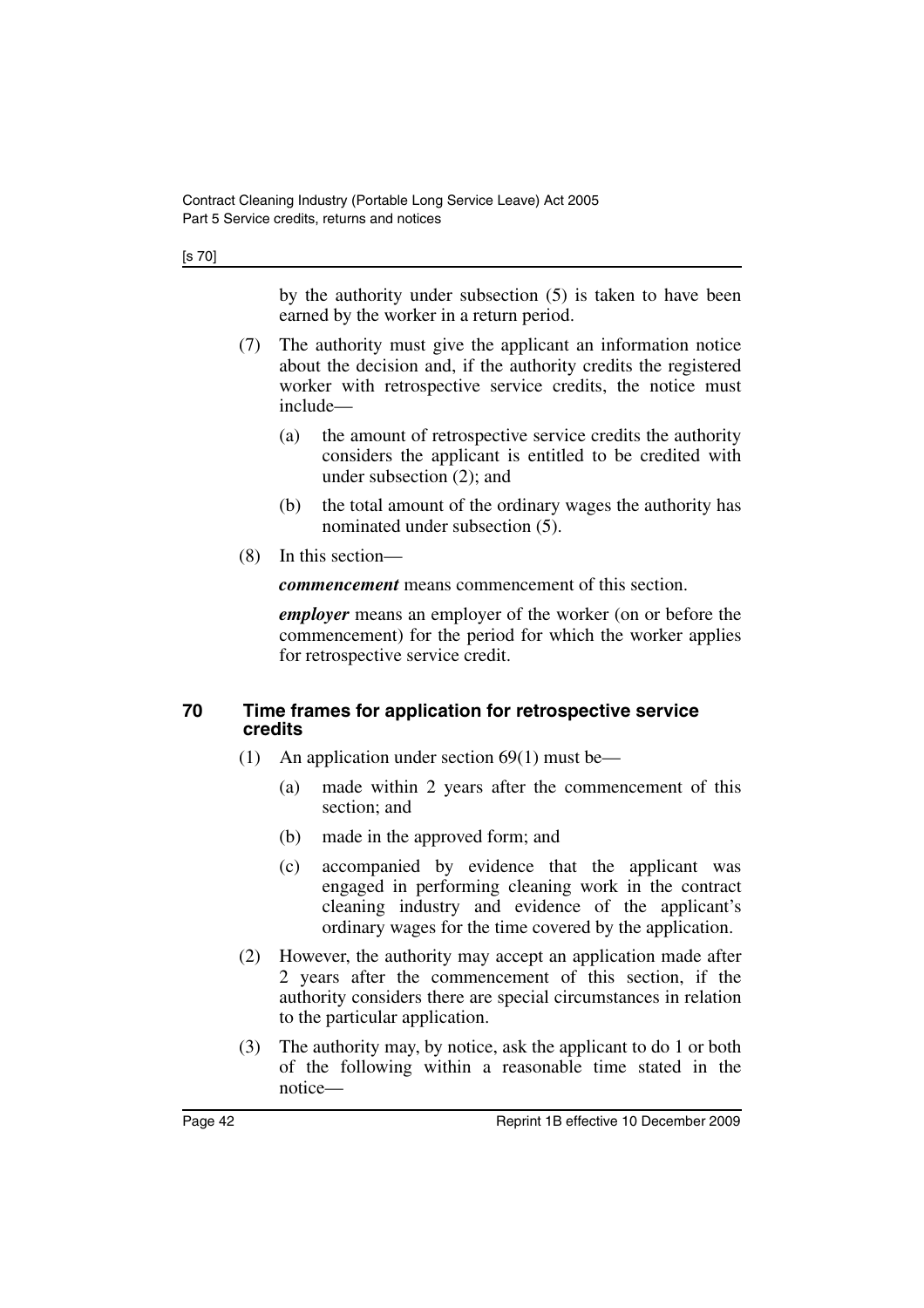[s 70]

by the authority under subsection (5) is taken to have been earned by the worker in a return period.

- (7) The authority must give the applicant an information notice about the decision and, if the authority credits the registered worker with retrospective service credits, the notice must include—
	- (a) the amount of retrospective service credits the authority considers the applicant is entitled to be credited with under subsection (2); and
	- (b) the total amount of the ordinary wages the authority has nominated under subsection (5).
- (8) In this section—

*commencement* means commencement of this section.

*employer* means an employer of the worker (on or before the commencement) for the period for which the worker applies for retrospective service credit.

#### **70 Time frames for application for retrospective service credits**

- (1) An application under section 69(1) must be—
	- (a) made within 2 years after the commencement of this section; and
	- (b) made in the approved form; and
	- (c) accompanied by evidence that the applicant was engaged in performing cleaning work in the contract cleaning industry and evidence of the applicant's ordinary wages for the time covered by the application.
- (2) However, the authority may accept an application made after 2 years after the commencement of this section, if the authority considers there are special circumstances in relation to the particular application.
- (3) The authority may, by notice, ask the applicant to do 1 or both of the following within a reasonable time stated in the notice—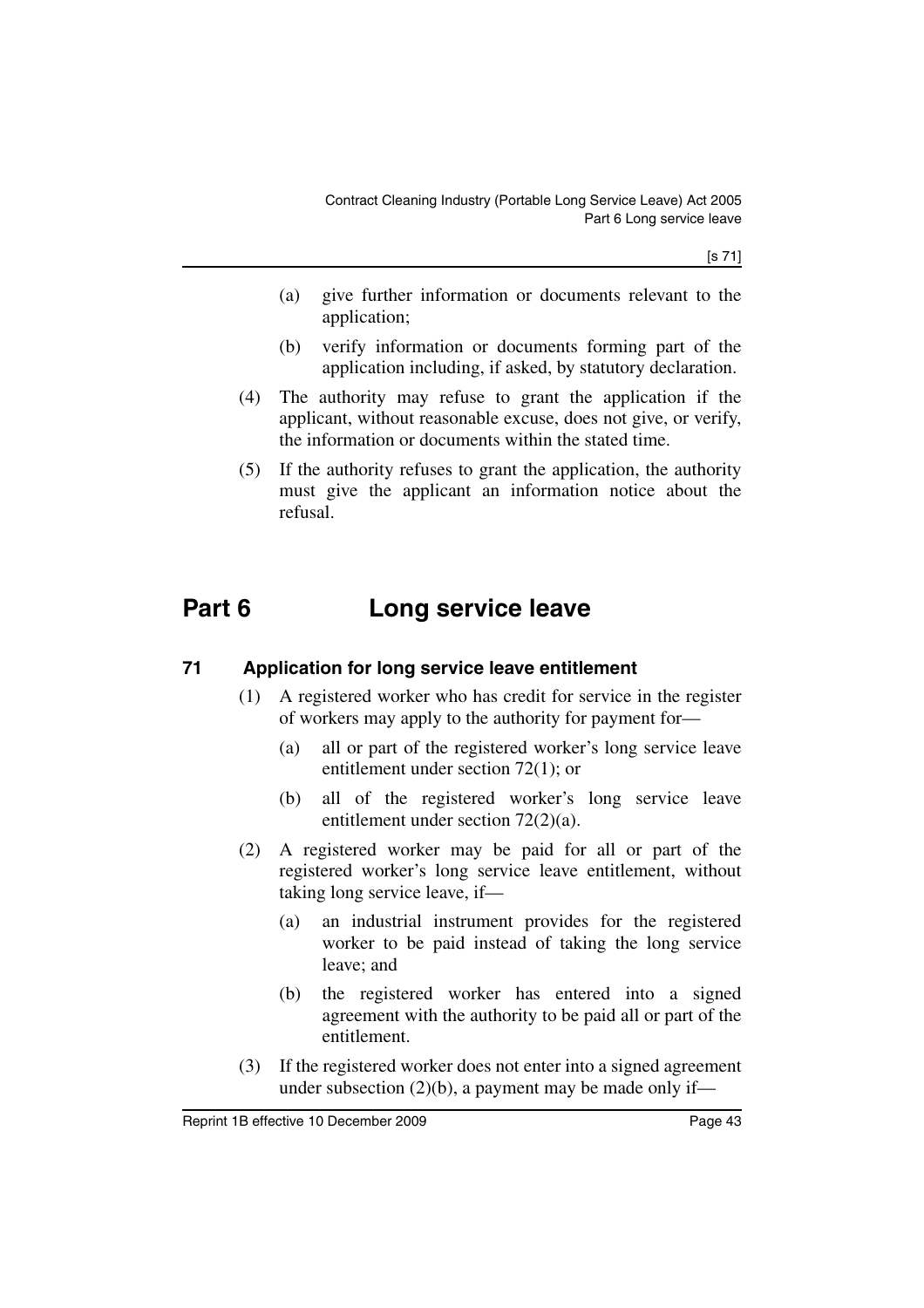[s 71]

- (a) give further information or documents relevant to the application;
- (b) verify information or documents forming part of the application including, if asked, by statutory declaration.
- (4) The authority may refuse to grant the application if the applicant, without reasonable excuse, does not give, or verify, the information or documents within the stated time.
- (5) If the authority refuses to grant the application, the authority must give the applicant an information notice about the refusal.

# **Part 6 Long service leave**

## **71 Application for long service leave entitlement**

- (1) A registered worker who has credit for service in the register of workers may apply to the authority for payment for—
	- (a) all or part of the registered worker's long service leave entitlement under section 72(1); or
	- (b) all of the registered worker's long service leave entitlement under section 72(2)(a).
- (2) A registered worker may be paid for all or part of the registered worker's long service leave entitlement, without taking long service leave, if—
	- (a) an industrial instrument provides for the registered worker to be paid instead of taking the long service leave; and
	- (b) the registered worker has entered into a signed agreement with the authority to be paid all or part of the entitlement.
- (3) If the registered worker does not enter into a signed agreement under subsection  $(2)(b)$ , a payment may be made only if—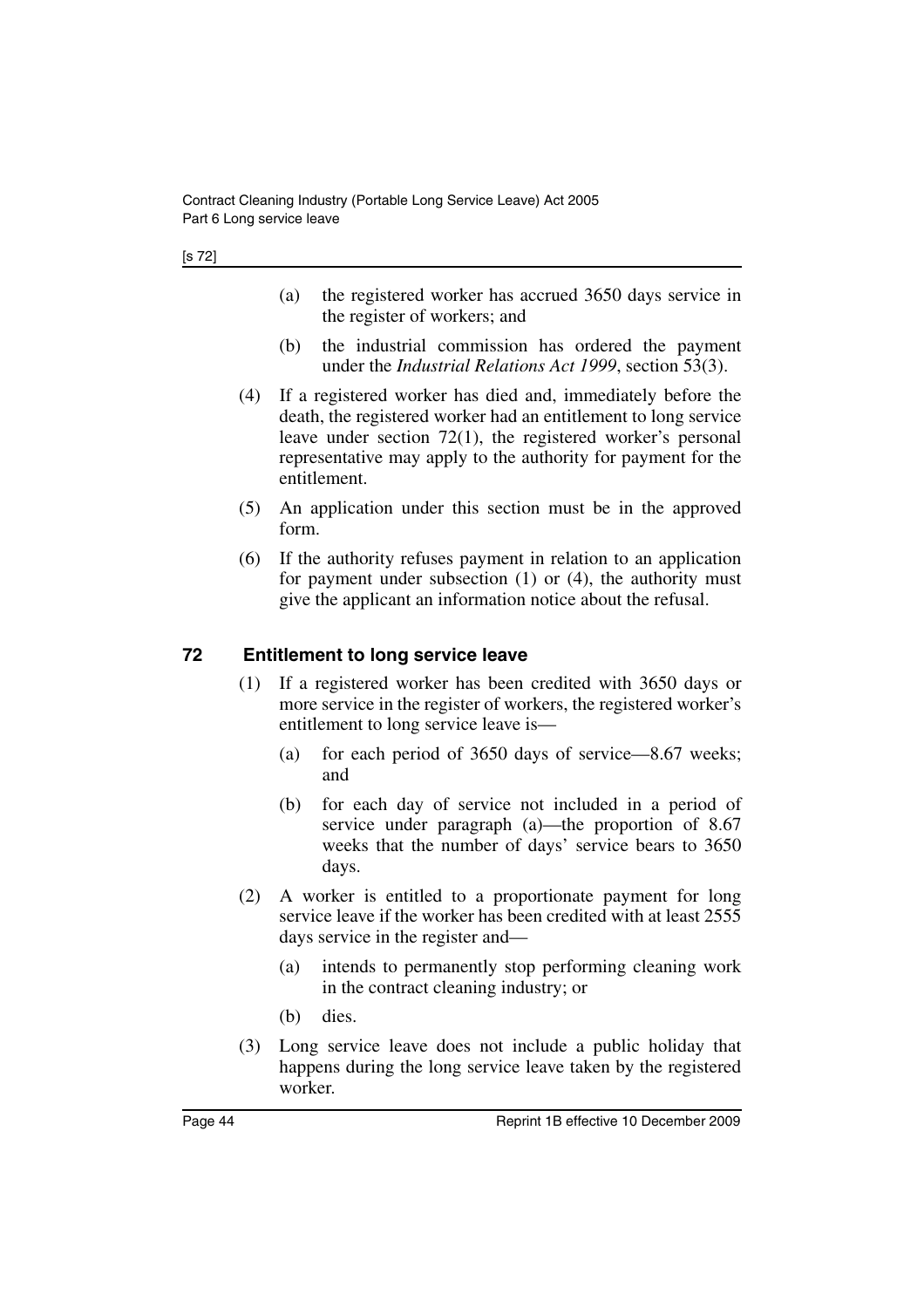- (a) the registered worker has accrued 3650 days service in the register of workers; and
- (b) the industrial commission has ordered the payment under the *Industrial Relations Act 1999*, section 53(3).
- (4) If a registered worker has died and, immediately before the death, the registered worker had an entitlement to long service leave under section 72(1), the registered worker's personal representative may apply to the authority for payment for the entitlement.
- (5) An application under this section must be in the approved form.
- (6) If the authority refuses payment in relation to an application for payment under subsection (1) or (4), the authority must give the applicant an information notice about the refusal.

## **72 Entitlement to long service leave**

- (1) If a registered worker has been credited with 3650 days or more service in the register of workers, the registered worker's entitlement to long service leave is—
	- (a) for each period of 3650 days of service—8.67 weeks; and
	- (b) for each day of service not included in a period of service under paragraph (a)—the proportion of 8.67 weeks that the number of days' service bears to 3650 days.
- (2) A worker is entitled to a proportionate payment for long service leave if the worker has been credited with at least 2555 days service in the register and—
	- (a) intends to permanently stop performing cleaning work in the contract cleaning industry; or
	- (b) dies.
- (3) Long service leave does not include a public holiday that happens during the long service leave taken by the registered worker.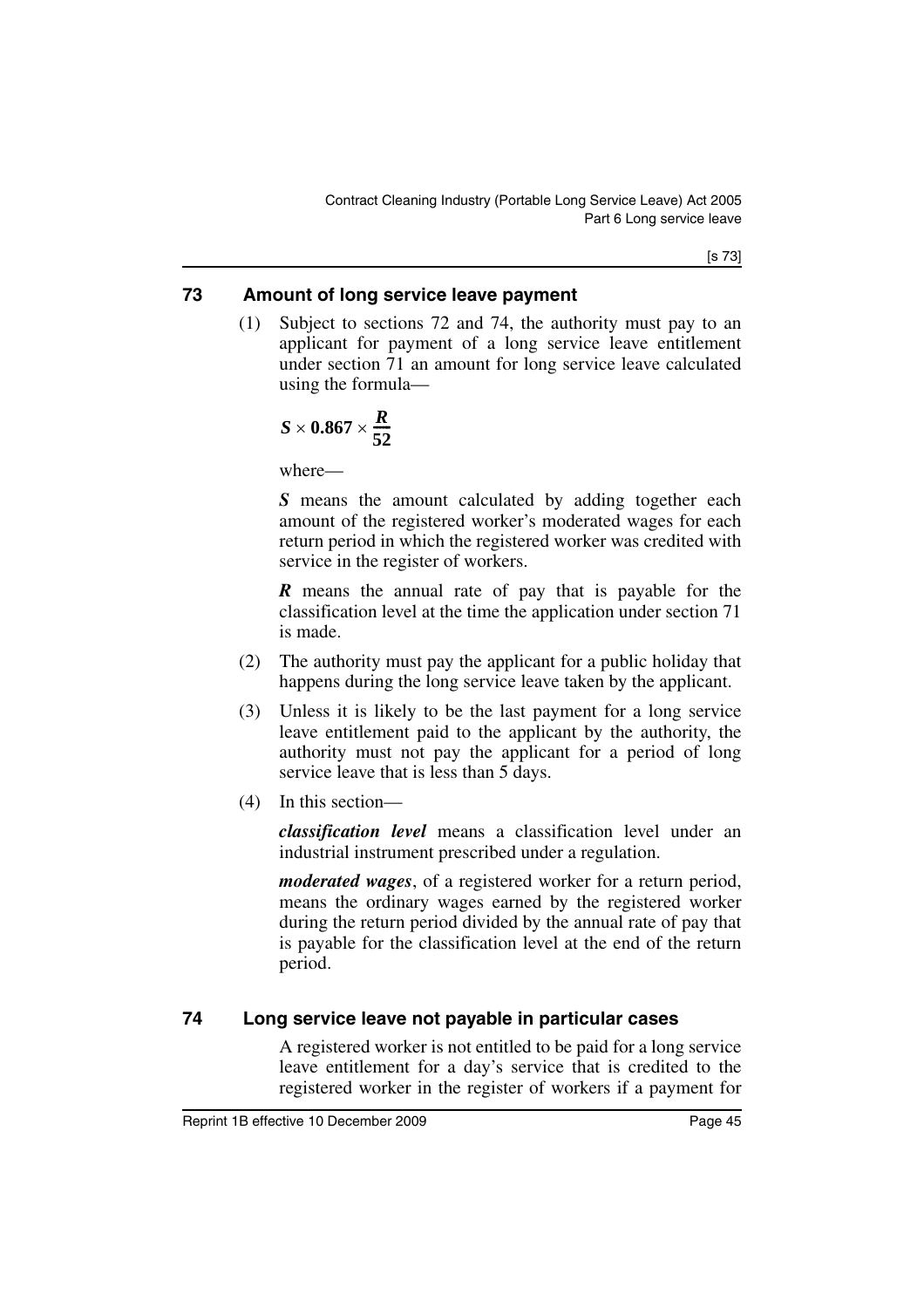[s 73]

## **73 Amount of long service leave payment**

(1) Subject to sections 72 and 74, the authority must pay to an applicant for payment of a long service leave entitlement under section 71 an amount for long service leave calculated using the formula—

$$
S\times 0.867\times \frac{R}{52}
$$

where—

*S* means the amount calculated by adding together each amount of the registered worker's moderated wages for each return period in which the registered worker was credited with service in the register of workers.

*R* means the annual rate of pay that is payable for the classification level at the time the application under section 71 is made.

- (2) The authority must pay the applicant for a public holiday that happens during the long service leave taken by the applicant.
- (3) Unless it is likely to be the last payment for a long service leave entitlement paid to the applicant by the authority, the authority must not pay the applicant for a period of long service leave that is less than 5 days.
- (4) In this section—

*classification level* means a classification level under an industrial instrument prescribed under a regulation.

*moderated wages*, of a registered worker for a return period, means the ordinary wages earned by the registered worker during the return period divided by the annual rate of pay that is payable for the classification level at the end of the return period.

## **74 Long service leave not payable in particular cases**

A registered worker is not entitled to be paid for a long service leave entitlement for a day's service that is credited to the registered worker in the register of workers if a payment for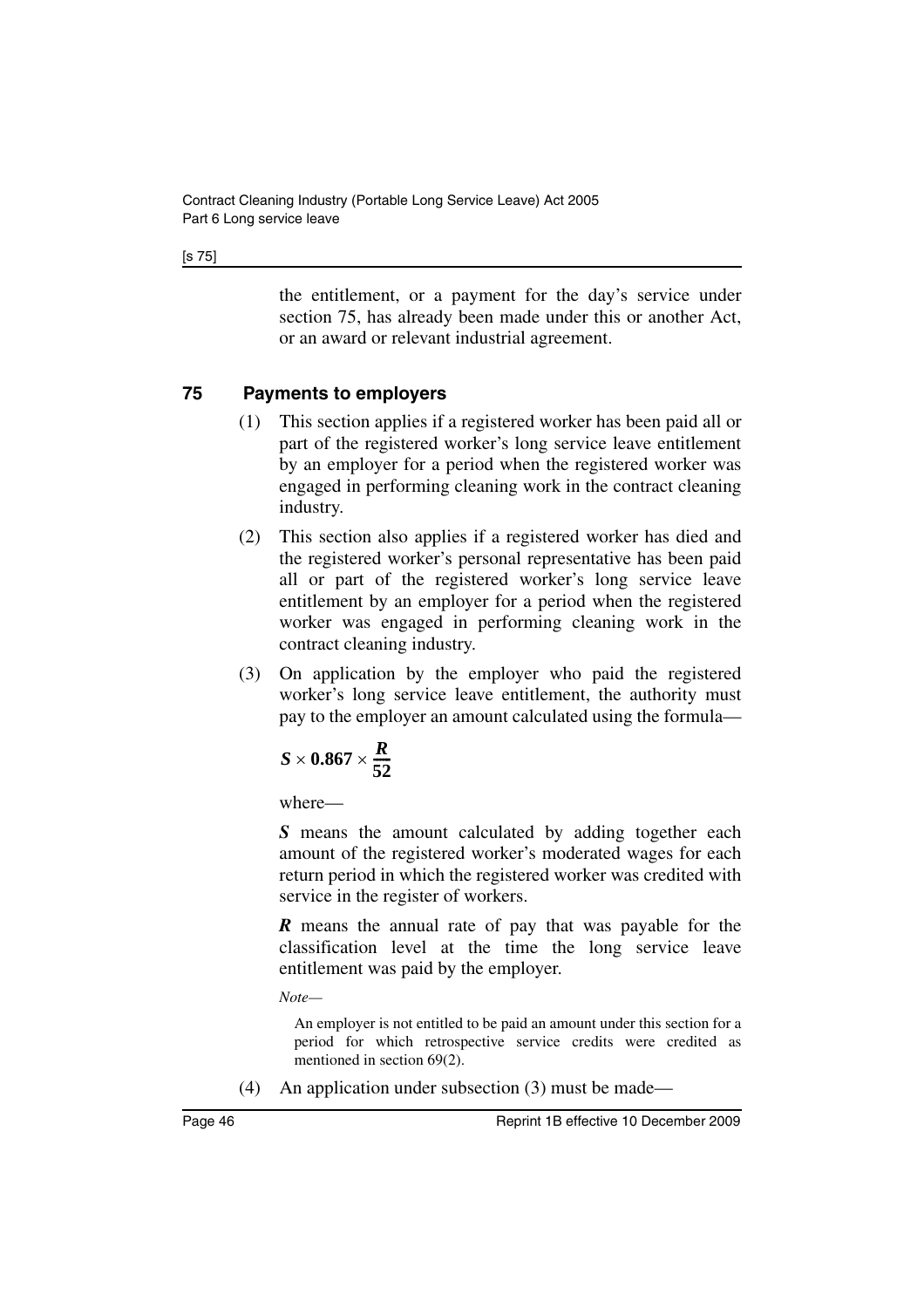[s 75]

the entitlement, or a payment for the day's service under section 75, has already been made under this or another Act, or an award or relevant industrial agreement.

## **75 Payments to employers**

- (1) This section applies if a registered worker has been paid all or part of the registered worker's long service leave entitlement by an employer for a period when the registered worker was engaged in performing cleaning work in the contract cleaning industry.
- (2) This section also applies if a registered worker has died and the registered worker's personal representative has been paid all or part of the registered worker's long service leave entitlement by an employer for a period when the registered worker was engaged in performing cleaning work in the contract cleaning industry.
- (3) On application by the employer who paid the registered worker's long service leave entitlement, the authority must pay to the employer an amount calculated using the formula—

$$
S\times 0.867\times \frac{R}{52}
$$

where—

*S* means the amount calculated by adding together each amount of the registered worker's moderated wages for each return period in which the registered worker was credited with service in the register of workers.

*R* means the annual rate of pay that was payable for the classification level at the time the long service leave entitlement was paid by the employer.

*Note—*

An employer is not entitled to be paid an amount under this section for a period for which retrospective service credits were credited as mentioned in section 69(2).

(4) An application under subsection (3) must be made—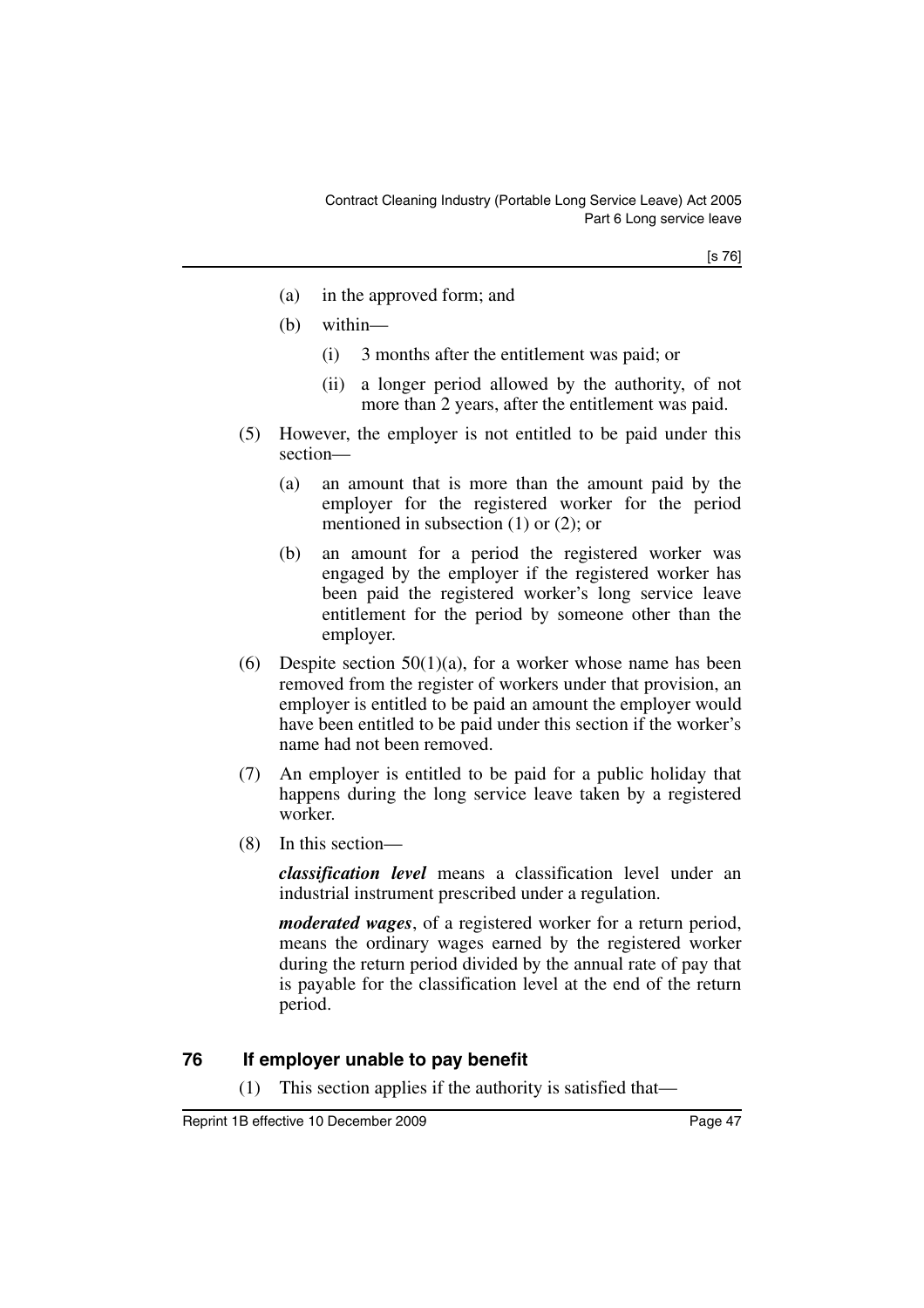- (a) in the approved form; and
- (b) within—
	- (i) 3 months after the entitlement was paid; or
	- (ii) a longer period allowed by the authority, of not more than 2 years, after the entitlement was paid.
- (5) However, the employer is not entitled to be paid under this section—
	- (a) an amount that is more than the amount paid by the employer for the registered worker for the period mentioned in subsection (1) or (2); or
	- (b) an amount for a period the registered worker was engaged by the employer if the registered worker has been paid the registered worker's long service leave entitlement for the period by someone other than the employer.
- (6) Despite section  $50(1)(a)$ , for a worker whose name has been removed from the register of workers under that provision, an employer is entitled to be paid an amount the employer would have been entitled to be paid under this section if the worker's name had not been removed.
- (7) An employer is entitled to be paid for a public holiday that happens during the long service leave taken by a registered worker.
- (8) In this section—

*classification level* means a classification level under an industrial instrument prescribed under a regulation.

*moderated wages*, of a registered worker for a return period, means the ordinary wages earned by the registered worker during the return period divided by the annual rate of pay that is payable for the classification level at the end of the return period.

## **76 If employer unable to pay benefit**

(1) This section applies if the authority is satisfied that—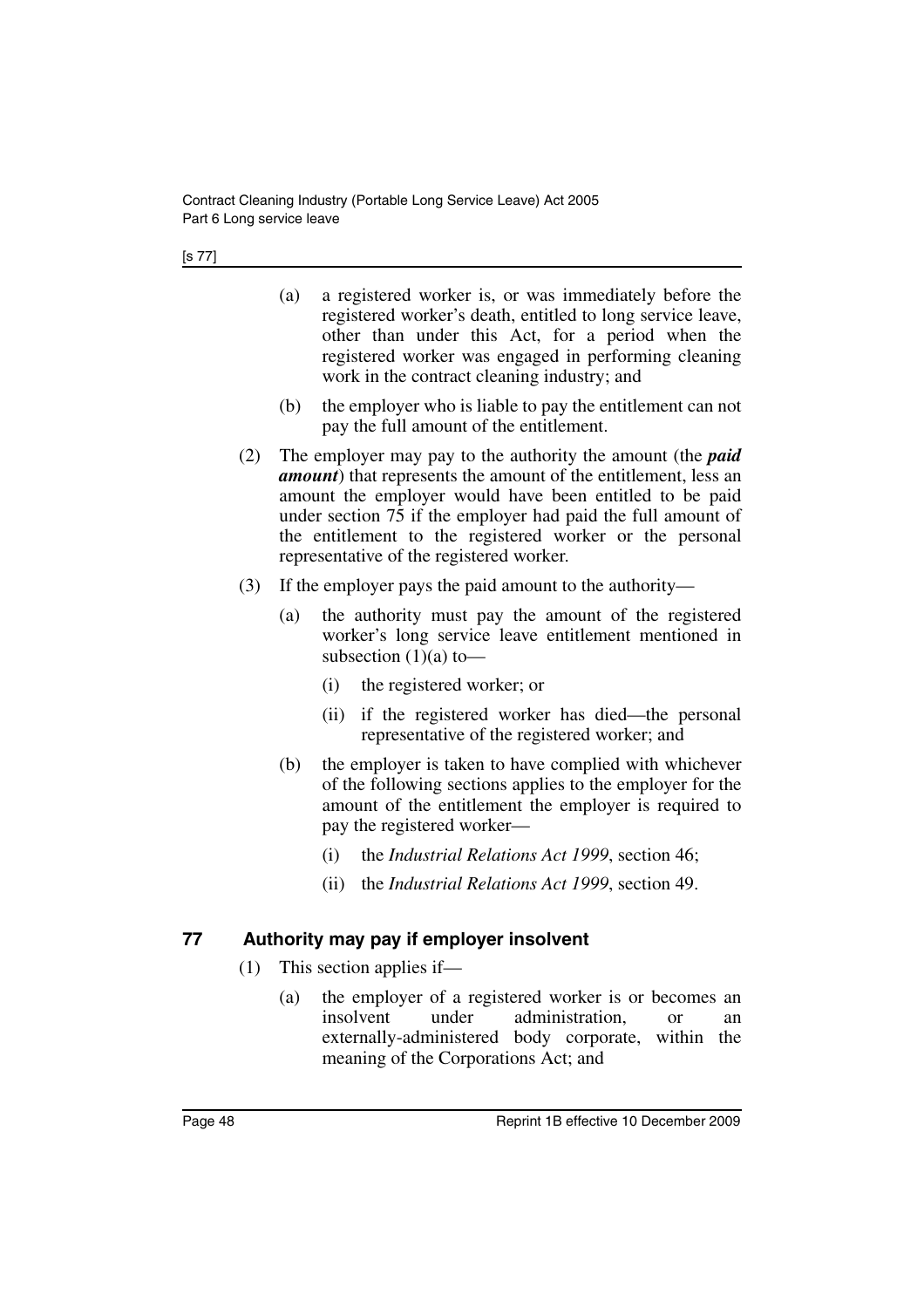- (a) a registered worker is, or was immediately before the registered worker's death, entitled to long service leave, other than under this Act, for a period when the registered worker was engaged in performing cleaning work in the contract cleaning industry; and
- (b) the employer who is liable to pay the entitlement can not pay the full amount of the entitlement.
- (2) The employer may pay to the authority the amount (the *paid amount*) that represents the amount of the entitlement, less an amount the employer would have been entitled to be paid under section 75 if the employer had paid the full amount of the entitlement to the registered worker or the personal representative of the registered worker.
- (3) If the employer pays the paid amount to the authority—
	- (a) the authority must pay the amount of the registered worker's long service leave entitlement mentioned in subsection  $(1)(a)$  to —
		- (i) the registered worker; or
		- (ii) if the registered worker has died—the personal representative of the registered worker; and
	- (b) the employer is taken to have complied with whichever of the following sections applies to the employer for the amount of the entitlement the employer is required to pay the registered worker—
		- (i) the *Industrial Relations Act 1999*, section 46;
		- (ii) the *Industrial Relations Act 1999*, section 49.

### **77 Authority may pay if employer insolvent**

- (1) This section applies if—
	- (a) the employer of a registered worker is or becomes an insolvent under administration. or an under administration, or an externally-administered body corporate, within the meaning of the Corporations Act; and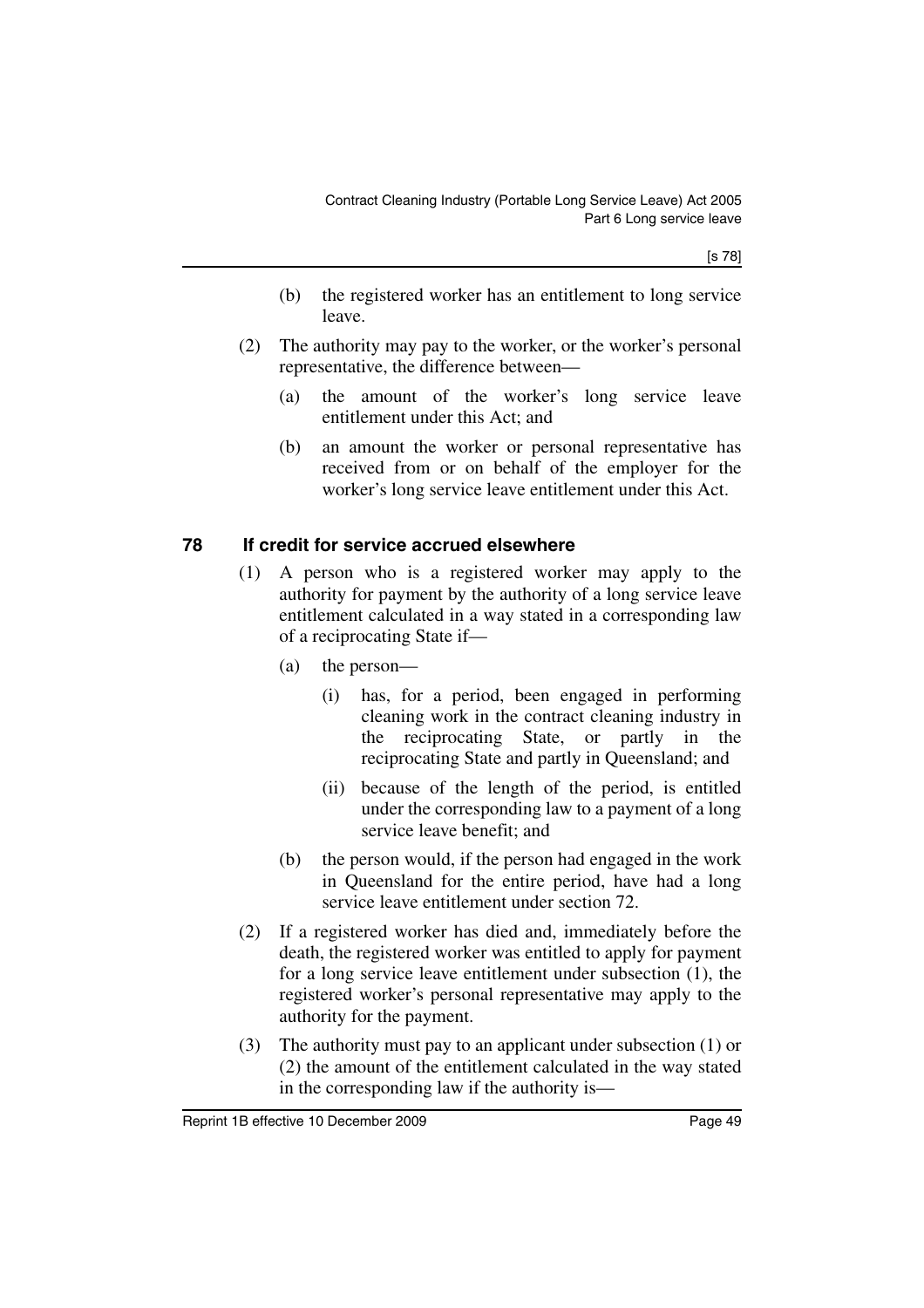[s 78]

- (b) the registered worker has an entitlement to long service leave.
- (2) The authority may pay to the worker, or the worker's personal representative, the difference between—
	- (a) the amount of the worker's long service leave entitlement under this Act; and
	- (b) an amount the worker or personal representative has received from or on behalf of the employer for the worker's long service leave entitlement under this Act.

### **78 If credit for service accrued elsewhere**

- (1) A person who is a registered worker may apply to the authority for payment by the authority of a long service leave entitlement calculated in a way stated in a corresponding law of a reciprocating State if—
	- (a) the person—
		- (i) has, for a period, been engaged in performing cleaning work in the contract cleaning industry in the reciprocating State, or partly in the reciprocating State and partly in Queensland; and
		- (ii) because of the length of the period, is entitled under the corresponding law to a payment of a long service leave benefit; and
	- (b) the person would, if the person had engaged in the work in Queensland for the entire period, have had a long service leave entitlement under section 72.
- (2) If a registered worker has died and, immediately before the death, the registered worker was entitled to apply for payment for a long service leave entitlement under subsection (1), the registered worker's personal representative may apply to the authority for the payment.
- (3) The authority must pay to an applicant under subsection (1) or (2) the amount of the entitlement calculated in the way stated in the corresponding law if the authority is—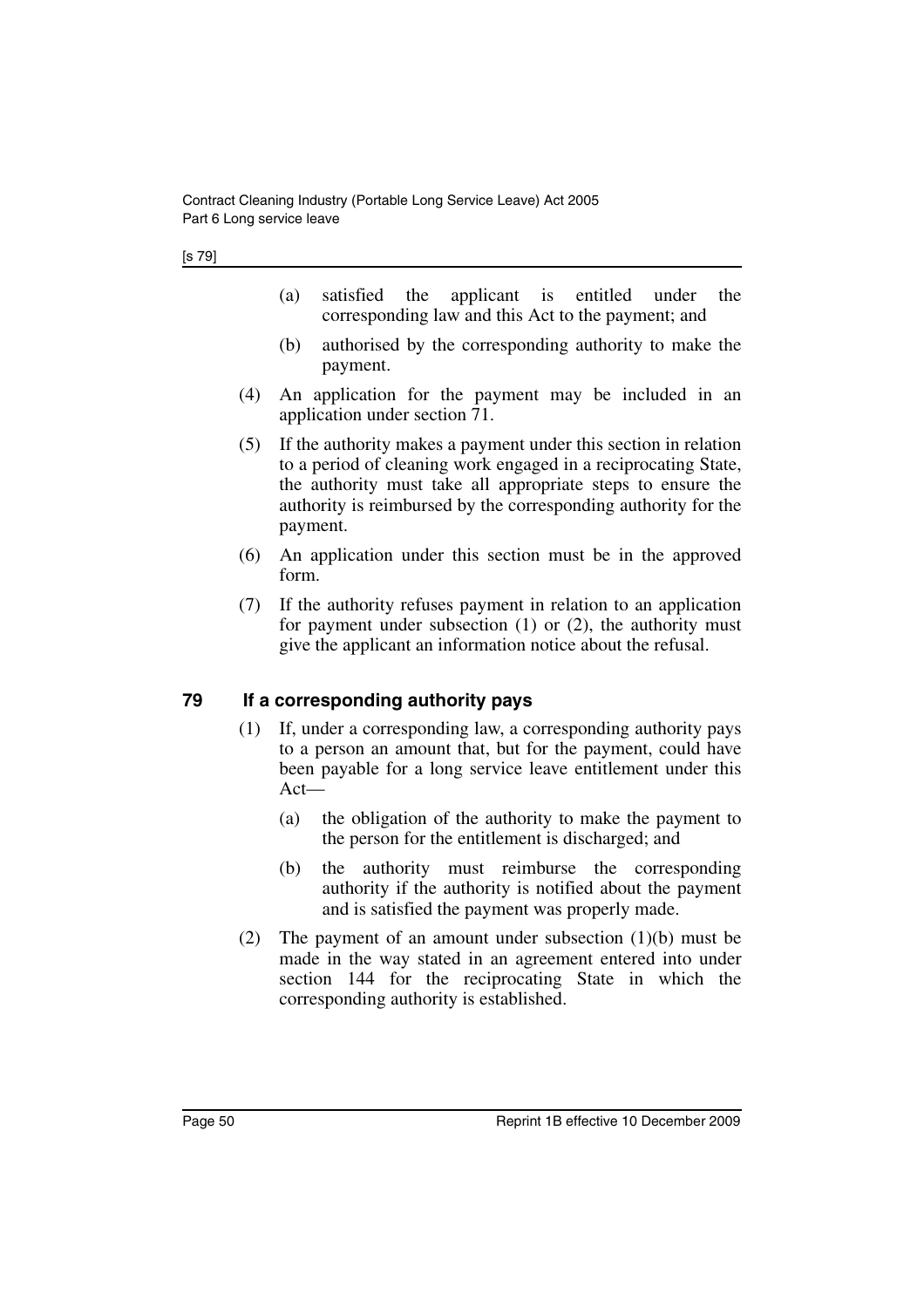- (a) satisfied the applicant is entitled under the corresponding law and this Act to the payment; and
- (b) authorised by the corresponding authority to make the payment.
- (4) An application for the payment may be included in an application under section 71.
- (5) If the authority makes a payment under this section in relation to a period of cleaning work engaged in a reciprocating State, the authority must take all appropriate steps to ensure the authority is reimbursed by the corresponding authority for the payment.
- (6) An application under this section must be in the approved form.
- (7) If the authority refuses payment in relation to an application for payment under subsection (1) or (2), the authority must give the applicant an information notice about the refusal.

### **79 If a corresponding authority pays**

- (1) If, under a corresponding law, a corresponding authority pays to a person an amount that, but for the payment, could have been payable for a long service leave entitlement under this Act—
	- (a) the obligation of the authority to make the payment to the person for the entitlement is discharged; and
	- (b) the authority must reimburse the corresponding authority if the authority is notified about the payment and is satisfied the payment was properly made.
- (2) The payment of an amount under subsection (1)(b) must be made in the way stated in an agreement entered into under section 144 for the reciprocating State in which the corresponding authority is established.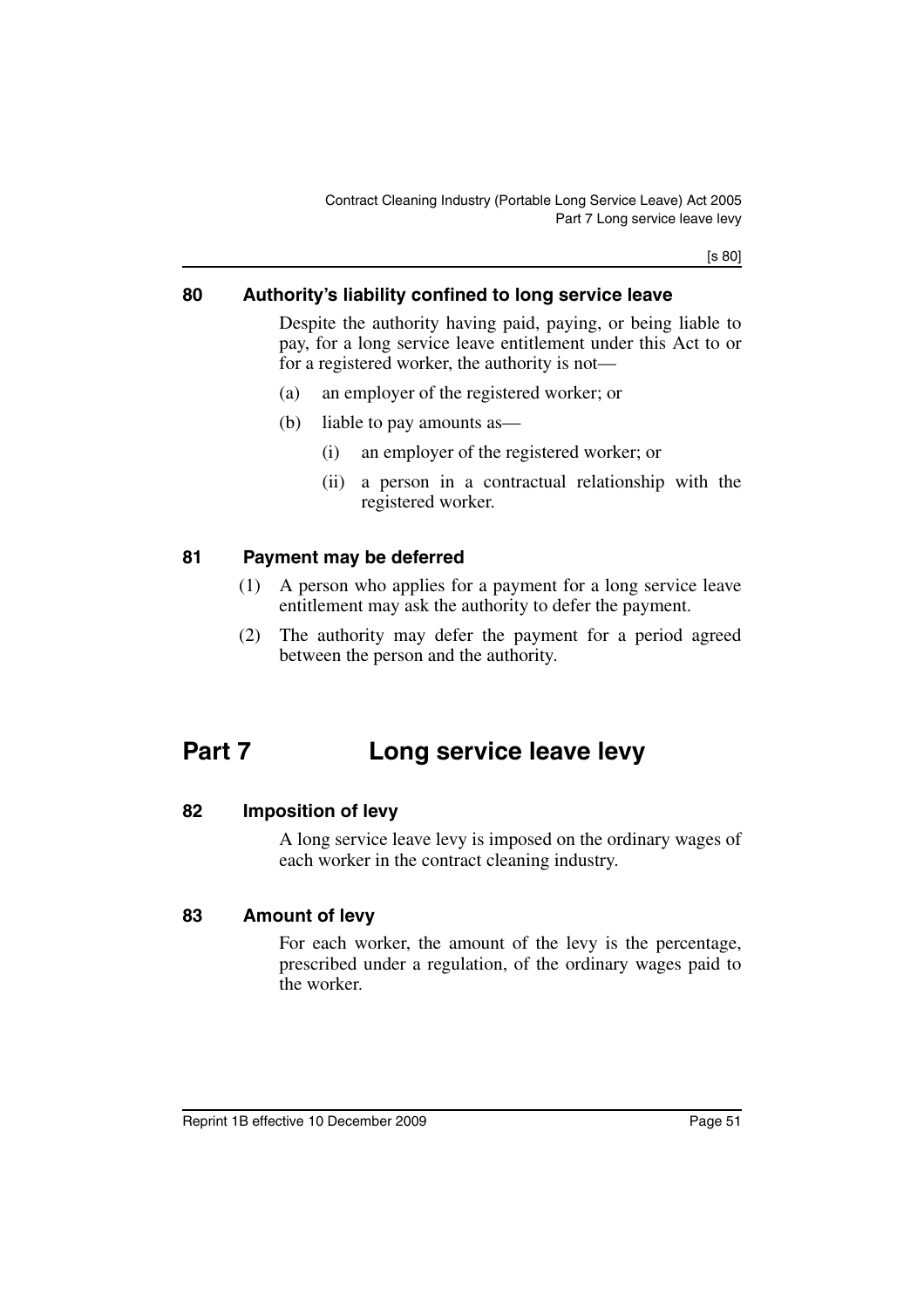[s 80]

### **80 Authority's liability confined to long service leave**

Despite the authority having paid, paying, or being liable to pay, for a long service leave entitlement under this Act to or for a registered worker, the authority is not—

- (a) an employer of the registered worker; or
- (b) liable to pay amounts as—
	- (i) an employer of the registered worker; or
	- (ii) a person in a contractual relationship with the registered worker.

#### **81 Payment may be deferred**

- (1) A person who applies for a payment for a long service leave entitlement may ask the authority to defer the payment.
- (2) The authority may defer the payment for a period agreed between the person and the authority.

# **Part 7 Long service leave levy**

#### **82 Imposition of levy**

A long service leave levy is imposed on the ordinary wages of each worker in the contract cleaning industry.

#### **83 Amount of levy**

For each worker, the amount of the levy is the percentage, prescribed under a regulation, of the ordinary wages paid to the worker.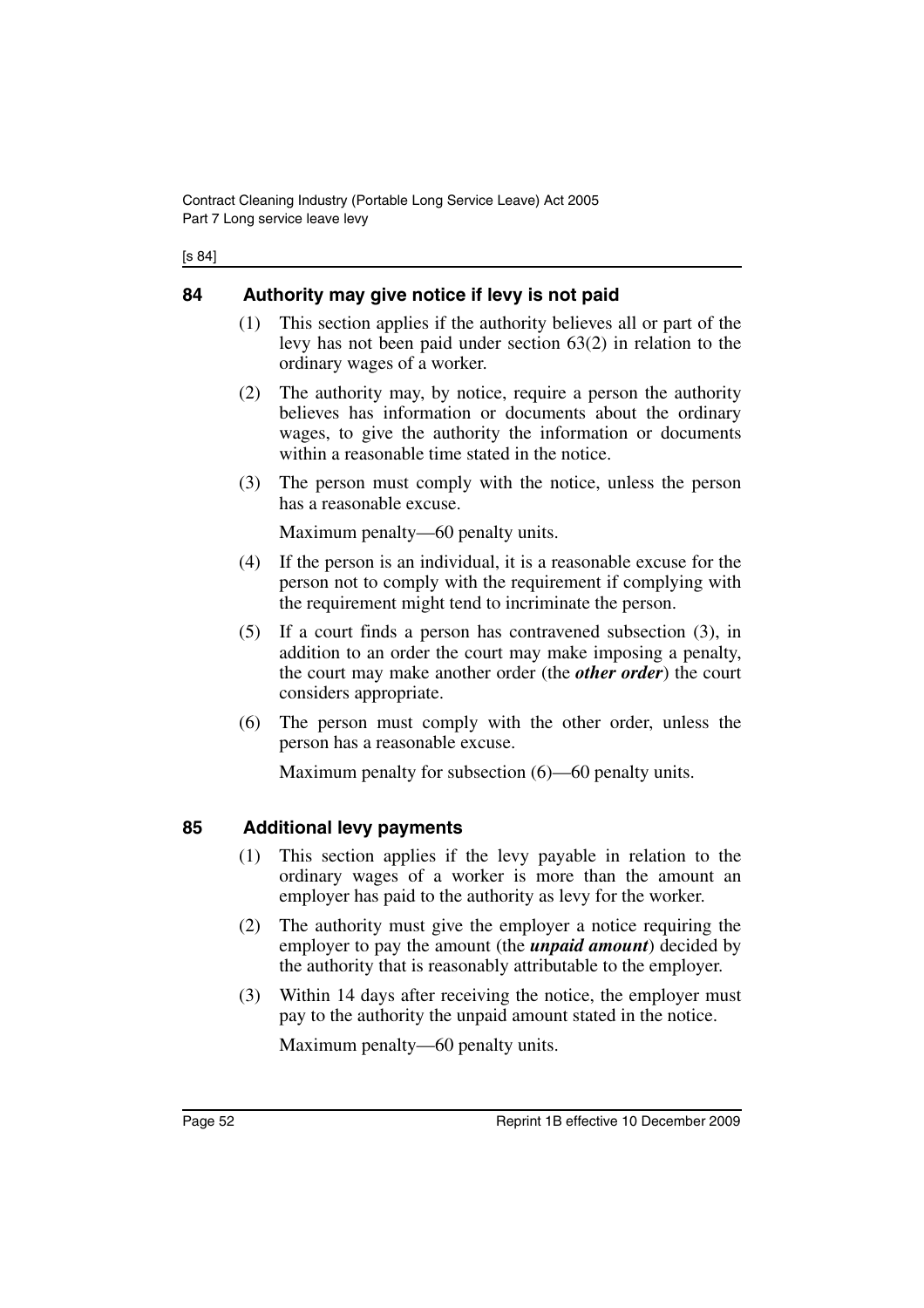| ۰. | ×<br>۰, |
|----|---------|
|----|---------|

## **84 Authority may give notice if levy is not paid**

- (1) This section applies if the authority believes all or part of the levy has not been paid under section 63(2) in relation to the ordinary wages of a worker.
- (2) The authority may, by notice, require a person the authority believes has information or documents about the ordinary wages, to give the authority the information or documents within a reasonable time stated in the notice.
- (3) The person must comply with the notice, unless the person has a reasonable excuse.

Maximum penalty—60 penalty units.

- (4) If the person is an individual, it is a reasonable excuse for the person not to comply with the requirement if complying with the requirement might tend to incriminate the person.
- (5) If a court finds a person has contravened subsection (3), in addition to an order the court may make imposing a penalty, the court may make another order (the *other order*) the court considers appropriate.
- (6) The person must comply with the other order, unless the person has a reasonable excuse.

Maximum penalty for subsection (6)—60 penalty units.

## **85 Additional levy payments**

- (1) This section applies if the levy payable in relation to the ordinary wages of a worker is more than the amount an employer has paid to the authority as levy for the worker.
- (2) The authority must give the employer a notice requiring the employer to pay the amount (the *unpaid amount*) decided by the authority that is reasonably attributable to the employer.
- (3) Within 14 days after receiving the notice, the employer must pay to the authority the unpaid amount stated in the notice.

Maximum penalty—60 penalty units.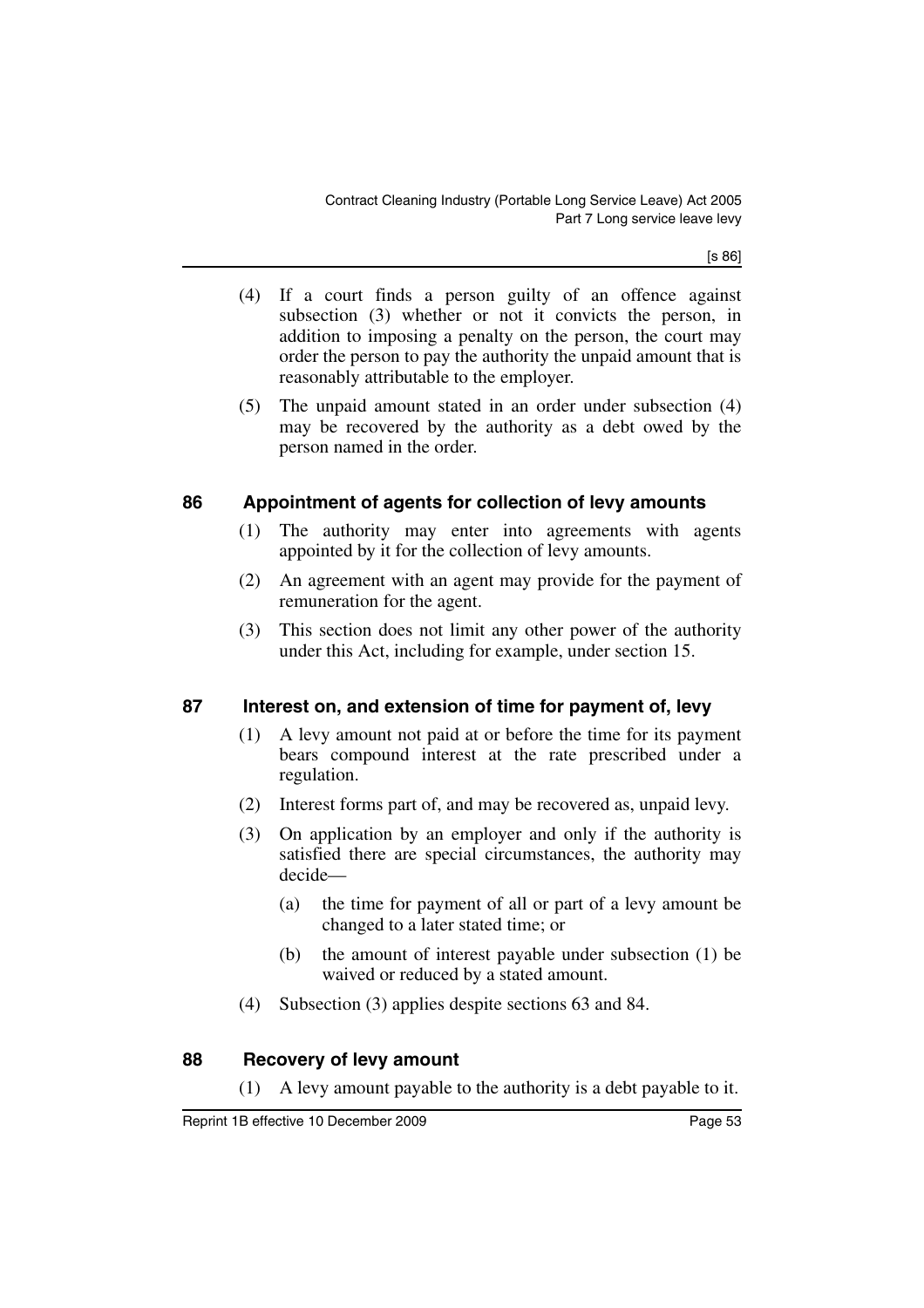[s 86]

- (4) If a court finds a person guilty of an offence against subsection (3) whether or not it convicts the person, in addition to imposing a penalty on the person, the court may order the person to pay the authority the unpaid amount that is reasonably attributable to the employer.
- (5) The unpaid amount stated in an order under subsection (4) may be recovered by the authority as a debt owed by the person named in the order.

### **86 Appointment of agents for collection of levy amounts**

- (1) The authority may enter into agreements with agents appointed by it for the collection of levy amounts.
- (2) An agreement with an agent may provide for the payment of remuneration for the agent.
- (3) This section does not limit any other power of the authority under this Act, including for example, under section 15.

### **87 Interest on, and extension of time for payment of, levy**

- (1) A levy amount not paid at or before the time for its payment bears compound interest at the rate prescribed under a regulation.
- (2) Interest forms part of, and may be recovered as, unpaid levy.
- (3) On application by an employer and only if the authority is satisfied there are special circumstances, the authority may decide—
	- (a) the time for payment of all or part of a levy amount be changed to a later stated time; or
	- (b) the amount of interest payable under subsection (1) be waived or reduced by a stated amount.
- (4) Subsection (3) applies despite sections 63 and 84.

#### **88 Recovery of levy amount**

(1) A levy amount payable to the authority is a debt payable to it.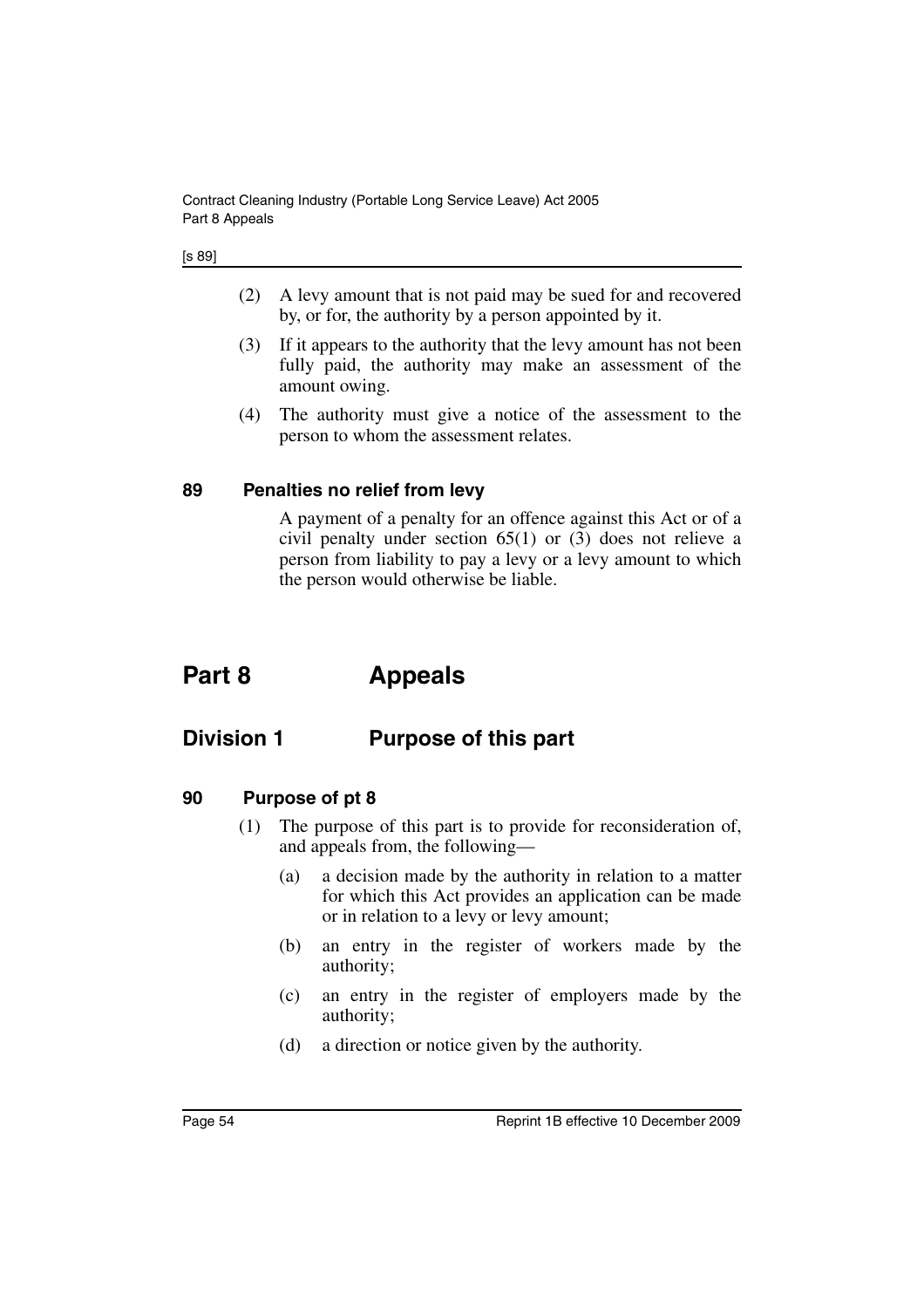#### [s 89]

- (2) A levy amount that is not paid may be sued for and recovered by, or for, the authority by a person appointed by it.
- (3) If it appears to the authority that the levy amount has not been fully paid, the authority may make an assessment of the amount owing.
- (4) The authority must give a notice of the assessment to the person to whom the assessment relates.

#### **89 Penalties no relief from levy**

A payment of a penalty for an offence against this Act or of a civil penalty under section 65(1) or (3) does not relieve a person from liability to pay a levy or a levy amount to which the person would otherwise be liable.

# **Part 8 Appeals**

## **Division 1 Purpose of this part**

- **90 Purpose of pt 8**
	- (1) The purpose of this part is to provide for reconsideration of, and appeals from, the following—
		- (a) a decision made by the authority in relation to a matter for which this Act provides an application can be made or in relation to a levy or levy amount;
		- (b) an entry in the register of workers made by the authority;
		- (c) an entry in the register of employers made by the authority;
		- (d) a direction or notice given by the authority.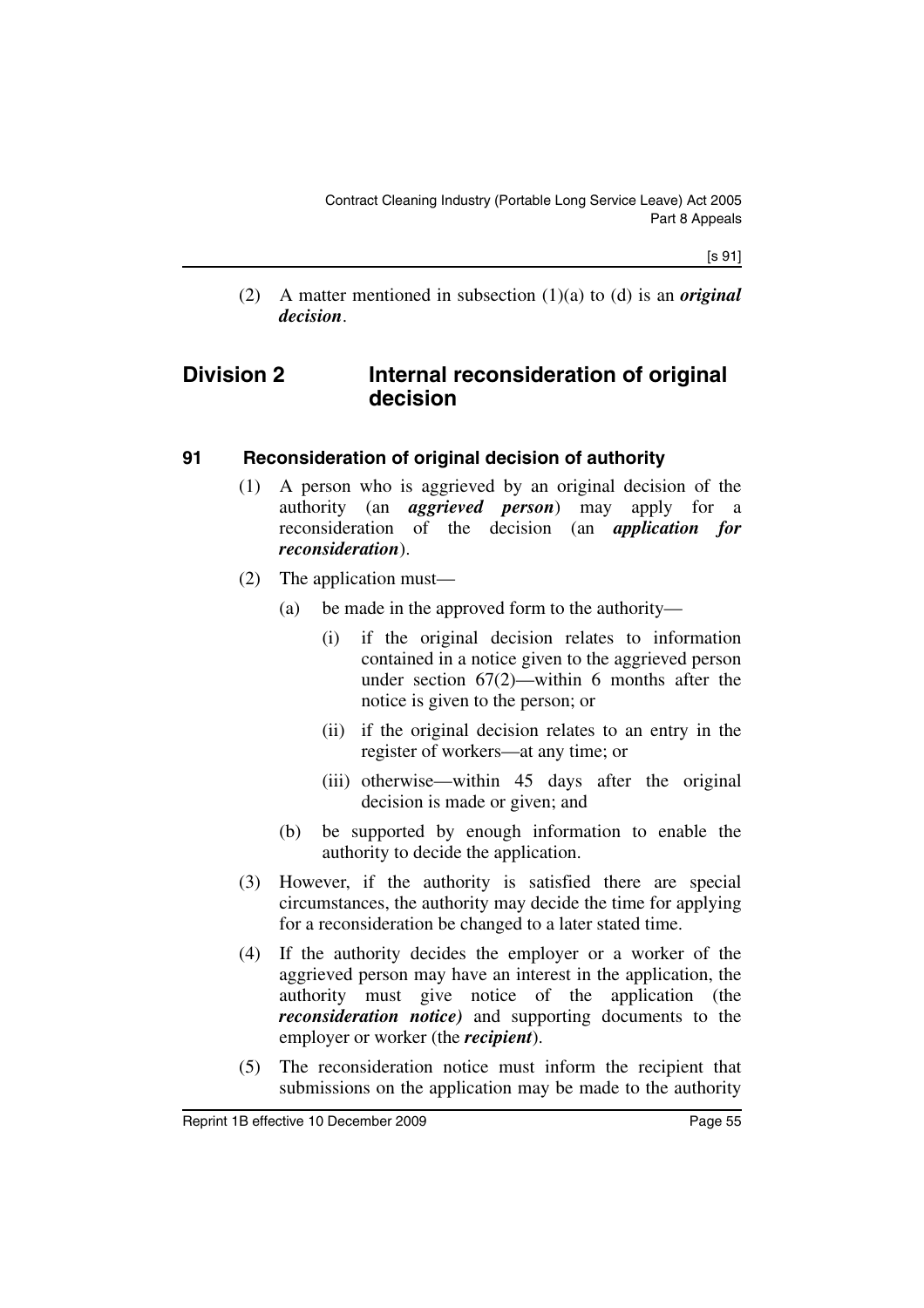[s 91]

(2) A matter mentioned in subsection (1)(a) to (d) is an *original decision*.

## **Division 2 Internal reconsideration of original decision**

### **91 Reconsideration of original decision of authority**

- (1) A person who is aggrieved by an original decision of the authority (an *aggrieved person*) may apply for a reconsideration of the decision (an *application for reconsideration*).
- (2) The application must—
	- (a) be made in the approved form to the authority—
		- (i) if the original decision relates to information contained in a notice given to the aggrieved person under section 67(2)—within 6 months after the notice is given to the person; or
		- (ii) if the original decision relates to an entry in the register of workers—at any time; or
		- (iii) otherwise—within 45 days after the original decision is made or given; and
	- (b) be supported by enough information to enable the authority to decide the application.
- (3) However, if the authority is satisfied there are special circumstances, the authority may decide the time for applying for a reconsideration be changed to a later stated time.
- (4) If the authority decides the employer or a worker of the aggrieved person may have an interest in the application, the authority must give notice of the application (the *reconsideration notice)* and supporting documents to the employer or worker (the *recipient*).
- (5) The reconsideration notice must inform the recipient that submissions on the application may be made to the authority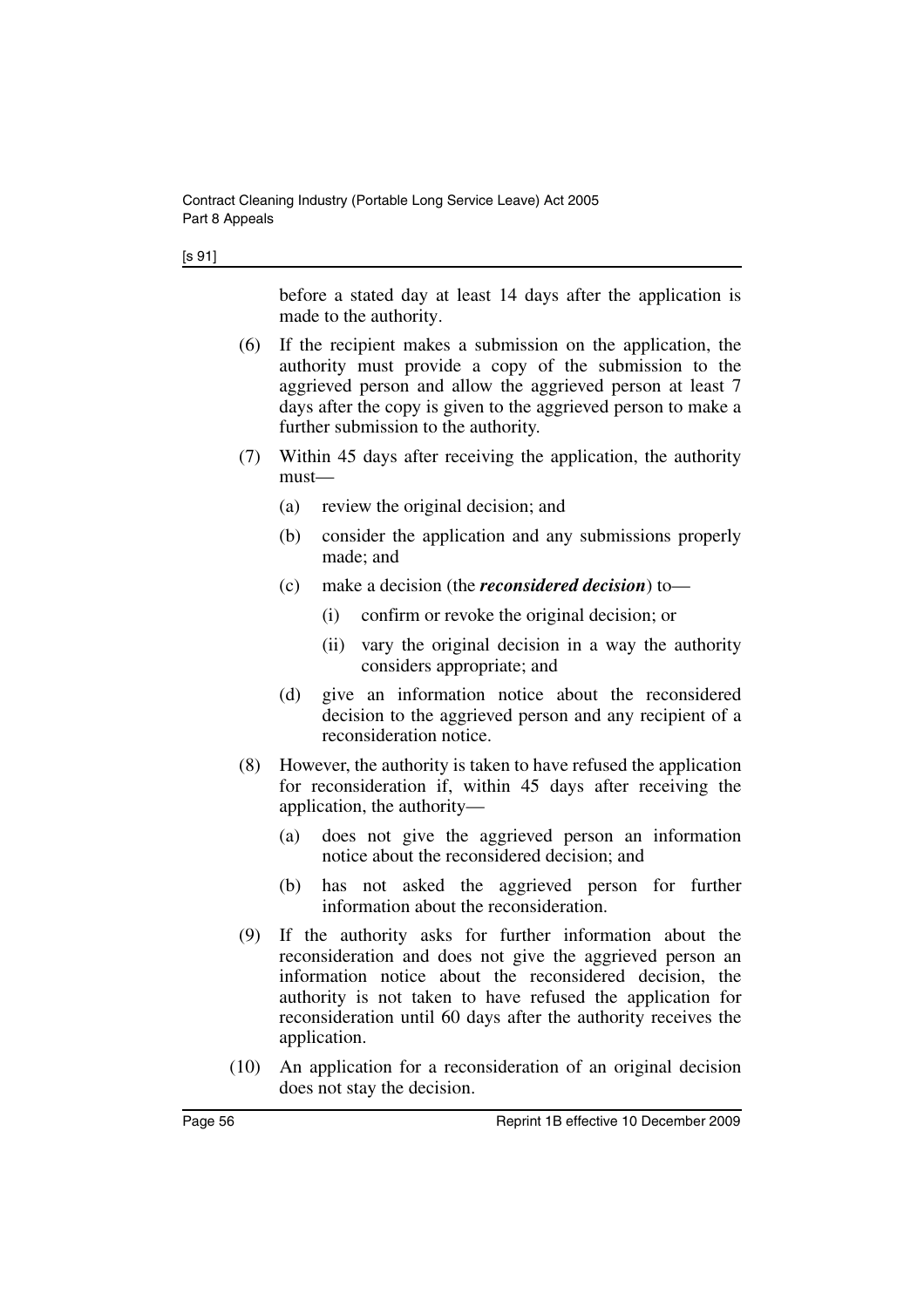| ۰. | ۰. |
|----|----|
|----|----|

before a stated day at least 14 days after the application is made to the authority.

- (6) If the recipient makes a submission on the application, the authority must provide a copy of the submission to the aggrieved person and allow the aggrieved person at least 7 days after the copy is given to the aggrieved person to make a further submission to the authority.
- (7) Within 45 days after receiving the application, the authority must—
	- (a) review the original decision; and
	- (b) consider the application and any submissions properly made; and
	- (c) make a decision (the *reconsidered decision*) to—
		- (i) confirm or revoke the original decision; or
		- (ii) vary the original decision in a way the authority considers appropriate; and
	- (d) give an information notice about the reconsidered decision to the aggrieved person and any recipient of a reconsideration notice.
- (8) However, the authority is taken to have refused the application for reconsideration if, within 45 days after receiving the application, the authority—
	- (a) does not give the aggrieved person an information notice about the reconsidered decision; and
	- (b) has not asked the aggrieved person for further information about the reconsideration.
- (9) If the authority asks for further information about the reconsideration and does not give the aggrieved person an information notice about the reconsidered decision, the authority is not taken to have refused the application for reconsideration until 60 days after the authority receives the application.
- (10) An application for a reconsideration of an original decision does not stay the decision.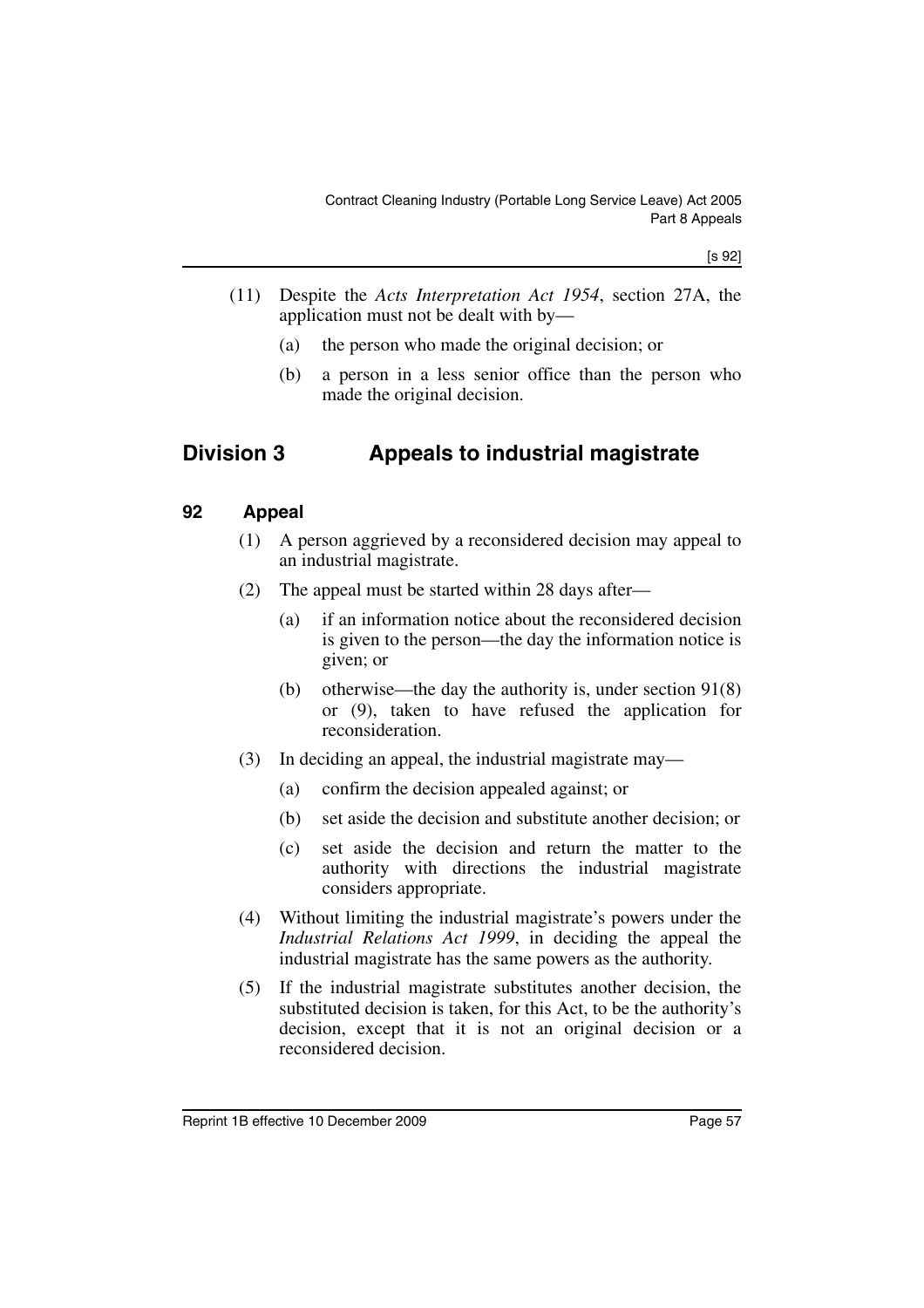[s 92]

- (11) Despite the *Acts Interpretation Act 1954*, section 27A, the application must not be dealt with by—
	- (a) the person who made the original decision; or
	- (b) a person in a less senior office than the person who made the original decision.

# **Division 3 Appeals to industrial magistrate**

#### **92 Appeal**

- (1) A person aggrieved by a reconsidered decision may appeal to an industrial magistrate.
- (2) The appeal must be started within 28 days after—
	- (a) if an information notice about the reconsidered decision is given to the person—the day the information notice is given; or
	- (b) otherwise—the day the authority is, under section 91(8) or (9), taken to have refused the application for reconsideration.
- (3) In deciding an appeal, the industrial magistrate may—
	- (a) confirm the decision appealed against; or
	- (b) set aside the decision and substitute another decision; or
	- (c) set aside the decision and return the matter to the authority with directions the industrial magistrate considers appropriate.
- (4) Without limiting the industrial magistrate's powers under the *Industrial Relations Act 1999*, in deciding the appeal the industrial magistrate has the same powers as the authority.
- (5) If the industrial magistrate substitutes another decision, the substituted decision is taken, for this Act, to be the authority's decision, except that it is not an original decision or a reconsidered decision.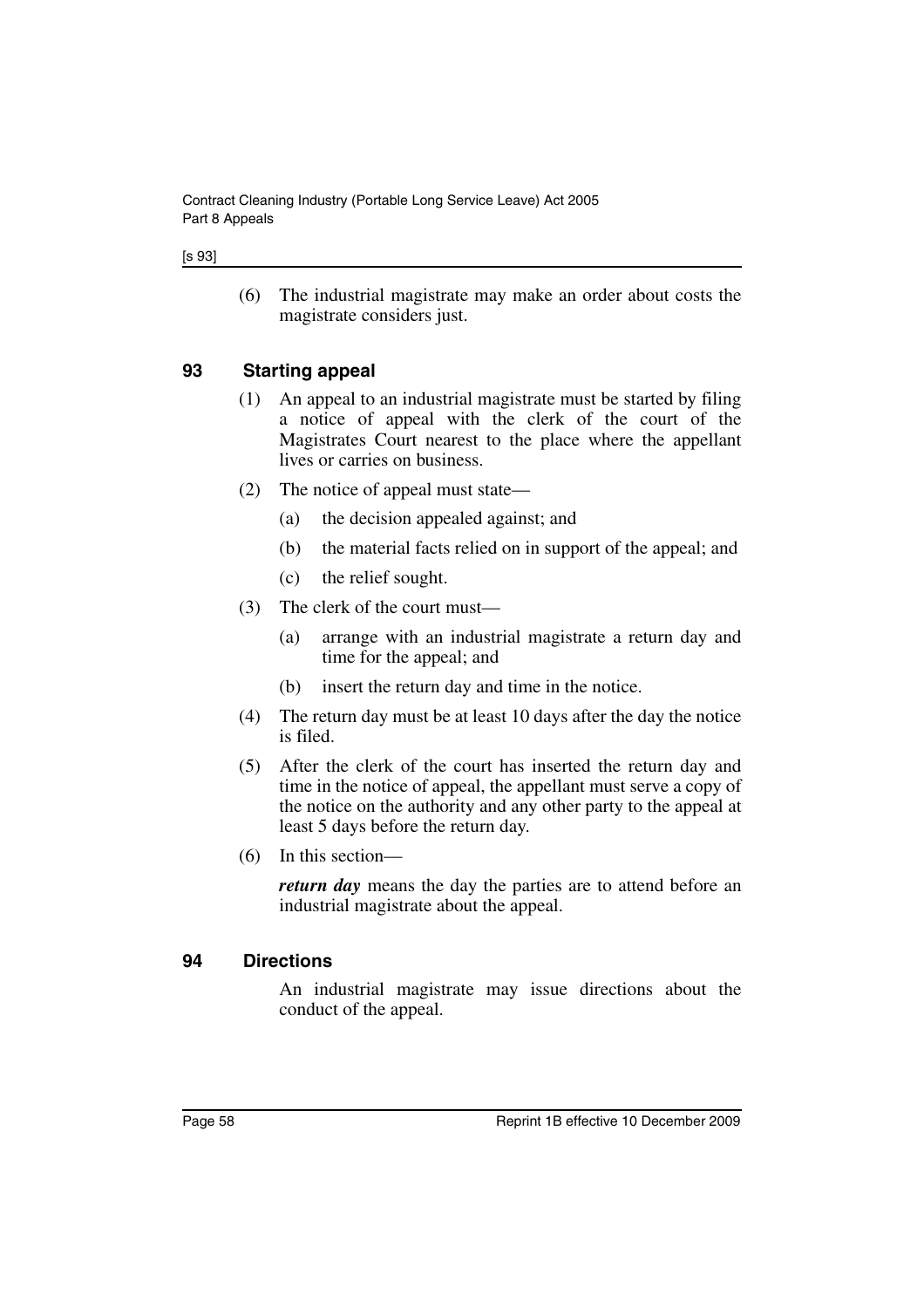#### [s 93]

(6) The industrial magistrate may make an order about costs the magistrate considers just.

#### **93 Starting appeal**

- (1) An appeal to an industrial magistrate must be started by filing a notice of appeal with the clerk of the court of the Magistrates Court nearest to the place where the appellant lives or carries on business.
- (2) The notice of appeal must state—
	- (a) the decision appealed against; and
	- (b) the material facts relied on in support of the appeal; and
	- (c) the relief sought.
- (3) The clerk of the court must—
	- (a) arrange with an industrial magistrate a return day and time for the appeal; and
	- (b) insert the return day and time in the notice.
- (4) The return day must be at least 10 days after the day the notice is filed.
- (5) After the clerk of the court has inserted the return day and time in the notice of appeal, the appellant must serve a copy of the notice on the authority and any other party to the appeal at least 5 days before the return day.
- (6) In this section—

*return day* means the day the parties are to attend before an industrial magistrate about the appeal.

#### **94 Directions**

An industrial magistrate may issue directions about the conduct of the appeal.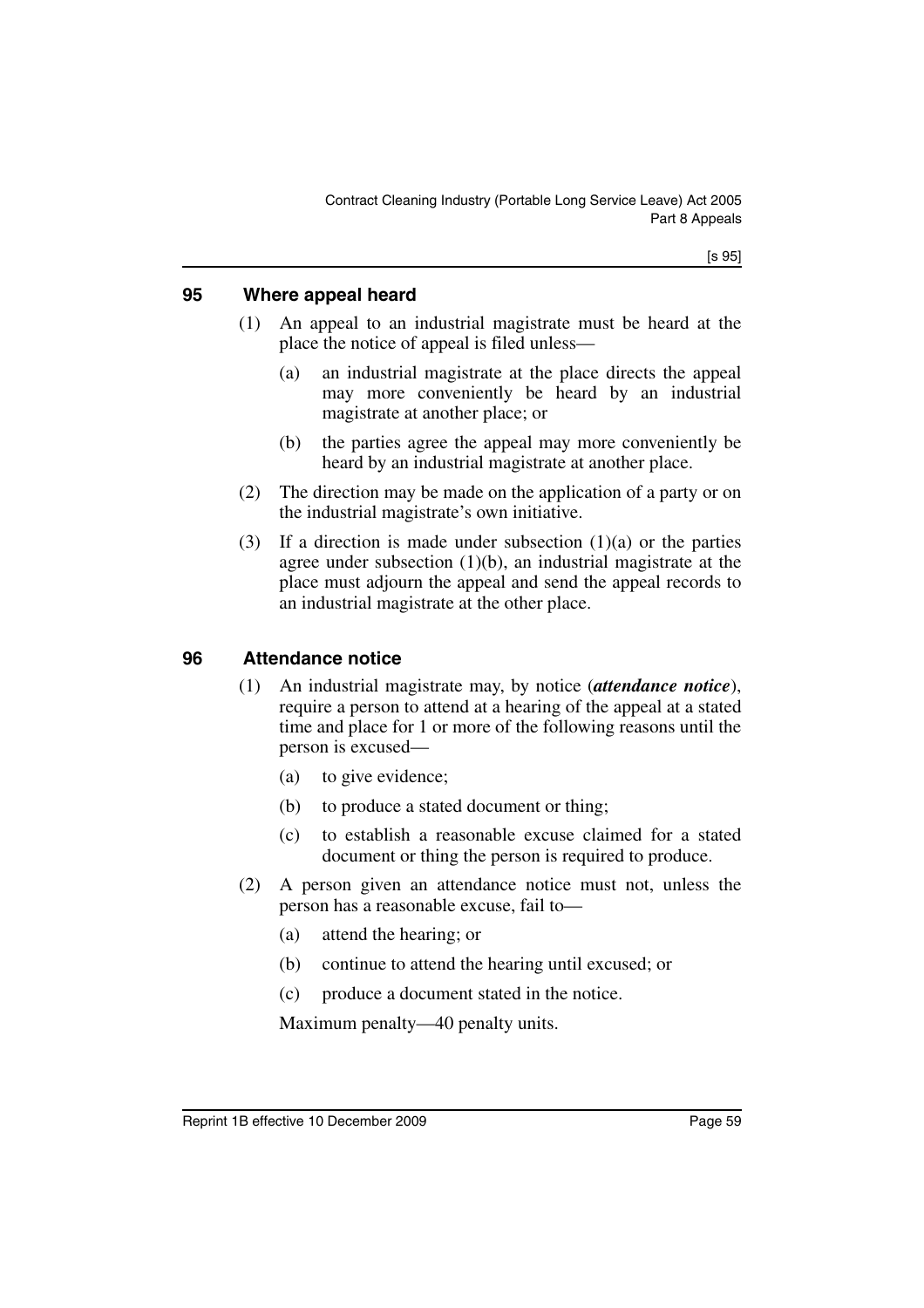### **95 Where appeal heard**

- (1) An appeal to an industrial magistrate must be heard at the place the notice of appeal is filed unless—
	- (a) an industrial magistrate at the place directs the appeal may more conveniently be heard by an industrial magistrate at another place; or
	- (b) the parties agree the appeal may more conveniently be heard by an industrial magistrate at another place.
- (2) The direction may be made on the application of a party or on the industrial magistrate's own initiative.
- (3) If a direction is made under subsection  $(1)(a)$  or the parties agree under subsection (1)(b), an industrial magistrate at the place must adjourn the appeal and send the appeal records to an industrial magistrate at the other place.

### **96 Attendance notice**

- (1) An industrial magistrate may, by notice (*attendance notice*), require a person to attend at a hearing of the appeal at a stated time and place for 1 or more of the following reasons until the person is excused—
	- (a) to give evidence;
	- (b) to produce a stated document or thing;
	- (c) to establish a reasonable excuse claimed for a stated document or thing the person is required to produce.
- (2) A person given an attendance notice must not, unless the person has a reasonable excuse, fail to—
	- (a) attend the hearing; or
	- (b) continue to attend the hearing until excused; or
	- (c) produce a document stated in the notice.

Maximum penalty—40 penalty units.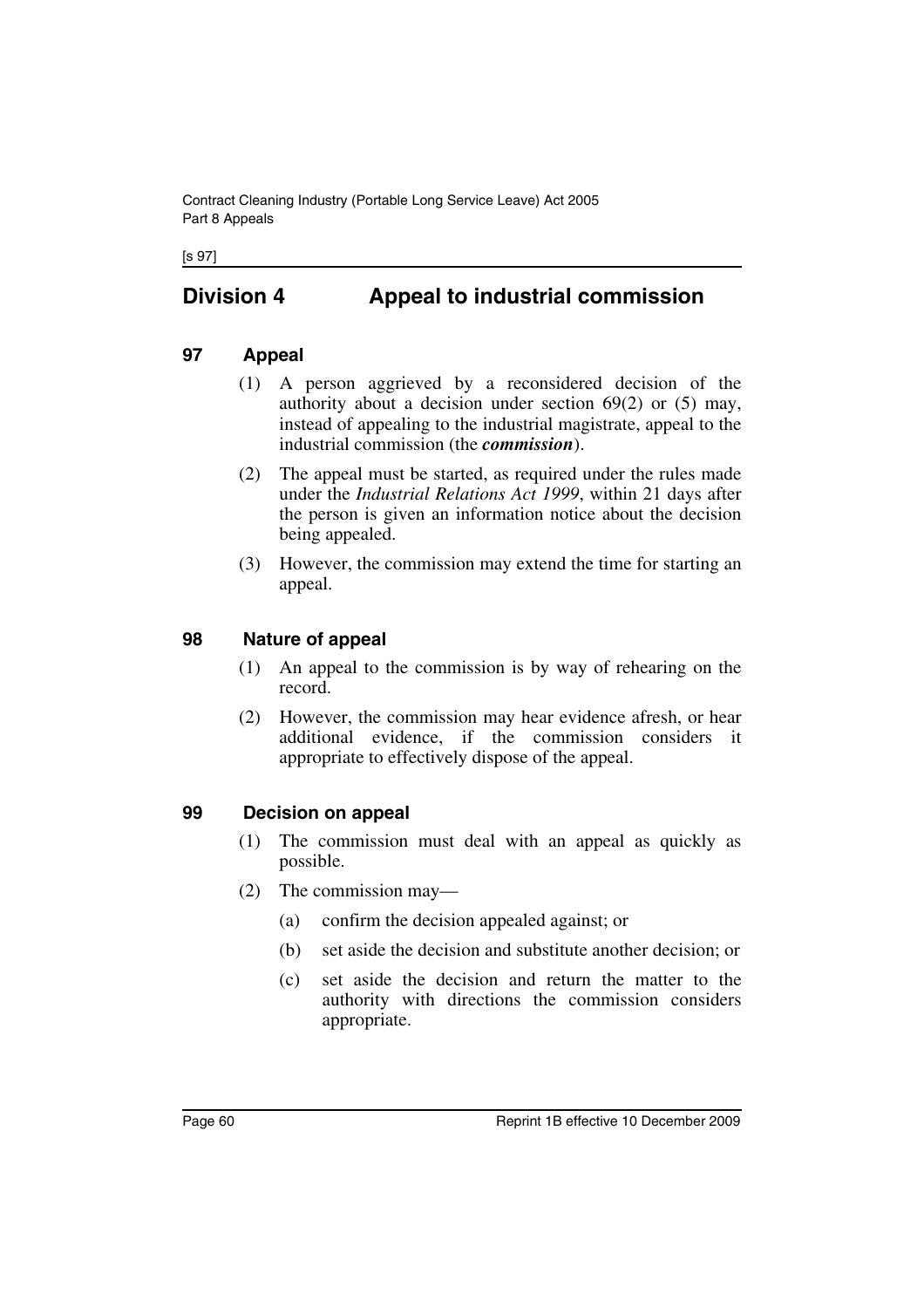Contract Cleaning Industry (Portable Long Service Leave) Act 2005 Part 8 Appeals

[s 97]

# **Division 4 Appeal to industrial commission**

#### **97 Appeal**

- (1) A person aggrieved by a reconsidered decision of the authority about a decision under section 69(2) or (5) may, instead of appealing to the industrial magistrate, appeal to the industrial commission (the *commission*).
- (2) The appeal must be started, as required under the rules made under the *Industrial Relations Act 1999*, within 21 days after the person is given an information notice about the decision being appealed.
- (3) However, the commission may extend the time for starting an appeal.

#### **98 Nature of appeal**

- (1) An appeal to the commission is by way of rehearing on the record.
- (2) However, the commission may hear evidence afresh, or hear additional evidence, if the commission considers it appropriate to effectively dispose of the appeal.

#### **99 Decision on appeal**

- (1) The commission must deal with an appeal as quickly as possible.
- (2) The commission may—
	- (a) confirm the decision appealed against; or
	- (b) set aside the decision and substitute another decision; or
	- (c) set aside the decision and return the matter to the authority with directions the commission considers appropriate.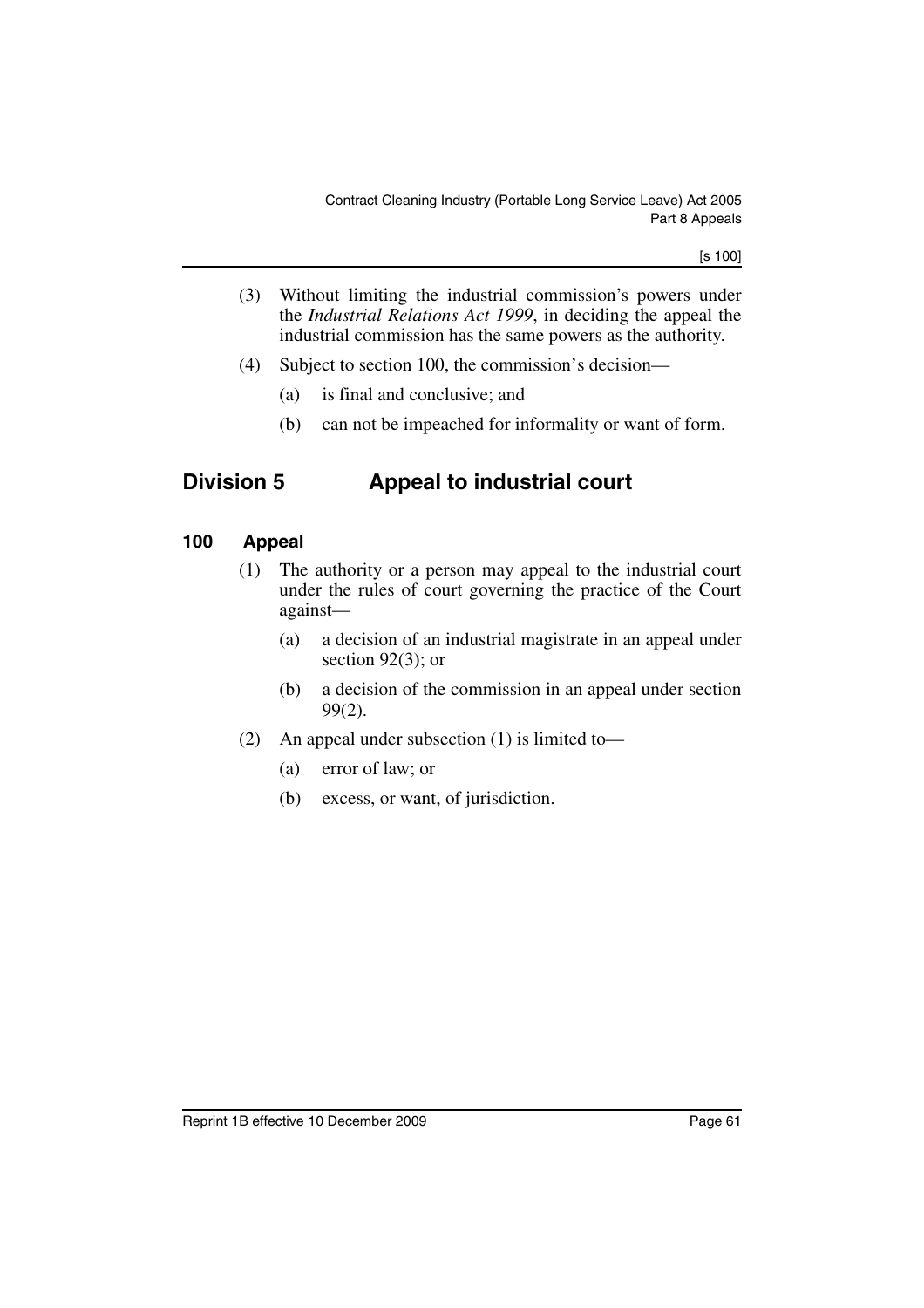[s 100]

- (3) Without limiting the industrial commission's powers under the *Industrial Relations Act 1999*, in deciding the appeal the industrial commission has the same powers as the authority.
- (4) Subject to section 100, the commission's decision—
	- (a) is final and conclusive; and
	- (b) can not be impeached for informality or want of form.

## **Division 5 Appeal to industrial court**

### **100 Appeal**

- (1) The authority or a person may appeal to the industrial court under the rules of court governing the practice of the Court against—
	- (a) a decision of an industrial magistrate in an appeal under section 92(3); or
	- (b) a decision of the commission in an appeal under section 99(2).
- (2) An appeal under subsection (1) is limited to—
	- (a) error of law; or
	- (b) excess, or want, of jurisdiction.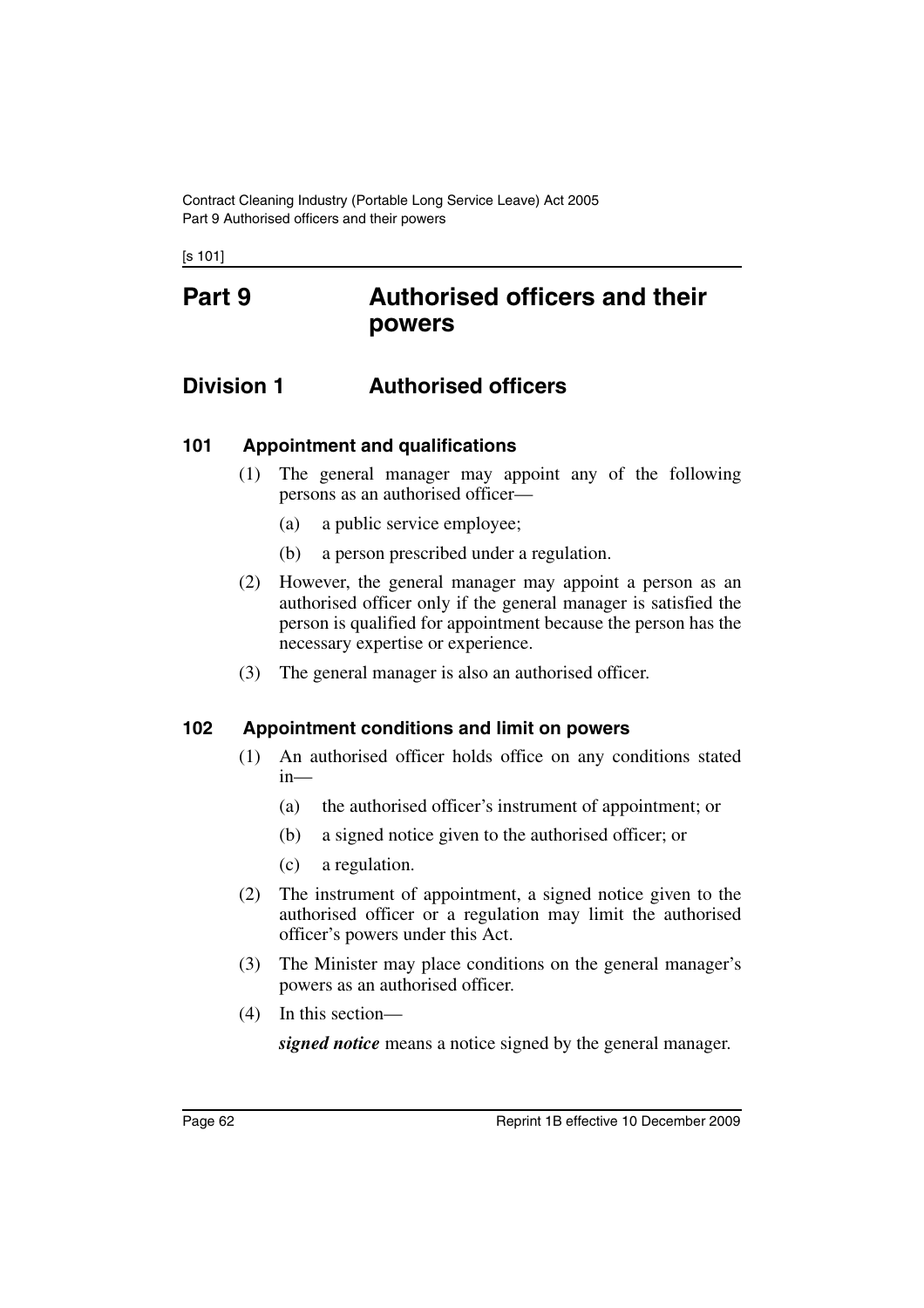Contract Cleaning Industry (Portable Long Service Leave) Act 2005 Part 9 Authorised officers and their powers

[s 101]

# **Part 9 Authorised officers and their powers**

## **Division 1 Authorised officers**

### **101 Appointment and qualifications**

- (1) The general manager may appoint any of the following persons as an authorised officer—
	- (a) a public service employee;
	- (b) a person prescribed under a regulation.
- (2) However, the general manager may appoint a person as an authorised officer only if the general manager is satisfied the person is qualified for appointment because the person has the necessary expertise or experience.
- (3) The general manager is also an authorised officer.

### **102 Appointment conditions and limit on powers**

- (1) An authorised officer holds office on any conditions stated in—
	- (a) the authorised officer's instrument of appointment; or
	- (b) a signed notice given to the authorised officer; or
	- (c) a regulation.
- (2) The instrument of appointment, a signed notice given to the authorised officer or a regulation may limit the authorised officer's powers under this Act.
- (3) The Minister may place conditions on the general manager's powers as an authorised officer.
- (4) In this section—

*signed notice* means a notice signed by the general manager.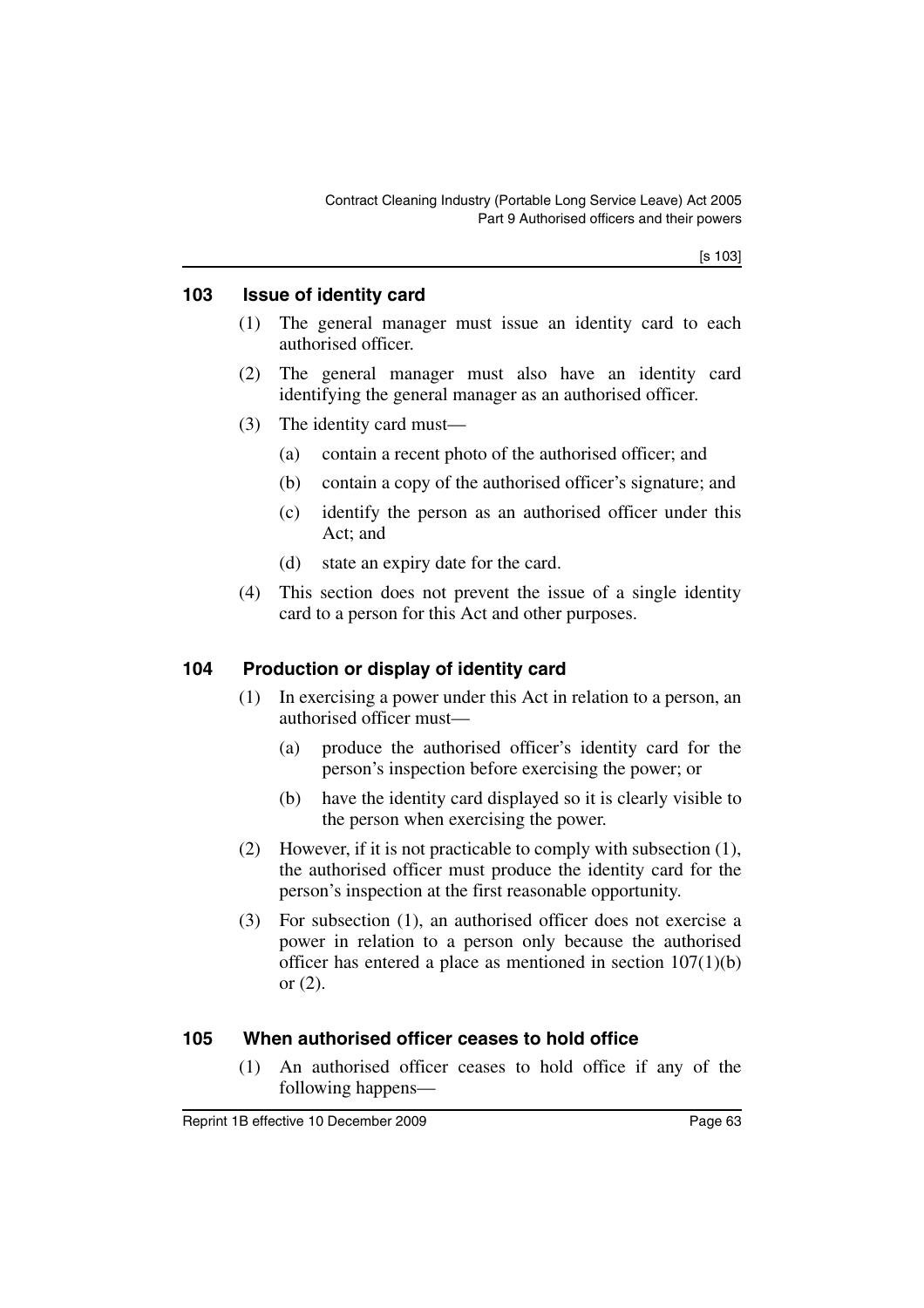[s 103]

#### **103 Issue of identity card**

- (1) The general manager must issue an identity card to each authorised officer.
- (2) The general manager must also have an identity card identifying the general manager as an authorised officer.
- (3) The identity card must—
	- (a) contain a recent photo of the authorised officer; and
	- (b) contain a copy of the authorised officer's signature; and
	- (c) identify the person as an authorised officer under this Act; and
	- (d) state an expiry date for the card.
- (4) This section does not prevent the issue of a single identity card to a person for this Act and other purposes.

### **104 Production or display of identity card**

- (1) In exercising a power under this Act in relation to a person, an authorised officer must—
	- (a) produce the authorised officer's identity card for the person's inspection before exercising the power; or
	- (b) have the identity card displayed so it is clearly visible to the person when exercising the power.
- (2) However, if it is not practicable to comply with subsection (1), the authorised officer must produce the identity card for the person's inspection at the first reasonable opportunity.
- (3) For subsection (1), an authorised officer does not exercise a power in relation to a person only because the authorised officer has entered a place as mentioned in section 107(1)(b) or  $(2)$ .

### **105 When authorised officer ceases to hold office**

(1) An authorised officer ceases to hold office if any of the following happens—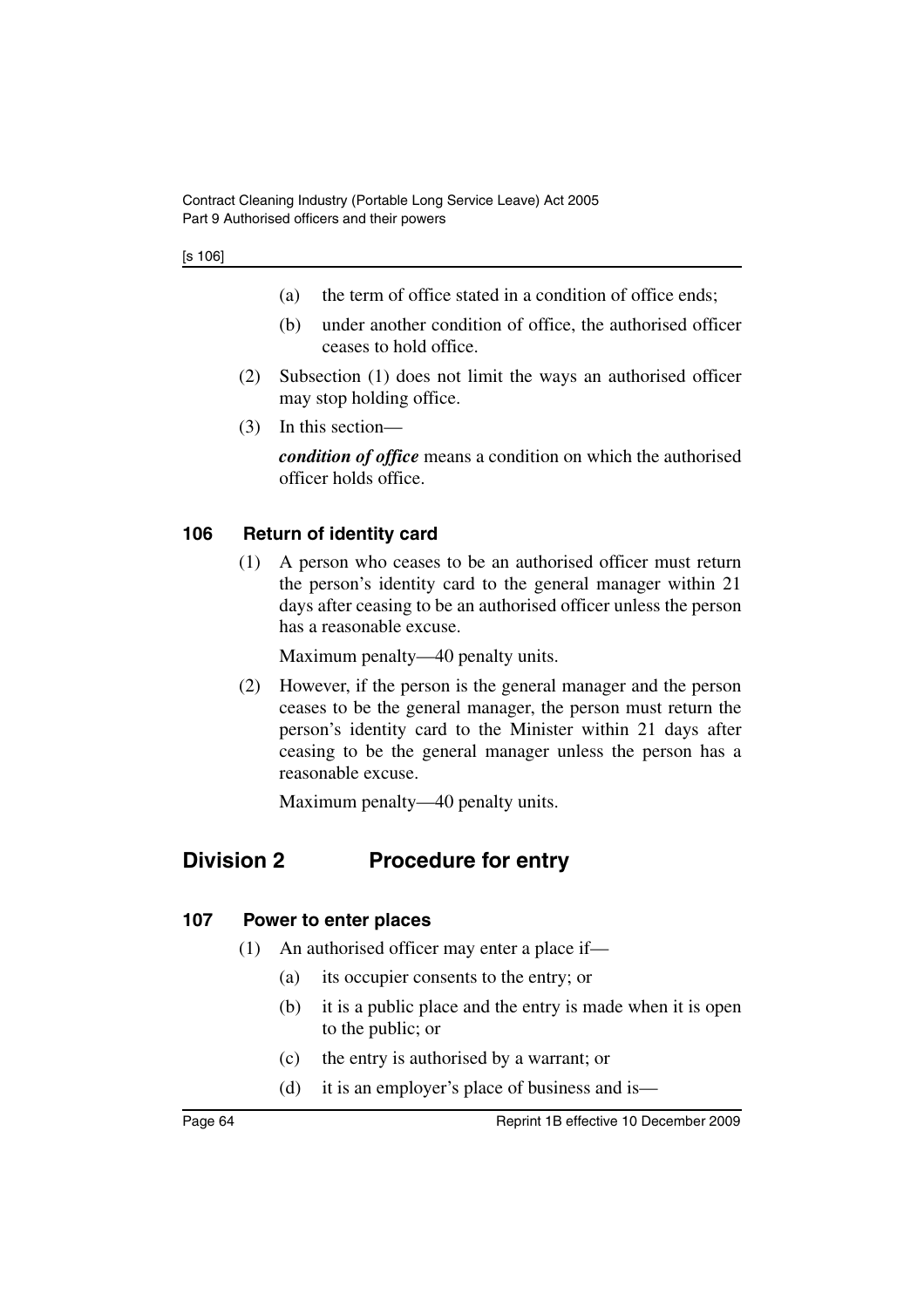- (a) the term of office stated in a condition of office ends;
- (b) under another condition of office, the authorised officer ceases to hold office.
- (2) Subsection (1) does not limit the ways an authorised officer may stop holding office.
- (3) In this section—

*condition of office* means a condition on which the authorised officer holds office.

### **106 Return of identity card**

(1) A person who ceases to be an authorised officer must return the person's identity card to the general manager within 21 days after ceasing to be an authorised officer unless the person has a reasonable excuse.

Maximum penalty—40 penalty units.

(2) However, if the person is the general manager and the person ceases to be the general manager, the person must return the person's identity card to the Minister within 21 days after ceasing to be the general manager unless the person has a reasonable excuse.

Maximum penalty—40 penalty units.

# **Division 2 Procedure for entry**

### **107 Power to enter places**

- (1) An authorised officer may enter a place if—
	- (a) its occupier consents to the entry; or
	- (b) it is a public place and the entry is made when it is open to the public; or
	- (c) the entry is authorised by a warrant; or
	- (d) it is an employer's place of business and is—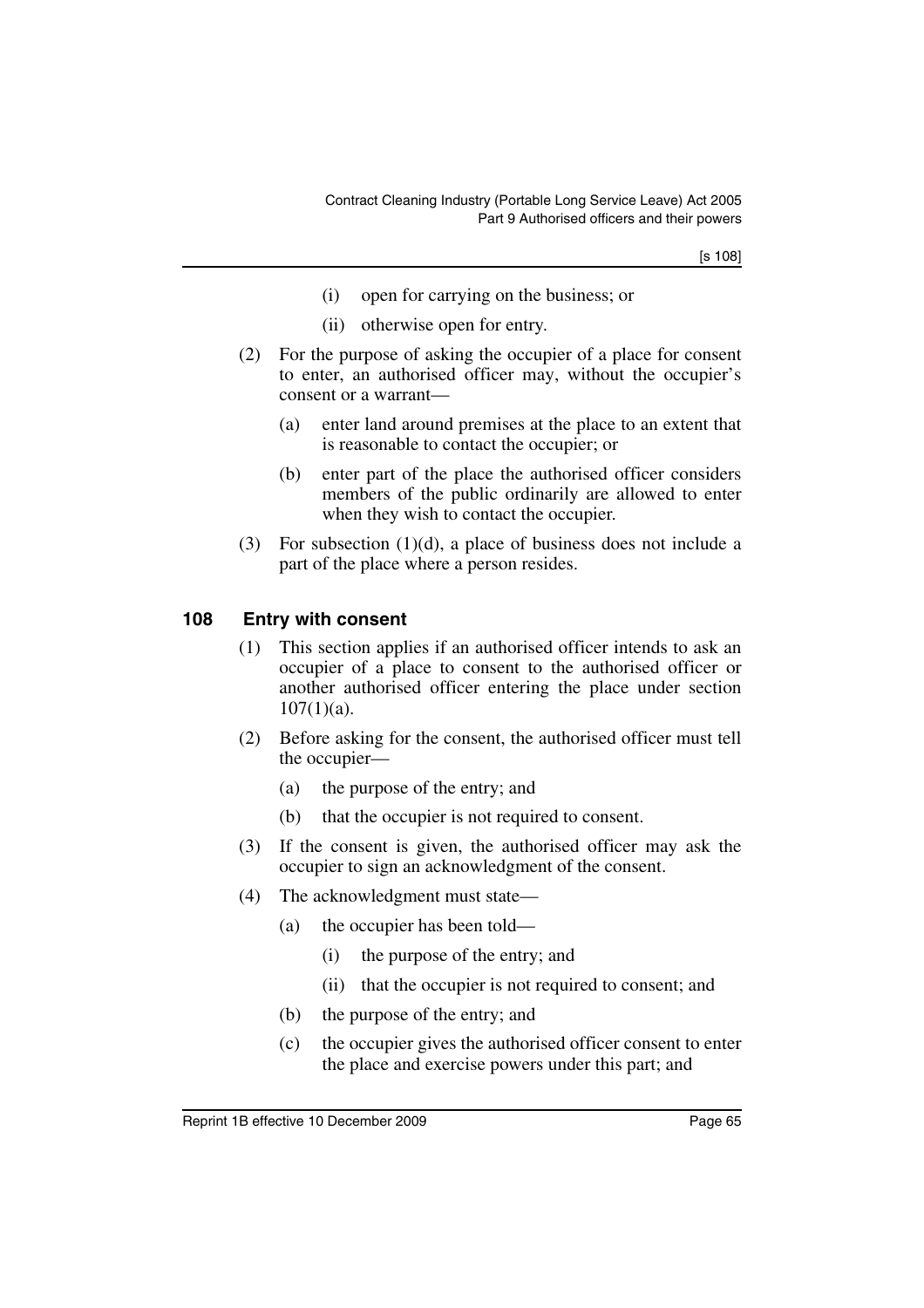[s 108]

- (i) open for carrying on the business; or
- (ii) otherwise open for entry.
- (2) For the purpose of asking the occupier of a place for consent to enter, an authorised officer may, without the occupier's consent or a warrant—
	- (a) enter land around premises at the place to an extent that is reasonable to contact the occupier; or
	- (b) enter part of the place the authorised officer considers members of the public ordinarily are allowed to enter when they wish to contact the occupier.
- (3) For subsection (1)(d), a place of business does not include a part of the place where a person resides.

#### **108 Entry with consent**

- (1) This section applies if an authorised officer intends to ask an occupier of a place to consent to the authorised officer or another authorised officer entering the place under section  $107(1)(a)$ .
- (2) Before asking for the consent, the authorised officer must tell the occupier—
	- (a) the purpose of the entry; and
	- (b) that the occupier is not required to consent.
- (3) If the consent is given, the authorised officer may ask the occupier to sign an acknowledgment of the consent.
- (4) The acknowledgment must state—
	- (a) the occupier has been told—
		- (i) the purpose of the entry; and
		- (ii) that the occupier is not required to consent; and
	- (b) the purpose of the entry; and
	- (c) the occupier gives the authorised officer consent to enter the place and exercise powers under this part; and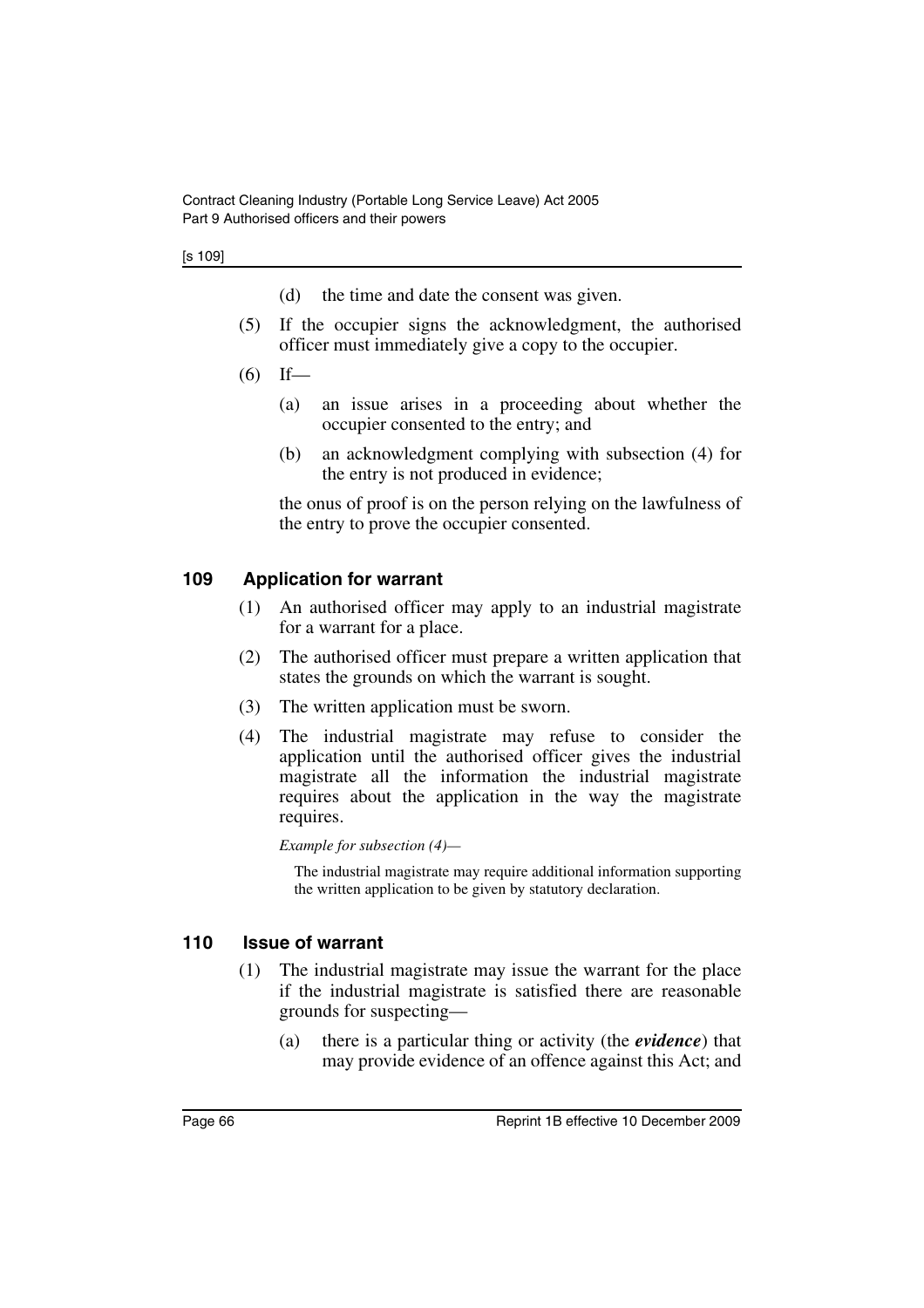#### [s 109]

- (d) the time and date the consent was given.
- (5) If the occupier signs the acknowledgment, the authorised officer must immediately give a copy to the occupier.
- $(6)$  If—
	- (a) an issue arises in a proceeding about whether the occupier consented to the entry; and
	- (b) an acknowledgment complying with subsection (4) for the entry is not produced in evidence;

the onus of proof is on the person relying on the lawfulness of the entry to prove the occupier consented.

### **109 Application for warrant**

- (1) An authorised officer may apply to an industrial magistrate for a warrant for a place.
- (2) The authorised officer must prepare a written application that states the grounds on which the warrant is sought.
- (3) The written application must be sworn.
- (4) The industrial magistrate may refuse to consider the application until the authorised officer gives the industrial magistrate all the information the industrial magistrate requires about the application in the way the magistrate requires.

*Example for subsection (4)—*

The industrial magistrate may require additional information supporting the written application to be given by statutory declaration.

### **110 Issue of warrant**

- (1) The industrial magistrate may issue the warrant for the place if the industrial magistrate is satisfied there are reasonable grounds for suspecting—
	- (a) there is a particular thing or activity (the *evidence*) that may provide evidence of an offence against this Act; and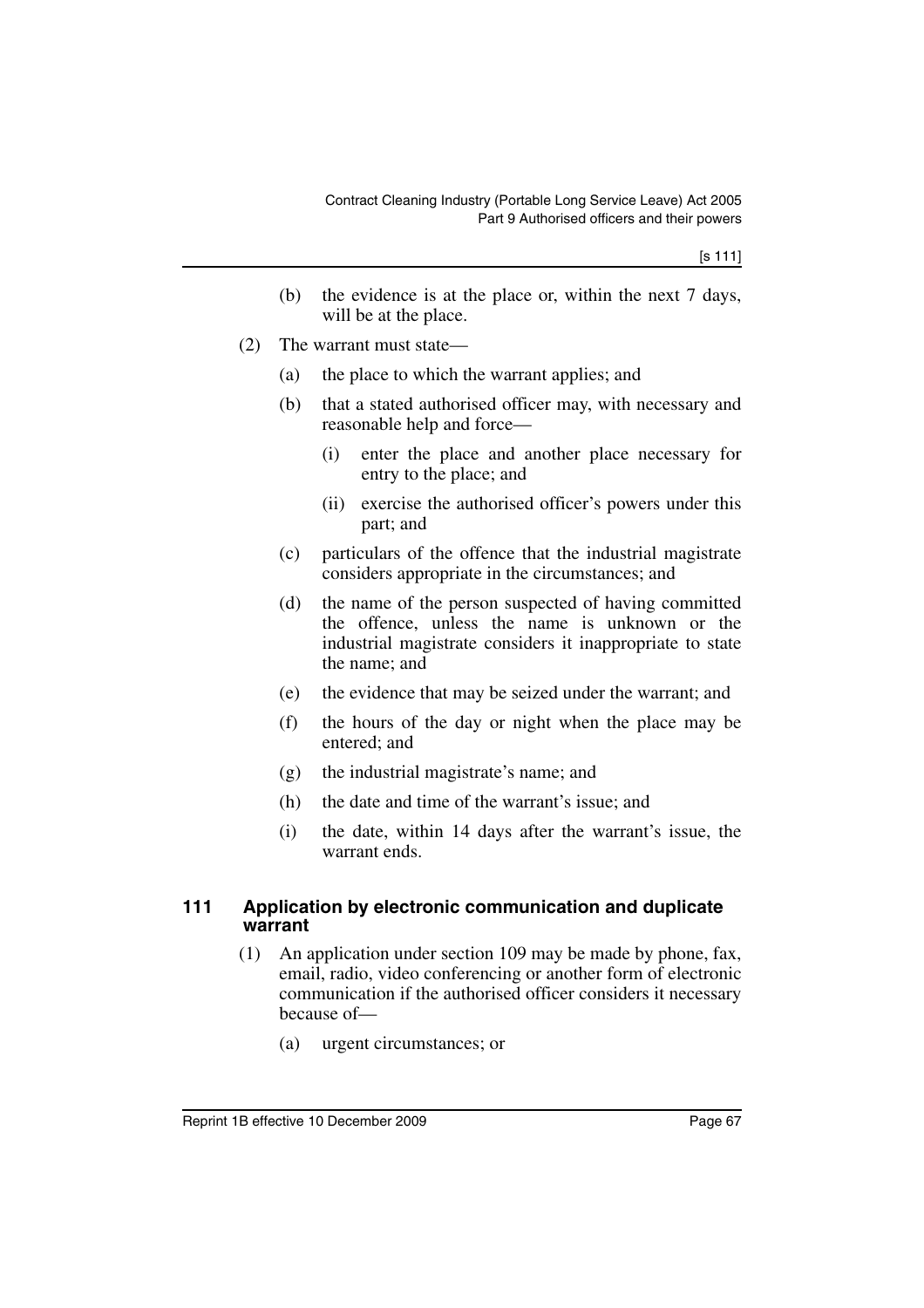- (b) the evidence is at the place or, within the next 7 days, will be at the place.
- (2) The warrant must state—
	- (a) the place to which the warrant applies; and
	- (b) that a stated authorised officer may, with necessary and reasonable help and force—
		- (i) enter the place and another place necessary for entry to the place; and
		- (ii) exercise the authorised officer's powers under this part; and
	- (c) particulars of the offence that the industrial magistrate considers appropriate in the circumstances; and
	- (d) the name of the person suspected of having committed the offence, unless the name is unknown or the industrial magistrate considers it inappropriate to state the name; and
	- (e) the evidence that may be seized under the warrant; and
	- (f) the hours of the day or night when the place may be entered; and
	- (g) the industrial magistrate's name; and
	- (h) the date and time of the warrant's issue; and
	- (i) the date, within 14 days after the warrant's issue, the warrant ends.

#### **111 Application by electronic communication and duplicate warrant**

- (1) An application under section 109 may be made by phone, fax, email, radio, video conferencing or another form of electronic communication if the authorised officer considers it necessary because of—
	- (a) urgent circumstances; or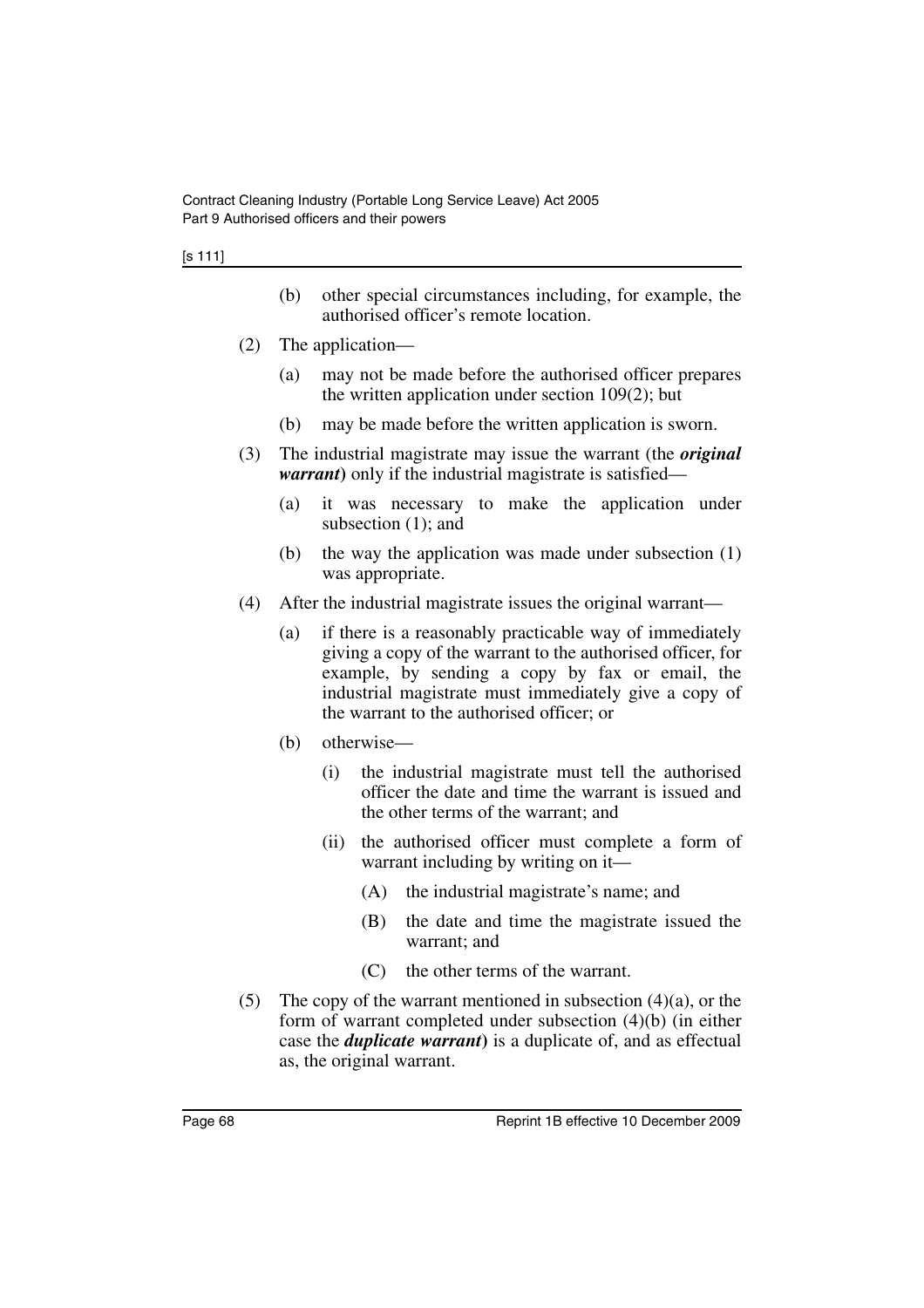#### [s 111]

- (b) other special circumstances including, for example, the authorised officer's remote location.
- (2) The application—
	- (a) may not be made before the authorised officer prepares the written application under section 109(2); but
	- (b) may be made before the written application is sworn.
- (3) The industrial magistrate may issue the warrant (the *original warrant*) only if the industrial magistrate is satisfied—
	- (a) it was necessary to make the application under subsection (1); and
	- (b) the way the application was made under subsection (1) was appropriate.
- (4) After the industrial magistrate issues the original warrant—
	- (a) if there is a reasonably practicable way of immediately giving a copy of the warrant to the authorised officer, for example, by sending a copy by fax or email, the industrial magistrate must immediately give a copy of the warrant to the authorised officer; or
	- (b) otherwise—
		- (i) the industrial magistrate must tell the authorised officer the date and time the warrant is issued and the other terms of the warrant; and
		- (ii) the authorised officer must complete a form of warrant including by writing on it—
			- (A) the industrial magistrate's name; and
			- (B) the date and time the magistrate issued the warrant; and
			- (C) the other terms of the warrant.
- (5) The copy of the warrant mentioned in subsection  $(4)(a)$ , or the form of warrant completed under subsection (4)(b) (in either case the *duplicate warrant***)** is a duplicate of, and as effectual as, the original warrant.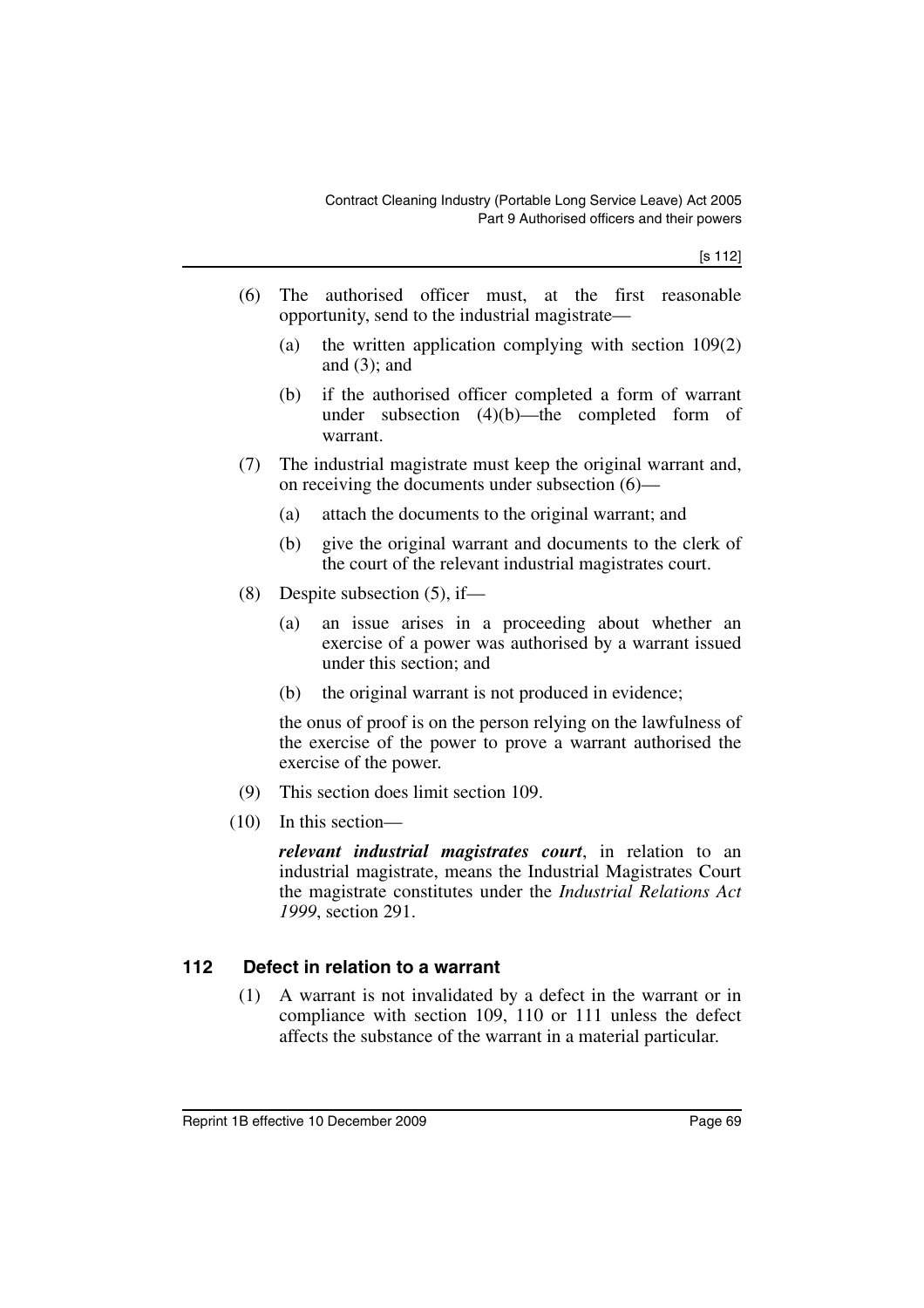- (6) The authorised officer must, at the first reasonable opportunity, send to the industrial magistrate—
	- (a) the written application complying with section 109(2) and  $(3)$ ; and
	- (b) if the authorised officer completed a form of warrant under subsection (4)(b)—the completed form of warrant.
- (7) The industrial magistrate must keep the original warrant and, on receiving the documents under subsection (6)—
	- (a) attach the documents to the original warrant; and
	- (b) give the original warrant and documents to the clerk of the court of the relevant industrial magistrates court.
- (8) Despite subsection (5), if—
	- (a) an issue arises in a proceeding about whether an exercise of a power was authorised by a warrant issued under this section; and
	- (b) the original warrant is not produced in evidence;

the onus of proof is on the person relying on the lawfulness of the exercise of the power to prove a warrant authorised the exercise of the power.

- (9) This section does limit section 109.
- (10) In this section—

*relevant industrial magistrates court*, in relation to an industrial magistrate, means the Industrial Magistrates Court the magistrate constitutes under the *Industrial Relations Act 1999*, section 291.

### **112 Defect in relation to a warrant**

(1) A warrant is not invalidated by a defect in the warrant or in compliance with section 109, 110 or 111 unless the defect affects the substance of the warrant in a material particular.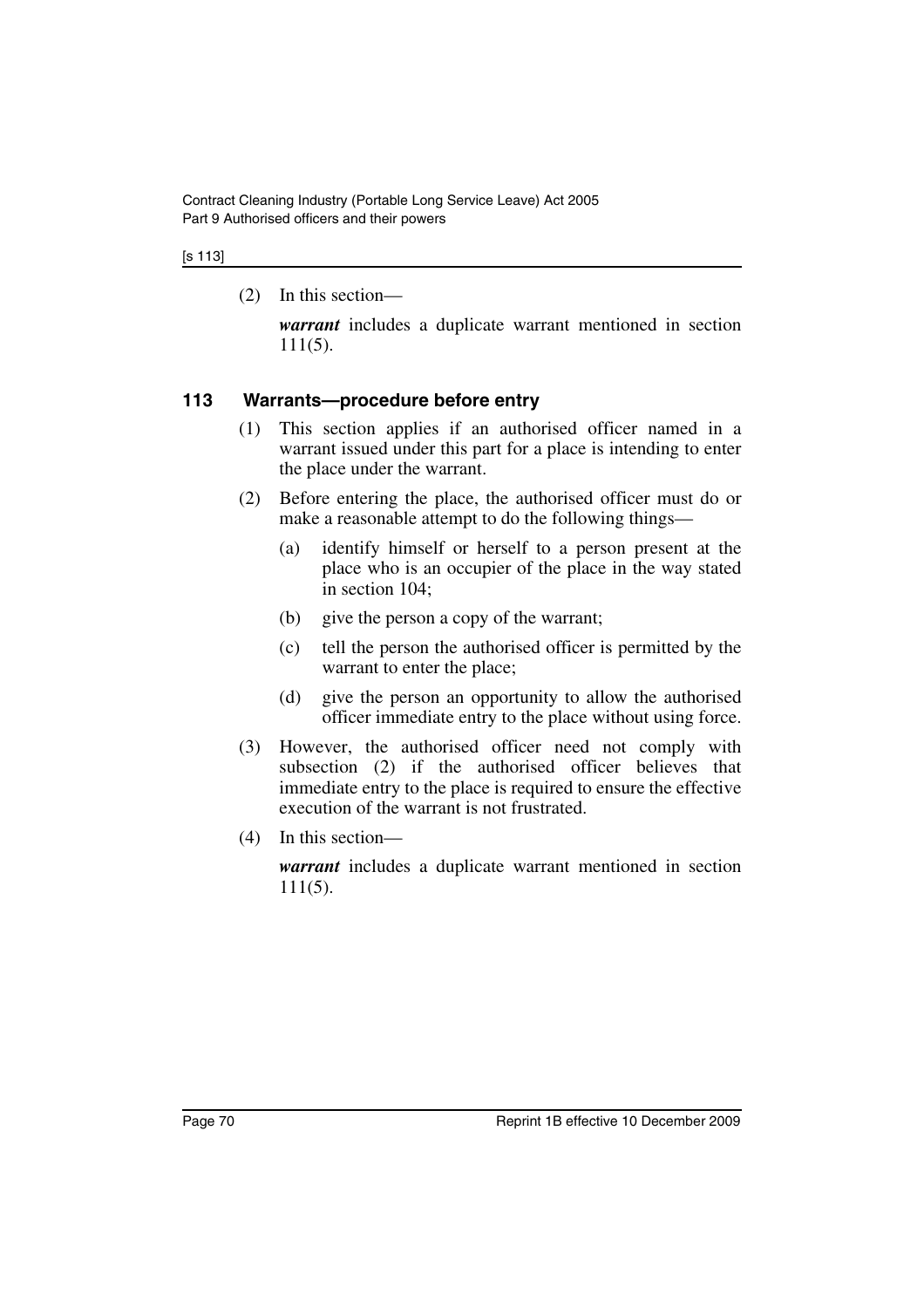#### [s 113]

(2) In this section—

*warrant* includes a duplicate warrant mentioned in section 111(5).

### **113 Warrants—procedure before entry**

- (1) This section applies if an authorised officer named in a warrant issued under this part for a place is intending to enter the place under the warrant.
- (2) Before entering the place, the authorised officer must do or make a reasonable attempt to do the following things—
	- (a) identify himself or herself to a person present at the place who is an occupier of the place in the way stated in section 104;
	- (b) give the person a copy of the warrant;
	- (c) tell the person the authorised officer is permitted by the warrant to enter the place;
	- (d) give the person an opportunity to allow the authorised officer immediate entry to the place without using force.
- (3) However, the authorised officer need not comply with subsection (2) if the authorised officer believes that immediate entry to the place is required to ensure the effective execution of the warrant is not frustrated.
- (4) In this section—

*warrant* includes a duplicate warrant mentioned in section 111(5).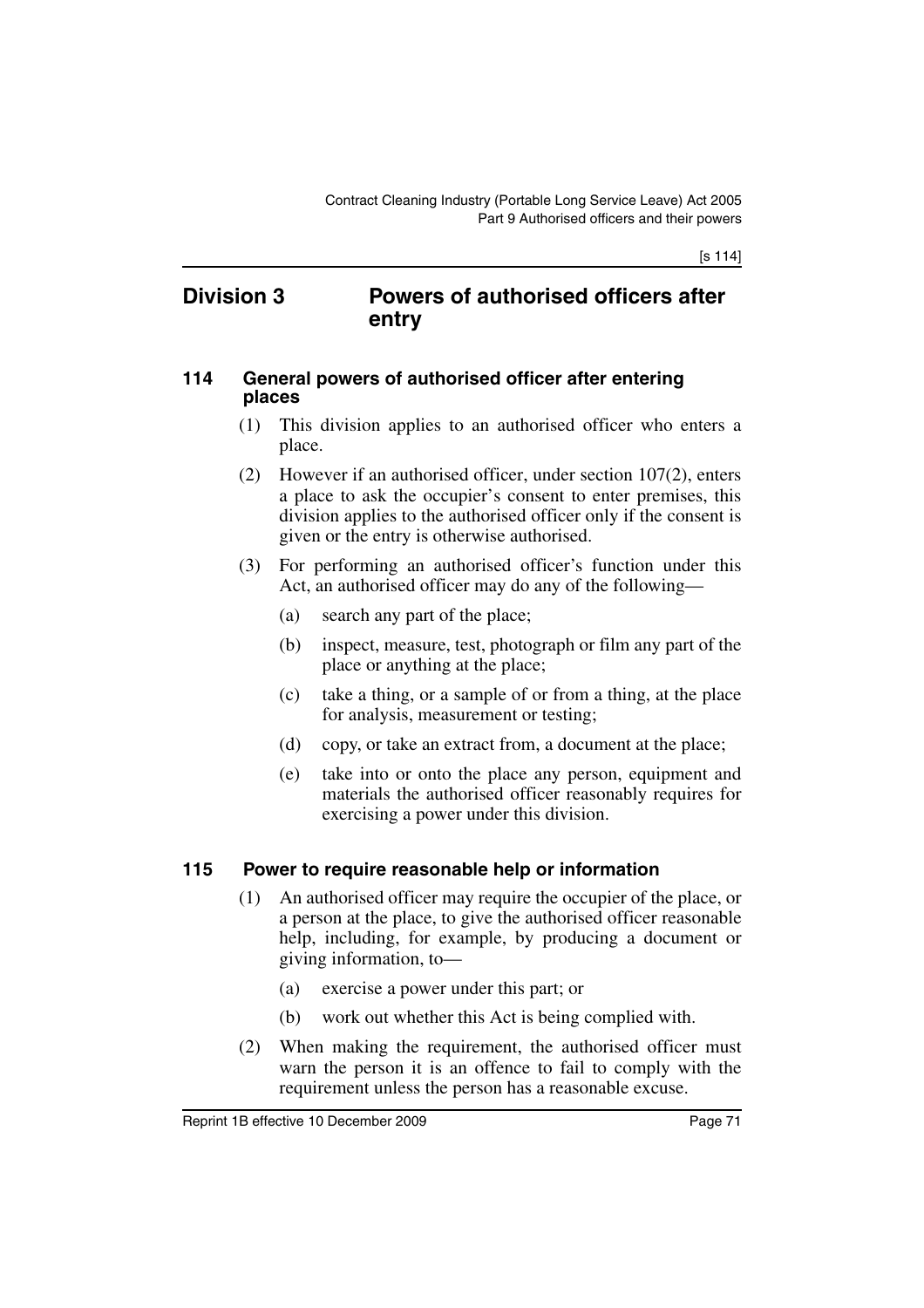### **Division 3 Powers of authorised officers after entry**

#### **114 General powers of authorised officer after entering places**

- (1) This division applies to an authorised officer who enters a place.
- (2) However if an authorised officer, under section 107(2), enters a place to ask the occupier's consent to enter premises, this division applies to the authorised officer only if the consent is given or the entry is otherwise authorised.
- (3) For performing an authorised officer's function under this Act, an authorised officer may do any of the following—
	- (a) search any part of the place;
	- (b) inspect, measure, test, photograph or film any part of the place or anything at the place;
	- (c) take a thing, or a sample of or from a thing, at the place for analysis, measurement or testing;
	- (d) copy, or take an extract from, a document at the place;
	- (e) take into or onto the place any person, equipment and materials the authorised officer reasonably requires for exercising a power under this division.

### **115 Power to require reasonable help or information**

- (1) An authorised officer may require the occupier of the place, or a person at the place, to give the authorised officer reasonable help, including, for example, by producing a document or giving information, to—
	- (a) exercise a power under this part; or
	- (b) work out whether this Act is being complied with.
- (2) When making the requirement, the authorised officer must warn the person it is an offence to fail to comply with the requirement unless the person has a reasonable excuse.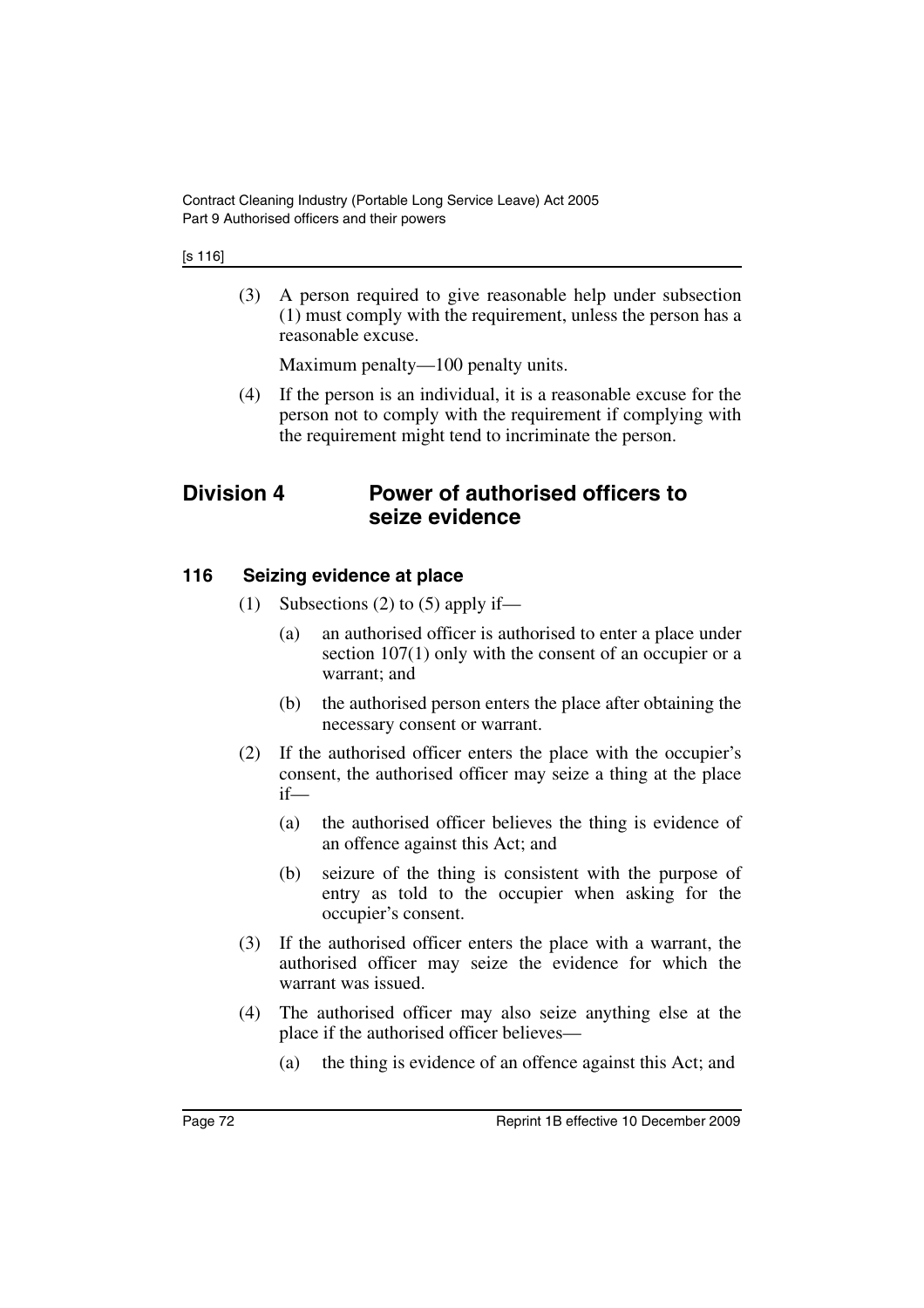(3) A person required to give reasonable help under subsection (1) must comply with the requirement, unless the person has a reasonable excuse.

Maximum penalty—100 penalty units.

(4) If the person is an individual, it is a reasonable excuse for the person not to comply with the requirement if complying with the requirement might tend to incriminate the person.

## **Division 4 Power of authorised officers to seize evidence**

### **116 Seizing evidence at place**

- (1) Subsections (2) to (5) apply if—
	- (a) an authorised officer is authorised to enter a place under section 107(1) only with the consent of an occupier or a warrant; and
	- (b) the authorised person enters the place after obtaining the necessary consent or warrant.
- (2) If the authorised officer enters the place with the occupier's consent, the authorised officer may seize a thing at the place if—
	- (a) the authorised officer believes the thing is evidence of an offence against this Act; and
	- (b) seizure of the thing is consistent with the purpose of entry as told to the occupier when asking for the occupier's consent.
- (3) If the authorised officer enters the place with a warrant, the authorised officer may seize the evidence for which the warrant was issued.
- (4) The authorised officer may also seize anything else at the place if the authorised officer believes—
	- (a) the thing is evidence of an offence against this Act; and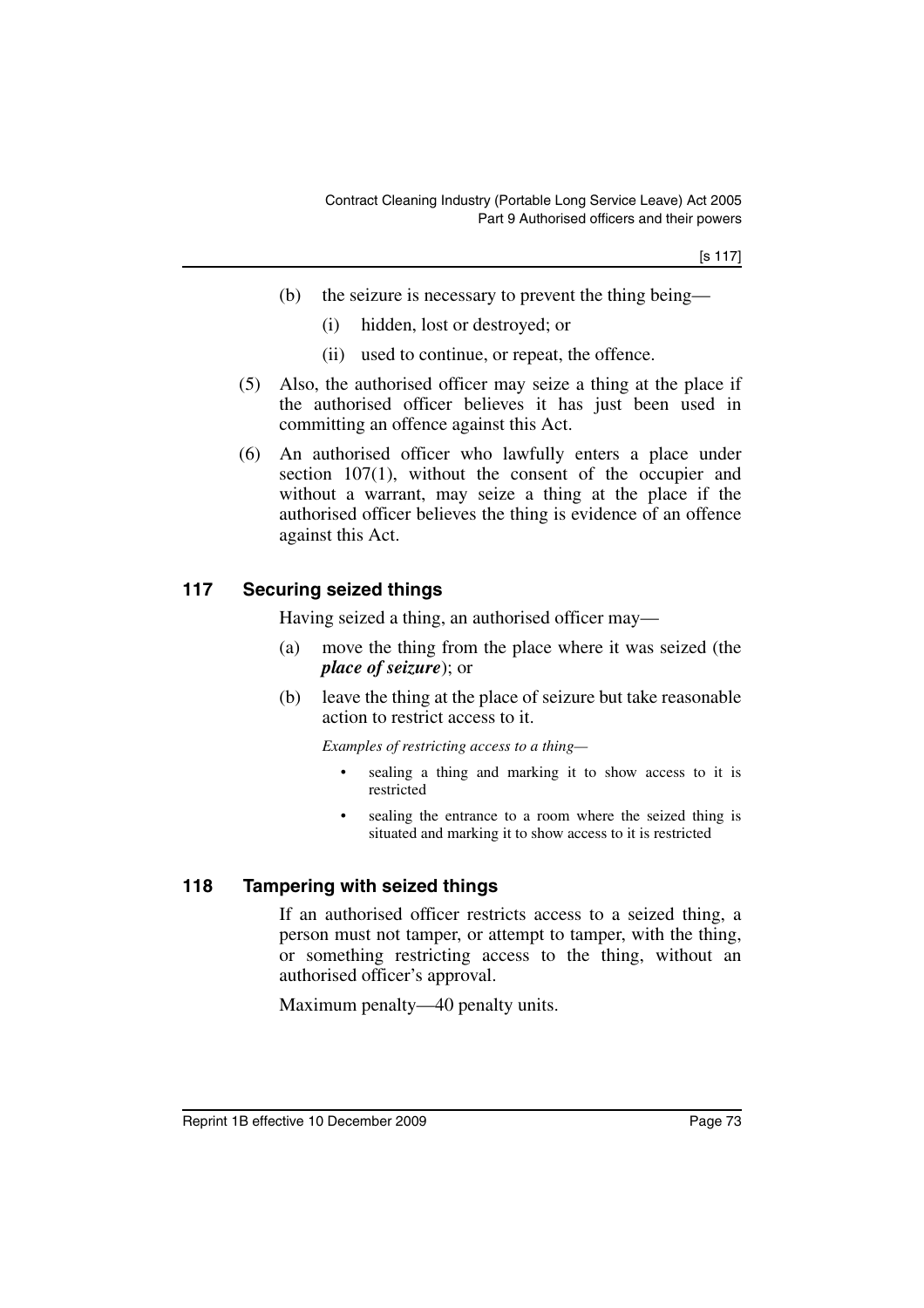[s 117]

- (b) the seizure is necessary to prevent the thing being—
	- (i) hidden, lost or destroyed; or
	- (ii) used to continue, or repeat, the offence.
- (5) Also, the authorised officer may seize a thing at the place if the authorised officer believes it has just been used in committing an offence against this Act.
- (6) An authorised officer who lawfully enters a place under section 107(1), without the consent of the occupier and without a warrant, may seize a thing at the place if the authorised officer believes the thing is evidence of an offence against this Act.

#### **117 Securing seized things**

Having seized a thing, an authorised officer may—

- (a) move the thing from the place where it was seized (the *place of seizure*); or
- (b) leave the thing at the place of seizure but take reasonable action to restrict access to it.

*Examples of restricting access to a thing—*

- sealing a thing and marking it to show access to it is restricted
- sealing the entrance to a room where the seized thing is situated and marking it to show access to it is restricted

#### **118 Tampering with seized things**

If an authorised officer restricts access to a seized thing, a person must not tamper, or attempt to tamper, with the thing, or something restricting access to the thing, without an authorised officer's approval.

Maximum penalty—40 penalty units.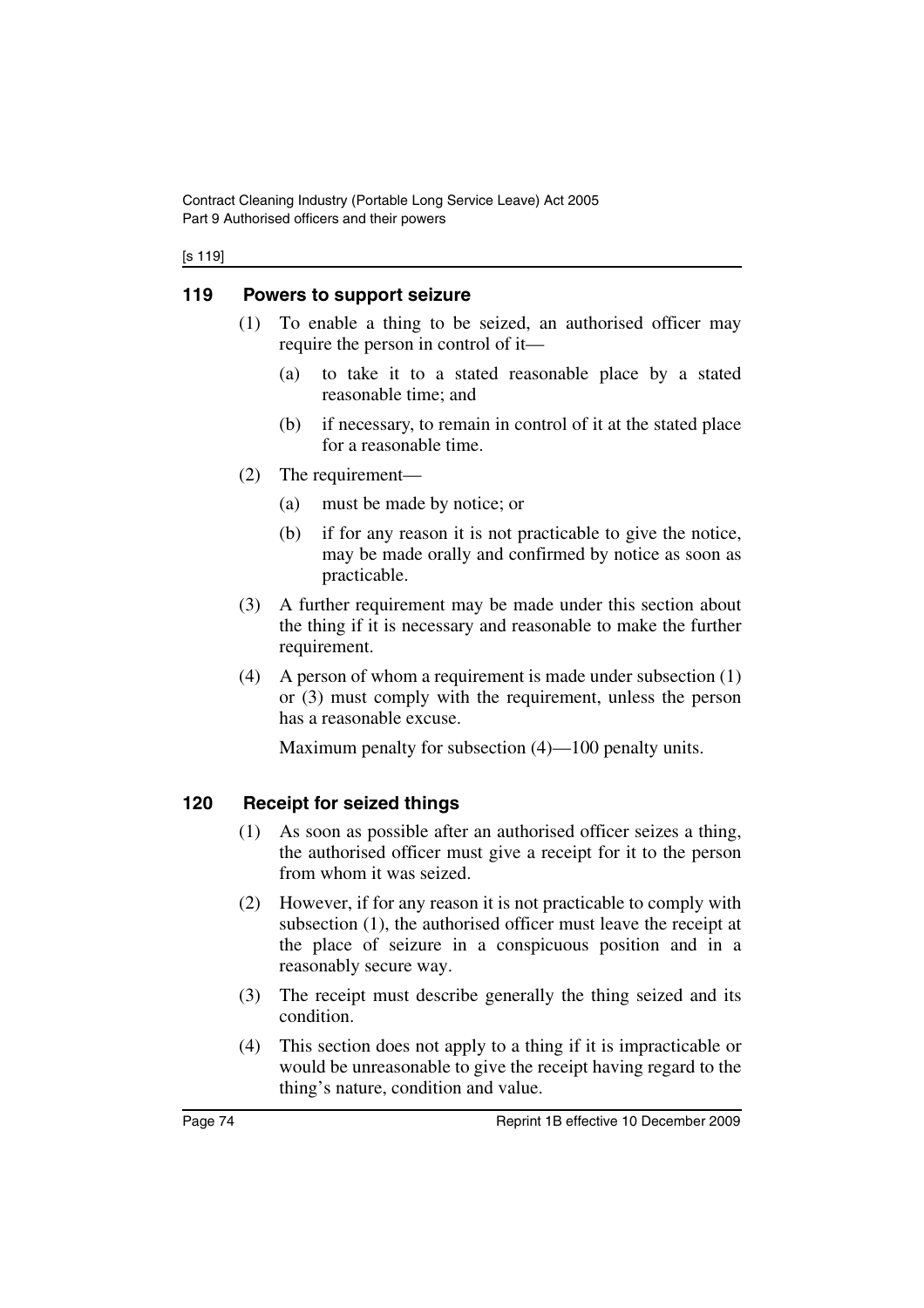#### [s 119]

#### **119 Powers to support seizure**

- (1) To enable a thing to be seized, an authorised officer may require the person in control of it—
	- (a) to take it to a stated reasonable place by a stated reasonable time; and
	- (b) if necessary, to remain in control of it at the stated place for a reasonable time.
- (2) The requirement—
	- (a) must be made by notice; or
	- (b) if for any reason it is not practicable to give the notice, may be made orally and confirmed by notice as soon as practicable.
- (3) A further requirement may be made under this section about the thing if it is necessary and reasonable to make the further requirement.
- (4) A person of whom a requirement is made under subsection (1) or (3) must comply with the requirement, unless the person has a reasonable excuse.

Maximum penalty for subsection (4)—100 penalty units.

### **120 Receipt for seized things**

- (1) As soon as possible after an authorised officer seizes a thing, the authorised officer must give a receipt for it to the person from whom it was seized.
- (2) However, if for any reason it is not practicable to comply with subsection (1), the authorised officer must leave the receipt at the place of seizure in a conspicuous position and in a reasonably secure way.
- (3) The receipt must describe generally the thing seized and its condition.
- (4) This section does not apply to a thing if it is impracticable or would be unreasonable to give the receipt having regard to the thing's nature, condition and value.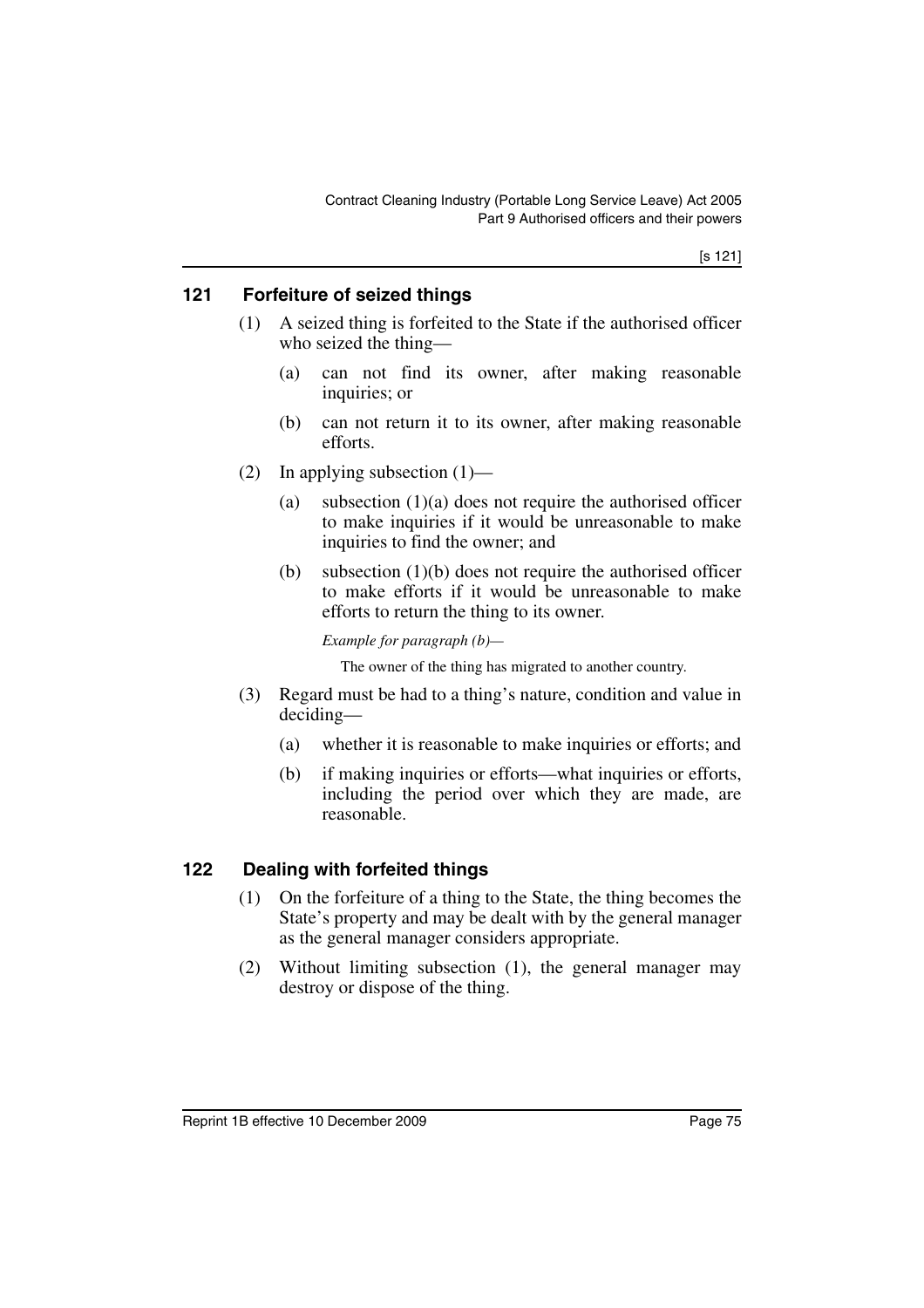#### **121 Forfeiture of seized things**

- (1) A seized thing is forfeited to the State if the authorised officer who seized the thing—
	- (a) can not find its owner, after making reasonable inquiries; or
	- (b) can not return it to its owner, after making reasonable efforts.
- (2) In applying subsection  $(1)$ 
	- (a) subsection  $(1)(a)$  does not require the authorised officer to make inquiries if it would be unreasonable to make inquiries to find the owner; and
	- (b) subsection (1)(b) does not require the authorised officer to make efforts if it would be unreasonable to make efforts to return the thing to its owner.

*Example for paragraph (b)—*

The owner of the thing has migrated to another country.

- (3) Regard must be had to a thing's nature, condition and value in deciding—
	- (a) whether it is reasonable to make inquiries or efforts; and
	- (b) if making inquiries or efforts—what inquiries or efforts, including the period over which they are made, are reasonable.

#### **122 Dealing with forfeited things**

- (1) On the forfeiture of a thing to the State, the thing becomes the State's property and may be dealt with by the general manager as the general manager considers appropriate.
- (2) Without limiting subsection (1), the general manager may destroy or dispose of the thing.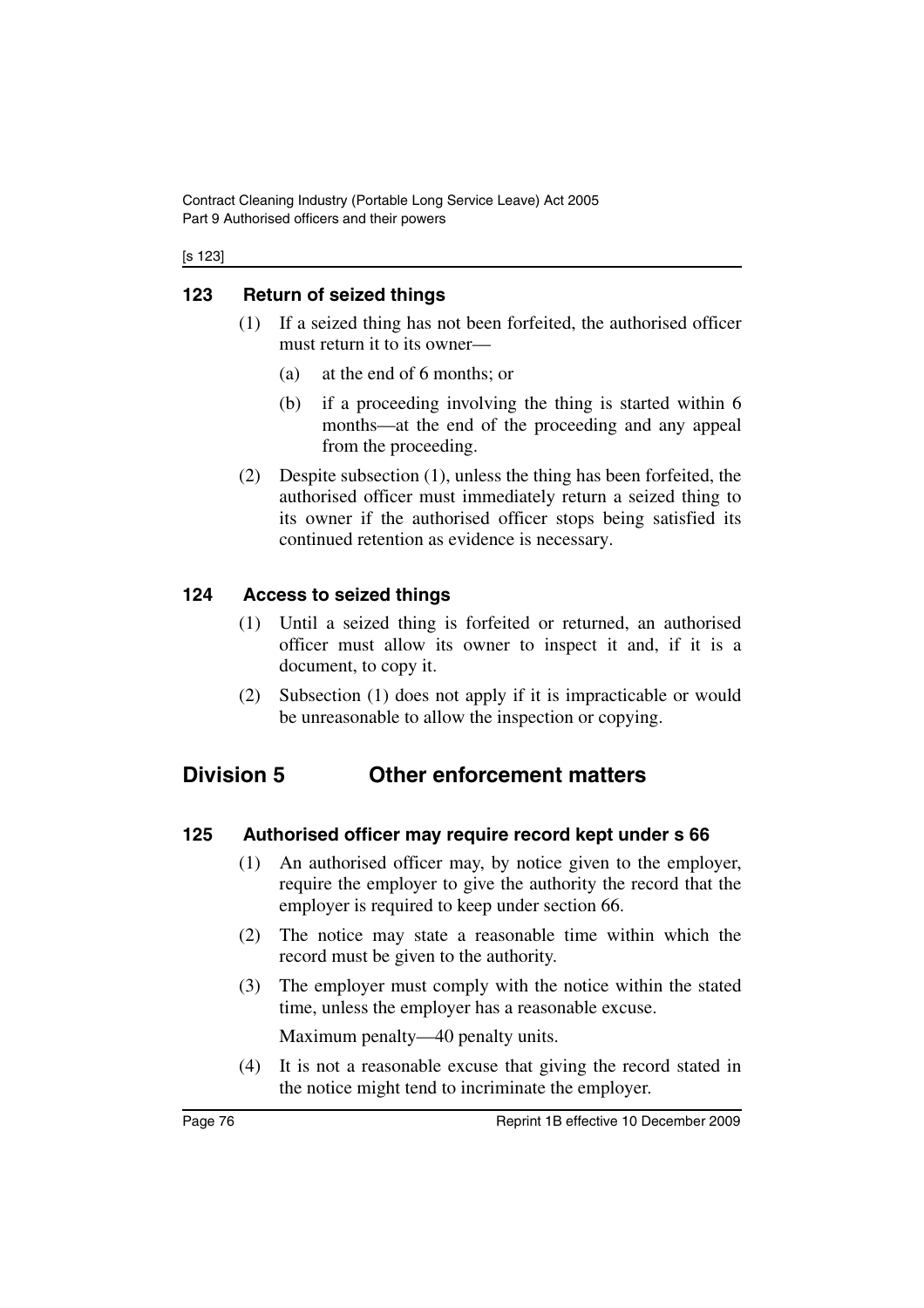Contract Cleaning Industry (Portable Long Service Leave) Act 2005 Part 9 Authorised officers and their powers

[s 123]

#### **123 Return of seized things**

- (1) If a seized thing has not been forfeited, the authorised officer must return it to its owner—
	- (a) at the end of 6 months; or
	- (b) if a proceeding involving the thing is started within 6 months—at the end of the proceeding and any appeal from the proceeding.
- (2) Despite subsection (1), unless the thing has been forfeited, the authorised officer must immediately return a seized thing to its owner if the authorised officer stops being satisfied its continued retention as evidence is necessary.

#### **124 Access to seized things**

- (1) Until a seized thing is forfeited or returned, an authorised officer must allow its owner to inspect it and, if it is a document, to copy it.
- (2) Subsection (1) does not apply if it is impracticable or would be unreasonable to allow the inspection or copying.

## **Division 5 Other enforcement matters**

#### **125 Authorised officer may require record kept under s 66**

- (1) An authorised officer may, by notice given to the employer, require the employer to give the authority the record that the employer is required to keep under section 66.
- (2) The notice may state a reasonable time within which the record must be given to the authority.
- (3) The employer must comply with the notice within the stated time, unless the employer has a reasonable excuse.

Maximum penalty—40 penalty units.

(4) It is not a reasonable excuse that giving the record stated in the notice might tend to incriminate the employer.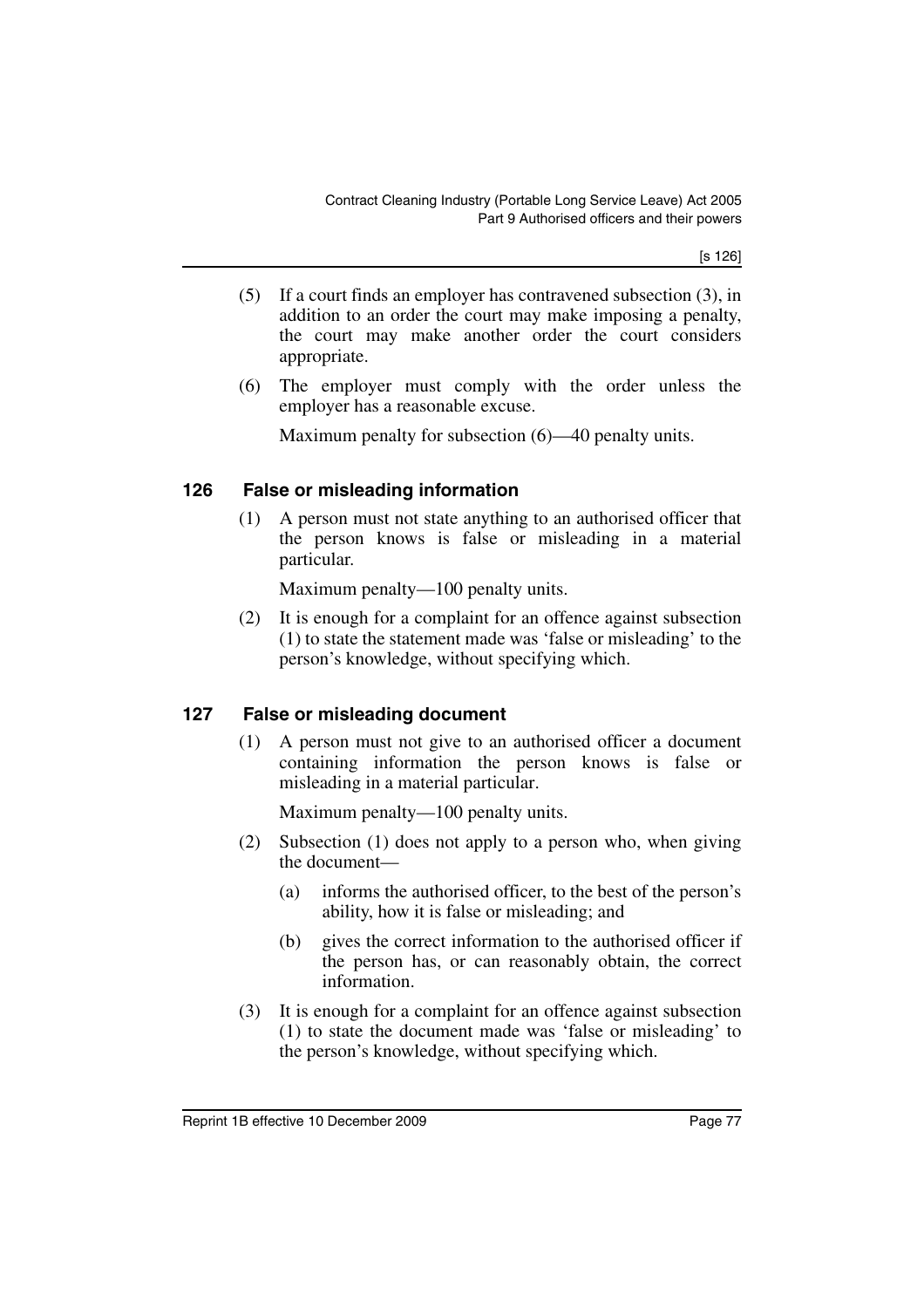[s 126]

- (5) If a court finds an employer has contravened subsection (3), in addition to an order the court may make imposing a penalty, the court may make another order the court considers appropriate.
- (6) The employer must comply with the order unless the employer has a reasonable excuse.

Maximum penalty for subsection (6)—40 penalty units.

#### **126 False or misleading information**

(1) A person must not state anything to an authorised officer that the person knows is false or misleading in a material particular.

Maximum penalty—100 penalty units.

(2) It is enough for a complaint for an offence against subsection (1) to state the statement made was 'false or misleading' to the person's knowledge, without specifying which.

#### **127 False or misleading document**

(1) A person must not give to an authorised officer a document containing information the person knows is false or misleading in a material particular.

Maximum penalty—100 penalty units.

- (2) Subsection (1) does not apply to a person who, when giving the document—
	- (a) informs the authorised officer, to the best of the person's ability, how it is false or misleading; and
	- (b) gives the correct information to the authorised officer if the person has, or can reasonably obtain, the correct information.
- (3) It is enough for a complaint for an offence against subsection (1) to state the document made was 'false or misleading' to the person's knowledge, without specifying which.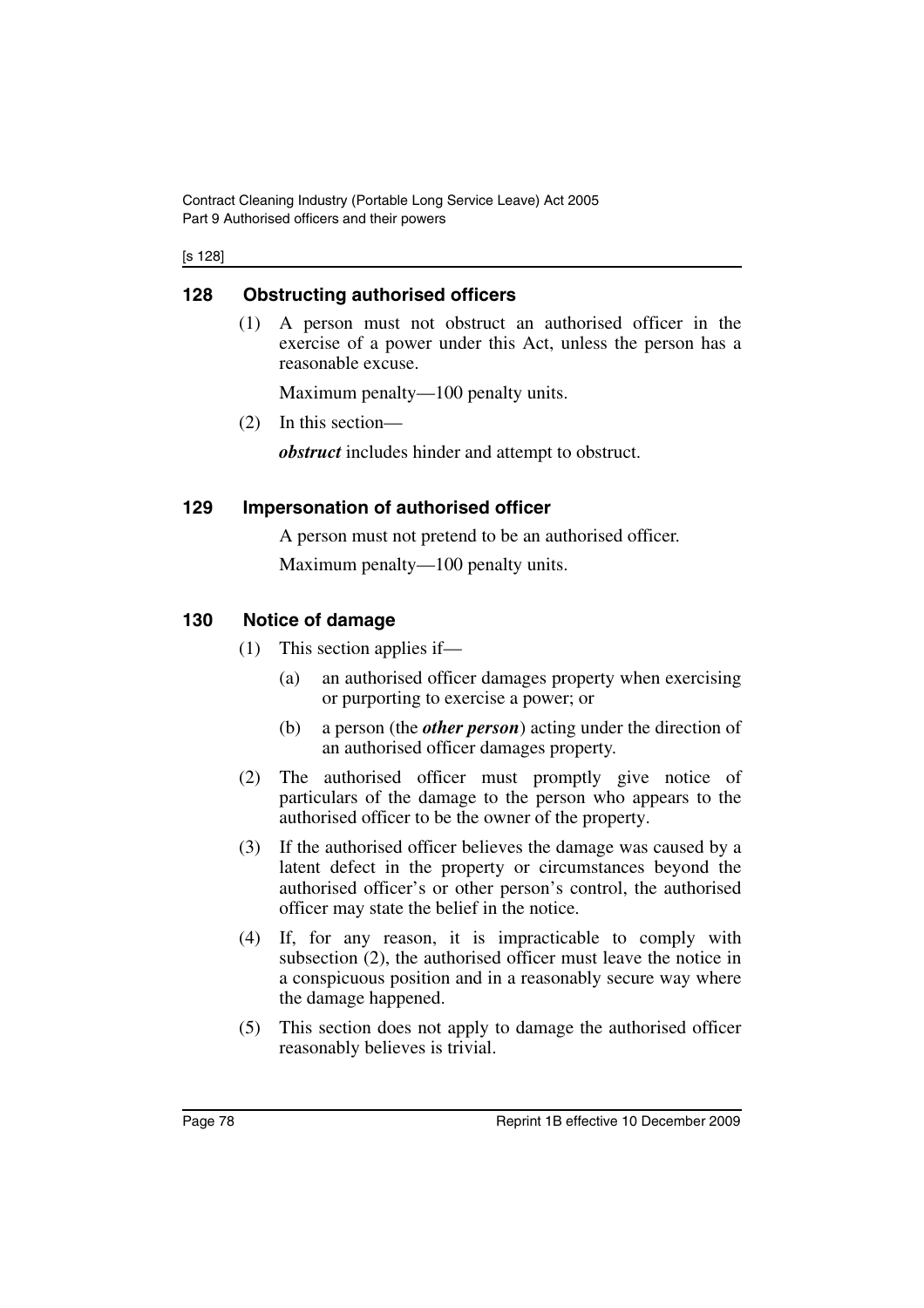Contract Cleaning Industry (Portable Long Service Leave) Act 2005 Part 9 Authorised officers and their powers

[s 128]

#### **128 Obstructing authorised officers**

(1) A person must not obstruct an authorised officer in the exercise of a power under this Act, unless the person has a reasonable excuse.

Maximum penalty—100 penalty units.

(2) In this section—

*obstruct* includes hinder and attempt to obstruct.

#### **129 Impersonation of authorised officer**

A person must not pretend to be an authorised officer.

Maximum penalty—100 penalty units.

### **130 Notice of damage**

- (1) This section applies if—
	- (a) an authorised officer damages property when exercising or purporting to exercise a power; or
	- (b) a person (the *other person*) acting under the direction of an authorised officer damages property.
- (2) The authorised officer must promptly give notice of particulars of the damage to the person who appears to the authorised officer to be the owner of the property.
- (3) If the authorised officer believes the damage was caused by a latent defect in the property or circumstances beyond the authorised officer's or other person's control, the authorised officer may state the belief in the notice.
- (4) If, for any reason, it is impracticable to comply with subsection (2), the authorised officer must leave the notice in a conspicuous position and in a reasonably secure way where the damage happened.
- (5) This section does not apply to damage the authorised officer reasonably believes is trivial.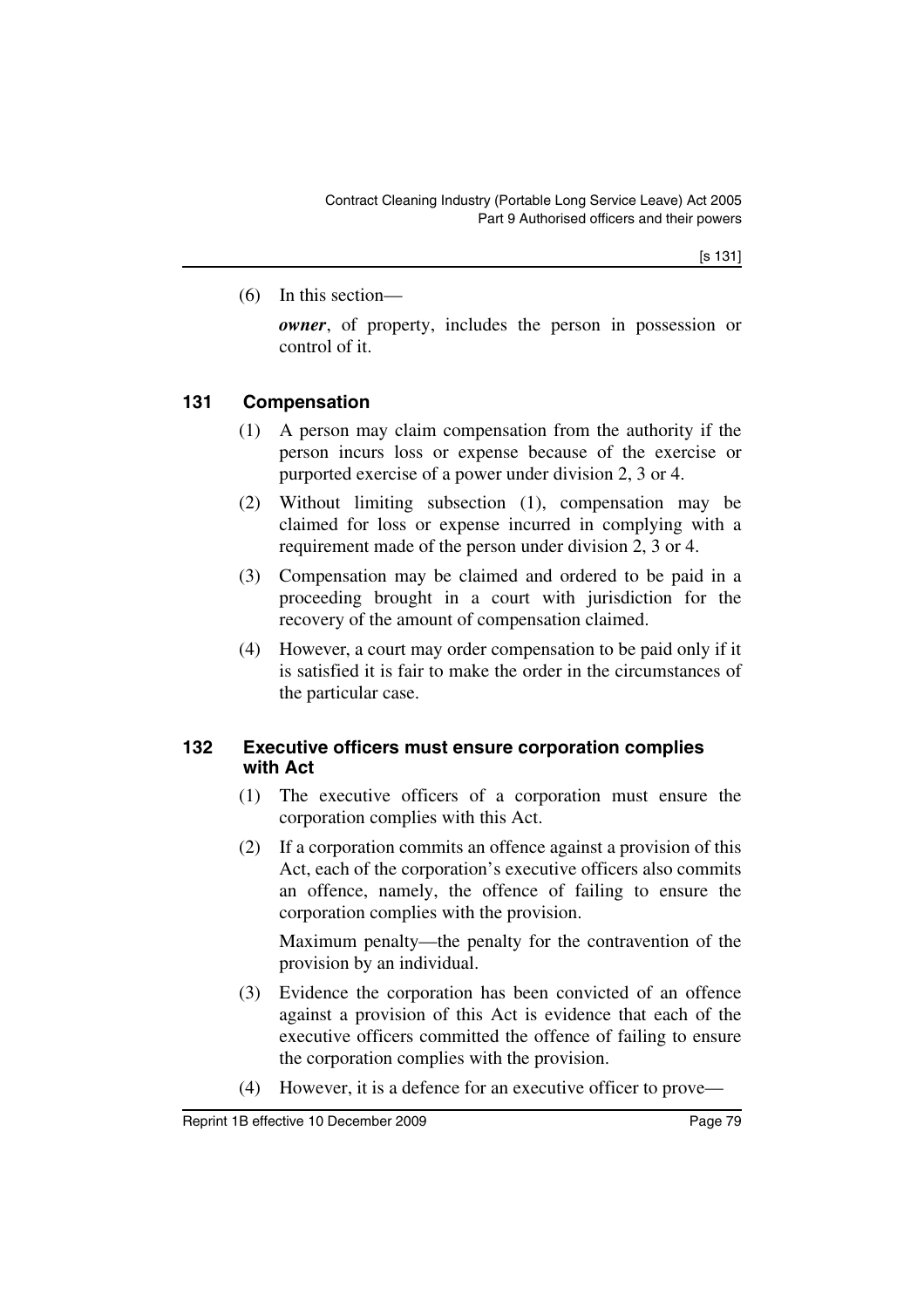(6) In this section—

*owner*, of property, includes the person in possession or control of it.

### **131 Compensation**

- (1) A person may claim compensation from the authority if the person incurs loss or expense because of the exercise or purported exercise of a power under division 2, 3 or 4.
- (2) Without limiting subsection (1), compensation may be claimed for loss or expense incurred in complying with a requirement made of the person under division 2, 3 or 4.
- (3) Compensation may be claimed and ordered to be paid in a proceeding brought in a court with jurisdiction for the recovery of the amount of compensation claimed.
- (4) However, a court may order compensation to be paid only if it is satisfied it is fair to make the order in the circumstances of the particular case.

#### **132 Executive officers must ensure corporation complies with Act**

- (1) The executive officers of a corporation must ensure the corporation complies with this Act.
- (2) If a corporation commits an offence against a provision of this Act, each of the corporation's executive officers also commits an offence, namely, the offence of failing to ensure the corporation complies with the provision.

Maximum penalty—the penalty for the contravention of the provision by an individual.

- (3) Evidence the corporation has been convicted of an offence against a provision of this Act is evidence that each of the executive officers committed the offence of failing to ensure the corporation complies with the provision.
- (4) However, it is a defence for an executive officer to prove—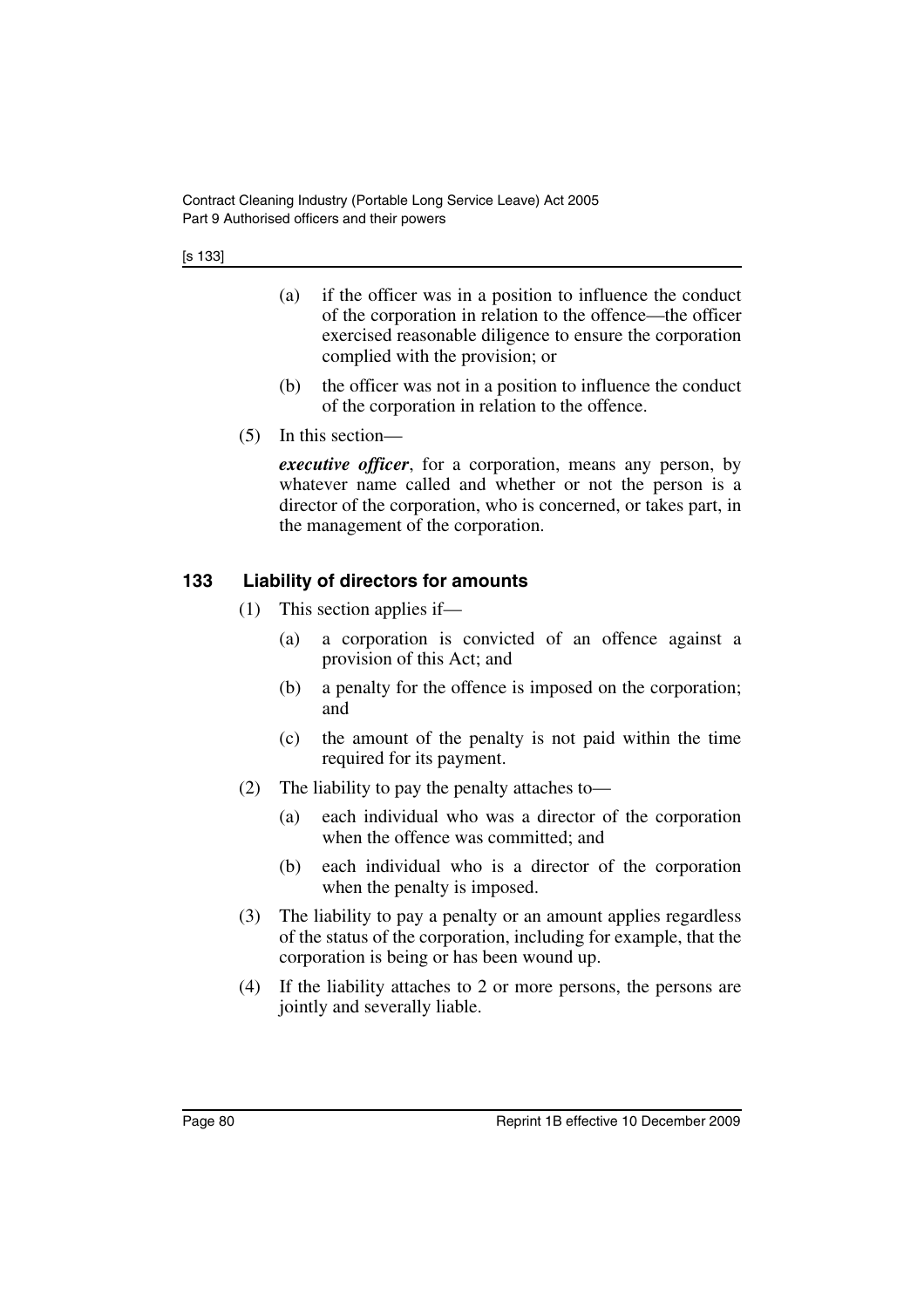- (a) if the officer was in a position to influence the conduct of the corporation in relation to the offence—the officer exercised reasonable diligence to ensure the corporation complied with the provision; or
- (b) the officer was not in a position to influence the conduct of the corporation in relation to the offence.
- (5) In this section—

*executive officer*, for a corporation, means any person, by whatever name called and whether or not the person is a director of the corporation, who is concerned, or takes part, in the management of the corporation.

#### **133 Liability of directors for amounts**

- (1) This section applies if—
	- (a) a corporation is convicted of an offence against a provision of this Act; and
	- (b) a penalty for the offence is imposed on the corporation; and
	- (c) the amount of the penalty is not paid within the time required for its payment.
- (2) The liability to pay the penalty attaches to—
	- (a) each individual who was a director of the corporation when the offence was committed; and
	- (b) each individual who is a director of the corporation when the penalty is imposed.
- (3) The liability to pay a penalty or an amount applies regardless of the status of the corporation, including for example, that the corporation is being or has been wound up.
- (4) If the liability attaches to 2 or more persons, the persons are jointly and severally liable.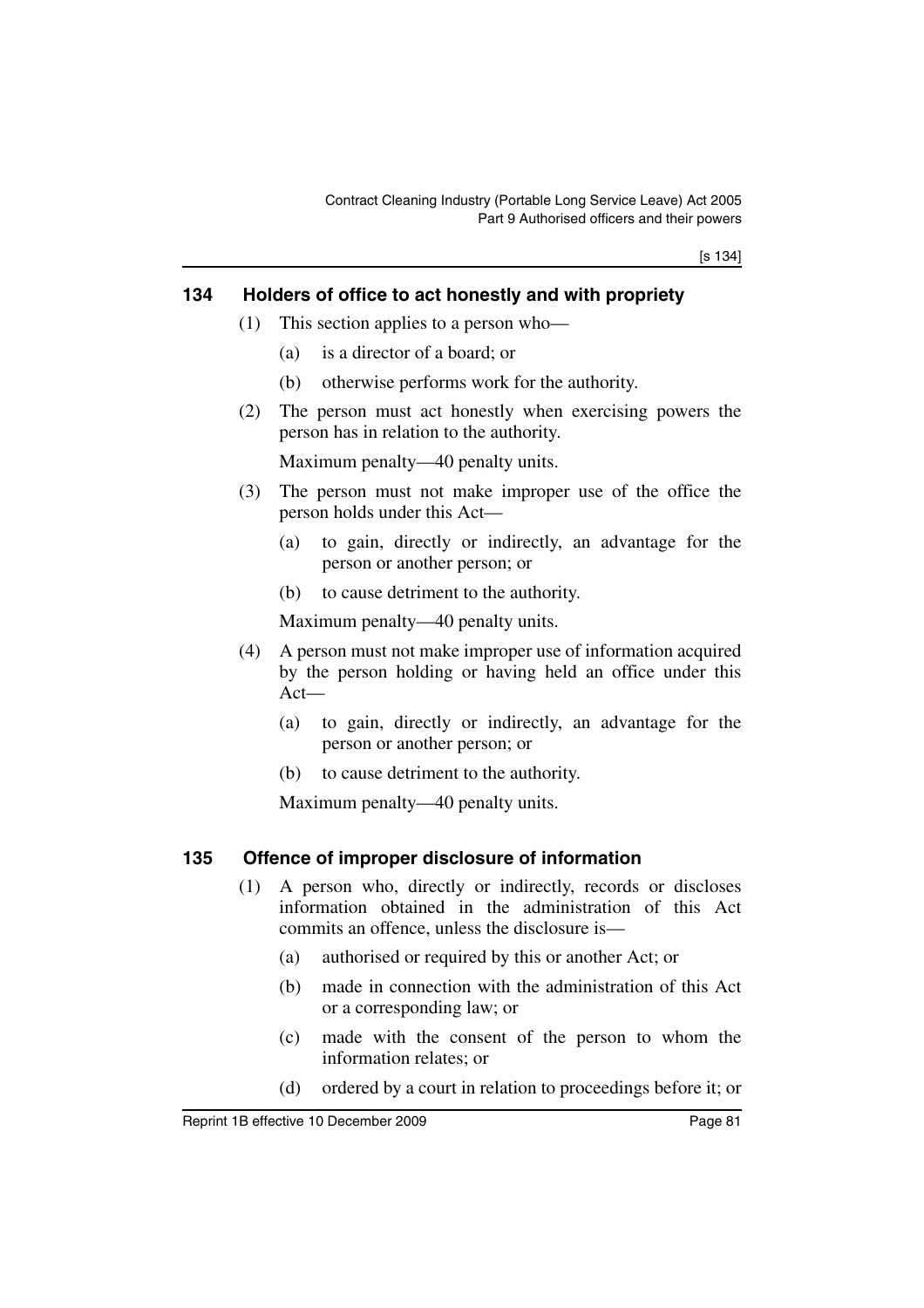[s 134]

#### **134 Holders of office to act honestly and with propriety**

- (1) This section applies to a person who—
	- (a) is a director of a board; or
	- (b) otherwise performs work for the authority.
- (2) The person must act honestly when exercising powers the person has in relation to the authority.

Maximum penalty—40 penalty units.

- (3) The person must not make improper use of the office the person holds under this Act—
	- (a) to gain, directly or indirectly, an advantage for the person or another person; or
	- (b) to cause detriment to the authority.

Maximum penalty—40 penalty units.

- (4) A person must not make improper use of information acquired by the person holding or having held an office under this Act—
	- (a) to gain, directly or indirectly, an advantage for the person or another person; or
	- (b) to cause detriment to the authority.

Maximum penalty—40 penalty units.

#### **135 Offence of improper disclosure of information**

- (1) A person who, directly or indirectly, records or discloses information obtained in the administration of this Act commits an offence, unless the disclosure is—
	- (a) authorised or required by this or another Act; or
	- (b) made in connection with the administration of this Act or a corresponding law; or
	- (c) made with the consent of the person to whom the information relates; or
	- (d) ordered by a court in relation to proceedings before it; or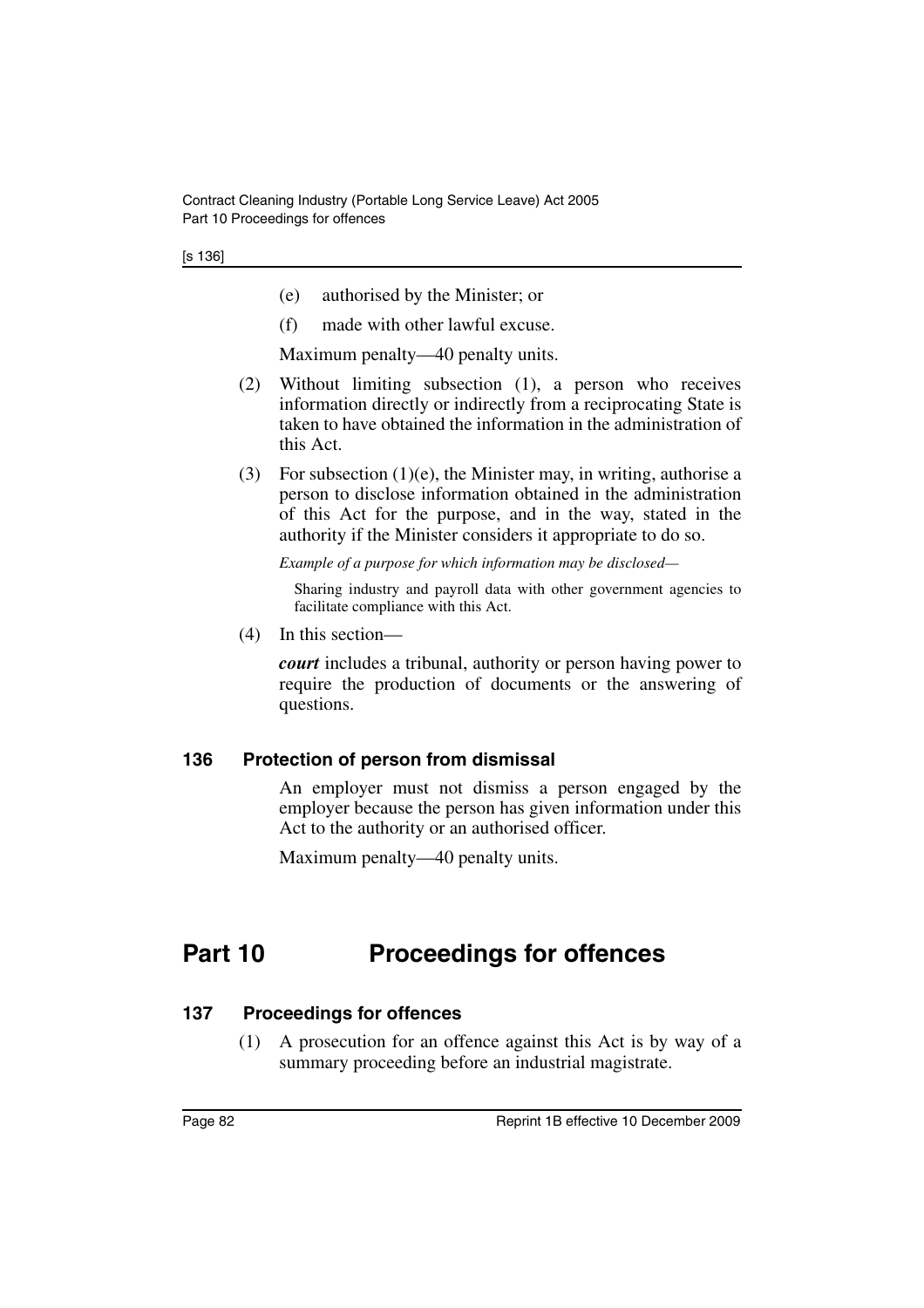[s 136]

- (e) authorised by the Minister; or
- (f) made with other lawful excuse.

Maximum penalty—40 penalty units.

- (2) Without limiting subsection (1), a person who receives information directly or indirectly from a reciprocating State is taken to have obtained the information in the administration of this Act.
- (3) For subsection (1)(e), the Minister may, in writing, authorise a person to disclose information obtained in the administration of this Act for the purpose, and in the way, stated in the authority if the Minister considers it appropriate to do so.

*Example of a purpose for which information may be disclosed—*

Sharing industry and payroll data with other government agencies to facilitate compliance with this Act.

(4) In this section—

*court* includes a tribunal, authority or person having power to require the production of documents or the answering of questions.

#### **136 Protection of person from dismissal**

An employer must not dismiss a person engaged by the employer because the person has given information under this Act to the authority or an authorised officer.

Maximum penalty—40 penalty units.

# **Part 10 Proceedings for offences**

#### **137 Proceedings for offences**

(1) A prosecution for an offence against this Act is by way of a summary proceeding before an industrial magistrate.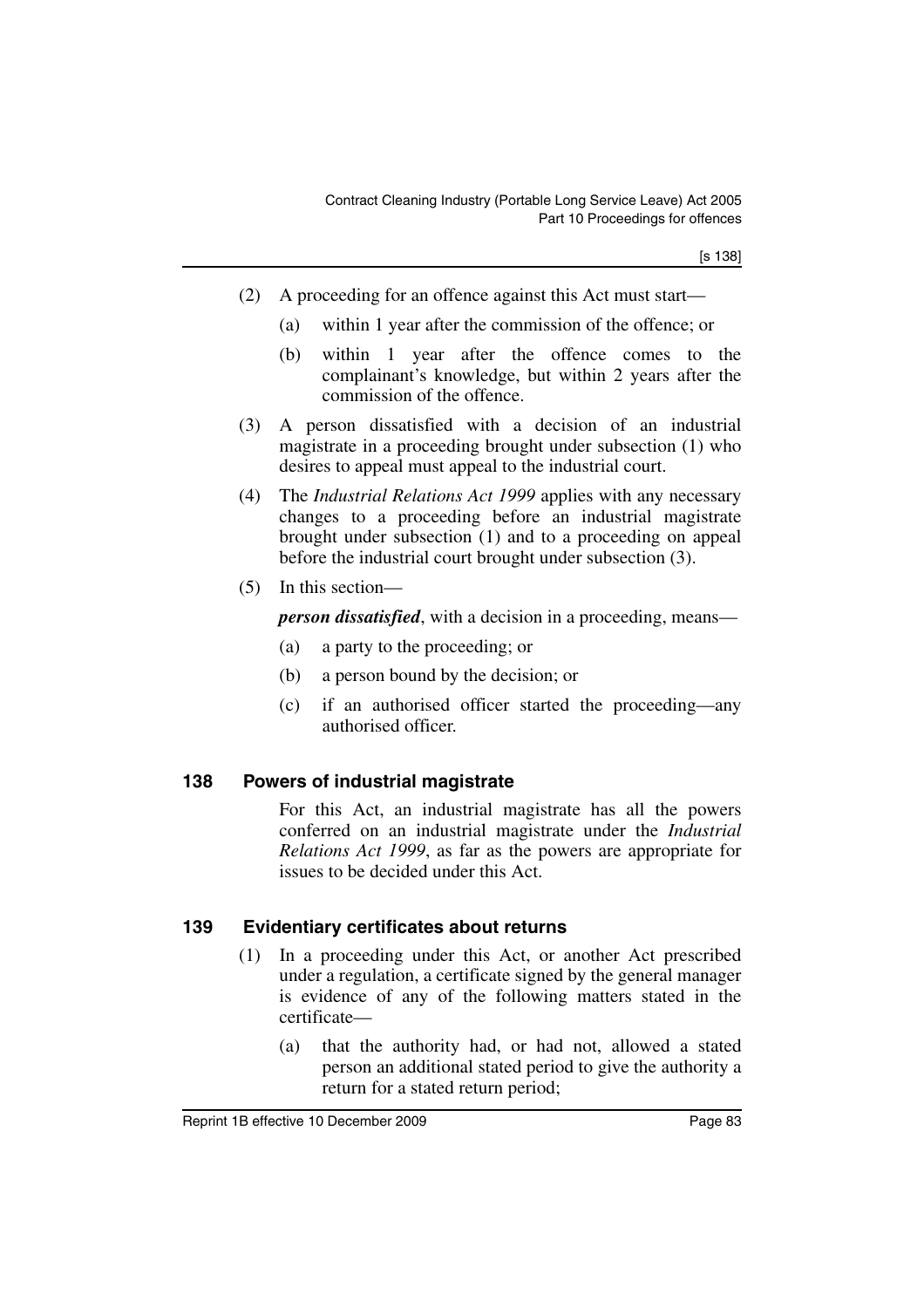- (2) A proceeding for an offence against this Act must start—
	- (a) within 1 year after the commission of the offence; or
	- (b) within 1 year after the offence comes to the complainant's knowledge, but within 2 years after the commission of the offence.
- (3) A person dissatisfied with a decision of an industrial magistrate in a proceeding brought under subsection (1) who desires to appeal must appeal to the industrial court.
- (4) The *Industrial Relations Act 1999* applies with any necessary changes to a proceeding before an industrial magistrate brought under subsection (1) and to a proceeding on appeal before the industrial court brought under subsection (3).
- (5) In this section—

*person dissatisfied*, with a decision in a proceeding, means—

- (a) a party to the proceeding; or
- (b) a person bound by the decision; or
- (c) if an authorised officer started the proceeding—any authorised officer.

#### **138 Powers of industrial magistrate**

For this Act, an industrial magistrate has all the powers conferred on an industrial magistrate under the *Industrial Relations Act 1999*, as far as the powers are appropriate for issues to be decided under this Act.

#### **139 Evidentiary certificates about returns**

- (1) In a proceeding under this Act, or another Act prescribed under a regulation, a certificate signed by the general manager is evidence of any of the following matters stated in the certificate—
	- (a) that the authority had, or had not, allowed a stated person an additional stated period to give the authority a return for a stated return period;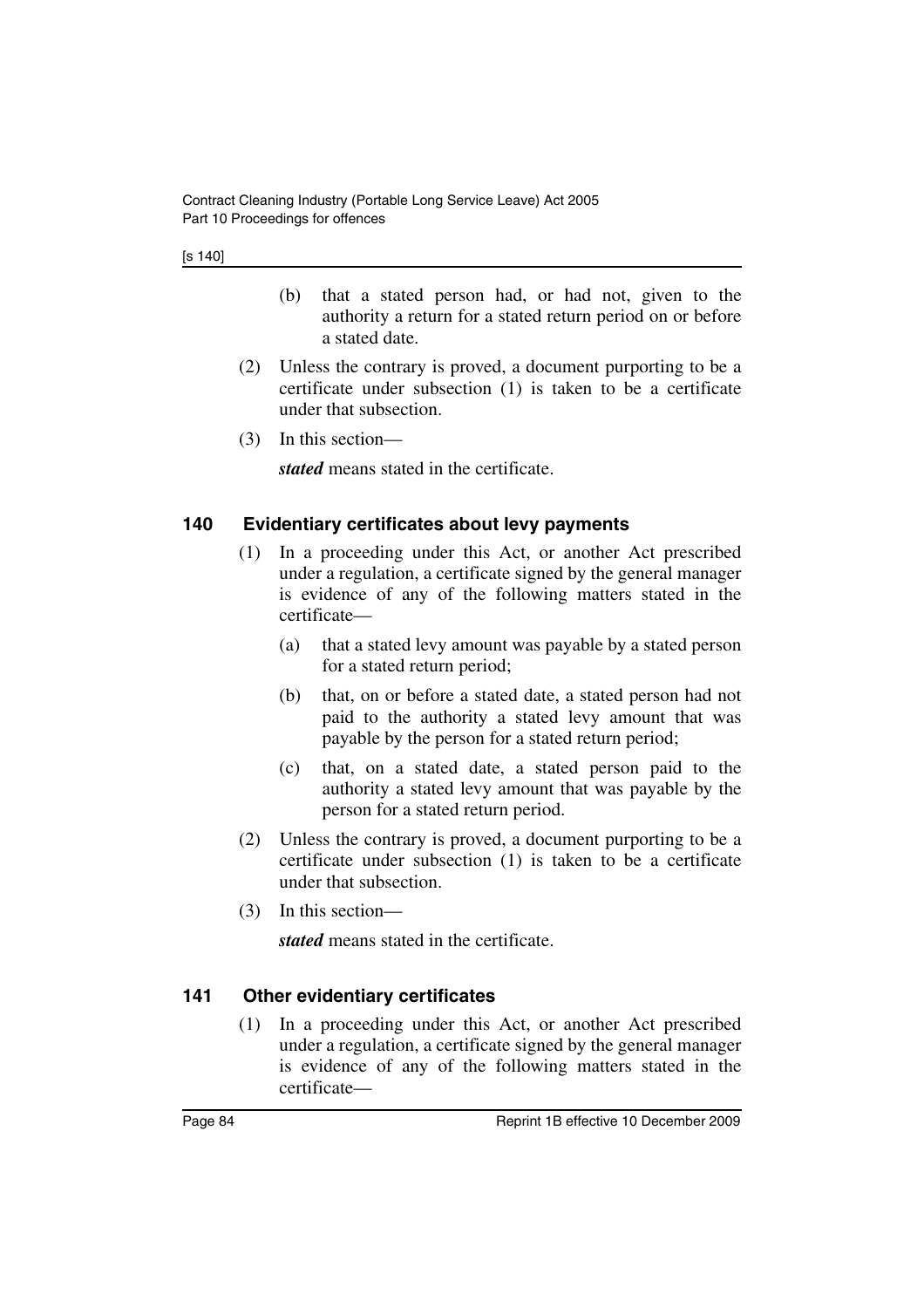- (b) that a stated person had, or had not, given to the authority a return for a stated return period on or before a stated date.
- (2) Unless the contrary is proved, a document purporting to be a certificate under subsection (1) is taken to be a certificate under that subsection.
- (3) In this section—

*stated* means stated in the certificate.

### **140 Evidentiary certificates about levy payments**

- (1) In a proceeding under this Act, or another Act prescribed under a regulation, a certificate signed by the general manager is evidence of any of the following matters stated in the certificate—
	- (a) that a stated levy amount was payable by a stated person for a stated return period;
	- (b) that, on or before a stated date, a stated person had not paid to the authority a stated levy amount that was payable by the person for a stated return period;
	- (c) that, on a stated date, a stated person paid to the authority a stated levy amount that was payable by the person for a stated return period.
- (2) Unless the contrary is proved, a document purporting to be a certificate under subsection (1) is taken to be a certificate under that subsection.
- (3) In this section—

*stated* means stated in the certificate.

### **141 Other evidentiary certificates**

(1) In a proceeding under this Act, or another Act prescribed under a regulation, a certificate signed by the general manager is evidence of any of the following matters stated in the certificate—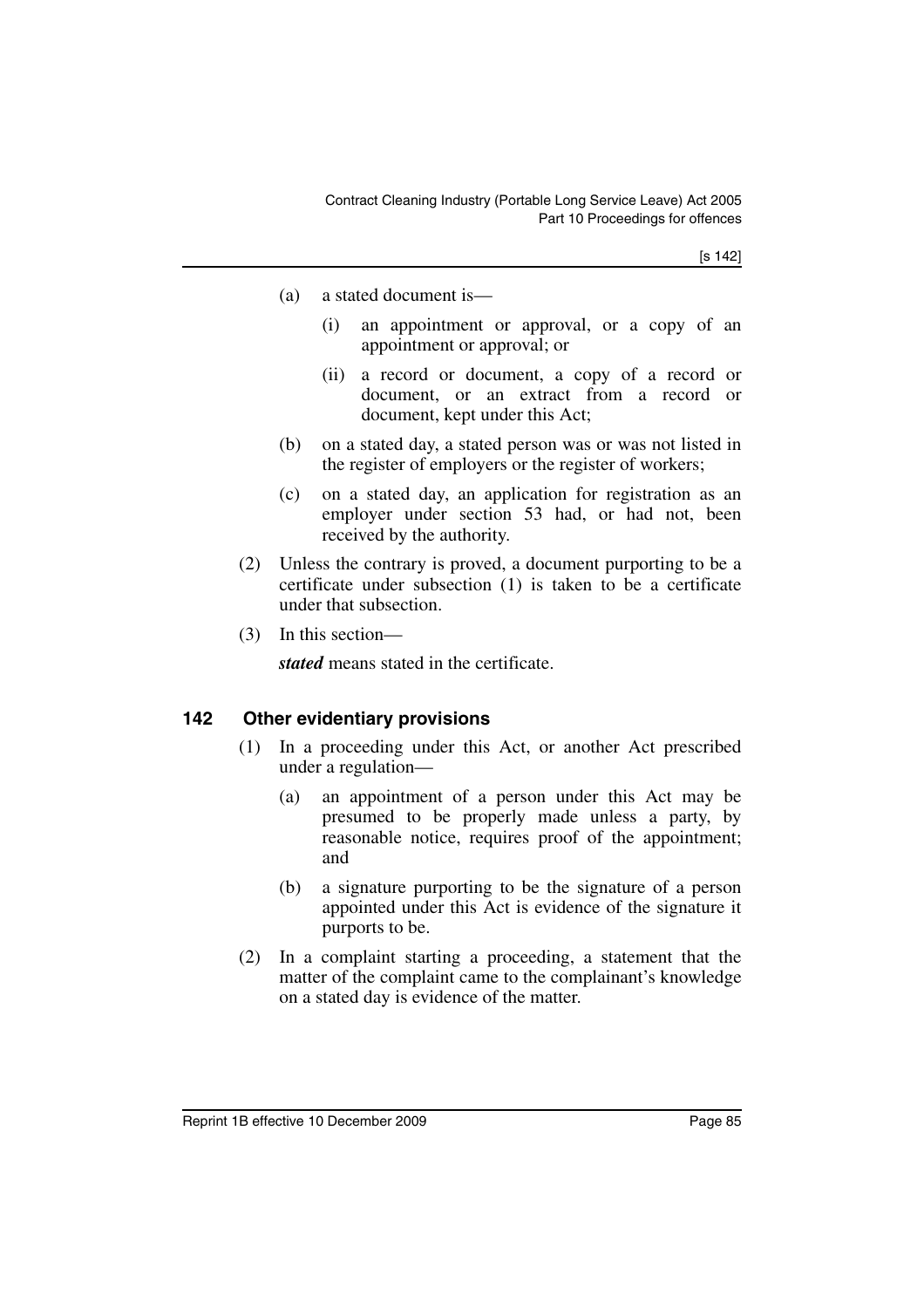[s 142]

- (a) a stated document is—
	- (i) an appointment or approval, or a copy of an appointment or approval; or
	- (ii) a record or document, a copy of a record or document, or an extract from a record or document, kept under this Act;
- (b) on a stated day, a stated person was or was not listed in the register of employers or the register of workers;
- (c) on a stated day, an application for registration as an employer under section 53 had, or had not, been received by the authority.
- (2) Unless the contrary is proved, a document purporting to be a certificate under subsection (1) is taken to be a certificate under that subsection.
- (3) In this section—

*stated* means stated in the certificate.

#### **142 Other evidentiary provisions**

- (1) In a proceeding under this Act, or another Act prescribed under a regulation—
	- (a) an appointment of a person under this Act may be presumed to be properly made unless a party, by reasonable notice, requires proof of the appointment; and
	- (b) a signature purporting to be the signature of a person appointed under this Act is evidence of the signature it purports to be.
- (2) In a complaint starting a proceeding, a statement that the matter of the complaint came to the complainant's knowledge on a stated day is evidence of the matter.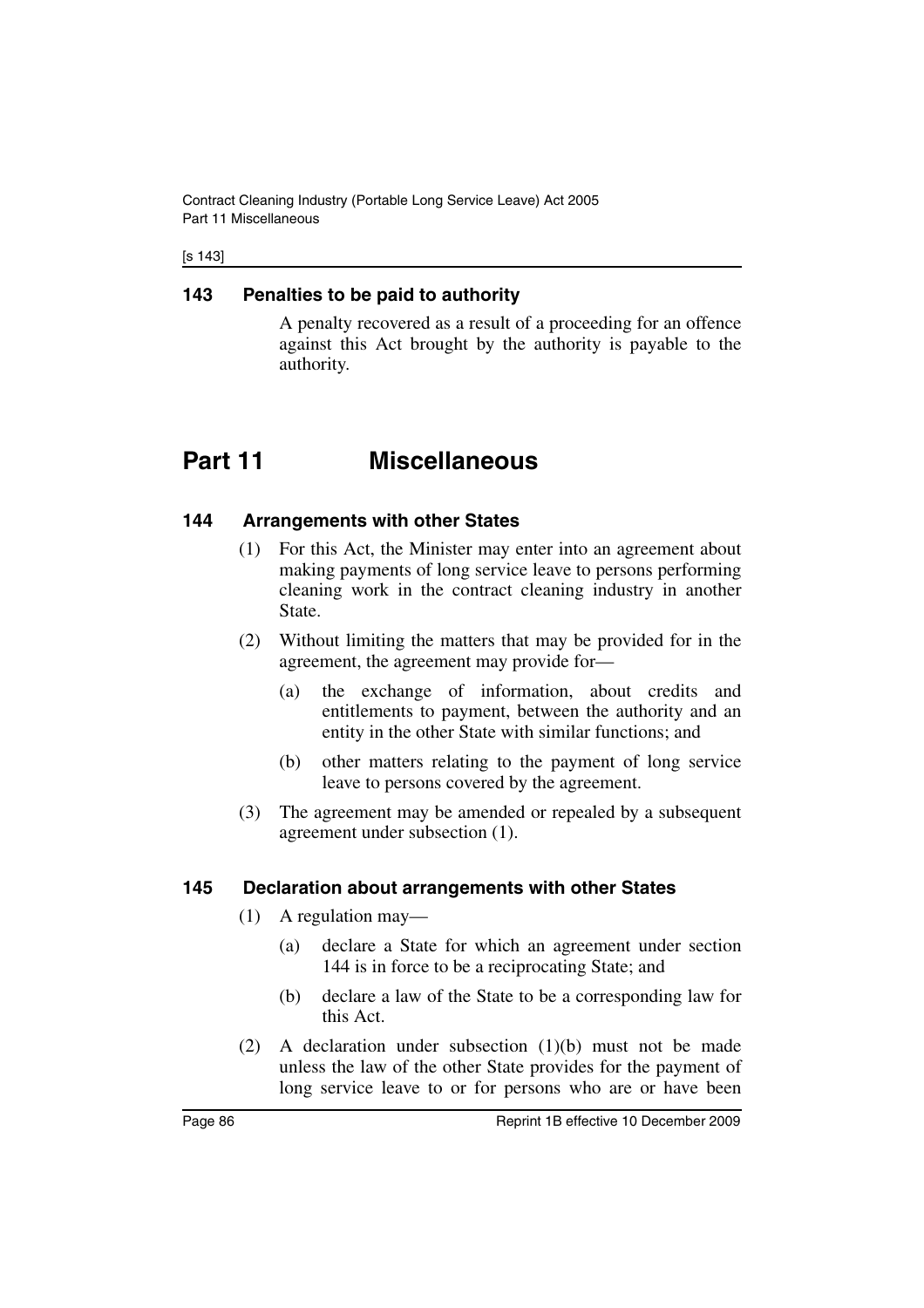Contract Cleaning Industry (Portable Long Service Leave) Act 2005 Part 11 Miscellaneous

[s 143]

#### **143 Penalties to be paid to authority**

A penalty recovered as a result of a proceeding for an offence against this Act brought by the authority is payable to the authority.

# **Part 11 Miscellaneous**

#### **144 Arrangements with other States**

- (1) For this Act, the Minister may enter into an agreement about making payments of long service leave to persons performing cleaning work in the contract cleaning industry in another State.
- (2) Without limiting the matters that may be provided for in the agreement, the agreement may provide for—
	- (a) the exchange of information, about credits and entitlements to payment, between the authority and an entity in the other State with similar functions; and
	- (b) other matters relating to the payment of long service leave to persons covered by the agreement.
- (3) The agreement may be amended or repealed by a subsequent agreement under subsection (1).

#### **145 Declaration about arrangements with other States**

- (1) A regulation may—
	- (a) declare a State for which an agreement under section 144 is in force to be a reciprocating State; and
	- (b) declare a law of the State to be a corresponding law for this Act.
- (2) A declaration under subsection (1)(b) must not be made unless the law of the other State provides for the payment of long service leave to or for persons who are or have been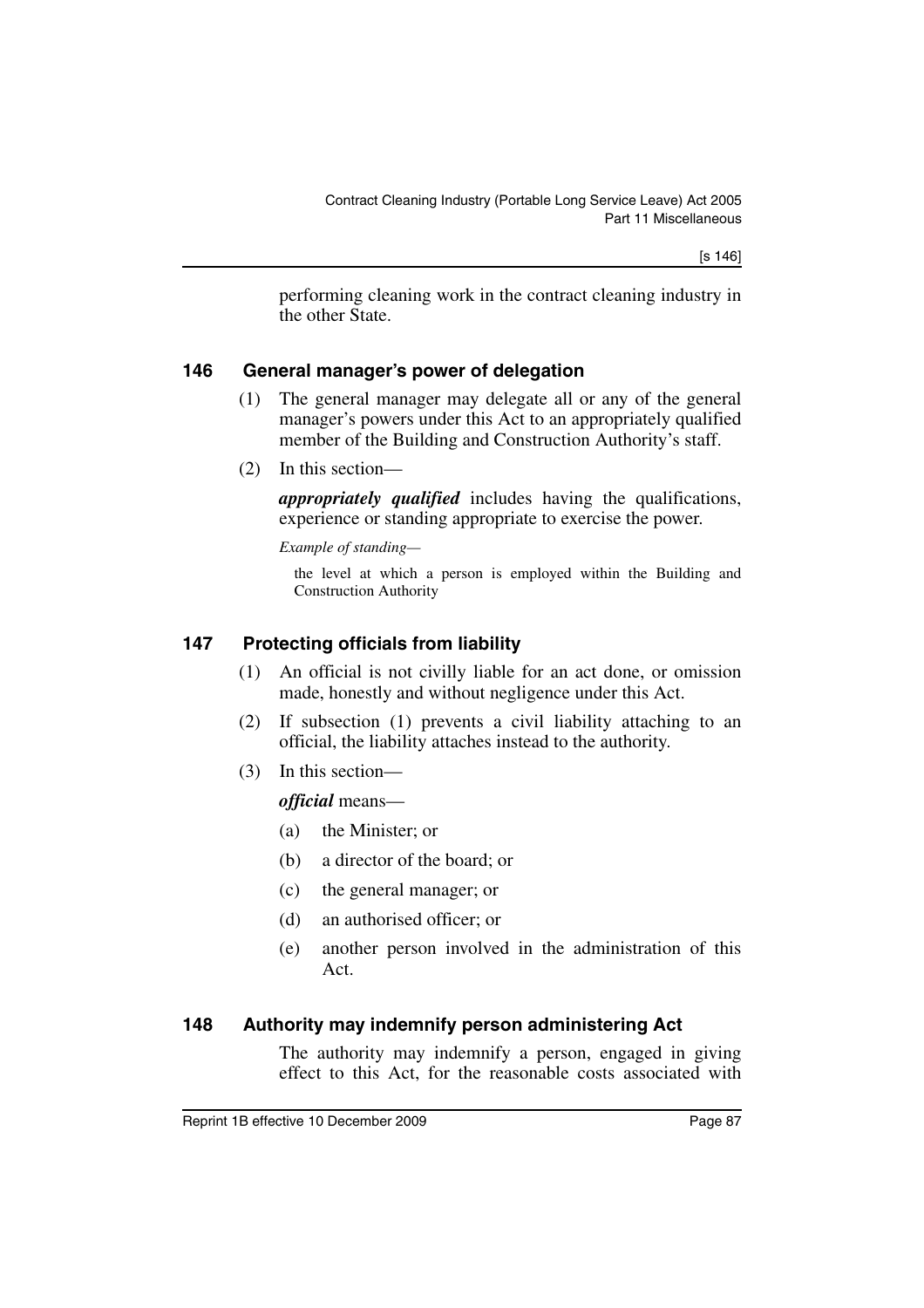performing cleaning work in the contract cleaning industry in the other State.

#### **146 General manager's power of delegation**

- (1) The general manager may delegate all or any of the general manager's powers under this Act to an appropriately qualified member of the Building and Construction Authority's staff.
- (2) In this section—

*appropriately qualified* includes having the qualifications, experience or standing appropriate to exercise the power.

*Example of standing—*

the level at which a person is employed within the Building and Construction Authority

#### **147 Protecting officials from liability**

- (1) An official is not civilly liable for an act done, or omission made, honestly and without negligence under this Act.
- (2) If subsection (1) prevents a civil liability attaching to an official, the liability attaches instead to the authority.
- (3) In this section—

*official* means—

- (a) the Minister; or
- (b) a director of the board; or
- (c) the general manager; or
- (d) an authorised officer; or
- (e) another person involved in the administration of this Act.

#### **148 Authority may indemnify person administering Act**

The authority may indemnify a person, engaged in giving effect to this Act, for the reasonable costs associated with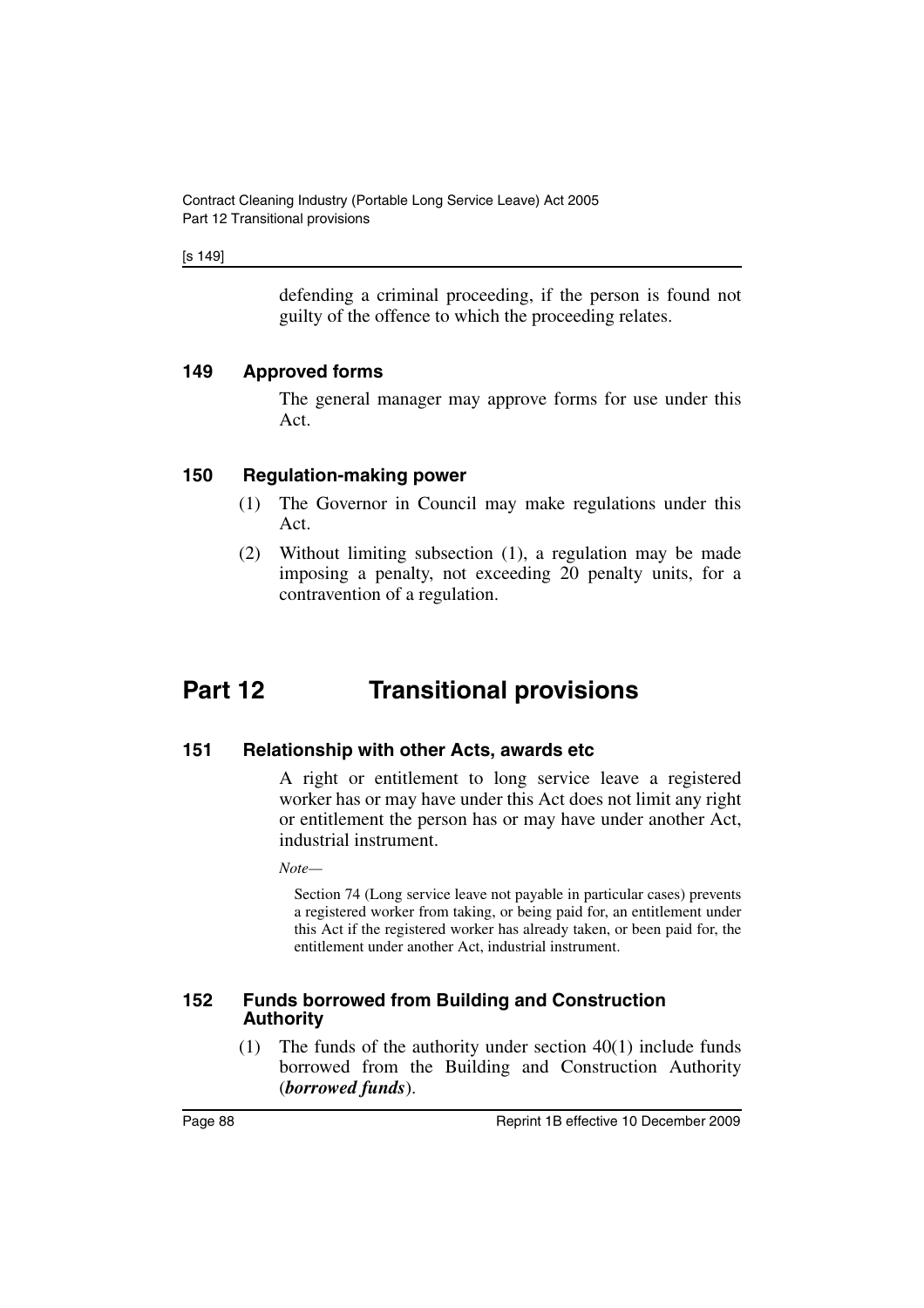[s 149]

defending a criminal proceeding, if the person is found not guilty of the offence to which the proceeding relates.

#### **149 Approved forms**

The general manager may approve forms for use under this Act.

#### **150 Regulation-making power**

- (1) The Governor in Council may make regulations under this Act.
- (2) Without limiting subsection (1), a regulation may be made imposing a penalty, not exceeding 20 penalty units, for a contravention of a regulation.

# **Part 12 Transitional provisions**

#### **151 Relationship with other Acts, awards etc**

A right or entitlement to long service leave a registered worker has or may have under this Act does not limit any right or entitlement the person has or may have under another Act, industrial instrument.

*Note—*

Section 74 (Long service leave not payable in particular cases) prevents a registered worker from taking, or being paid for, an entitlement under this Act if the registered worker has already taken, or been paid for, the entitlement under another Act, industrial instrument.

#### **152 Funds borrowed from Building and Construction Authority**

(1) The funds of the authority under section 40(1) include funds borrowed from the Building and Construction Authority (*borrowed funds*).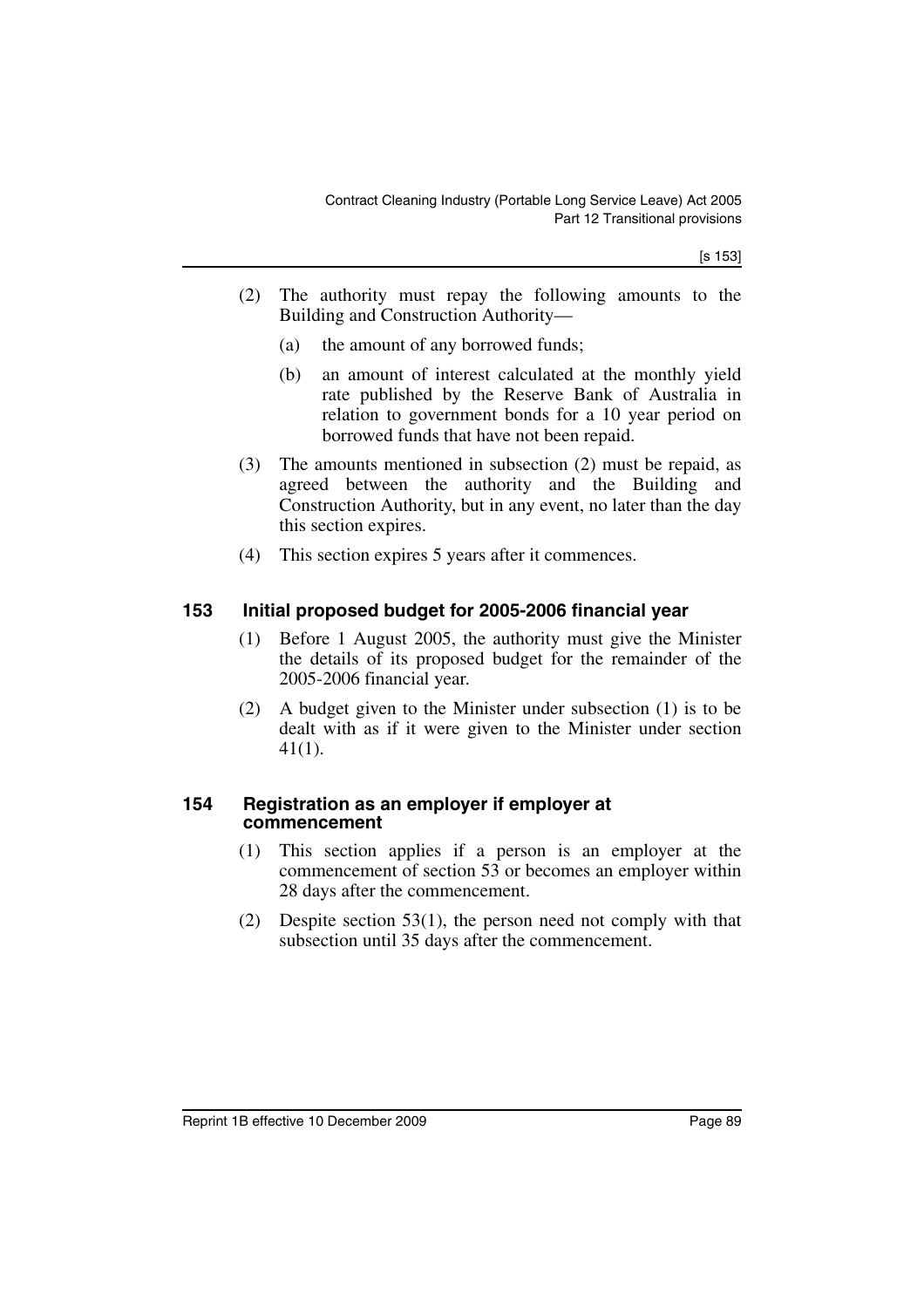[s 153]

- (2) The authority must repay the following amounts to the Building and Construction Authority—
	- (a) the amount of any borrowed funds;
	- (b) an amount of interest calculated at the monthly yield rate published by the Reserve Bank of Australia in relation to government bonds for a 10 year period on borrowed funds that have not been repaid.
- (3) The amounts mentioned in subsection (2) must be repaid, as agreed between the authority and the Building and Construction Authority, but in any event, no later than the day this section expires.
- (4) This section expires 5 years after it commences.

### **153 Initial proposed budget for 2005-2006 financial year**

- (1) Before 1 August 2005, the authority must give the Minister the details of its proposed budget for the remainder of the 2005-2006 financial year.
- (2) A budget given to the Minister under subsection (1) is to be dealt with as if it were given to the Minister under section 41(1).

#### **154 Registration as an employer if employer at commencement**

- (1) This section applies if a person is an employer at the commencement of section 53 or becomes an employer within 28 days after the commencement.
- (2) Despite section 53(1), the person need not comply with that subsection until 35 days after the commencement.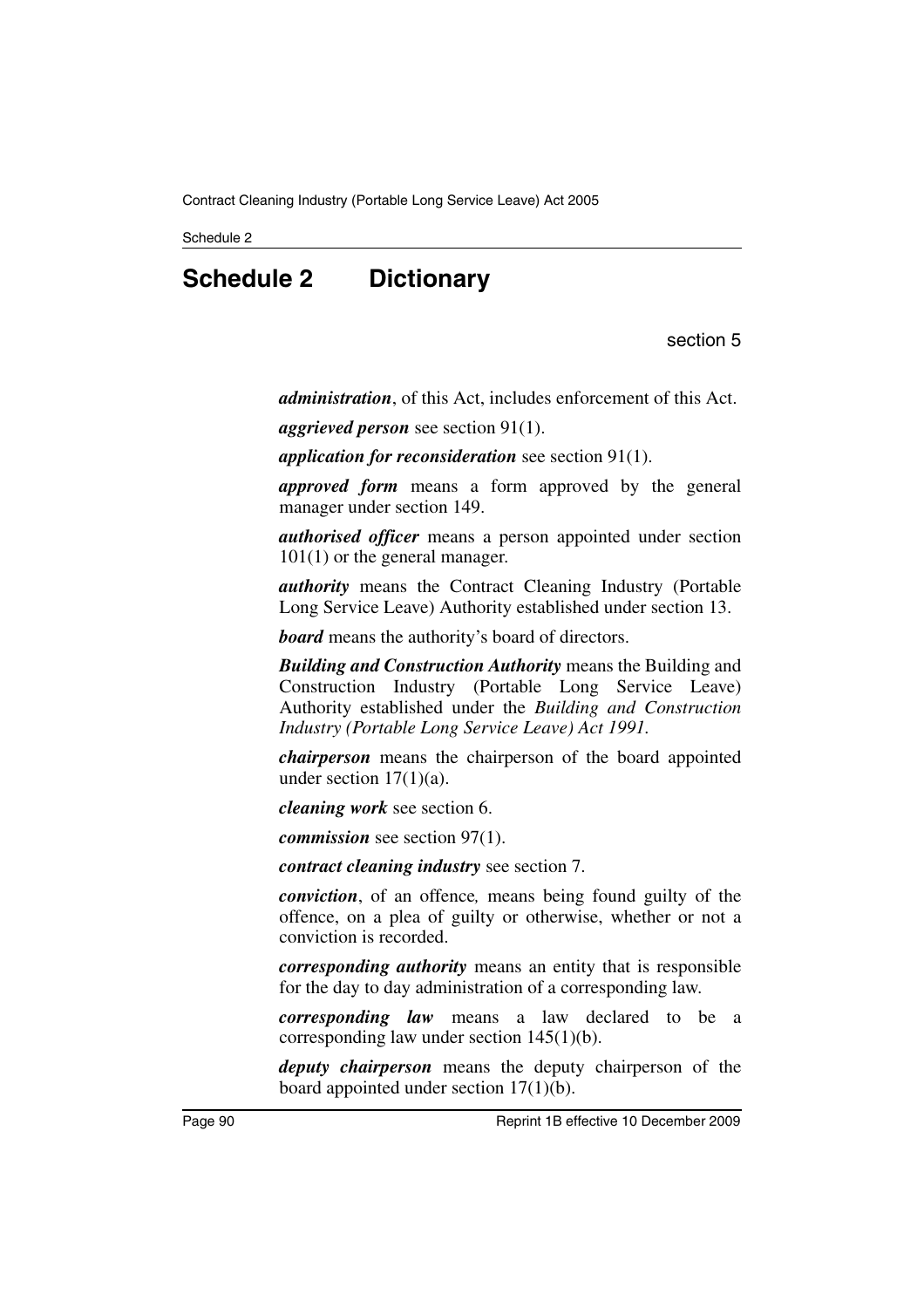Schedule 2

# **Schedule 2 Dictionary**

section 5

*administration*, of this Act, includes enforcement of this Act.

*aggrieved person* see section 91(1).

*application for reconsideration* see section 91(1).

*approved form* means a form approved by the general manager under section 149.

*authorised officer* means a person appointed under section 101(1) or the general manager.

*authority* means the Contract Cleaning Industry (Portable Long Service Leave) Authority established under section 13.

*board* means the authority's board of directors.

*Building and Construction Authority* means the Building and Construction Industry (Portable Long Service Leave) Authority established under the *Building and Construction Industry (Portable Long Service Leave) Act 1991.*

*chairperson* means the chairperson of the board appointed under section  $17(1)(a)$ .

*cleaning work* see section 6.

*commission* see section 97(1).

*contract cleaning industry* see section 7.

*conviction*, of an offence*,* means being found guilty of the offence, on a plea of guilty or otherwise, whether or not a conviction is recorded.

*corresponding authority* means an entity that is responsible for the day to day administration of a corresponding law.

*corresponding law* means a law declared to be a corresponding law under section 145(1)(b).

*deputy chairperson* means the deputy chairperson of the board appointed under section 17(1)(b).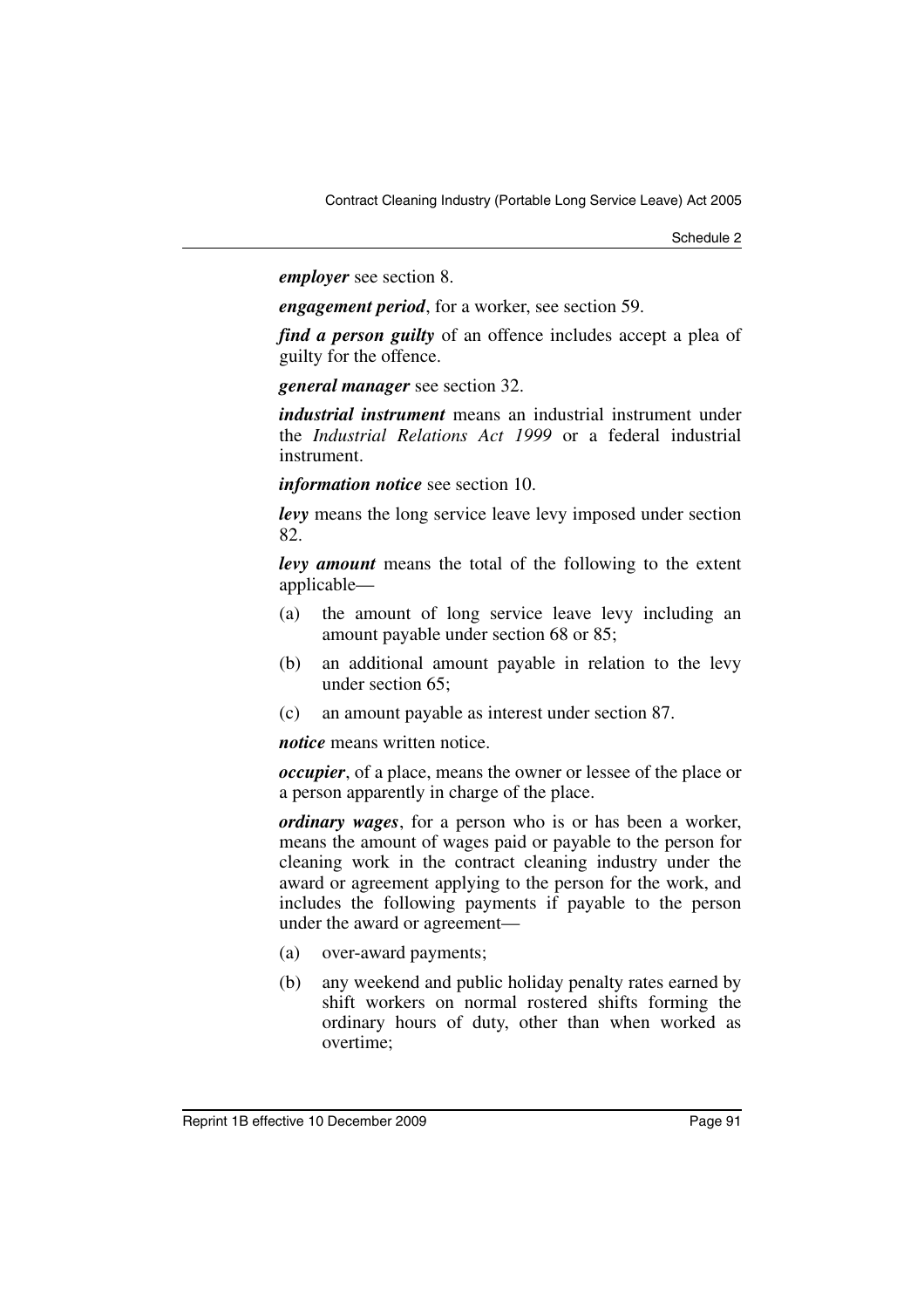*employer* see section 8.

*engagement period*, for a worker, see section 59.

*find a person guilty* of an offence includes accept a plea of guilty for the offence.

*general manager* see section 32.

*industrial instrument* means an industrial instrument under the *Industrial Relations Act 1999* or a federal industrial instrument.

*information notice* see section 10.

*levy* means the long service leave levy imposed under section 82.

*levy amount* means the total of the following to the extent applicable—

- (a) the amount of long service leave levy including an amount payable under section 68 or 85;
- (b) an additional amount payable in relation to the levy under section 65;
- (c) an amount payable as interest under section 87.

*notice* means written notice.

*occupier*, of a place, means the owner or lessee of the place or a person apparently in charge of the place.

*ordinary wages*, for a person who is or has been a worker, means the amount of wages paid or payable to the person for cleaning work in the contract cleaning industry under the award or agreement applying to the person for the work, and includes the following payments if payable to the person under the award or agreement—

- (a) over-award payments;
- (b) any weekend and public holiday penalty rates earned by shift workers on normal rostered shifts forming the ordinary hours of duty, other than when worked as overtime;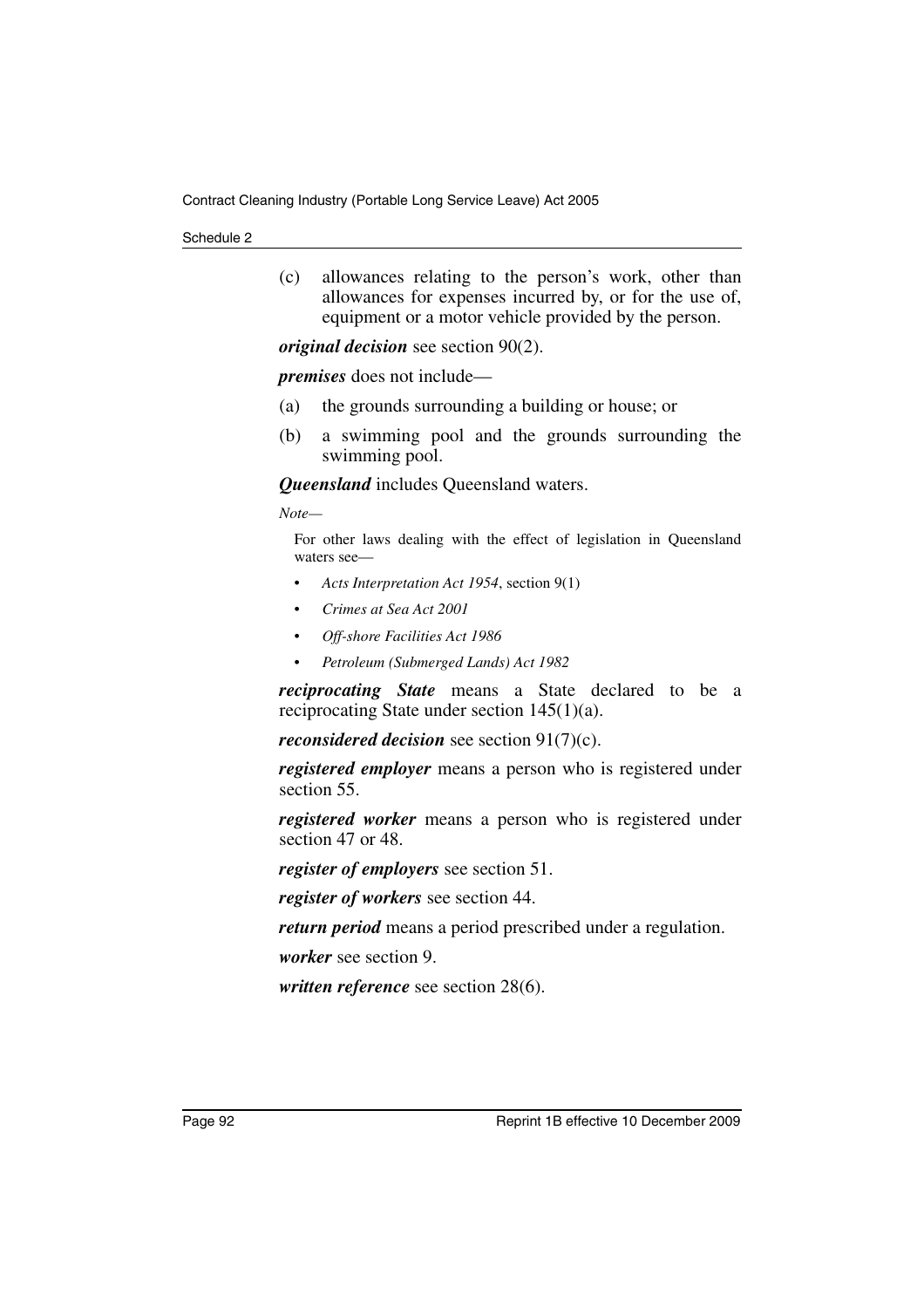(c) allowances relating to the person's work, other than allowances for expenses incurred by, or for the use of, equipment or a motor vehicle provided by the person.

*original decision* see section 90(2).

*premises* does not include—

- (a) the grounds surrounding a building or house; or
- (b) a swimming pool and the grounds surrounding the swimming pool.

*Queensland* includes Queensland waters.

*Note—*

For other laws dealing with the effect of legislation in Queensland waters see—

- *Acts Interpretation Act 1954*, section 9(1)
- *Crimes at Sea Act 2001*
- *Off-shore Facilities Act 1986*
- *Petroleum (Submerged Lands) Act 1982*

*reciprocating State* means a State declared to be a reciprocating State under section 145(1)(a).

*reconsidered decision* see section 91(7)(c).

*registered employer* means a person who is registered under section 55.

*registered worker* means a person who is registered under section 47 or 48.

*register of employers* see section 51.

*register of workers* see section 44.

*return period* means a period prescribed under a regulation.

*worker* see section 9.

*written reference* see section 28(6).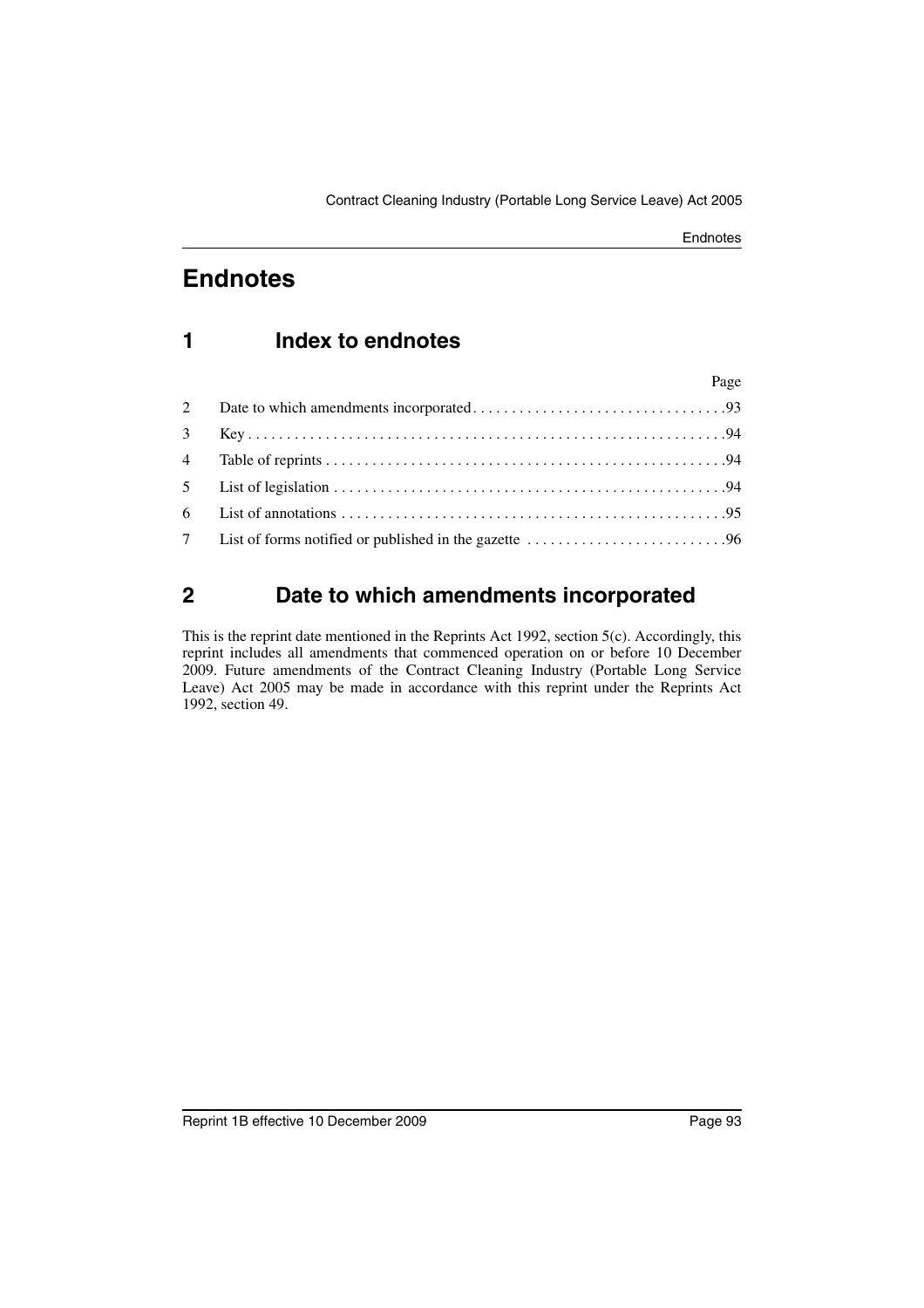## **1 Index to endnotes**

|              | Page |  |
|--------------|------|--|
| $\mathbf{2}$ |      |  |
| $3^{\circ}$  |      |  |
|              |      |  |
|              |      |  |
|              |      |  |
|              |      |  |

## <span id="page-94-0"></span>**2 Date to which amendments incorporated**

This is the reprint date mentioned in the Reprints Act 1992, section 5(c). Accordingly, this reprint includes all amendments that commenced operation on or before 10 December 2009. Future amendments of the Contract Cleaning Industry (Portable Long Service Leave) Act 2005 may be made in accordance with this reprint under the Reprints Act 1992, section 49.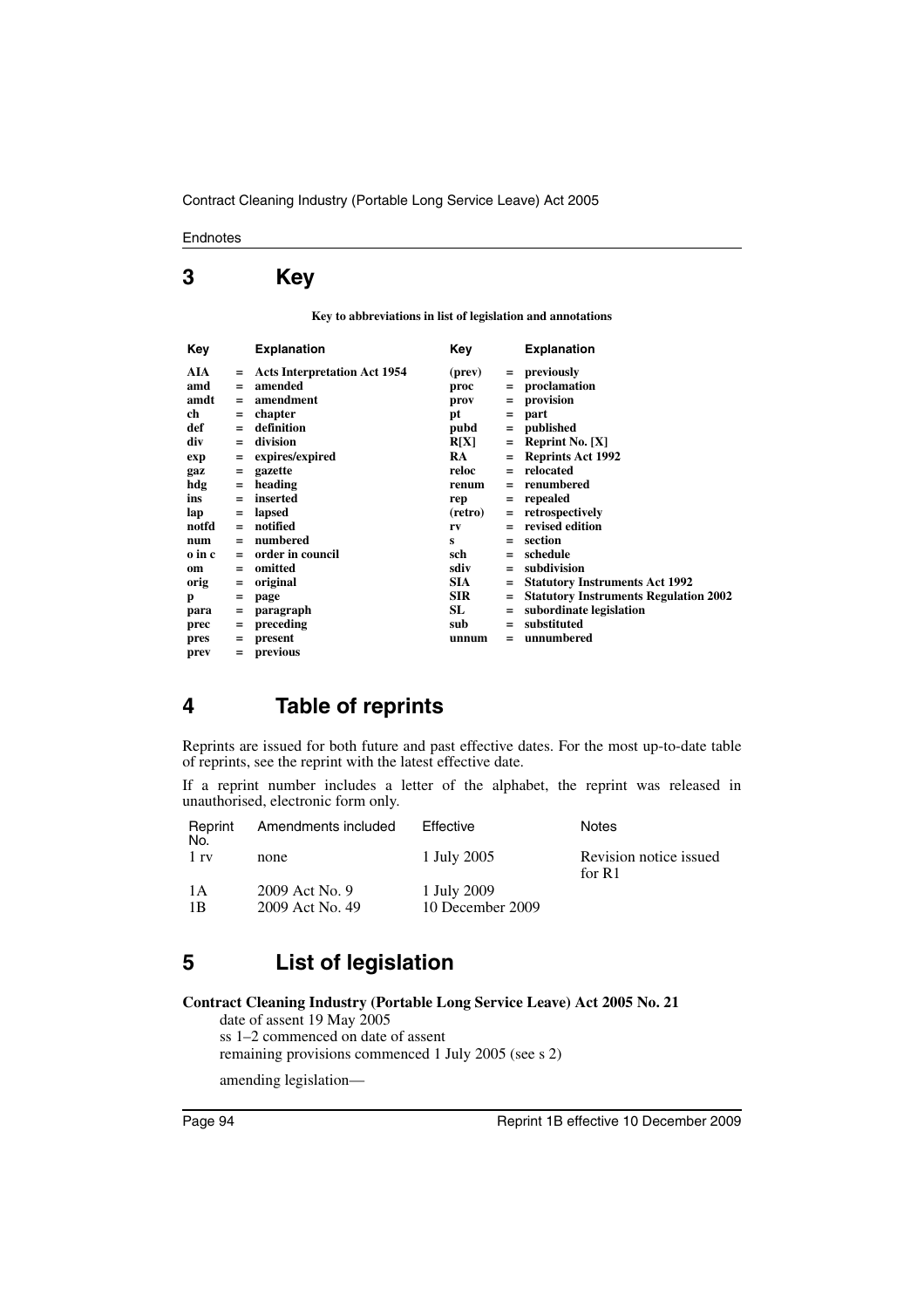## <span id="page-95-0"></span>**3 Key**

**Key to abbreviations in list of legislation and annotations**

| Key    |     | <b>Explanation</b>                  | Key        |     | <b>Explanation</b>                           |
|--------|-----|-------------------------------------|------------|-----|----------------------------------------------|
| AIA    |     | <b>Acts Interpretation Act 1954</b> | (prev)     | $=$ | previously                                   |
| amd    | $=$ | amended                             | proc       | $=$ | proclamation                                 |
| amdt   | $=$ | amendment                           | prov       | $=$ | provision                                    |
| ch     | $=$ | chapter                             | рt         | $=$ | part                                         |
| def    | $=$ | definition                          | pubd       | $=$ | published                                    |
| div    | $=$ | division                            | R[X]       | $=$ | <b>Reprint No.</b> $[X]$                     |
| exp    | $=$ | expires/expired                     | RA.        | $=$ | <b>Reprints Act 1992</b>                     |
| gaz    | Ξ   | gazette                             | reloc      | $=$ | relocated                                    |
| hdg    | $=$ | heading                             | renum      |     | renumbered                                   |
| ins    | $=$ | inserted                            | rep        | $=$ | repealed                                     |
| lap    | $=$ | lapsed                              | (retro)    | $=$ | retrospectively                              |
| notfd  | $=$ | notified                            | rv         |     | revised edition                              |
| num    | $=$ | numbered                            | s          | $=$ | section                                      |
| o in c | $=$ | order in council                    | sch        | $=$ | schedule                                     |
| om     | $=$ | omitted                             | sdiv       | $=$ | subdivision                                  |
| orig   | $=$ | original                            | <b>SIA</b> | $=$ | <b>Statutory Instruments Act 1992</b>        |
| p      | =   | page                                | <b>SIR</b> | $=$ | <b>Statutory Instruments Regulation 2002</b> |
| para   | Ξ   | paragraph                           | SL         | $=$ | subordinate legislation                      |
| prec   | $=$ | preceding                           | sub        | $=$ | substituted                                  |
| pres   | $=$ | present                             | unnum      | $=$ | unnumbered                                   |
| prev   | $=$ | previous                            |            |     |                                              |

### <span id="page-95-1"></span>**4 Table of reprints**

Reprints are issued for both future and past effective dates. For the most up-to-date table of reprints, see the reprint with the latest effective date.

If a reprint number includes a letter of the alphabet, the reprint was released in unauthorised, electronic form only.

| Reprint<br>No. | Amendments included | Effective        | <b>Notes</b>                     |
|----------------|---------------------|------------------|----------------------------------|
| 1 rv           | none                | 1 July 2005      | Revision notice issued<br>for R1 |
| 1 A            | 2009 Act No. 9      | 1 July 2009      |                                  |
| 1 B            | 2009 Act No. 49     | 10 December 2009 |                                  |

## <span id="page-95-2"></span>**5 List of legislation**

#### **Contract Cleaning Industry (Portable Long Service Leave) Act 2005 No. 21**

date of assent 19 May 2005 ss 1–2 commenced on date of assent remaining provisions commenced 1 July 2005 (see s 2)

amending legislation—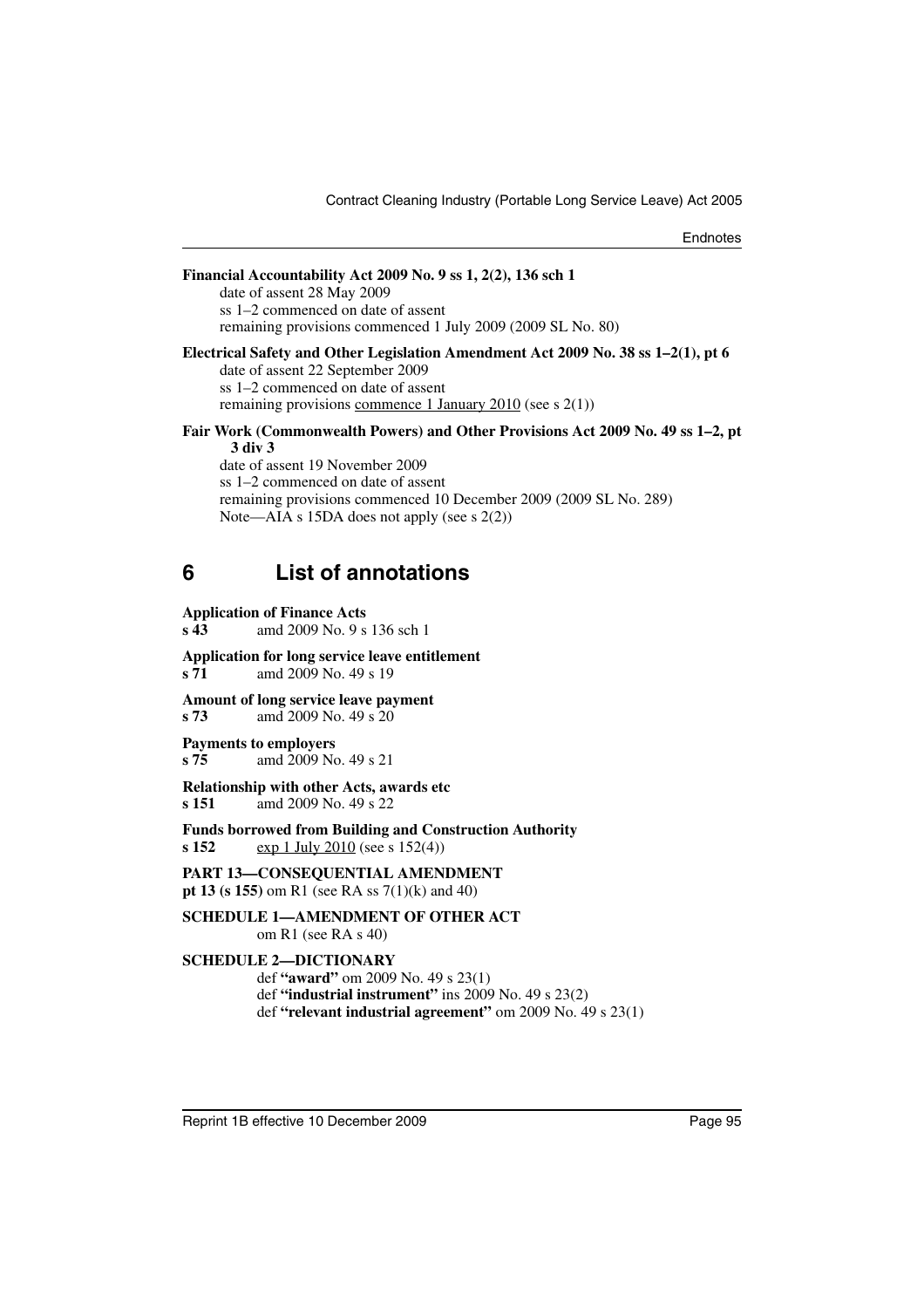| 6 | <b>List of annotations</b>                                                                                                                                                                                                                                                                 |
|---|--------------------------------------------------------------------------------------------------------------------------------------------------------------------------------------------------------------------------------------------------------------------------------------------|
|   | Fair Work (Commonwealth Powers) and Other Provisions Act 2009 No. 49 ss 1–2, pt<br>3 div 3<br>date of assent 19 November 2009<br>ss 1–2 commenced on date of assent<br>remaining provisions commenced 10 December 2009 (2009 SL No. 289)<br>Note—AIA s 15DA does not apply (see s $2(2)$ ) |
|   | Electrical Safety and Other Legislation Amendment Act 2009 No. 38 ss 1–2(1), pt 6<br>date of assent 22 September 2009<br>ss 1–2 commenced on date of assent<br>remaining provisions commence 1 January 2010 (see $s$ 2(1))                                                                 |
|   | Financial Accountability Act 2009 No. 9 ss 1, 2(2), 136 sch 1<br>date of assent 28 May 2009<br>ss 1–2 commenced on date of assent<br>remaining provisions commenced 1 July 2009 (2009 SL No. 80)                                                                                           |

#### <span id="page-96-0"></span>**Application of Finance Acts**

**s 43** amd 2009 No. 9 s 136 sch 1

**Application for long service leave entitlement s 71** amd 2009 No. 49 s 19

**Amount of long service leave payment**

**s 73** amd 2009 No. 49 s 20

#### **Payments to employers**

**s 75** amd 2009 No. 49 s 21

**Relationship with other Acts, awards etc**

**s 151** amd 2009 No. 49 s 22

**Funds borrowed from Building and Construction Authority**

**s 152** exp 1 July 2010 (see s 152(4))

**PART 13—CONSEQUENTIAL AMENDMENT pt 13 (s 155)** om R1 (see RA ss 7(1)(k) and 40)

#### **SCHEDULE 1—AMENDMENT OF OTHER ACT**

om R1 (see RA s 40)

#### **SCHEDULE 2—DICTIONARY**

def **"award"** om 2009 No. 49 s 23(1) def **"industrial instrument"** ins 2009 No. 49 s 23(2) def **"relevant industrial agreement"** om 2009 No. 49 s 23(1)